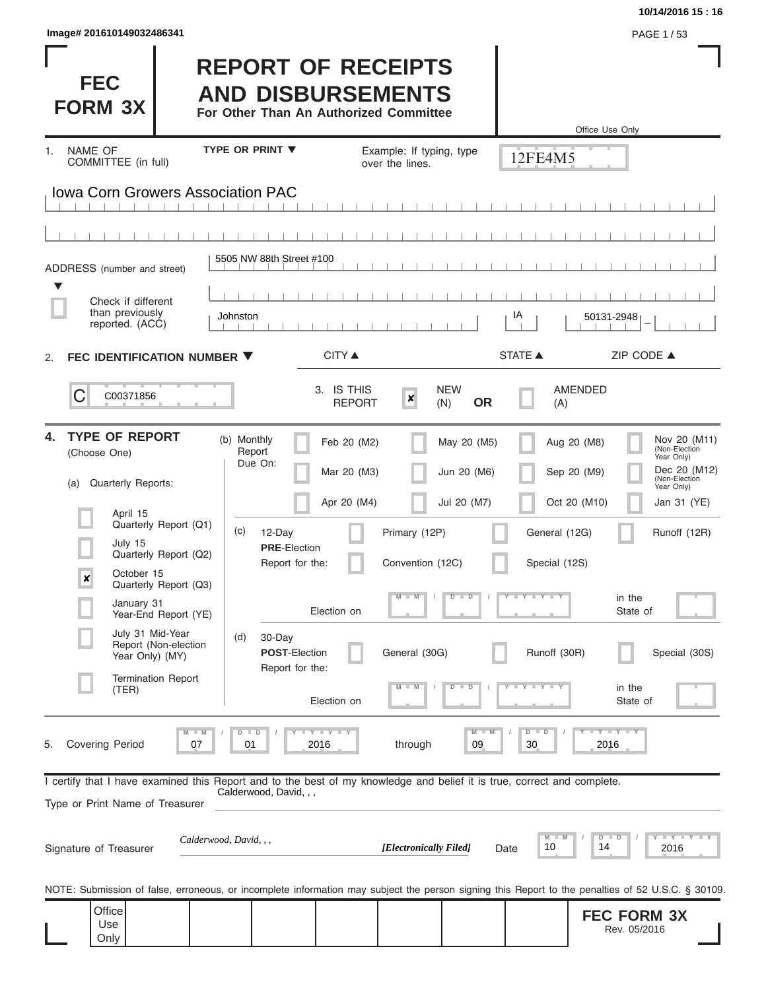| Image# 201610149032486341 | PAGE 1/53 |
|---------------------------|-----------|
|---------------------------|-----------|

**FEC** 

**FORM 3X**

# **REPORT OF RECEIPTS AND DISBURSEMENTS**

**For Other Than An Authorized Committee**

|                                                                                                                                                                                                                                                                                                                                                         |                                                                                                                                                                                                                                    |                                                                          |                                                                                     | Office Use Only                                                                                                         |                                                                                                                                                                                        |
|---------------------------------------------------------------------------------------------------------------------------------------------------------------------------------------------------------------------------------------------------------------------------------------------------------------------------------------------------------|------------------------------------------------------------------------------------------------------------------------------------------------------------------------------------------------------------------------------------|--------------------------------------------------------------------------|-------------------------------------------------------------------------------------|-------------------------------------------------------------------------------------------------------------------------|----------------------------------------------------------------------------------------------------------------------------------------------------------------------------------------|
| NAME OF<br>1.<br>COMMITTEE (in full)                                                                                                                                                                                                                                                                                                                    | <b>TYPE OR PRINT ▼</b>                                                                                                                                                                                                             | Example: If typing, type<br>over the lines.                              |                                                                                     | 12FE4M5                                                                                                                 |                                                                                                                                                                                        |
| <b>Iowa Corn Growers Association PAC</b>                                                                                                                                                                                                                                                                                                                |                                                                                                                                                                                                                                    |                                                                          |                                                                                     |                                                                                                                         |                                                                                                                                                                                        |
|                                                                                                                                                                                                                                                                                                                                                         |                                                                                                                                                                                                                                    |                                                                          |                                                                                     |                                                                                                                         |                                                                                                                                                                                        |
| ADDRESS (number and street)                                                                                                                                                                                                                                                                                                                             | 5505 NW 88th Street #100                                                                                                                                                                                                           |                                                                          |                                                                                     |                                                                                                                         |                                                                                                                                                                                        |
| v<br>Check if different<br>than previously<br>reported. (ACC)                                                                                                                                                                                                                                                                                           | Johnston                                                                                                                                                                                                                           |                                                                          | IA                                                                                  | 50131-2948                                                                                                              |                                                                                                                                                                                        |
| FEC IDENTIFICATION NUMBER ▼<br>2.                                                                                                                                                                                                                                                                                                                       | <b>CITY ▲</b>                                                                                                                                                                                                                      |                                                                          | <b>STATE ▲</b>                                                                      |                                                                                                                         | ZIP CODE ▲                                                                                                                                                                             |
| C<br>C00371856                                                                                                                                                                                                                                                                                                                                          | 3. IS THIS                                                                                                                                                                                                                         | $\boldsymbol{x}$<br><b>REPORT</b><br>(N)                                 | <b>NEW</b><br><b>OR</b>                                                             | <b>AMENDED</b><br>(A)                                                                                                   |                                                                                                                                                                                        |
| <b>TYPE OF REPORT</b><br>4.<br>(Choose One)<br>Quarterly Reports:<br>(a)<br>April 15<br>Quarterly Report (Q1)<br>July 15<br>Quarterly Report (Q2)<br>October 15<br>$\boldsymbol{x}$<br>Quarterly Report (Q3)<br>January 31<br>Year-End Report (YE)<br>July 31 Mid-Year<br>Report (Non-election<br>Year Only) (MY)<br><b>Termination Report</b><br>(TER) | (b) Monthly<br>Feb 20 (M2)<br>Report<br>Due On:<br>Mar 20 (M3)<br>Apr 20 (M4)<br>(c)<br>12-Day<br><b>PRE</b> Election<br>Report for the:<br>Election on<br>(d)<br>30-Day<br><b>POST-Election</b><br>Report for the:<br>Election on | Primary (12P)<br>Convention (12C)<br>$M - M$<br>General (30G)<br>$M - M$ | May 20 (M5)<br>Jun 20 (M6)<br>Jul 20 (M7)<br>$D$ $\Box$<br>$\overline{D}$<br>D<br>D | Aug 20 (M8)<br>Sep 20 (M9)<br>Oct 20 (M10)<br>General (12G)<br>Special (12S)<br>Y FY FY FY<br>Runoff (30R)<br>Y I Y I Y | Nov 20 (M11)<br>(Non-Election<br>Year Only)<br>Dec 20 (M12)<br>(Non-Election<br>Year Only)<br>Jan 31 (YE)<br>Runoff (12R)<br>in the<br>State of<br>Special (30S)<br>in the<br>State of |
| $M - M$<br><b>Covering Period</b><br>5.<br>07                                                                                                                                                                                                                                                                                                           | Y I Y I Y I Y<br>$D$ $D$<br>2016<br>01                                                                                                                                                                                             | through                                                                  | $M - M$<br>09                                                                       | $Y - Y - Y - Y - Y$<br>$D$ $D$<br>30<br>2016                                                                            |                                                                                                                                                                                        |
| I certify that I have examined this Report and to the best of my knowledge and belief it is true, correct and complete.<br>Type or Print Name of Treasurer<br>Signature of Treasurer<br>NOTE: Submission of false, erroneous, or incomplete information may subject the person signing this Report to the penalties of 52 U.S.C. § 30109.               | Calderwood, David, , ,<br>Calderwood, David, , ,                                                                                                                                                                                   | [Electronically Filed]                                                   | Date                                                                                | $M$ $M$<br>$D$ $D$<br>10<br>14                                                                                          | $Y - Y - Y - Y - Y$<br>2016                                                                                                                                                            |
| Office<br>Use<br>Only                                                                                                                                                                                                                                                                                                                                   |                                                                                                                                                                                                                                    |                                                                          |                                                                                     |                                                                                                                         | <b>FEC FORM 3X</b><br>Rev. 05/2016                                                                                                                                                     |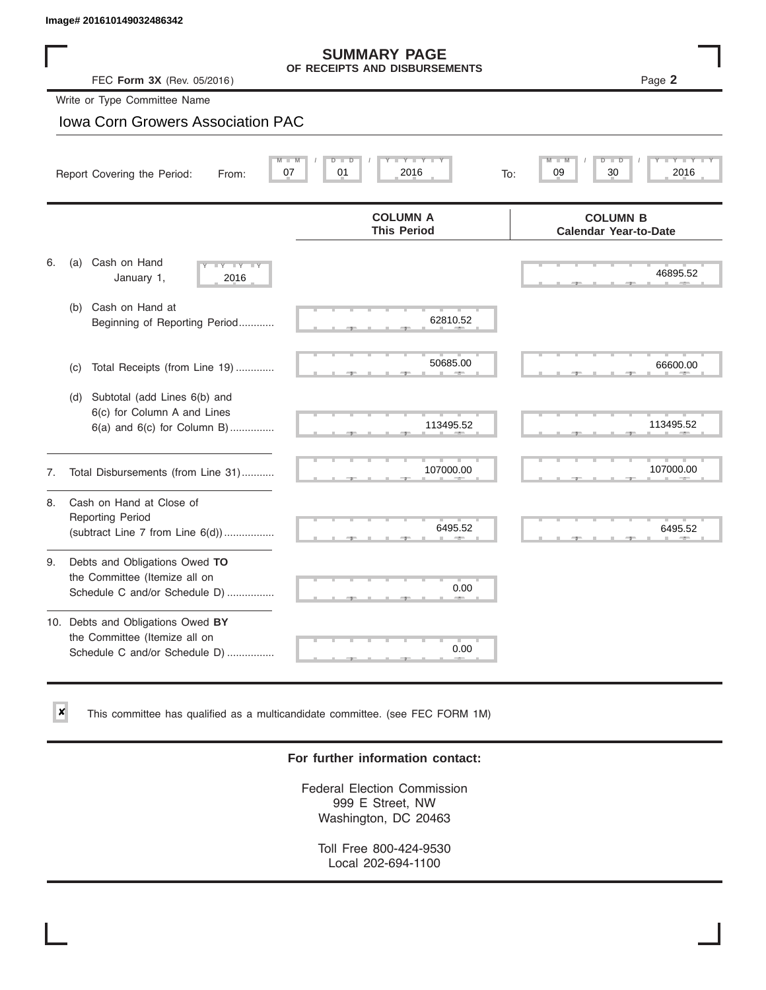$\vert x \vert$ 

# **SUMMARY PAGE**

|    | lmage# 201610149032486342                                                                           |                                                      |                                                 |
|----|-----------------------------------------------------------------------------------------------------|------------------------------------------------------|-------------------------------------------------|
|    | FEC Form 3X (Rev. 05/2016)                                                                          | <b>SUMMARY PAGE</b><br>OF RECEIPTS AND DISBURSEMENTS | Page 2                                          |
|    | Write or Type Committee Name                                                                        |                                                      |                                                 |
|    | <b>Iowa Corn Growers Association PAC</b>                                                            |                                                      |                                                 |
|    | 07<br>Report Covering the Period:<br>From:                                                          | $Y$ $Y$ $Y$ $Y$<br>01<br>2016                        | D<br>30<br>2016<br>09<br>To:                    |
|    |                                                                                                     | <b>COLUMN A</b><br><b>This Period</b>                | <b>COLUMN B</b><br><b>Calendar Year-to-Date</b> |
| 6. | Cash on Hand<br>(a)<br>$-Y - -Y - -Y$<br>January 1,<br>2016                                         |                                                      | 46895.52                                        |
|    | Cash on Hand at<br>(b)<br>Beginning of Reporting Period                                             | 62810.52                                             |                                                 |
|    | Total Receipts (from Line 19)<br>(c)                                                                | 50685.00                                             | 66600.00                                        |
|    | Subtotal (add Lines 6(b) and<br>(d)<br>6(c) for Column A and Lines<br>6(a) and 6(c) for Column B)   | 113495.52                                            | 113495.52                                       |
| 7. | Total Disbursements (from Line 31)                                                                  | 107000.00                                            | 107000.00                                       |
| 8. | Cash on Hand at Close of<br><b>Reporting Period</b><br>(subtract Line $7$ from Line $6(d)$ )        | 6495.52                                              | 6495.52                                         |
| 9. | Debts and Obligations Owed TO<br>the Committee (Itemize all on<br>Schedule C and/or Schedule D)     | 0.00                                                 |                                                 |
|    | 10. Debts and Obligations Owed BY<br>the Committee (Itemize all on<br>Schedule C and/or Schedule D) | T.<br>0.00                                           |                                                 |

This committee has qualified as a multicandidate committee. (see FEC FORM 1M)

## **For further information contact:**

Federal Election Commission 999 E Street, NW Washington, DC 20463

Toll Free 800-424-9530 Local 202-694-1100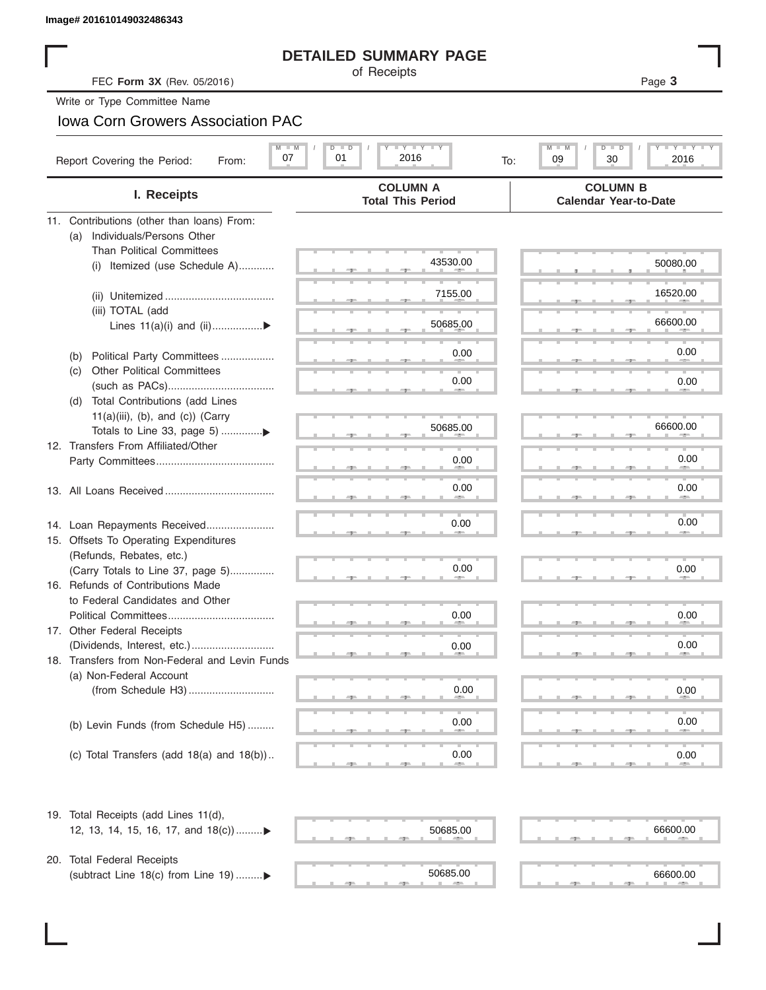# **DETAILED SUMMARY PAGE**

# Iowa Corn Growers Association PAC

|                                                                        | <b>DETAILED SUMMARY PAGE</b>                                                                |                                                      |
|------------------------------------------------------------------------|---------------------------------------------------------------------------------------------|------------------------------------------------------|
| FEC Form 3X (Rev. 05/2016)                                             | of Receipts                                                                                 | Page 3                                               |
| Write or Type Committee Name                                           |                                                                                             |                                                      |
| <b>Iowa Corn Growers Association PAC</b>                               |                                                                                             |                                                      |
| $M - M$<br>07<br>Report Covering the Period:<br>From:                  | $\Box$ $\Upsilon$ $\Box$ $\Upsilon$ $\Upsilon$ $\Box$ $\Box$<br>$\Box$<br>01<br>2016<br>To: | Y I Y I<br>$M$ $-$<br>$D$ $\Box$<br>30<br>2016<br>09 |
| I. Receipts                                                            | <b>COLUMN A</b><br><b>Total This Period</b>                                                 | <b>COLUMN B</b><br><b>Calendar Year-to-Date</b>      |
| 11. Contributions (other than loans) From:                             |                                                                                             |                                                      |
| Individuals/Persons Other<br>(a)                                       |                                                                                             |                                                      |
| <b>Than Political Committees</b><br>Itemized (use Schedule A)<br>(i)   | 43530.00                                                                                    | 50080.00                                             |
|                                                                        |                                                                                             |                                                      |
|                                                                        | 7155.00                                                                                     | 16520.00                                             |
| (iii) TOTAL (add                                                       |                                                                                             |                                                      |
| Lines $11(a)(i)$ and $(ii)$                                            | 50685.00                                                                                    | 66600.00                                             |
| Political Party Committees<br>(b)                                      | 0.00                                                                                        | 0.00                                                 |
| <b>Other Political Committees</b><br>(C)                               |                                                                                             |                                                      |
|                                                                        | 0.00                                                                                        | 0.00                                                 |
| Total Contributions (add Lines<br>(d)                                  |                                                                                             |                                                      |
| $11(a)(iii)$ , (b), and (c)) (Carry                                    | 50685.00                                                                                    | 66600.00                                             |
|                                                                        |                                                                                             |                                                      |
| 12. Transfers From Affiliated/Other                                    | 0.00                                                                                        | 0.00                                                 |
|                                                                        |                                                                                             |                                                      |
|                                                                        | 0.00                                                                                        | 0.00                                                 |
|                                                                        |                                                                                             |                                                      |
| 14. Loan Repayments Received                                           | 0.00                                                                                        | 0.00                                                 |
| 15. Offsets To Operating Expenditures                                  |                                                                                             |                                                      |
| (Refunds, Rebates, etc.)                                               | 0.00                                                                                        | 0.00                                                 |
| (Carry Totals to Line 37, page 5)<br>16. Refunds of Contributions Made |                                                                                             |                                                      |
| to Federal Candidates and Other                                        |                                                                                             |                                                      |
| Political Committees                                                   | 0.00                                                                                        | 0.00                                                 |
| 17. Other Federal Receipts                                             |                                                                                             |                                                      |
|                                                                        | 0.00                                                                                        | 0.00                                                 |
| 18. Transfers from Non-Federal and Levin Funds                         |                                                                                             |                                                      |
| (a) Non-Federal Account                                                |                                                                                             |                                                      |
|                                                                        | 0.00                                                                                        | 0.00                                                 |
| (b) Levin Funds (from Schedule H5)                                     | 0.00                                                                                        | 0.00                                                 |
|                                                                        |                                                                                             |                                                      |
| (c) Total Transfers (add $18(a)$ and $18(b)$ )                         | 0.00                                                                                        | 0.00                                                 |
| 19. Total Receipts (add Lines 11(d),                                   |                                                                                             |                                                      |
| 12, 13, 14, 15, 16, 17, and 18(c)                                      | 50685.00                                                                                    | 66600.00                                             |
|                                                                        |                                                                                             |                                                      |
| 20. Total Federal Receipts                                             |                                                                                             |                                                      |
| (subtract Line 18(c) from Line 19)▶                                    | 50685.00                                                                                    | 66600.00                                             |

|  |   |                   |   |                   |                |  |   |  |  | . . |                |  |
|--|---|-------------------|---|-------------------|----------------|--|---|--|--|-----|----------------|--|
|  |   |                   |   | 50685.00          |                |  |   |  |  |     | 66600.00       |  |
|  | m | <b>ALLIENTING</b> | m | <b>COLLECTION</b> | $\mathbb{R}^n$ |  | ш |  |  |     | <b>COLLEGE</b> |  |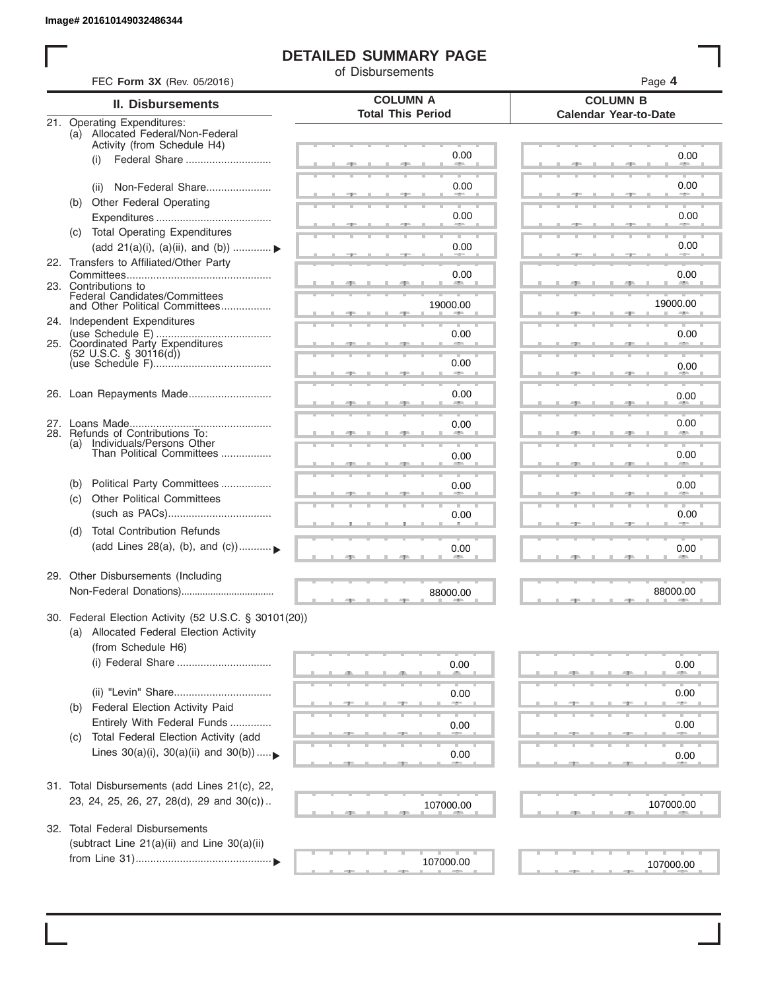# **DETAILED SUMMARY PAGE**

of Disbursements

| FEC Form 3X (Rev. 05/2016)                                                                                             |                                             | Page 4                                          |  |  |  |  |
|------------------------------------------------------------------------------------------------------------------------|---------------------------------------------|-------------------------------------------------|--|--|--|--|
| <b>II. Disbursements</b>                                                                                               | <b>COLUMN A</b><br><b>Total This Period</b> | <b>COLUMN B</b><br><b>Calendar Year-to-Date</b> |  |  |  |  |
| 21. Operating Expenditures:<br>(a) Allocated Federal/Non-Federal<br>Activity (from Schedule H4)                        |                                             |                                                 |  |  |  |  |
| (i)                                                                                                                    | 0.00                                        | 0.00                                            |  |  |  |  |
| Non-Federal Share<br>(ii)                                                                                              | 0.00                                        | 0.00                                            |  |  |  |  |
| Other Federal Operating<br>(b)                                                                                         | 0.00                                        | 0.00                                            |  |  |  |  |
| (c) Total Operating Expenditures<br>(add 21(a)(i), (a)(ii), and (b))                                                   | 0.00                                        | 0.00                                            |  |  |  |  |
| 22. Transfers to Affiliated/Other Party                                                                                |                                             |                                                 |  |  |  |  |
| 23. Contributions to                                                                                                   | 0.00                                        | 0.00<br><b>Allen</b>                            |  |  |  |  |
| Federal Candidates/Committees<br>and Other Political Committees<br>24. Independent Expenditures                        | 19000.00                                    | 19000.00                                        |  |  |  |  |
| 25. Coordinated Party Expenditures                                                                                     | 0.00                                        | 0.00                                            |  |  |  |  |
| $(52 \text{ U.S.C. }$ § 30116(d))                                                                                      | 0.00<br><b>SERVICE</b>                      | 0.00                                            |  |  |  |  |
| 26. Loan Repayments Made                                                                                               | 0.00                                        | 0.00                                            |  |  |  |  |
|                                                                                                                        | 0.00                                        | 0.00                                            |  |  |  |  |
| 28. Refunds of Contributions To:<br>(a) Individuals/Persons Other<br>Than Political Committees                         | 0.00                                        | 0.00                                            |  |  |  |  |
| Political Party Committees<br>(b)                                                                                      | 0.00                                        | 0.00                                            |  |  |  |  |
| <b>Other Political Committees</b><br>(C)                                                                               | 0.00                                        | 0.00                                            |  |  |  |  |
| <b>Total Contribution Refunds</b><br>(d)                                                                               |                                             |                                                 |  |  |  |  |
| (add Lines 28(a), (b), and (c))                                                                                        | 0.00                                        | 0.00                                            |  |  |  |  |
| 29. Other Disbursements (Including                                                                                     | 88000.00                                    | 88000.00                                        |  |  |  |  |
| 30. Federal Election Activity (52 U.S.C. § 30101(20))<br>(a) Allocated Federal Election Activity<br>(from Schedule H6) |                                             |                                                 |  |  |  |  |
| (i) Federal Share                                                                                                      | 0.00                                        | 0.00                                            |  |  |  |  |
|                                                                                                                        | 0.00                                        | 0.00                                            |  |  |  |  |
| Federal Election Activity Paid<br>(b)<br>Entirely With Federal Funds                                                   | 0.00                                        | 0.00                                            |  |  |  |  |
| Total Federal Election Activity (add<br>(C)<br>Lines $30(a)(i)$ , $30(a)(ii)$ and $30(b))$                             | 0.00                                        | $0.00\,$                                        |  |  |  |  |
|                                                                                                                        |                                             |                                                 |  |  |  |  |
| 31. Total Disbursements (add Lines 21(c), 22,<br>23, 24, 25, 26, 27, 28(d), 29 and 30(c))                              | 107000.00                                   | 107000.00                                       |  |  |  |  |
| 32. Total Federal Disbursements                                                                                        |                                             |                                                 |  |  |  |  |
| (subtract Line 21(a)(ii) and Line 30(a)(ii)                                                                            | 107000.00                                   |                                                 |  |  |  |  |
|                                                                                                                        |                                             | 107000.00                                       |  |  |  |  |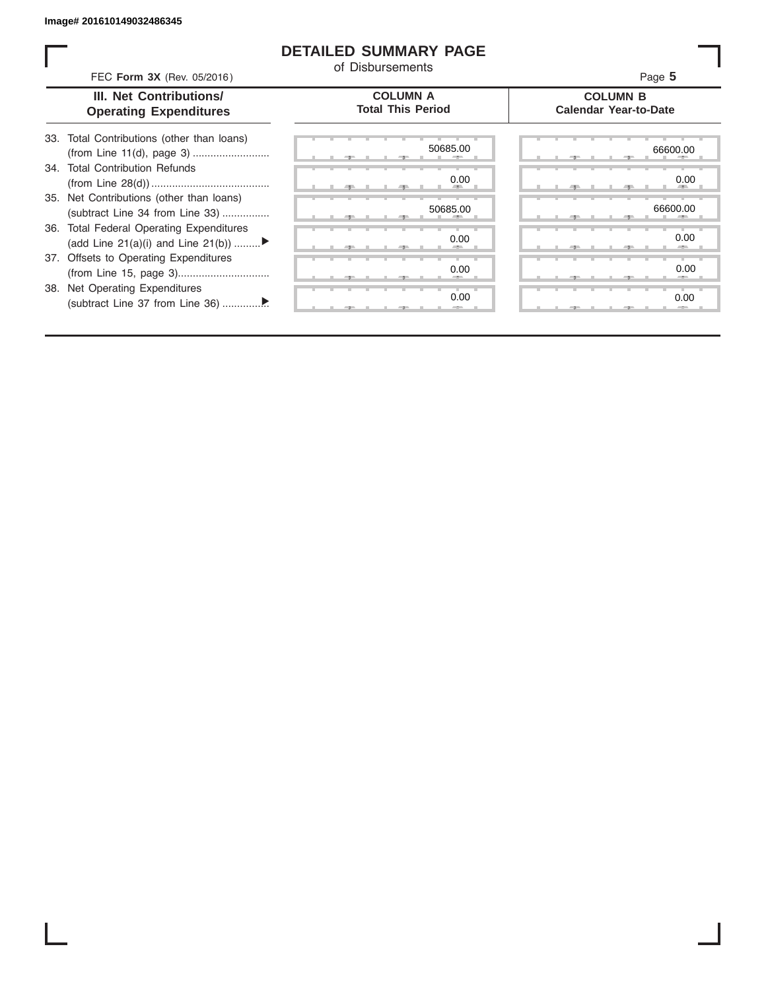# **DETAILED SUMMARY PAGE**

of Disbursements

FEC **Form 3X** (Rev. 05/2016) Page **5**

|  | <b>III. Net Contributions/</b> |  |
|--|--------------------------------|--|
|  | <b>Operating Expenditures</b>  |  |

## **COLUMN A Total This Period**

## **COLUMN B Calendar Year-to-Date**

| 33. Total Contributions (other than loans) |
|--------------------------------------------|
|                                            |
| 34. Total Contribution Refunds             |
|                                            |
| 35. Net Contributions (other than loans)   |
| (subtract Line 34 from Line 33)            |
| 36. Total Federal Operating Expenditures   |
| (add Line 21(a)(i) and Line 21(b))         |
| 37. Offsets to Operating Expenditures      |
|                                            |
| 38. Net Operating Expenditures             |
|                                            |

|  | -7-    |   |   | $-7-$ | 50685.00<br>۰.<br>п       |
|--|--------|---|---|-------|---------------------------|
|  |        |   |   |       | т<br>0.00                 |
|  | - 7 -  |   | ٠ | -9    | m<br>ш<br>٠<br>ш          |
|  |        |   |   |       | 50685.00                  |
|  | 胆      |   |   | - 90  | $\mathbb{R}$<br>٠         |
|  |        |   |   |       | 0.00                      |
|  | 一<br>A |   |   | $-7-$ | <b>ALC 1999</b><br>п<br>п |
|  | ш      | ٠ | ٠ | т     | ٠<br>٠<br>т<br>т<br>0.00  |
|  | -      |   |   | "     | ш<br>÷                    |
|  |        | Ш | т | ı     | ъ<br>т<br>т<br>т<br>0.00  |
|  | э      |   |   | J     | --<br>ш<br>ш              |

|       |  | 50685.00             | 66600.00    |  |
|-------|--|----------------------|-------------|--|
|       |  | 0.00                 | 0.00        |  |
|       |  | <b>All Contracts</b> | <b>AREA</b> |  |
|       |  | 50685.00             | 66600.00    |  |
|       |  | w                    | л           |  |
|       |  | 0.00                 | 0.00        |  |
|       |  | -                    | -           |  |
|       |  | 0.00                 | 0.00        |  |
|       |  | --                   | --          |  |
|       |  | 0.00                 | 0.00        |  |
| $-7-$ |  | $-$                  |             |  |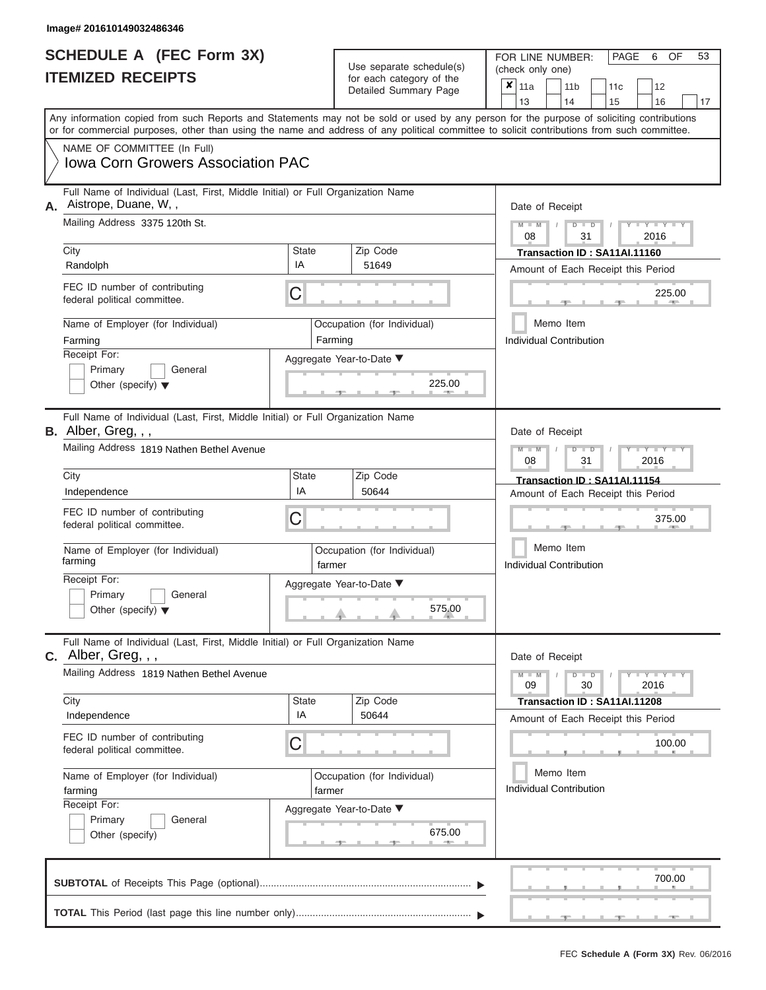| <b>SCHEDULE A (FEC Form 3X)</b> |  |  |
|---------------------------------|--|--|
| <b>ITEMIZED RECEIPTS</b>        |  |  |

FOR LINE NUMBER: PAGE 6<br>(check only one) Use separate schedule(s)  $\begin{array}{|l|l|}\n\hline\n\text{for each category of the} & \text{(check only one)} \\
\hline\n\end{array}$ 

 $\overline{\mathbf{x}}$  11a

, , .  $\longrightarrow$  225.0 Aggregate Year-to-Date ▼  $\frac{225.0}{7}$ C C  $\sim$  375.0 , , .  $\frac{0.50}{0.50}$ C **M M / D D / Y Y Y Y M M / D D / Y Y Y Y M M / D D / Y Y Y Y**  $\uparrow$  , . . . . . . 575.0  $, -$  675. Any information copied from such Reports and Statements may not be sold or used by any person for the purpose of soliciting contributions or for commercial purposes, other than using the name and address of any political committee to solicit contributions from such committee. NAME OF COMMITTEE (In Full) **SUBTOTAL** of Receipts This Page (optional)............................................................................ Full Name of Individual (Last, First, Middle Initial) or Full Organization Name Mailing Address 3375 120th St. City City Code City State City State  $\sim$  2ip Code Receipt For: Primary **General** Other (specify) ▼ Amount of Each Receipt this Period **A.** Date of Receipt Name of Employer (for Individual) Occupation (for Individual) FEC ID number of contributing federal political committee. Full Name of Individual (Last, First, Middle Initial) or Full Organization Name Mailing Address 1819 Nathen Bethel Avenue City **State** Zip Code Receipt For: Primary **General** Other (specify) ▼ Amount of Each Receipt this Period **B.** Alber, Greg, , , Aggregate Year-to-Date ▼ Date of Receipt FEC ID number of contributing federal political committee. Full Name of Individual (Last, First, Middle Initial) or Full Organization Name Mailing Address 1819 Nathen Bethel Avenue City City City State 2 | State Zip Code Receipt For: Primary **General** Other (specify) Amount of Each Receipt this Period **C.** Alber, Greg, , , Aggregate Year-to-Date ▼ Date of Receipt FEC ID number of contributing federal political committee. Detailed Summary Page  $\begin{array}{|c|c|c|c|c|c|}\n\hline\n11a & 11b & 11c & 12 \ \hline\n13 & 14 & 15 & 16\n\end{array}$ |13 | |14 | |15 | |16 | |17 Memo Item Memo Item Memo Item Name of Employer (for Individual) <br>farming (for Individual) farmor Name of Employer (for Individual) <br> Qccupation (for Individual) Iowa Corn Growers Association PAC Aistrope, Duane, W, , 08 31 2016 City<br>
Randolph **IA** 51649 **Transaction ID : SA11AI.11160**<br>
Amount of Each Beceint this Per Farming **Farming Farming** Individual Contribution 225.00 08 31 2016 UITY UNIVERSITY DESCRIPTION OF THE SALUATION OF THE SALUATION OF THE SALUATION OF THE SALUATION OF THE SALUATION OF THE SALUATION OF THE SALUATION OF THE SALUATION OF THE SALUATION OF THE SALUATION OF THE SALUATION OF THE farming **factures factures factures factures factures factures factures** 575.00 Individual Contribution 375.00 09 30 2016 Independence IA <sup>50644</sup> **Transaction ID : SA11AI.11208** farming and the state of the state of the state of the state of the state of the state of the state of the state of the state of the state of the state of the state of the state of the state of the state of the state of th Individual Contribution 675.00 100.00 700.00

 ▲ ▲ ▲ , , . **TOTAL** This Period (last page this line number only)............................................................... ▼ ▼

OF 53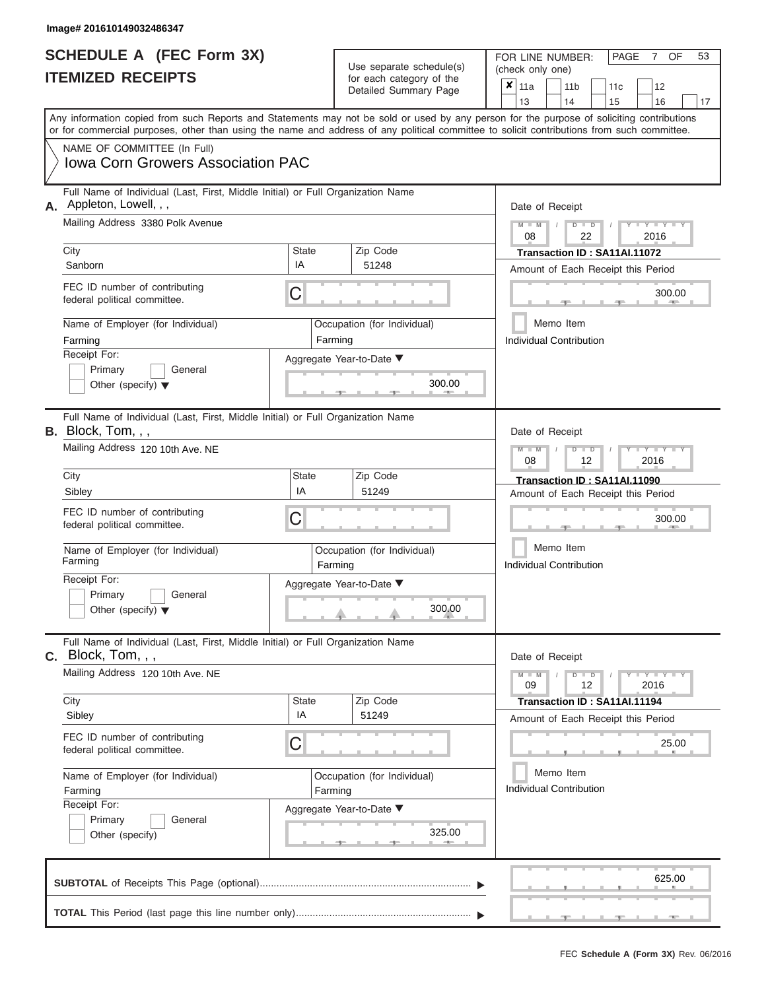| <b>SCHEDULE A (FEC Form 3X)</b> |  |  |
|---------------------------------|--|--|
| <b>ITEMIZED RECEIPTS</b>        |  |  |

FOR LINE NUMBER: PAGE 7<br>(check only one) Use separate schedule(s)  $\begin{array}{|l|l|}\n\hline\n\text{for each category of the} & \text{(check only one)} \\
\hline\n\end{array}$ 

 $, \qquad$  625.  $\frac{300.0}{2}$ Aggregate Year-to-Date ▼  $\frac{300.0}{7}$ C C ▲ ▲ ▲ , , .  $, \qquad \qquad \frac{25.0}{1000}$  $\frac{325.0}{4}$ C **M M / D D / Y Y Y Y M M / D D / Y Y Y Y M M / D D / Y Y Y Y**  $\rightarrow$   $\rightarrow$   $\rightarrow$   $\rightarrow$  300.0  $\frac{325.0}{2}$ Any information copied from such Reports and Statements may not be sold or used by any person for the purpose of soliciting contributions or for commercial purposes, other than using the name and address of any political committee to solicit contributions from such committee. NAME OF COMMITTEE (In Full) **SUBTOTAL** of Receipts This Page (optional)............................................................................ Full Name of Individual (Last, First, Middle Initial) or Full Organization Name Mailing Address 3380 Polk Avenue City City Code City State City State  $\sim$  2ip Code Receipt For: Primary **General** Other (specify) ▼ Amount of Each Receipt this Period **A.** Date of Receipt Name of Employer (for Individual) Occupation (for Individual) FEC ID number of contributing federal political committee. Full Name of Individual (Last, First, Middle Initial) or Full Organization Name Mailing Address 120 10th Ave. NE City **State** Zip Code Receipt For: Primary **General** Other (specify) ▼ Amount of Each Receipt this Period **B.** Block, Tom, , , Aggregate Year-to-Date ▼ Date of Receipt FEC ID number of contributing federal political committee. Full Name of Individual (Last, First, Middle Initial) or Full Organization Name Mailing Address 120 10th Ave. NE City City State Zip Code Receipt For: Primary **General** Other (specify) Amount of Each Receipt this Period **C.** Block, Tom, , , Aggregate Year-to-Date ▼ Date of Receipt FEC ID number of contributing federal political committee. Detailed Summary Page  $\begin{array}{|c|c|c|c|c|c|}\n\hline\n11a & 11b & 11c & 12 \ \hline\n13 & 14 & 15 & 16\n\end{array}$ |13 | |14 | |15 | |16 | |17 Memo Item Memo Item Memo Item Name of Employer (for Individual) <br>
Farming Cocupation (for Individual) Farming Name of Employer (for Individual) <br> Qccupation (for Individual)  $x \vert_{11a}$ Iowa Corn Growers Association PAC Appleton, Lowell, , , 08 22 2016 Sanborn IA <sup>51248</sup> **Transaction ID : SA11AI.11072** Farming **Farming Farming** Individual Contribution 300.00 300.00 08 12 2016 City **Transaction ID : SA11AI.11090**<br>Sibley Sibley **The State of Each Receipt this Personal City of Each Receipt this Personal City of Each Receipt this Per** Farming **Farming Farming** 300.00 Individual Contribution 300.00 09 12 2016 Sity **Transaction ID : SA11AI.11194**<br>Sibley **The Community Community of Each Receipt this Performance of Each Receipt this Per** Farming **Farming Farming** Individual Contribution 325.00 25.00 625.00

 ▲ ▲ ▲ , , . **TOTAL** This Period (last page this line number only)............................................................... ▼ ▼

OF 53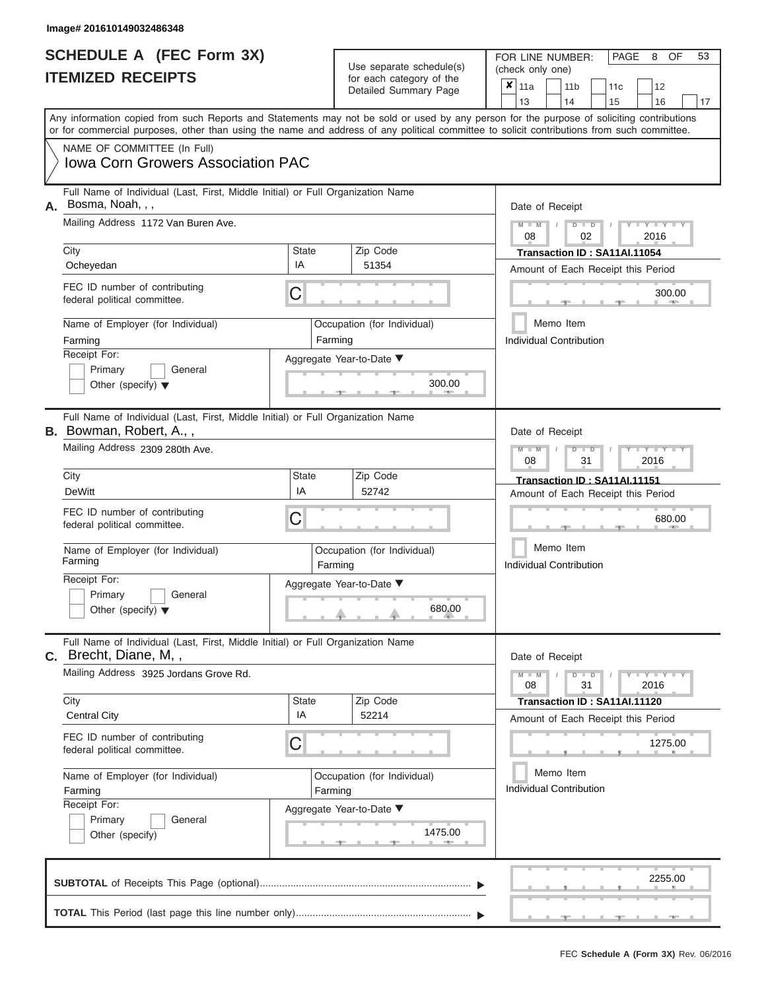|                          | <b>SCHEDULE A (FEC Form 3X)</b> |
|--------------------------|---------------------------------|
| <b>ITEMIZED RECEIPTS</b> |                                 |

FOR LINE NUMBER:<br>(check only one) Use separate schedule(s)<br>for each category of the

|                                              |                                                                                                                                                                                                                                                                                         |                          |                                                                              | badii balogory of lik<br>Detailed Summary Page |                                       | ×<br>11a<br>13                                                     |  |                                                | 11 <sub>b</sub><br>14                                                                            |  | 11 <sub>c</sub><br>15        | 12<br>16                           |  | 17 |  |  |  |  |
|----------------------------------------------|-----------------------------------------------------------------------------------------------------------------------------------------------------------------------------------------------------------------------------------------------------------------------------------------|--------------------------|------------------------------------------------------------------------------|------------------------------------------------|---------------------------------------|--------------------------------------------------------------------|--|------------------------------------------------|--------------------------------------------------------------------------------------------------|--|------------------------------|------------------------------------|--|----|--|--|--|--|
|                                              | Any information copied from such Reports and Statements may not be sold or used by any person for the purpose of soliciting contributions<br>or for commercial purposes, other than using the name and address of any political committee to solicit contributions from such committee. |                          |                                                                              |                                                |                                       |                                                                    |  |                                                |                                                                                                  |  |                              |                                    |  |    |  |  |  |  |
|                                              | NAME OF COMMITTEE (In Full)<br><b>Iowa Corn Growers Association PAC</b>                                                                                                                                                                                                                 |                          |                                                                              |                                                |                                       |                                                                    |  |                                                |                                                                                                  |  |                              |                                    |  |    |  |  |  |  |
| А.                                           | Full Name of Individual (Last, First, Middle Initial) or Full Organization Name<br>Bosma, Noah,,,<br>Mailing Address 1172 Van Buren Ave.                                                                                                                                                |                          |                                                                              |                                                | Date of Receipt<br>$M - M$<br>$D$ $D$ |                                                                    |  |                                                |                                                                                                  |  |                              |                                    |  |    |  |  |  |  |
|                                              | City                                                                                                                                                                                                                                                                                    |                          | State<br>Zip Code                                                            |                                                |                                       |                                                                    |  |                                                | 2016<br>08<br>02<br>Transaction ID: SA11AI.11054                                                 |  |                              |                                    |  |    |  |  |  |  |
|                                              | Ocheyedan                                                                                                                                                                                                                                                                               | IA                       |                                                                              | 51354                                          |                                       | Amount of Each Receipt this Period                                 |  |                                                |                                                                                                  |  |                              |                                    |  |    |  |  |  |  |
|                                              | FEC ID number of contributing<br>federal political committee.                                                                                                                                                                                                                           | C                        |                                                                              |                                                | 300.00                                |                                                                    |  |                                                |                                                                                                  |  |                              |                                    |  |    |  |  |  |  |
|                                              | Name of Employer (for Individual)<br>Farming                                                                                                                                                                                                                                            |                          | Farming                                                                      | Occupation (for Individual)                    |                                       |                                                                    |  |                                                | Memo Item<br><b>Individual Contribution</b>                                                      |  |                              |                                    |  |    |  |  |  |  |
|                                              | Receipt For:<br>Primary<br>General<br>Other (specify) $\blacktriangledown$                                                                                                                                                                                                              | Aggregate Year-to-Date ▼ |                                                                              | 300.00                                         |                                       |                                                                    |  |                                                |                                                                                                  |  |                              |                                    |  |    |  |  |  |  |
|                                              | Full Name of Individual (Last, First, Middle Initial) or Full Organization Name<br><b>B.</b> Bowman, Robert, A.,,                                                                                                                                                                       |                          |                                                                              |                                                |                                       |                                                                    |  |                                                | Date of Receipt                                                                                  |  |                              |                                    |  |    |  |  |  |  |
|                                              | Mailing Address 2309 280th Ave.                                                                                                                                                                                                                                                         | Zip Code                 |                                                                              |                                                |                                       |                                                                    |  | $M - M$<br>$D$ $D$<br>Y TY<br>08<br>2016<br>31 |                                                                                                  |  |                              |                                    |  |    |  |  |  |  |
|                                              | City<br><b>DeWitt</b>                                                                                                                                                                                                                                                                   | <b>State</b><br>IA       |                                                                              | 52742                                          |                                       | Transaction ID: SA11AI.11151<br>Amount of Each Receipt this Period |  |                                                |                                                                                                  |  |                              |                                    |  |    |  |  |  |  |
|                                              | FEC ID number of contributing<br>federal political committee.                                                                                                                                                                                                                           | C                        |                                                                              |                                                |                                       |                                                                    |  | 680.00                                         |                                                                                                  |  |                              |                                    |  |    |  |  |  |  |
|                                              | Name of Employer (for Individual)<br>Farming                                                                                                                                                                                                                                            |                          | Occupation (for Individual)<br>Farming<br>Aggregate Year-to-Date ▼<br>680.00 |                                                |                                       |                                                                    |  |                                                | Memo Item<br>Individual Contribution                                                             |  |                              |                                    |  |    |  |  |  |  |
|                                              | Receipt For:<br>Primary<br>General<br>Other (specify) $\blacktriangledown$                                                                                                                                                                                                              |                          |                                                                              |                                                |                                       |                                                                    |  |                                                |                                                                                                  |  |                              |                                    |  |    |  |  |  |  |
|                                              | Full Name of Individual (Last, First, Middle Initial) or Full Organization Name<br>C. Brecht, Diane, M,,                                                                                                                                                                                |                          |                                                                              |                                                |                                       |                                                                    |  |                                                | Date of Receipt                                                                                  |  |                              |                                    |  |    |  |  |  |  |
|                                              | Mailing Address 3925 Jordans Grove Rd.                                                                                                                                                                                                                                                  |                          |                                                                              |                                                |                                       |                                                                    |  |                                                | $\Box$ $\Upsilon$ $\Box$ $\Upsilon$ $\Upsilon$ $\Box$<br>D<br>$\blacksquare$<br>08<br>31<br>2016 |  |                              |                                    |  |    |  |  |  |  |
|                                              | City<br><b>Central City</b>                                                                                                                                                                                                                                                             | <b>State</b><br>IA       |                                                                              | Zip Code<br>52214                              |                                       |                                                                    |  |                                                |                                                                                                  |  | Transaction ID: SA11AI.11120 | Amount of Each Receipt this Period |  |    |  |  |  |  |
|                                              | FEC ID number of contributing<br>federal political committee.                                                                                                                                                                                                                           | C                        |                                                                              |                                                |                                       |                                                                    |  |                                                |                                                                                                  |  |                              | 1275.00                            |  |    |  |  |  |  |
| Name of Employer (for Individual)<br>Farming |                                                                                                                                                                                                                                                                                         |                          | Farming                                                                      | Occupation (for Individual)                    |                                       | Memo Item<br>Individual Contribution                               |  |                                                |                                                                                                  |  |                              |                                    |  |    |  |  |  |  |
|                                              | Receipt For:<br>Primary<br>General<br>Other (specify)                                                                                                                                                                                                                                   | Aggregate Year-to-Date ▼ |                                                                              | 1475.00                                        |                                       |                                                                    |  |                                                |                                                                                                  |  |                              |                                    |  |    |  |  |  |  |
|                                              |                                                                                                                                                                                                                                                                                         |                          |                                                                              |                                                |                                       |                                                                    |  |                                                |                                                                                                  |  |                              | 2255.00                            |  |    |  |  |  |  |

PAGE 8 OF 53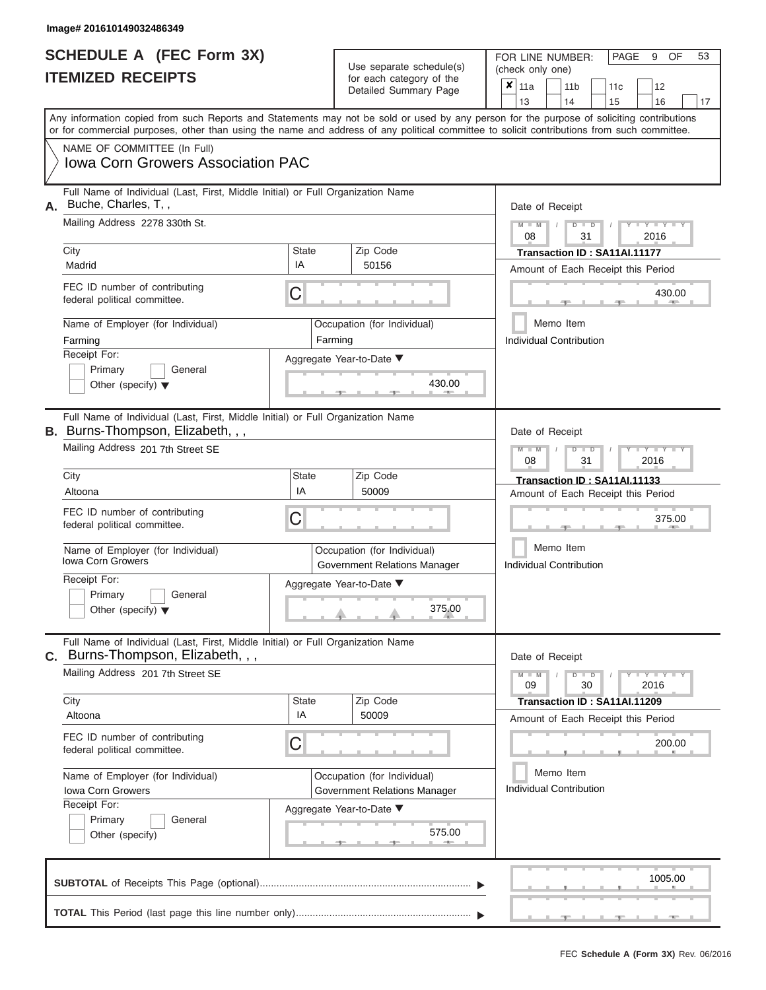|                          | <b>SCHEDULE A (FEC Form 3X)</b> |
|--------------------------|---------------------------------|
| <b>ITEMIZED RECEIPTS</b> |                                 |

FOR LINE NUMBER: PAGE 9<br>(check only one) Use separate schedule(s)<br>for each category of the<br> $\frac{|\mathbf{x}|}{\mathbf{x}}$  11a  $\frac{|\mathbf{x}|}{\mathbf{x}}$  11b

 $x$  | 11a

 $, \qquad \qquad$  1005.  $\frac{430.0}{7}$ Aggregate Year-to-Date ▼  $\frac{430.0}{7}$ C C  $\sim$  375.0  $, \qquad \qquad$  . 200. ▲ ▲ ▲ C **M M / D D / Y Y Y Y M M / D D / Y Y Y Y M M / D D / Y Y Y Y**  $\rightarrow$   $\rightarrow$   $\rightarrow$   $\rightarrow$  375.0 , , . Any information copied from such Reports and Statements may not be sold or used by any person for the purpose of soliciting contributions or for commercial purposes, other than using the name and address of any political committee to solicit contributions from such committee. NAME OF COMMITTEE (In Full) **SUBTOTAL** of Receipts This Page (optional)............................................................................ ▼ ▼ Full Name of Individual (Last, First, Middle Initial) or Full Organization Name Mailing Address 2278 330th St. City City Code City State City State  $\sim$  2ip Code Receipt For: Primary **General** Other (specify) ▼ Amount of Each Receipt this Period **A.** Date of Receipt Name of Employer (for Individual) Occupation (for Individual) FEC ID number of contributing federal political committee. Full Name of Individual (Last, First, Middle Initial) or Full Organization Name Mailing Address 201 7th Street SE City **State** Zip Code Receipt For: Primary **General** Other (specify) ▼ Amount of Each Receipt this Period **B.** Burns-Thompson, Elizabeth, , , Aggregate Year-to-Date ▼ Date of Receipt FEC ID number of contributing federal political committee. Full Name of Individual (Last, First, Middle Initial) or Full Organization Name Mailing Address 201 7th Street SE City City State Zip Code Receipt For: Primary **General** Other (specify) Amount of Each Receipt this Period **C.** Burns-Thompson, Elizabeth, , , Aggregate Year-to-Date ▼ Date of Receipt FEC ID number of contributing federal political committee. Detailed Summary Page  $\begin{array}{|c|c|c|c|c|c|}\n\hline\n11a & 11b & 11c & 12 \ \hline\n13 & 14 & 15 & 16\n\end{array}$ |13 | |14 | |15 | |16 | |17 Memo Item Memo Item Memo Item Name of Employer (for Individual) <br>
lowa Corn Growers (for Individual) Covernment Polations May Name of Employer (for Individual) <br> Qccupation (for Individual) Iowa Corn Growers Association PAC Buche, Charles, T, , 08 31 2016 City City **Transaction ID : SA11AI.11177**<br>Madrid IA 50156 Madrid Amount of Each Boscint this Per Farming **Farming Farming** Individual Contribution 430.00<br>
<br>
Hermo Item<br>
Individual Contribution<br>
430.00 08 31 2016 Altoona IA <sup>50009</sup> **Transaction ID : SA11AI.11133** Government Relations Manager 375.00 Individual Contribution 375.00 09 30 2016 Altoona IA <sup>50009</sup> **Transaction ID : SA11AI.11209** Iowa Corn Growers **Constant Constructions Corn Growers** Government Relations Manager Individual Contribution 200.00<br>
(a)<br>
mager Individual Contribution<br>
575.00 1005.00

 ▲ ▲ ▲ , , . **TOTAL** This Period (last page this line number only)..................................

OF 53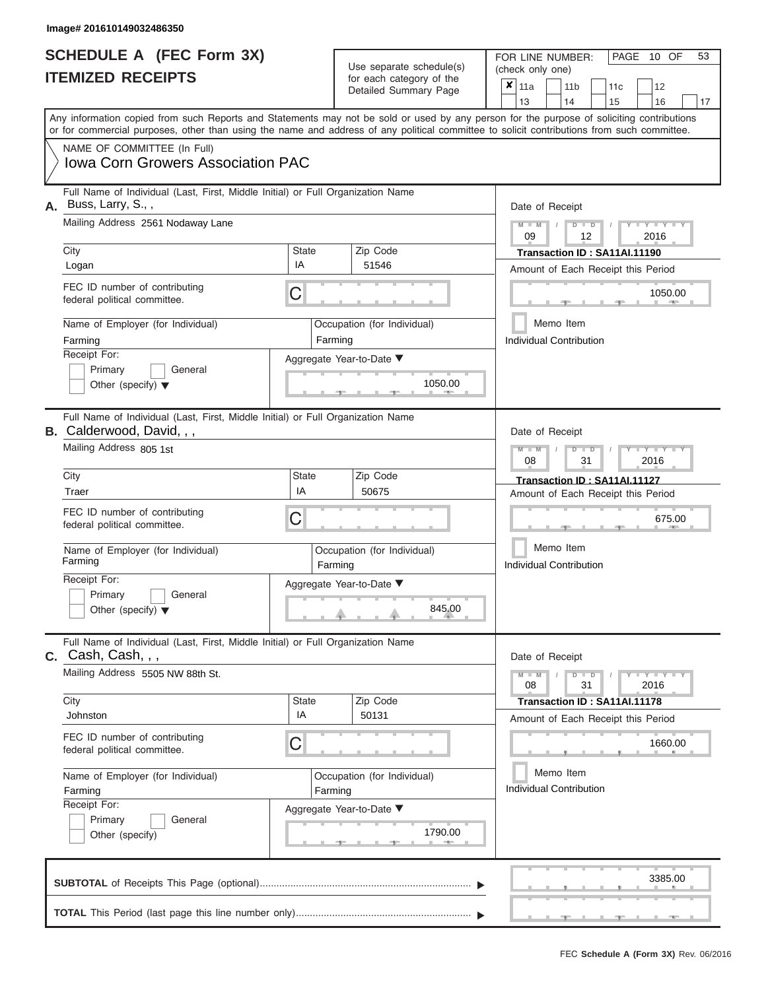|                          | <b>SCHEDULE A (FEC Form 3X)</b> |
|--------------------------|---------------------------------|
| <b>ITEMIZED RECEIPTS</b> |                                 |

FOR LINE NUMBER:<br>(check only one) Use separate schedule(s)<br>for each category of the<br>Detailed Summary Page Detailed Summary Page 11a 11b 11c<sup>12</sup> ✘

|    |                                                                                                                                                                                                                                                                                         |                                        | Detailed Suffitually Fage   | 13<br>14<br>16<br>15<br>17                                      |  |  |  |  |  |  |
|----|-----------------------------------------------------------------------------------------------------------------------------------------------------------------------------------------------------------------------------------------------------------------------------------------|----------------------------------------|-----------------------------|-----------------------------------------------------------------|--|--|--|--|--|--|
|    | Any information copied from such Reports and Statements may not be sold or used by any person for the purpose of soliciting contributions<br>or for commercial purposes, other than using the name and address of any political committee to solicit contributions from such committee. |                                        |                             |                                                                 |  |  |  |  |  |  |
|    | NAME OF COMMITTEE (In Full)<br><b>Iowa Corn Growers Association PAC</b>                                                                                                                                                                                                                 |                                        |                             |                                                                 |  |  |  |  |  |  |
| А. | Full Name of Individual (Last, First, Middle Initial) or Full Organization Name<br>Buss, Larry, S.,,                                                                                                                                                                                    |                                        |                             | Date of Receipt                                                 |  |  |  |  |  |  |
|    | Mailing Address 2561 Nodaway Lane                                                                                                                                                                                                                                                       |                                        |                             | $Y - Y$<br>$\overline{D}$<br>$\overline{D}$<br>2016<br>09<br>12 |  |  |  |  |  |  |
|    | City                                                                                                                                                                                                                                                                                    | State                                  | Zip Code                    | Transaction ID: SA11AI.11190                                    |  |  |  |  |  |  |
|    | Logan                                                                                                                                                                                                                                                                                   | IA                                     | 51546                       | Amount of Each Receipt this Period                              |  |  |  |  |  |  |
|    | FEC ID number of contributing<br>federal political committee.                                                                                                                                                                                                                           | C                                      |                             | 1050.00                                                         |  |  |  |  |  |  |
|    | Name of Employer (for Individual)                                                                                                                                                                                                                                                       |                                        | Occupation (for Individual) | Memo Item                                                       |  |  |  |  |  |  |
|    | Farming                                                                                                                                                                                                                                                                                 | Farming                                |                             | <b>Individual Contribution</b>                                  |  |  |  |  |  |  |
|    | Receipt For:                                                                                                                                                                                                                                                                            |                                        | Aggregate Year-to-Date ▼    |                                                                 |  |  |  |  |  |  |
|    | Primary<br>General                                                                                                                                                                                                                                                                      |                                        |                             |                                                                 |  |  |  |  |  |  |
|    | Other (specify) $\blacktriangledown$                                                                                                                                                                                                                                                    |                                        | 1050.00                     |                                                                 |  |  |  |  |  |  |
|    | Full Name of Individual (Last, First, Middle Initial) or Full Organization Name<br><b>B.</b> Calderwood, David, , ,                                                                                                                                                                     |                                        |                             | Date of Receipt                                                 |  |  |  |  |  |  |
|    | Mailing Address 805 1st                                                                                                                                                                                                                                                                 |                                        |                             |                                                                 |  |  |  |  |  |  |
|    | City                                                                                                                                                                                                                                                                                    | State                                  | Zip Code                    | Transaction ID: SA11AI.11127                                    |  |  |  |  |  |  |
|    | Traer                                                                                                                                                                                                                                                                                   | IA                                     | 50675                       | Amount of Each Receipt this Period                              |  |  |  |  |  |  |
|    | FEC ID number of contributing<br>federal political committee.                                                                                                                                                                                                                           | C                                      |                             | 675.00                                                          |  |  |  |  |  |  |
|    | Name of Employer (for Individual)<br>Farming                                                                                                                                                                                                                                            | Farming                                | Occupation (for Individual) | Memo Item<br><b>Individual Contribution</b>                     |  |  |  |  |  |  |
|    | Receipt For:                                                                                                                                                                                                                                                                            |                                        | Aggregate Year-to-Date ▼    |                                                                 |  |  |  |  |  |  |
|    | Primary<br>General                                                                                                                                                                                                                                                                      |                                        |                             |                                                                 |  |  |  |  |  |  |
|    | Other (specify) $\blacktriangledown$                                                                                                                                                                                                                                                    |                                        | 845.00                      |                                                                 |  |  |  |  |  |  |
|    | Full Name of Individual (Last, First, Middle Initial) or Full Organization Name<br>Cash, Cash, , ,                                                                                                                                                                                      |                                        |                             | Date of Receipt                                                 |  |  |  |  |  |  |
|    | Mailing Address 5505 NW 88th St.                                                                                                                                                                                                                                                        | Y I Y I<br>$D$ $D$<br>31<br>2016<br>08 |                             |                                                                 |  |  |  |  |  |  |
|    | City                                                                                                                                                                                                                                                                                    | <b>State</b>                           | Zip Code                    | Transaction ID: SA11AI.11178                                    |  |  |  |  |  |  |
|    | Johnston                                                                                                                                                                                                                                                                                | IA                                     | 50131                       | Amount of Each Receipt this Period                              |  |  |  |  |  |  |
|    | FEC ID number of contributing<br>federal political committee.                                                                                                                                                                                                                           | С                                      |                             | 1660.00                                                         |  |  |  |  |  |  |
|    | Name of Employer (for Individual)                                                                                                                                                                                                                                                       |                                        | Occupation (for Individual) | Memo Item                                                       |  |  |  |  |  |  |
|    | Farming                                                                                                                                                                                                                                                                                 | Farming                                |                             | <b>Individual Contribution</b>                                  |  |  |  |  |  |  |
|    | Receipt For:                                                                                                                                                                                                                                                                            |                                        | Aggregate Year-to-Date ▼    |                                                                 |  |  |  |  |  |  |
|    | Primary<br>General                                                                                                                                                                                                                                                                      |                                        |                             |                                                                 |  |  |  |  |  |  |
|    | Other (specify)                                                                                                                                                                                                                                                                         |                                        | 1790.00<br>4000             |                                                                 |  |  |  |  |  |  |
|    |                                                                                                                                                                                                                                                                                         |                                        |                             | 3385.00                                                         |  |  |  |  |  |  |
|    |                                                                                                                                                                                                                                                                                         |                                        |                             |                                                                 |  |  |  |  |  |  |

PAGE 10 OF 53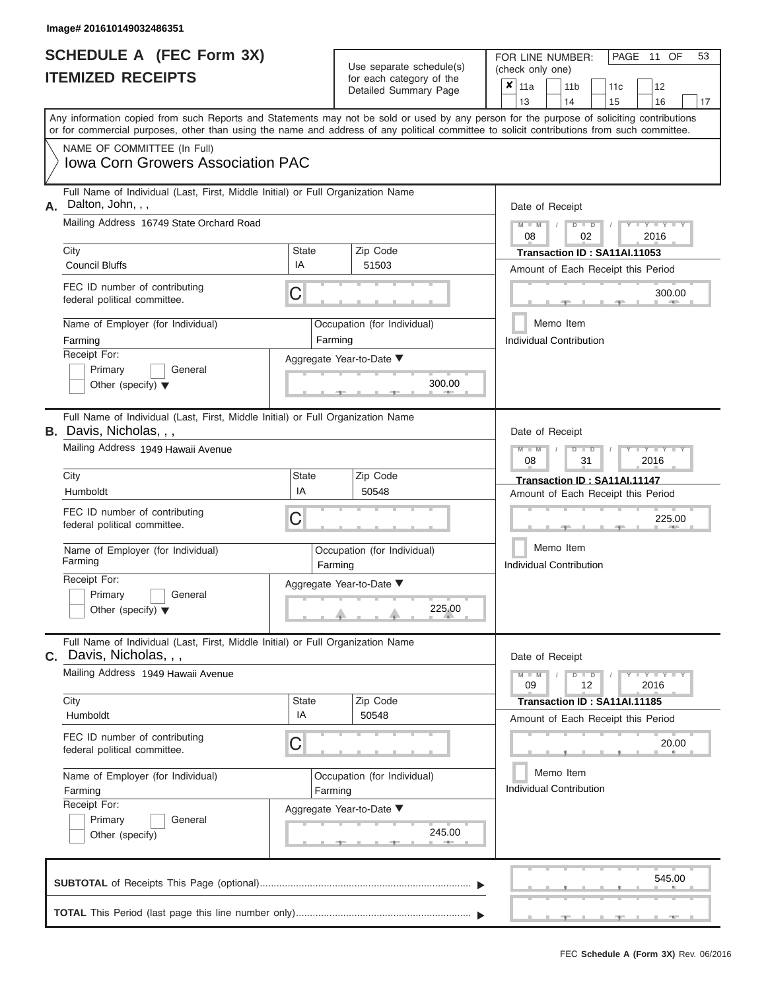|                          | <b>SCHEDULE A (FEC Form 3X)</b> |
|--------------------------|---------------------------------|
| <b>ITEMIZED RECEIPTS</b> |                                 |

| Use separate schedule(s) | FOR LINE NUMBER:<br>(check only one) |  |  |  |  |  |  |  |
|--------------------------|--------------------------------------|--|--|--|--|--|--|--|
| for each category of the | $\vert$ X $\vert$ 11a                |  |  |  |  |  |  |  |
| Detailed Summary Page    | 11b                                  |  |  |  |  |  |  |  |

|    | 62 REVEIL I V                                                                                                                                                                                                                                                                           |              | ivi cacii calcyory or life<br>Detailed Summary Page |                                      | x                                                                  | 11a                                                                                                             |               | 11 <sub>b</sub>                      | 11 <sub>c</sub>                                                          | 12                   |    |  |  |  |  |  |  |
|----|-----------------------------------------------------------------------------------------------------------------------------------------------------------------------------------------------------------------------------------------------------------------------------------------|--------------|-----------------------------------------------------|--------------------------------------|--------------------------------------------------------------------|-----------------------------------------------------------------------------------------------------------------|---------------|--------------------------------------|--------------------------------------------------------------------------|----------------------|----|--|--|--|--|--|--|
|    |                                                                                                                                                                                                                                                                                         |              |                                                     |                                      |                                                                    | 13                                                                                                              |               | 14                                   | 15                                                                       | 16                   | 17 |  |  |  |  |  |  |
|    | Any information copied from such Reports and Statements may not be sold or used by any person for the purpose of soliciting contributions<br>or for commercial purposes, other than using the name and address of any political committee to solicit contributions from such committee. |              |                                                     |                                      |                                                                    |                                                                                                                 |               |                                      |                                                                          |                      |    |  |  |  |  |  |  |
|    | NAME OF COMMITTEE (In Full)                                                                                                                                                                                                                                                             |              |                                                     |                                      |                                                                    |                                                                                                                 |               |                                      |                                                                          |                      |    |  |  |  |  |  |  |
|    | <b>Iowa Corn Growers Association PAC</b>                                                                                                                                                                                                                                                |              |                                                     |                                      |                                                                    |                                                                                                                 |               |                                      |                                                                          |                      |    |  |  |  |  |  |  |
| Α. | Full Name of Individual (Last, First, Middle Initial) or Full Organization Name<br>Dalton, John, , ,                                                                                                                                                                                    |              |                                                     |                                      |                                                                    |                                                                                                                 |               |                                      |                                                                          |                      |    |  |  |  |  |  |  |
|    | Mailing Address 16749 State Orchard Road                                                                                                                                                                                                                                                |              |                                                     |                                      |                                                                    | Date of Receipt                                                                                                 |               |                                      |                                                                          |                      |    |  |  |  |  |  |  |
|    |                                                                                                                                                                                                                                                                                         |              |                                                     |                                      |                                                                    | $M = M$ /<br>$D$ $D$<br>Y TY<br>08<br>02<br>2016                                                                |               |                                      |                                                                          |                      |    |  |  |  |  |  |  |
|    | City                                                                                                                                                                                                                                                                                    | <b>State</b> | Zip Code                                            |                                      | Transaction ID: SA11AI.11053<br>Amount of Each Receipt this Period |                                                                                                                 |               |                                      |                                                                          |                      |    |  |  |  |  |  |  |
|    | <b>Council Bluffs</b>                                                                                                                                                                                                                                                                   | IA           | 51503                                               |                                      |                                                                    |                                                                                                                 |               |                                      |                                                                          |                      |    |  |  |  |  |  |  |
|    | FEC ID number of contributing<br>federal political committee.                                                                                                                                                                                                                           | C            |                                                     |                                      |                                                                    |                                                                                                                 |               |                                      |                                                                          | 300.00<br><b>AND</b> |    |  |  |  |  |  |  |
|    | Name of Employer (for Individual)                                                                                                                                                                                                                                                       |              | Occupation (for Individual)<br>Farming              |                                      |                                                                    |                                                                                                                 |               | Memo Item<br>Individual Contribution |                                                                          |                      |    |  |  |  |  |  |  |
|    | Farming<br>Receipt For:                                                                                                                                                                                                                                                                 |              |                                                     |                                      |                                                                    |                                                                                                                 |               |                                      |                                                                          |                      |    |  |  |  |  |  |  |
|    | Primary<br>General                                                                                                                                                                                                                                                                      |              | Aggregate Year-to-Date ▼                            |                                      |                                                                    |                                                                                                                 |               |                                      |                                                                          |                      |    |  |  |  |  |  |  |
|    | Other (specify) $\blacktriangledown$                                                                                                                                                                                                                                                    |              | 300.00<br><b>Contract Contract</b>                  |                                      |                                                                    |                                                                                                                 |               |                                      |                                                                          |                      |    |  |  |  |  |  |  |
|    | Full Name of Individual (Last, First, Middle Initial) or Full Organization Name<br><b>B.</b> Davis, Nicholas, , ,                                                                                                                                                                       |              |                                                     |                                      | Date of Receipt                                                    |                                                                                                                 |               |                                      |                                                                          |                      |    |  |  |  |  |  |  |
|    | Mailing Address 1949 Hawaii Avenue                                                                                                                                                                                                                                                      |              |                                                     |                                      |                                                                    | $M - M$<br>$D$ $D$<br>$\blacksquare$ $\blacksquare$ $\blacksquare$ $\blacksquare$ $\blacksquare$ $\blacksquare$ |               |                                      |                                                                          |                      |    |  |  |  |  |  |  |
|    |                                                                                                                                                                                                                                                                                         |              |                                                     |                                      | 08                                                                 |                                                                                                                 | 31            |                                      | 2016                                                                     |                      |    |  |  |  |  |  |  |
|    | City                                                                                                                                                                                                                                                                                    | State        | Zip Code                                            |                                      |                                                                    |                                                                                                                 |               |                                      | Transaction ID: SA11AI.11147                                             |                      |    |  |  |  |  |  |  |
|    | Humboldt                                                                                                                                                                                                                                                                                | IA           | 50548                                               |                                      |                                                                    |                                                                                                                 |               |                                      | Amount of Each Receipt this Period                                       |                      |    |  |  |  |  |  |  |
|    | FEC ID number of contributing<br>federal political committee.                                                                                                                                                                                                                           | C            |                                                     |                                      |                                                                    |                                                                                                                 |               |                                      |                                                                          | 225.00               |    |  |  |  |  |  |  |
|    | Name of Employer (for Individual)<br>Farming                                                                                                                                                                                                                                            |              | Occupation (for Individual)<br>Farming              | Memo Item<br>Individual Contribution |                                                                    |                                                                                                                 |               |                                      |                                                                          |                      |    |  |  |  |  |  |  |
|    | Receipt For:<br>Primary                                                                                                                                                                                                                                                                 |              | Aggregate Year-to-Date ▼                            |                                      |                                                                    |                                                                                                                 |               |                                      |                                                                          |                      |    |  |  |  |  |  |  |
|    | General<br>Other (specify) $\blacktriangledown$                                                                                                                                                                                                                                         |              | 225.00                                              |                                      |                                                                    |                                                                                                                 |               |                                      |                                                                          |                      |    |  |  |  |  |  |  |
| C. | Full Name of Individual (Last, First, Middle Initial) or Full Organization Name<br>Davis, Nicholas, , ,                                                                                                                                                                                 |              |                                                     |                                      |                                                                    | Date of Receipt                                                                                                 |               |                                      |                                                                          |                      |    |  |  |  |  |  |  |
|    | Mailing Address 1949 Hawaii Avenue                                                                                                                                                                                                                                                      |              |                                                     |                                      | $M - M$<br>09                                                      |                                                                                                                 | $D$ $D$<br>12 |                                      | $\mathbf{I} = \mathbf{Y} - \mathbf{I} - \mathbf{Y} - \mathbf{I}$<br>2016 |                      |    |  |  |  |  |  |  |
|    | City                                                                                                                                                                                                                                                                                    | <b>State</b> | Zip Code                                            |                                      |                                                                    |                                                                                                                 |               |                                      | Transaction ID: SA11AI.11185                                             |                      |    |  |  |  |  |  |  |
|    | Humboldt                                                                                                                                                                                                                                                                                | IA           | 50548                                               |                                      |                                                                    |                                                                                                                 |               |                                      | Amount of Each Receipt this Period                                       |                      |    |  |  |  |  |  |  |
|    | FEC ID number of contributing<br>federal political committee.                                                                                                                                                                                                                           | C            |                                                     |                                      |                                                                    |                                                                                                                 |               |                                      |                                                                          | 20.00                |    |  |  |  |  |  |  |
|    | Name of Employer (for Individual)                                                                                                                                                                                                                                                       |              | Occupation (for Individual)                         |                                      | Memo Item                                                          |                                                                                                                 |               |                                      |                                                                          |                      |    |  |  |  |  |  |  |
|    | Farming                                                                                                                                                                                                                                                                                 |              | Farming                                             |                                      |                                                                    |                                                                                                                 |               | <b>Individual Contribution</b>       |                                                                          |                      |    |  |  |  |  |  |  |
|    | Receipt For:                                                                                                                                                                                                                                                                            |              | Aggregate Year-to-Date ▼                            |                                      |                                                                    |                                                                                                                 |               |                                      |                                                                          |                      |    |  |  |  |  |  |  |
|    | Primary<br>General                                                                                                                                                                                                                                                                      |              | 245.00                                              |                                      |                                                                    |                                                                                                                 |               |                                      |                                                                          |                      |    |  |  |  |  |  |  |
|    | Other (specify)                                                                                                                                                                                                                                                                         |              |                                                     |                                      |                                                                    |                                                                                                                 |               |                                      |                                                                          |                      |    |  |  |  |  |  |  |
|    |                                                                                                                                                                                                                                                                                         |              |                                                     |                                      |                                                                    |                                                                                                                 |               |                                      |                                                                          | 545.00               |    |  |  |  |  |  |  |
|    |                                                                                                                                                                                                                                                                                         |              |                                                     |                                      |                                                                    |                                                                                                                 |               |                                      |                                                                          |                      |    |  |  |  |  |  |  |

PAGE 11 OF 53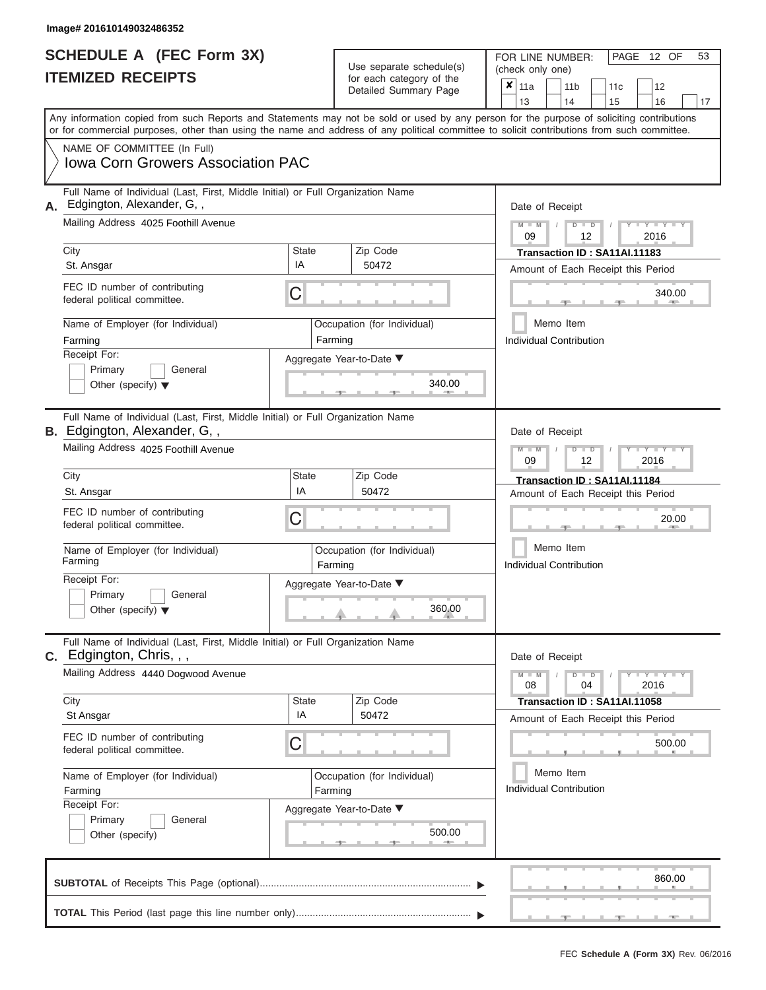|                          | <b>SCHEDULE A (FEC Form 3X)</b> |
|--------------------------|---------------------------------|
| <b>ITEMIZED RECEIPTS</b> |                                 |

FOR LINE NUMBER: Use separate schedule(s) (check only one)<br>for each category of the  $\begin{array}{|c|c|c|c|c|}\n\hline\n\text{Initial Summary goes} & & \text{with } & \text{with } & \text{with } & \text{with } & \text{with } & \text{with } & \text{with } & \text{with } & \text{with } & \text{with } & \text{with } & \text{with } & \text{with } & \text{with } & \text{with } & \text{with } & \text{with } & \text{with } & \text{with } & \text{with } & \text$ 

| <u>IIEMIZED RECEIPIS</u>                                                                                               | for each category of the<br>Detailed Summary Page                                                                                                                                                                                                                                       | $\pmb{\times}$<br>11a<br>11 <sub>b</sub><br>12<br>11c<br>13<br>14<br>15<br>16<br>17 |  |  |  |  |  |  |  |  |  |
|------------------------------------------------------------------------------------------------------------------------|-----------------------------------------------------------------------------------------------------------------------------------------------------------------------------------------------------------------------------------------------------------------------------------------|-------------------------------------------------------------------------------------|--|--|--|--|--|--|--|--|--|
|                                                                                                                        | Any information copied from such Reports and Statements may not be sold or used by any person for the purpose of soliciting contributions<br>or for commercial purposes, other than using the name and address of any political committee to solicit contributions from such committee. |                                                                                     |  |  |  |  |  |  |  |  |  |
| NAME OF COMMITTEE (In Full)<br>Iowa Corn Growers Association PAC                                                       |                                                                                                                                                                                                                                                                                         |                                                                                     |  |  |  |  |  |  |  |  |  |
| Full Name of Individual (Last, First, Middle Initial) or Full Organization Name<br>A. Edgington, Alexander, G,,        |                                                                                                                                                                                                                                                                                         | Date of Receipt                                                                     |  |  |  |  |  |  |  |  |  |
| Mailing Address 4025 Foothill Avenue                                                                                   |                                                                                                                                                                                                                                                                                         | $Y = Y =$<br>$\overline{D}$<br>$\blacksquare$<br>2016<br>09<br>12                   |  |  |  |  |  |  |  |  |  |
| City<br>St. Ansgar                                                                                                     | State<br>Zip Code<br>IA<br>50472                                                                                                                                                                                                                                                        | Transaction ID: SA11AI.11183<br>Amount of Each Receipt this Period                  |  |  |  |  |  |  |  |  |  |
| FEC ID number of contributing<br>federal political committee.                                                          | C                                                                                                                                                                                                                                                                                       | 340.00                                                                              |  |  |  |  |  |  |  |  |  |
| Name of Employer (for Individual)<br>Farming                                                                           | Occupation (for Individual)<br>Farming                                                                                                                                                                                                                                                  | Memo Item<br>Individual Contribution                                                |  |  |  |  |  |  |  |  |  |
| Receipt For:<br>Primary<br>General<br>Other (specify) $\blacktriangledown$                                             | Aggregate Year-to-Date ▼<br>340.00                                                                                                                                                                                                                                                      |                                                                                     |  |  |  |  |  |  |  |  |  |
| Full Name of Individual (Last, First, Middle Initial) or Full Organization Name<br><b>B.</b> Edgington, Alexander, G,, |                                                                                                                                                                                                                                                                                         | Date of Receipt                                                                     |  |  |  |  |  |  |  |  |  |
| Mailing Address 4025 Foothill Avenue                                                                                   |                                                                                                                                                                                                                                                                                         | $Y = Y$<br>$\overline{\mathbb{D}}$<br>2016<br>09<br>12                              |  |  |  |  |  |  |  |  |  |
| City<br>St. Ansgar                                                                                                     | <b>State</b><br>Zip Code<br>IA<br>50472                                                                                                                                                                                                                                                 | Transaction ID: SA11AI.11184<br>Amount of Each Receipt this Period                  |  |  |  |  |  |  |  |  |  |
| FEC ID number of contributing<br>federal political committee.                                                          | С                                                                                                                                                                                                                                                                                       | 20.00                                                                               |  |  |  |  |  |  |  |  |  |
| Name of Employer (for Individual)<br>Farming                                                                           | Occupation (for Individual)<br>Farming                                                                                                                                                                                                                                                  | Memo Item<br><b>Individual Contribution</b>                                         |  |  |  |  |  |  |  |  |  |
| Receipt For:<br>Primary<br>General<br>Other (specify) $\blacktriangledown$                                             | Aggregate Year-to-Date ▼<br>360.00                                                                                                                                                                                                                                                      |                                                                                     |  |  |  |  |  |  |  |  |  |
| Full Name of Individual (Last, First, Middle Initial) or Full Organization Name<br>$C.$ Edgington, Chris, , ,          |                                                                                                                                                                                                                                                                                         | Date of Receipt                                                                     |  |  |  |  |  |  |  |  |  |
| Mailing Address 4440 Dogwood Avenue                                                                                    |                                                                                                                                                                                                                                                                                         | $Y = Y + Y$<br>$\overline{D}$<br>$\overline{D}$<br>04<br>2016<br>08                 |  |  |  |  |  |  |  |  |  |
| City<br>St Ansgar                                                                                                      | <b>State</b><br>Zip Code<br>IA<br>50472                                                                                                                                                                                                                                                 | Transaction ID: SA11AI.11058<br>Amount of Each Receipt this Period                  |  |  |  |  |  |  |  |  |  |
| FEC ID number of contributing<br>federal political committee.                                                          | C                                                                                                                                                                                                                                                                                       | 500.00                                                                              |  |  |  |  |  |  |  |  |  |
| Name of Employer (for Individual)<br>Farming                                                                           | Occupation (for Individual)<br>Farming                                                                                                                                                                                                                                                  | Memo Item<br><b>Individual Contribution</b>                                         |  |  |  |  |  |  |  |  |  |
| Receipt For:<br>Primary<br>General<br>Other (specify)                                                                  | Aggregate Year-to-Date ▼<br>500.00                                                                                                                                                                                                                                                      |                                                                                     |  |  |  |  |  |  |  |  |  |
|                                                                                                                        |                                                                                                                                                                                                                                                                                         | 860.00                                                                              |  |  |  |  |  |  |  |  |  |
|                                                                                                                        |                                                                                                                                                                                                                                                                                         |                                                                                     |  |  |  |  |  |  |  |  |  |

PAGE 12 OF 53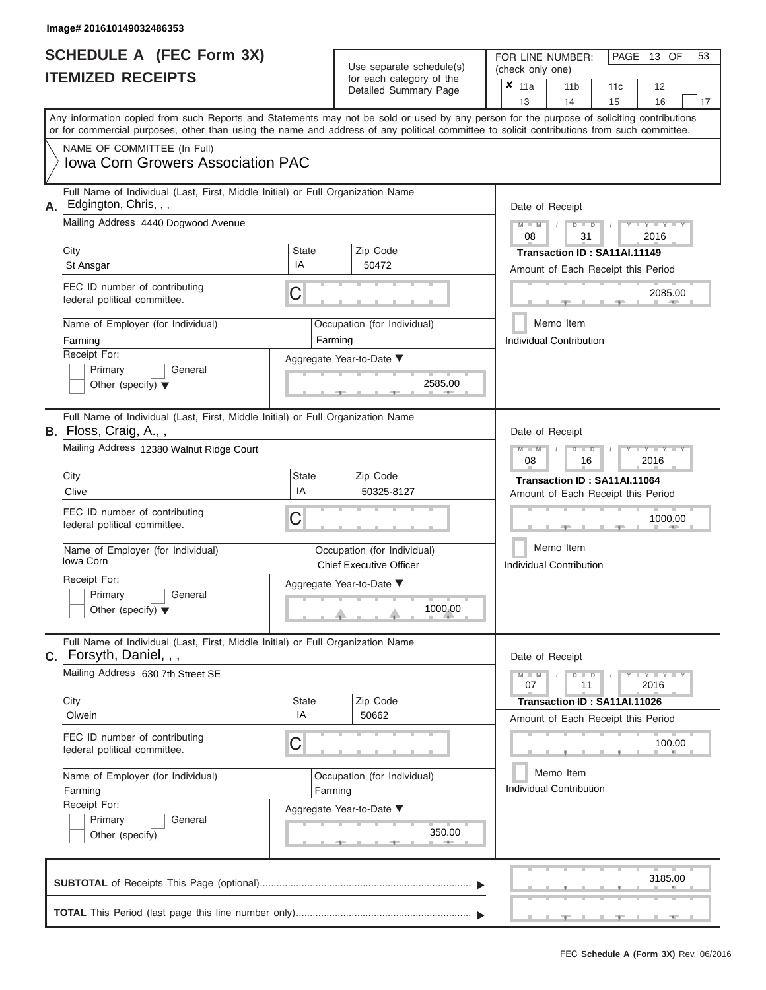|                          | <b>SCHEDULE A (FEC Form 3X)</b> |
|--------------------------|---------------------------------|
| <b>ITEMIZED RECEIPTS</b> |                                 |

FOR LINE NUMBER:<br>(check only one) Use separate schedule(s) for each category of the

|    |                                                                                                                                                                                                                                                                                         |                                                                                 | badii balogory of life<br>Detailed Summary Page               |  | ×                                           | 11a<br>13                                        |                                               | 11 <sub>b</sub><br>14                                | 11c<br>15                    | 12<br>16                           | 17 |  |  |  |  |  |  |  |
|----|-----------------------------------------------------------------------------------------------------------------------------------------------------------------------------------------------------------------------------------------------------------------------------------------|---------------------------------------------------------------------------------|---------------------------------------------------------------|--|---------------------------------------------|--------------------------------------------------|-----------------------------------------------|------------------------------------------------------|------------------------------|------------------------------------|----|--|--|--|--|--|--|--|
|    | Any information copied from such Reports and Statements may not be sold or used by any person for the purpose of soliciting contributions<br>or for commercial purposes, other than using the name and address of any political committee to solicit contributions from such committee. |                                                                                 |                                                               |  |                                             |                                                  |                                               |                                                      |                              |                                    |    |  |  |  |  |  |  |  |
|    | NAME OF COMMITTEE (In Full)<br><b>Iowa Corn Growers Association PAC</b>                                                                                                                                                                                                                 |                                                                                 |                                                               |  |                                             |                                                  |                                               |                                                      |                              |                                    |    |  |  |  |  |  |  |  |
| А. | Edgington, Chris, , ,<br>Mailing Address 4440 Dogwood Avenue                                                                                                                                                                                                                            | Full Name of Individual (Last, First, Middle Initial) or Full Organization Name |                                                               |  |                                             |                                                  |                                               | Date of Receipt<br>$M - M$<br>$Y - Y - I$<br>$D$ $D$ |                              |                                    |    |  |  |  |  |  |  |  |
|    | City                                                                                                                                                                                                                                                                                    | <b>State</b>                                                                    | Zip Code                                                      |  |                                             | 2016<br>08<br>31<br>Transaction ID: SA11AI.11149 |                                               |                                                      |                              |                                    |    |  |  |  |  |  |  |  |
|    | St Ansgar                                                                                                                                                                                                                                                                               | IA                                                                              | 50472                                                         |  |                                             | Amount of Each Receipt this Period               |                                               |                                                      |                              |                                    |    |  |  |  |  |  |  |  |
|    | FEC ID number of contributing<br>federal political committee.                                                                                                                                                                                                                           | C                                                                               |                                                               |  |                                             |                                                  |                                               |                                                      |                              | 2085.00                            |    |  |  |  |  |  |  |  |
|    | Name of Employer (for Individual)<br>Farming                                                                                                                                                                                                                                            |                                                                                 | Occupation (for Individual)<br>Farming                        |  |                                             |                                                  |                                               | Memo Item<br><b>Individual Contribution</b>          |                              |                                    |    |  |  |  |  |  |  |  |
|    | Receipt For:<br>Primary<br>General<br>Other (specify) $\blacktriangledown$                                                                                                                                                                                                              | Aggregate Year-to-Date ▼                                                        | 2585.00                                                       |  |                                             |                                                  |                                               |                                                      |                              |                                    |    |  |  |  |  |  |  |  |
|    | Full Name of Individual (Last, First, Middle Initial) or Full Organization Name<br>B. Floss, Craig, A.,,                                                                                                                                                                                |                                                                                 |                                                               |  |                                             | Date of Receipt                                  |                                               |                                                      |                              |                                    |    |  |  |  |  |  |  |  |
|    | Mailing Address 12380 Walnut Ridge Court                                                                                                                                                                                                                                                |                                                                                 |                                                               |  |                                             | $\Box$<br>2016<br>08<br>16                       |                                               |                                                      |                              |                                    |    |  |  |  |  |  |  |  |
|    | City<br>Clive                                                                                                                                                                                                                                                                           | <b>State</b><br>IA                                                              | Zip Code<br>50325-8127                                        |  |                                             | Transaction ID: SA11AI.11064                     |                                               |                                                      |                              |                                    |    |  |  |  |  |  |  |  |
|    | FEC ID number of contributing<br>federal political committee.                                                                                                                                                                                                                           | C                                                                               |                                                               |  |                                             |                                                  | Amount of Each Receipt this Period<br>1000.00 |                                                      |                              |                                    |    |  |  |  |  |  |  |  |
|    | Name of Employer (for Individual)<br>Iowa Corn                                                                                                                                                                                                                                          |                                                                                 | Occupation (for Individual)<br><b>Chief Executive Officer</b> |  | Memo Item<br>Individual Contribution        |                                                  |                                               |                                                      |                              |                                    |    |  |  |  |  |  |  |  |
|    | Receipt For:<br>Primary<br>General<br>Other (specify) $\blacktriangledown$                                                                                                                                                                                                              |                                                                                 | Aggregate Year-to-Date ▼<br>1000.00                           |  |                                             |                                                  |                                               |                                                      |                              |                                    |    |  |  |  |  |  |  |  |
|    | Full Name of Individual (Last, First, Middle Initial) or Full Organization Name<br>C. Forsyth, Daniel, , ,                                                                                                                                                                              |                                                                                 |                                                               |  |                                             | Date of Receipt                                  |                                               |                                                      |                              |                                    |    |  |  |  |  |  |  |  |
|    | Mailing Address 630 7th Street SE                                                                                                                                                                                                                                                       |                                                                                 |                                                               |  |                                             | $M - M$<br>07                                    |                                               | D<br>$\blacksquare$<br>11                            |                              | $Y - Y - I$<br>2016                |    |  |  |  |  |  |  |  |
|    | City<br>Olwein                                                                                                                                                                                                                                                                          | <b>State</b><br>IA                                                              | Zip Code<br>50662                                             |  |                                             |                                                  |                                               |                                                      | Transaction ID: SA11AI.11026 | Amount of Each Receipt this Period |    |  |  |  |  |  |  |  |
|    | FEC ID number of contributing<br>federal political committee.                                                                                                                                                                                                                           | C                                                                               |                                                               |  |                                             |                                                  |                                               |                                                      |                              | 100.00                             |    |  |  |  |  |  |  |  |
|    | Name of Employer (for Individual)<br>Farming                                                                                                                                                                                                                                            | Farming                                                                         | Occupation (for Individual)                                   |  | Memo Item<br><b>Individual Contribution</b> |                                                  |                                               |                                                      |                              |                                    |    |  |  |  |  |  |  |  |
|    | Receipt For:<br>Primary<br>General<br>Other (specify)                                                                                                                                                                                                                                   | Aggregate Year-to-Date ▼                                                        |                                                               |  |                                             |                                                  |                                               |                                                      |                              |                                    |    |  |  |  |  |  |  |  |
|    |                                                                                                                                                                                                                                                                                         |                                                                                 |                                                               |  |                                             |                                                  |                                               |                                                      |                              | 3185.00                            |    |  |  |  |  |  |  |  |
|    |                                                                                                                                                                                                                                                                                         |                                                                                 |                                                               |  |                                             |                                                  |                                               |                                                      |                              |                                    |    |  |  |  |  |  |  |  |

FEC **Schedule A (Form 3X)** Rev. 06/2016

 ▲ ▲ ▲ , , .

PAGE 13 OF 53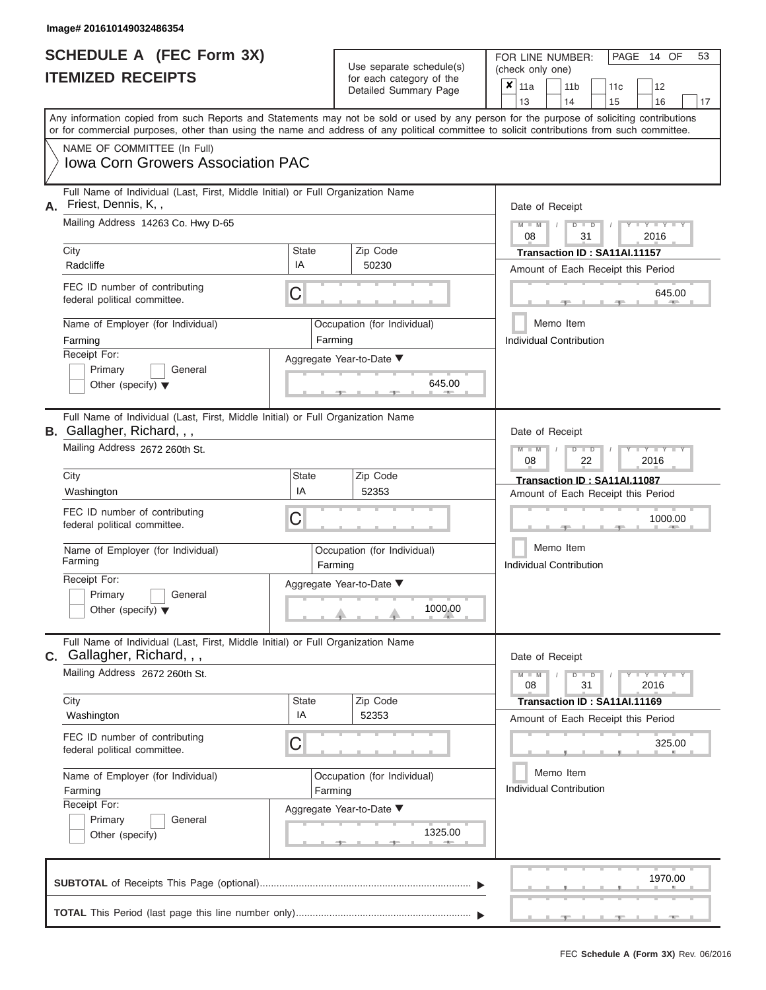|                          | <b>SCHEDULE A (FEC Form 3X)</b> |
|--------------------------|---------------------------------|
| <b>ITEMIZED RECEIPTS</b> |                                 |

FOR LINE NUMBER:<br>(check only one) Use separate schedule(s)<br>for each category of the<br>Detailed Summary Page Detailed Summary Page 11a 11b 11c<sup>12</sup> ✘

|    |                                                                                                                                                                                                                                                                                         |              |         |                             |  | 13                                          |           | 14                                                | 15                                 | 16                                 | 17 |  |  |  |  |  |  |
|----|-----------------------------------------------------------------------------------------------------------------------------------------------------------------------------------------------------------------------------------------------------------------------------------------|--------------|---------|-----------------------------|--|---------------------------------------------|-----------|---------------------------------------------------|------------------------------------|------------------------------------|----|--|--|--|--|--|--|
|    | Any information copied from such Reports and Statements may not be sold or used by any person for the purpose of soliciting contributions<br>or for commercial purposes, other than using the name and address of any political committee to solicit contributions from such committee. |              |         |                             |  |                                             |           |                                                   |                                    |                                    |    |  |  |  |  |  |  |
|    | NAME OF COMMITTEE (In Full)                                                                                                                                                                                                                                                             |              |         |                             |  |                                             |           |                                                   |                                    |                                    |    |  |  |  |  |  |  |
|    | <b>Iowa Corn Growers Association PAC</b>                                                                                                                                                                                                                                                |              |         |                             |  |                                             |           |                                                   |                                    |                                    |    |  |  |  |  |  |  |
| Α. | Full Name of Individual (Last, First, Middle Initial) or Full Organization Name<br>Friest, Dennis, K,,                                                                                                                                                                                  |              |         |                             |  | Date of Receipt                             |           |                                                   |                                    |                                    |    |  |  |  |  |  |  |
|    | Mailing Address 14263 Co. Hwy D-65                                                                                                                                                                                                                                                      |              |         |                             |  |                                             |           | $Y = Y$<br>$M - M$<br>$D$ $D$<br>08<br>2016<br>31 |                                    |                                    |    |  |  |  |  |  |  |
|    | City                                                                                                                                                                                                                                                                                    | <b>State</b> |         | Zip Code                    |  |                                             |           |                                                   | Transaction ID: SA11AI.11157       |                                    |    |  |  |  |  |  |  |
|    | Radcliffe                                                                                                                                                                                                                                                                               | IA           |         | 50230                       |  |                                             |           |                                                   | Amount of Each Receipt this Period |                                    |    |  |  |  |  |  |  |
|    | FEC ID number of contributing<br>federal political committee.                                                                                                                                                                                                                           | С            |         |                             |  |                                             |           |                                                   |                                    | 645.00                             |    |  |  |  |  |  |  |
|    | Name of Employer (for Individual)                                                                                                                                                                                                                                                       |              |         | Occupation (for Individual) |  |                                             | Memo Item |                                                   |                                    |                                    |    |  |  |  |  |  |  |
|    | Farming                                                                                                                                                                                                                                                                                 |              | Farming |                             |  | <b>Individual Contribution</b>              |           |                                                   |                                    |                                    |    |  |  |  |  |  |  |
|    | Receipt For:                                                                                                                                                                                                                                                                            |              |         | Aggregate Year-to-Date ▼    |  |                                             |           |                                                   |                                    |                                    |    |  |  |  |  |  |  |
|    | Primary<br>General<br>Other (specify) $\blacktriangledown$                                                                                                                                                                                                                              |              |         | 645.00                      |  |                                             |           |                                                   |                                    |                                    |    |  |  |  |  |  |  |
|    | Full Name of Individual (Last, First, Middle Initial) or Full Organization Name<br><b>B.</b> Gallagher, Richard, , ,                                                                                                                                                                    |              |         |                             |  | Date of Receipt                             |           |                                                   |                                    |                                    |    |  |  |  |  |  |  |
|    | Mailing Address 2672 260th St.                                                                                                                                                                                                                                                          |              |         |                             |  | 08                                          |           | $\blacksquare$<br>22                              |                                    | 2016                               |    |  |  |  |  |  |  |
|    | City                                                                                                                                                                                                                                                                                    | State        |         | Zip Code                    |  |                                             |           |                                                   | Transaction ID: SA11AI.11087       |                                    |    |  |  |  |  |  |  |
|    | Washington                                                                                                                                                                                                                                                                              | IA           |         | 52353                       |  |                                             |           |                                                   | Amount of Each Receipt this Period |                                    |    |  |  |  |  |  |  |
|    | FEC ID number of contributing<br>С<br>federal political committee.                                                                                                                                                                                                                      |              |         |                             |  | 1000.00                                     |           |                                                   |                                    |                                    |    |  |  |  |  |  |  |
|    | Name of Employer (for Individual)<br>Farming                                                                                                                                                                                                                                            |              | Farming | Occupation (for Individual) |  | Memo Item<br><b>Individual Contribution</b> |           |                                                   |                                    |                                    |    |  |  |  |  |  |  |
|    | Receipt For:                                                                                                                                                                                                                                                                            |              |         | Aggregate Year-to-Date ▼    |  |                                             |           |                                                   |                                    |                                    |    |  |  |  |  |  |  |
|    | Primary<br>General                                                                                                                                                                                                                                                                      |              |         |                             |  |                                             |           |                                                   |                                    |                                    |    |  |  |  |  |  |  |
|    | Other (specify) $\blacktriangledown$                                                                                                                                                                                                                                                    |              |         | 1000.00                     |  |                                             |           |                                                   |                                    |                                    |    |  |  |  |  |  |  |
|    | Full Name of Individual (Last, First, Middle Initial) or Full Organization Name<br>Gallagher, Richard, , ,                                                                                                                                                                              |              |         |                             |  | Date of Receipt                             |           |                                                   |                                    |                                    |    |  |  |  |  |  |  |
|    | Mailing Address 2672 260th St.                                                                                                                                                                                                                                                          |              |         |                             |  | $M - M$<br>08                               |           | $D$ $D$<br>31                                     |                                    | $Y - Y - Y - Y - Y$<br>2016        |    |  |  |  |  |  |  |
|    | City                                                                                                                                                                                                                                                                                    | <b>State</b> |         | Zip Code                    |  |                                             |           |                                                   | Transaction ID: SA11AI.11169       |                                    |    |  |  |  |  |  |  |
|    | Washington                                                                                                                                                                                                                                                                              | IA           |         | 52353                       |  |                                             |           |                                                   |                                    | Amount of Each Receipt this Period |    |  |  |  |  |  |  |
|    | FEC ID number of contributing<br>federal political committee.                                                                                                                                                                                                                           | С            |         |                             |  |                                             |           |                                                   |                                    | 325.00                             |    |  |  |  |  |  |  |
|    | Name of Employer (for Individual)                                                                                                                                                                                                                                                       |              |         | Occupation (for Individual) |  |                                             | Memo Item |                                                   |                                    |                                    |    |  |  |  |  |  |  |
|    | Farming                                                                                                                                                                                                                                                                                 |              | Farming |                             |  | <b>Individual Contribution</b>              |           |                                                   |                                    |                                    |    |  |  |  |  |  |  |
|    | Receipt For:                                                                                                                                                                                                                                                                            |              |         | Aggregate Year-to-Date ▼    |  |                                             |           |                                                   |                                    |                                    |    |  |  |  |  |  |  |
|    | Primary<br>General                                                                                                                                                                                                                                                                      |              |         |                             |  |                                             |           |                                                   |                                    |                                    |    |  |  |  |  |  |  |
|    | Other (specify)                                                                                                                                                                                                                                                                         |              |         | 1325.00                     |  |                                             |           |                                                   |                                    |                                    |    |  |  |  |  |  |  |
|    |                                                                                                                                                                                                                                                                                         |              |         |                             |  |                                             |           |                                                   |                                    | 1970.00                            |    |  |  |  |  |  |  |
|    |                                                                                                                                                                                                                                                                                         |              |         |                             |  |                                             |           |                                                   |                                    |                                    |    |  |  |  |  |  |  |

PAGE 14 OF 53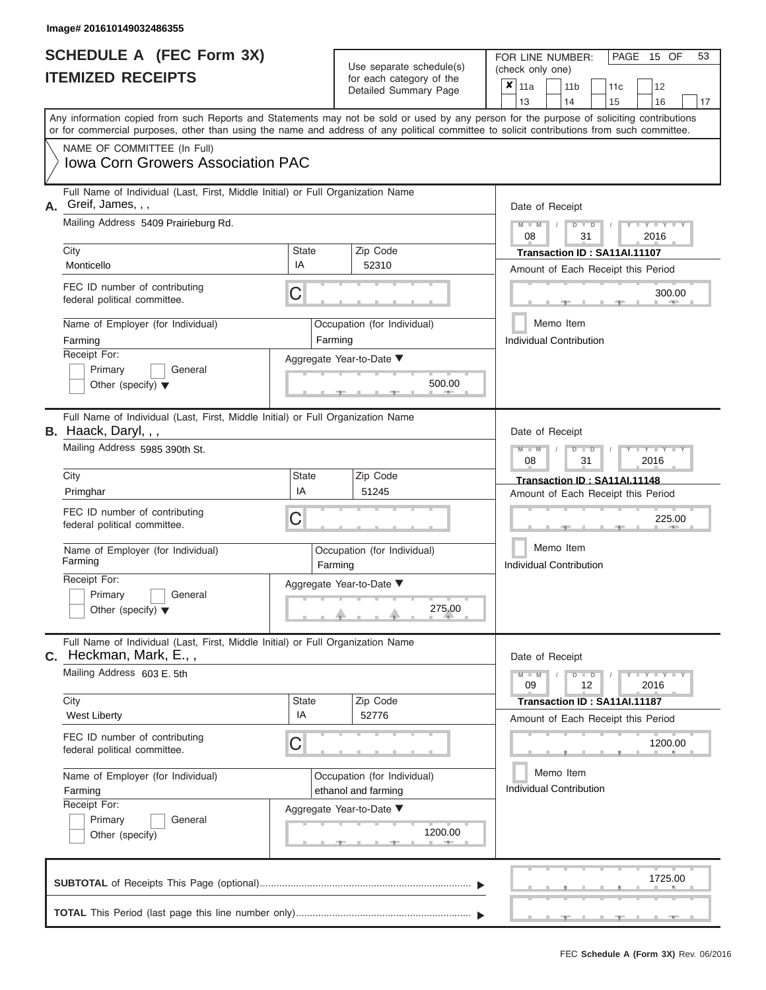|                          | <b>SCHEDULE A (FEC Form 3X)</b> |
|--------------------------|---------------------------------|
| <b>ITEMIZED RECEIPTS</b> |                                 |

FOR LINE NUMBER:<br>(check only one) Use separate schedule(s)<br>for each category of the

|                                                                                                                  |                                                                                                                                                                                                                                                                                         |                    | badii balogory of life<br>Detailed Summary Page    |         | ×                                                             | 11a<br>13                                                                            |  | 11 <sub>b</sub><br>14                       | 11 <sub>c</sub><br>15        | 12<br>16                           | 17 |  |  |  |  |
|------------------------------------------------------------------------------------------------------------------|-----------------------------------------------------------------------------------------------------------------------------------------------------------------------------------------------------------------------------------------------------------------------------------------|--------------------|----------------------------------------------------|---------|---------------------------------------------------------------|--------------------------------------------------------------------------------------|--|---------------------------------------------|------------------------------|------------------------------------|----|--|--|--|--|
|                                                                                                                  | Any information copied from such Reports and Statements may not be sold or used by any person for the purpose of soliciting contributions<br>or for commercial purposes, other than using the name and address of any political committee to solicit contributions from such committee. |                    |                                                    |         |                                                               |                                                                                      |  |                                             |                              |                                    |    |  |  |  |  |
|                                                                                                                  | NAME OF COMMITTEE (In Full)<br><b>Iowa Corn Growers Association PAC</b>                                                                                                                                                                                                                 |                    |                                                    |         |                                                               |                                                                                      |  |                                             |                              |                                    |    |  |  |  |  |
| А.                                                                                                               | Full Name of Individual (Last, First, Middle Initial) or Full Organization Name<br>Greif, James, , ,<br>Mailing Address 5409 Prairieburg Rd.                                                                                                                                            |                    |                                                    |         |                                                               | Date of Receipt<br>$M - M$<br>$Y - Y - I$<br>$D$ $D$<br>2016<br>08<br>31             |  |                                             |                              |                                    |    |  |  |  |  |
|                                                                                                                  | City                                                                                                                                                                                                                                                                                    | <b>State</b>       | Zip Code                                           |         |                                                               | Transaction ID: SA11AI.11107                                                         |  |                                             |                              |                                    |    |  |  |  |  |
|                                                                                                                  | Monticello                                                                                                                                                                                                                                                                              | IA                 | 52310                                              |         | Amount of Each Receipt this Period                            |                                                                                      |  |                                             |                              |                                    |    |  |  |  |  |
|                                                                                                                  | FEC ID number of contributing<br>federal political committee.                                                                                                                                                                                                                           |                    |                                                    |         |                                                               |                                                                                      |  | 300.00                                      |                              |                                    |    |  |  |  |  |
|                                                                                                                  | Name of Employer (for Individual)<br>Farming                                                                                                                                                                                                                                            |                    | Occupation (for Individual)<br>Farming             |         |                                                               |                                                                                      |  | Memo Item<br><b>Individual Contribution</b> |                              |                                    |    |  |  |  |  |
| Receipt For:<br>Aggregate Year-to-Date ▼<br>Primary<br>General<br>500.00<br>Other (specify) $\blacktriangledown$ |                                                                                                                                                                                                                                                                                         |                    |                                                    |         |                                                               |                                                                                      |  |                                             |                              |                                    |    |  |  |  |  |
|                                                                                                                  | Full Name of Individual (Last, First, Middle Initial) or Full Organization Name<br>B. Haack, Daryl, , ,                                                                                                                                                                                 | Date of Receipt    |                                                    |         |                                                               |                                                                                      |  |                                             |                              |                                    |    |  |  |  |  |
|                                                                                                                  | Mailing Address 5985 390th St.                                                                                                                                                                                                                                                          |                    |                                                    |         | $\overline{\mathsf{D}}$<br>$\blacksquare$<br>2016<br>08<br>31 |                                                                                      |  |                                             |                              |                                    |    |  |  |  |  |
|                                                                                                                  | City<br>Primghar                                                                                                                                                                                                                                                                        | <b>State</b><br>IA | Zip Code<br>51245                                  |         |                                                               |                                                                                      |  |                                             | Transaction ID: SA11AI.11148 |                                    |    |  |  |  |  |
|                                                                                                                  | FEC ID number of contributing<br>federal political committee.                                                                                                                                                                                                                           | C                  |                                                    |         |                                                               | Amount of Each Receipt this Period<br>225.00<br>Memo Item<br>Individual Contribution |  |                                             |                              |                                    |    |  |  |  |  |
|                                                                                                                  | Name of Employer (for Individual)<br>Farming                                                                                                                                                                                                                                            |                    | Occupation (for Individual)<br>Farming             |         |                                                               |                                                                                      |  |                                             |                              |                                    |    |  |  |  |  |
|                                                                                                                  | Receipt For:<br>Primary<br>General<br>Other (specify) $\blacktriangledown$                                                                                                                                                                                                              |                    | Aggregate Year-to-Date ▼                           | 275.00  |                                                               |                                                                                      |  |                                             |                              |                                    |    |  |  |  |  |
| С.                                                                                                               | Full Name of Individual (Last, First, Middle Initial) or Full Organization Name<br>Heckman, Mark, E.,,                                                                                                                                                                                  |                    |                                                    |         |                                                               | Date of Receipt                                                                      |  |                                             |                              |                                    |    |  |  |  |  |
|                                                                                                                  | Mailing Address 603 E. 5th                                                                                                                                                                                                                                                              |                    |                                                    |         |                                                               | $M - M$<br>09                                                                        |  | $D$ $D$<br>12                               |                              | $Y = Y$<br>2016                    |    |  |  |  |  |
|                                                                                                                  | City<br><b>West Liberty</b>                                                                                                                                                                                                                                                             | <b>State</b><br>IA | Zip Code<br>52776                                  |         |                                                               |                                                                                      |  |                                             | Transaction ID: SA11AI.11187 | Amount of Each Receipt this Period |    |  |  |  |  |
| FEC ID number of contributing<br>C<br>federal political committee.                                               |                                                                                                                                                                                                                                                                                         |                    |                                                    |         |                                                               |                                                                                      |  | 1200.00                                     |                              |                                    |    |  |  |  |  |
|                                                                                                                  | Name of Employer (for Individual)<br>Farming                                                                                                                                                                                                                                            |                    | Occupation (for Individual)<br>ethanol and farming |         |                                                               | Memo Item<br><b>Individual Contribution</b>                                          |  |                                             |                              |                                    |    |  |  |  |  |
|                                                                                                                  | Receipt For:<br>Primary<br>General<br>Other (specify)                                                                                                                                                                                                                                   |                    | Aggregate Year-to-Date ▼                           | 1200.00 |                                                               |                                                                                      |  |                                             |                              |                                    |    |  |  |  |  |
|                                                                                                                  |                                                                                                                                                                                                                                                                                         |                    |                                                    |         |                                                               |                                                                                      |  |                                             |                              | 1725.00                            |    |  |  |  |  |
|                                                                                                                  |                                                                                                                                                                                                                                                                                         |                    |                                                    |         |                                                               |                                                                                      |  |                                             |                              |                                    |    |  |  |  |  |

PAGE 15 OF 53

 $\frac{1}{2}$  ,  $\frac{1}{2}$  ,  $\frac{1}{2}$  ,  $\frac{1}{2}$  ,  $\frac{1}{2}$  ,  $\frac{1}{2}$  ,  $\frac{1}{2}$  ,  $\frac{1}{2}$  ,  $\frac{1}{2}$  ,  $\frac{1}{2}$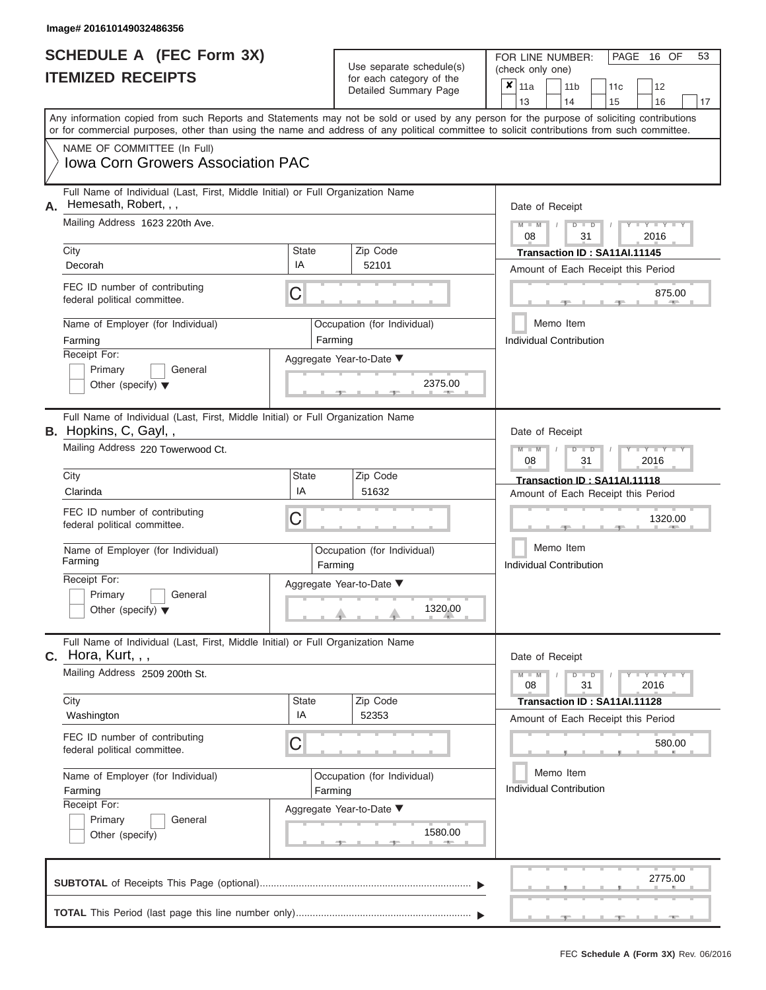|                          | <b>SCHEDULE A (FEC Form 3X)</b> |
|--------------------------|---------------------------------|
| <b>ITEMIZED RECEIPTS</b> |                                 |

FOR LINE NUMBER: PAGE<br>(check only one) Use separate schedule(s)  $\begin{array}{|l|l|}\n\hline\n\text{for each category of the} & \text{(check only one)} \\
\hline\n\end{array}$ 

, , . 2775.00 ▲ ▲ ▲ , , . Aggregate Year-to-Date ▼  $\frac{2375.0}{7}$ C C ▲ ▲ ▲ , , . , , . ▲ ▲ ▲ C **M M / D D / Y Y Y Y M M / D D / Y Y Y Y M M / D D / Y Y Y Y** ▲ ▲ ▲ , , . 1320.00 ,  $\frac{1580.6}{1500.6}$ Any information copied from such Reports and Statements may not be sold or used by any person for the purpose of soliciting contributions or for commercial purposes, other than using the name and address of any political committee to solicit contributions from such committee. NAME OF COMMITTEE (In Full) **SUBTOTAL** of Receipts This Page (optional)............................................................................ Full Name of Individual (Last, First, Middle Initial) or Full Organization Name Mailing Address 1623 220th Ave. City City Code City State City Receipt For: Primary **General** Other (specify) ▼ Amount of Each Receipt this Period **A.** Date of Receipt Name of Employer (for Individual) Occupation (for Individual) FEC ID number of contributing federal political committee. Full Name of Individual (Last, First, Middle Initial) or Full Organization Name Mailing Address 220 Towerwood Ct. City **State** Zip Code Receipt For: Primary **General** Other (specify) ▼ Amount of Each Receipt this Period **B.** Hopkins, C, Gayl, , Aggregate Year-to-Date ▼ Date of Receipt FEC ID number of contributing federal political committee. Full Name of Individual (Last, First, Middle Initial) or Full Organization Name Mailing Address 2509 200th St. City City City State 2 | State Zip Code Receipt For: Primary **General** Other (specify) Amount of Each Receipt this Period **C.** Hora, Kurt, , ,Aggregate Year-to-Date ▼ Date of Receipt FEC ID number of contributing federal political committee. Detailed Summary Page  $\begin{array}{|c|c|c|c|c|c|}\n\hline\n11a & 11b & 11c & 12 \ \hline\n13 & 14 & 15 & 16\n\end{array}$ |13 | |14 | |15 | |16 | |17 Memo Item Memo Item Memo Item Name of Employer (for Individual) <br>
Farming Cocupation (for Individual) Farming Name of Employer (for Individual) <br> Qccupation (for Individual)  $\overline{\mathbf{x}}$  11a Iowa Corn Growers Association PAC Hemesath, Robert, , , 08 31 2016 Decorah IA <sup>52101</sup> **Transaction ID : SA11AI.11145** Farming **Farming Farming** Individual Contribution 875.00<br>al) Memo Item<br>Individual Contribution<br>2375.00 08 31 2016 Cliven Clarinda **Claring Claring Claring Claring Claring Claring Claring Claring Claring Claring Claring Claring Claring Claring Claring Claring Claring Claring Claring Claring Claring Claring Claring Claring Claring Clari** Farming **Farming Farming** Individual Contribution 1320.00 08 31 2016 Washington IA <sup>52353</sup> **Transaction ID : SA11AI.11128** Farming **Farming Farming** Individual Contribution 580.00<br>
al) Memo Item<br>
Individual Contribution<br>
1580.00

16 OF 53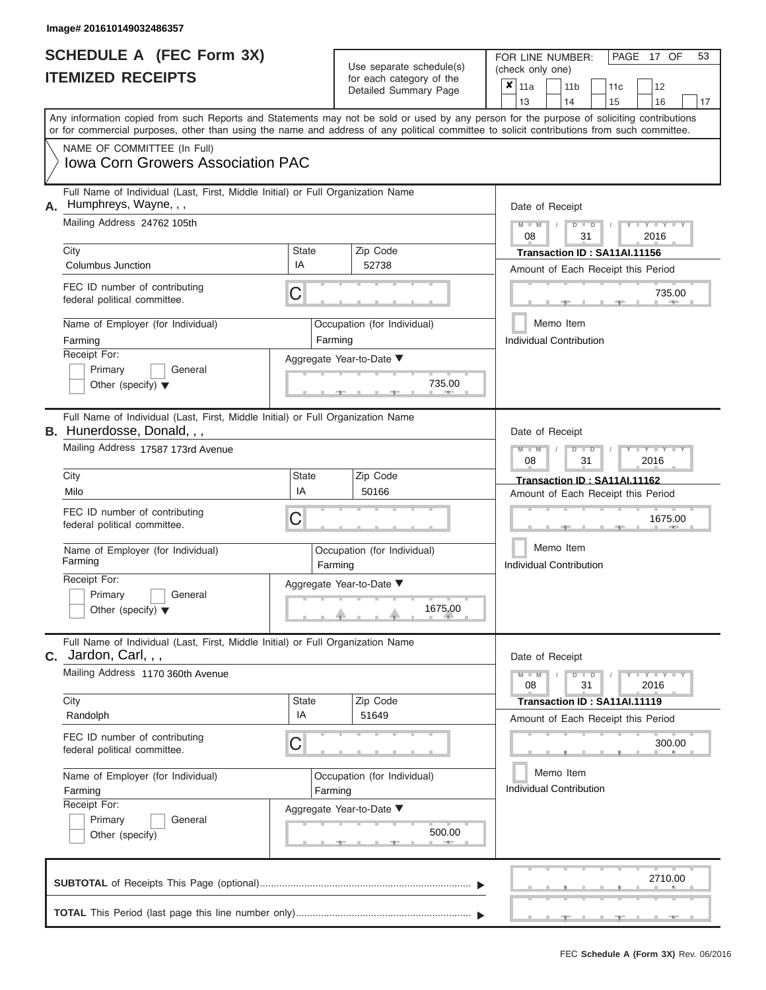|                          | <b>SCHEDULE A (FEC Form 3X)</b> |
|--------------------------|---------------------------------|
| <b>ITEMIZED RECEIPTS</b> |                                 |

FOR LINE NUMBER:<br>(check only one) Use separate schedule(s) (check only one) for each category of the

| TEMIZED RECEIPTS                                                                                                                                         |                                                                                                                                                                                                                                                                                         |                          | for each category of the<br>Detailed Summary Page | X                           | 11a<br>13                                    |                                                                                                                                                  | 11 <sub>b</sub><br>14 | 11c<br>15                                   | 12<br>16                     | 17      |  |  |  |  |
|----------------------------------------------------------------------------------------------------------------------------------------------------------|-----------------------------------------------------------------------------------------------------------------------------------------------------------------------------------------------------------------------------------------------------------------------------------------|--------------------------|---------------------------------------------------|-----------------------------|----------------------------------------------|--------------------------------------------------------------------------------------------------------------------------------------------------|-----------------------|---------------------------------------------|------------------------------|---------|--|--|--|--|
|                                                                                                                                                          | Any information copied from such Reports and Statements may not be sold or used by any person for the purpose of soliciting contributions<br>or for commercial purposes, other than using the name and address of any political committee to solicit contributions from such committee. |                          |                                                   |                             |                                              |                                                                                                                                                  |                       |                                             |                              |         |  |  |  |  |
|                                                                                                                                                          | NAME OF COMMITTEE (In Full)<br>Iowa Corn Growers Association PAC                                                                                                                                                                                                                        |                          |                                                   |                             |                                              |                                                                                                                                                  |                       |                                             |                              |         |  |  |  |  |
| А.                                                                                                                                                       | Full Name of Individual (Last, First, Middle Initial) or Full Organization Name<br>Humphreys, Wayne, , ,<br>Mailing Address 24762 105th                                                                                                                                                 |                          |                                                   |                             |                                              | Date of Receipt<br>$Y - Y - I$<br>D<br>08<br>31                                                                                                  |                       |                                             |                              |         |  |  |  |  |
|                                                                                                                                                          | City<br>Columbus Junction                                                                                                                                                                                                                                                               | <b>State</b><br>IA       | Zip Code<br>52738                                 |                             |                                              | 2016<br>Transaction ID: SA11AI.11156<br>Amount of Each Receipt this Period                                                                       |                       |                                             |                              |         |  |  |  |  |
|                                                                                                                                                          | FEC ID number of contributing<br>federal political committee.                                                                                                                                                                                                                           | С                        |                                                   |                             |                                              |                                                                                                                                                  |                       |                                             |                              | 735.00  |  |  |  |  |
|                                                                                                                                                          | Name of Employer (for Individual)<br>Occupation (for Individual)<br>Farming<br>Farming<br>Receipt For:<br>Aggregate Year-to-Date ▼<br>Primary<br>General<br>735.00<br>Other (specify) $\blacktriangledown$                                                                              |                          |                                                   |                             |                                              |                                                                                                                                                  |                       | Memo Item<br><b>Individual Contribution</b> |                              |         |  |  |  |  |
|                                                                                                                                                          | Full Name of Individual (Last, First, Middle Initial) or Full Organization Name<br><b>B.</b> Hunerdosse, Donald, , ,<br>Mailing Address 17587 173rd Avenue                                                                                                                              |                          | Date of Receipt                                   |                             |                                              |                                                                                                                                                  | $Y - Y - I$           |                                             |                              |         |  |  |  |  |
| City<br><b>State</b><br>IA<br>Milo<br>FEC ID number of contributing<br>C<br>federal political committee.<br>Name of Employer (for Individual)<br>Farming |                                                                                                                                                                                                                                                                                         |                          | Zip Code<br>50166                                 |                             |                                              | 2016<br>08<br>31<br>Transaction ID: SA11AI.11162<br>Amount of Each Receipt this Period<br>1675.00<br>Memo Item<br><b>Individual Contribution</b> |                       |                                             |                              |         |  |  |  |  |
|                                                                                                                                                          |                                                                                                                                                                                                                                                                                         |                          | Farming                                           | Occupation (for Individual) |                                              |                                                                                                                                                  |                       |                                             |                              |         |  |  |  |  |
|                                                                                                                                                          | Receipt For:<br>Primary<br>General<br>Other (specify) $\blacktriangledown$                                                                                                                                                                                                              | Aggregate Year-to-Date ▼ |                                                   | 1675.00                     |                                              |                                                                                                                                                  |                       |                                             |                              |         |  |  |  |  |
|                                                                                                                                                          | Full Name of Individual (Last, First, Middle Initial) or Full Organization Name<br>C. Jardon, Carl, , ,<br>Mailing Address 1170 360th Avenue                                                                                                                                            |                          |                                                   |                             |                                              | Date of Receipt<br>$M - M$                                                                                                                       |                       | D                                           | D                            | Y I Y I |  |  |  |  |
|                                                                                                                                                          | City                                                                                                                                                                                                                                                                                    | <b>State</b><br>IA       | Zip Code                                          |                             |                                              | 08                                                                                                                                               |                       | 31                                          | Transaction ID: SA11AI.11119 | 2016    |  |  |  |  |
|                                                                                                                                                          | Randolph<br>FEC ID number of contributing<br>federal political committee.                                                                                                                                                                                                               | 51649                    |                                                   |                             | Amount of Each Receipt this Period<br>300.00 |                                                                                                                                                  |                       |                                             |                              |         |  |  |  |  |
|                                                                                                                                                          | Name of Employer (for Individual)<br>Farming<br>Receipt For:                                                                                                                                                                                                                            | Farming                  |                                                   | Occupation (for Individual) |                                              | Memo Item<br><b>Individual Contribution</b>                                                                                                      |                       |                                             |                              |         |  |  |  |  |
|                                                                                                                                                          | Aggregate Year-to-Date ▼<br>Primary<br>General<br>500.00<br>Other (specify)                                                                                                                                                                                                             |                          |                                                   |                             |                                              |                                                                                                                                                  |                       |                                             |                              |         |  |  |  |  |
|                                                                                                                                                          |                                                                                                                                                                                                                                                                                         |                          |                                                   |                             |                                              |                                                                                                                                                  |                       |                                             |                              | 2710.00 |  |  |  |  |
|                                                                                                                                                          |                                                                                                                                                                                                                                                                                         |                          |                                                   |                             |                                              |                                                                                                                                                  |                       |                                             |                              |         |  |  |  |  |

FEC **Schedule A (Form 3X)** Rev. 06/2016

 ▲ ▲ ▲ , , .

PAGE 17 OF 53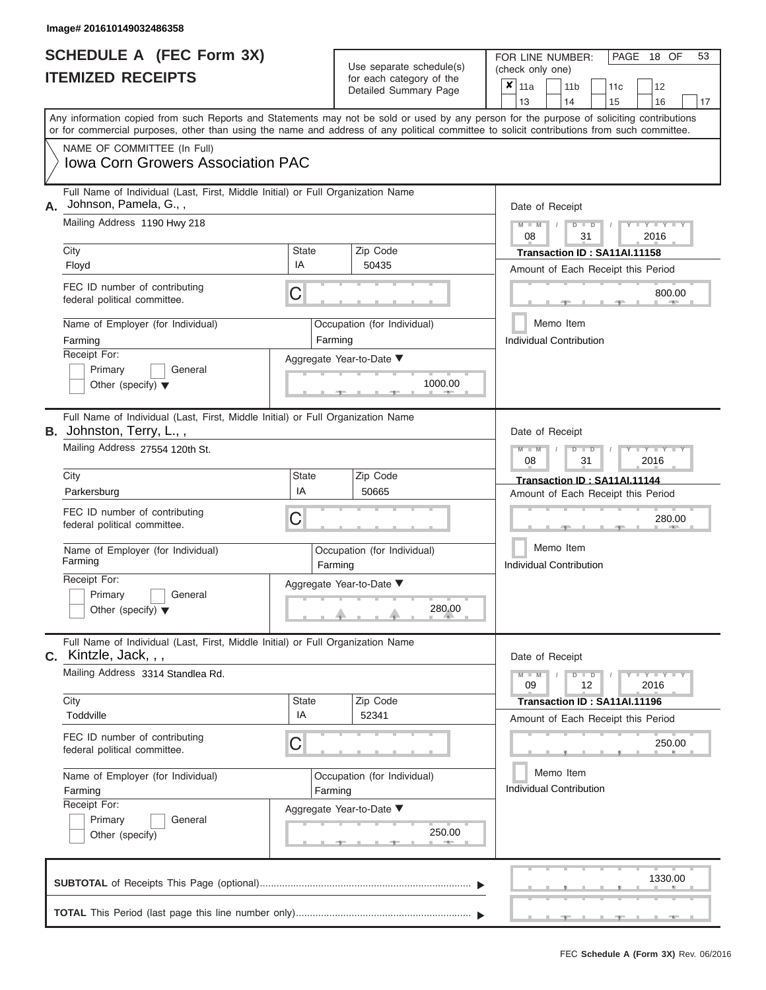| <b>SCHEDULE A (FEC Form 3X)</b> |  |  |
|---------------------------------|--|--|
| <b>ITEMIZED RECEIPTS</b>        |  |  |

FOR LINE NUMBER:<br>(check only one) Use separate schedule(s)<br>for each category of the

|                                                                                                                   |                                                                                                                                            |                    |                             | badii balogory of life<br>Detailed Summary Page | ×                                  | 11a                                         |                 |  | 11 <sub>b</sub>                | 11 <sub>c</sub>                    |      | 12                |    |  |  |  |
|-------------------------------------------------------------------------------------------------------------------|--------------------------------------------------------------------------------------------------------------------------------------------|--------------------|-----------------------------|-------------------------------------------------|------------------------------------|---------------------------------------------|-----------------|--|--------------------------------|------------------------------------|------|-------------------|----|--|--|--|
|                                                                                                                   | Any information copied from such Reports and Statements may not be sold or used by any person for the purpose of soliciting contributions  |                    |                             |                                                 |                                    | 13                                          |                 |  | 14                             | 15                                 |      | 16                | 17 |  |  |  |
|                                                                                                                   | or for commercial purposes, other than using the name and address of any political committee to solicit contributions from such committee. |                    |                             |                                                 |                                    |                                             |                 |  |                                |                                    |      |                   |    |  |  |  |
|                                                                                                                   | NAME OF COMMITTEE (In Full)<br><b>Iowa Corn Growers Association PAC</b>                                                                    |                    |                             |                                                 |                                    |                                             |                 |  |                                |                                    |      |                   |    |  |  |  |
| А.                                                                                                                | Full Name of Individual (Last, First, Middle Initial) or Full Organization Name<br>Johnson, Pamela, G.,,                                   |                    |                             |                                                 |                                    |                                             | Date of Receipt |  |                                |                                    |      |                   |    |  |  |  |
|                                                                                                                   | Mailing Address 1190 Hwy 218                                                                                                               |                    |                             |                                                 |                                    |                                             | $M - M$<br>08   |  | $D$ $D$<br>31                  |                                    | 2016 |                   |    |  |  |  |
|                                                                                                                   | City                                                                                                                                       | <b>State</b>       |                             | Zip Code                                        | Transaction ID: SA11AI.11158       |                                             |                 |  |                                |                                    |      |                   |    |  |  |  |
|                                                                                                                   | Floyd                                                                                                                                      | IA                 |                             | 50435                                           | Amount of Each Receipt this Period |                                             |                 |  |                                |                                    |      |                   |    |  |  |  |
|                                                                                                                   | FEC ID number of contributing<br>federal political committee.                                                                              | С                  |                             |                                                 | 800.00                             |                                             |                 |  |                                |                                    |      |                   |    |  |  |  |
|                                                                                                                   | Name of Employer (for Individual)                                                                                                          |                    |                             | Occupation (for Individual)                     |                                    |                                             |                 |  | Memo Item                      |                                    |      |                   |    |  |  |  |
|                                                                                                                   | Farming                                                                                                                                    |                    | Farming                     |                                                 |                                    |                                             |                 |  | Individual Contribution        |                                    |      |                   |    |  |  |  |
| Receipt For:<br>Aggregate Year-to-Date ▼<br>Primary<br>General<br>1000.00<br>Other (specify) $\blacktriangledown$ |                                                                                                                                            |                    |                             |                                                 |                                    |                                             |                 |  |                                |                                    |      |                   |    |  |  |  |
|                                                                                                                   | Full Name of Individual (Last, First, Middle Initial) or Full Organization Name<br>B. Johnston, Terry, L.,,                                |                    | Date of Receipt             |                                                 |                                    |                                             |                 |  |                                |                                    |      |                   |    |  |  |  |
|                                                                                                                   | Mailing Address 27554 120th St.                                                                                                            |                    | $M - M$<br>2016<br>08<br>31 |                                                 |                                    |                                             |                 |  |                                |                                    |      |                   |    |  |  |  |
|                                                                                                                   | City                                                                                                                                       | <b>State</b>       |                             | Zip Code                                        |                                    | Transaction ID: SA11AI.11144                |                 |  |                                |                                    |      |                   |    |  |  |  |
| IA<br>Parkersburg<br>FEC ID number of contributing<br>С<br>federal political committee.                           |                                                                                                                                            |                    |                             | 50665                                           |                                    |                                             |                 |  |                                | Amount of Each Receipt this Period |      |                   |    |  |  |  |
|                                                                                                                   |                                                                                                                                            |                    |                             |                                                 |                                    |                                             |                 |  |                                |                                    |      | 280.00            |    |  |  |  |
|                                                                                                                   | Name of Employer (for Individual)<br>Farming                                                                                               |                    | Farming                     | Occupation (for Individual)                     |                                    | Memo Item<br><b>Individual Contribution</b> |                 |  |                                |                                    |      |                   |    |  |  |  |
|                                                                                                                   | Receipt For:<br>Primary<br>General<br>Other (specify) $\blacktriangledown$                                                                 |                    |                             | Aggregate Year-to-Date ▼<br>280.00              |                                    |                                             |                 |  |                                |                                    |      |                   |    |  |  |  |
|                                                                                                                   | Full Name of Individual (Last, First, Middle Initial) or Full Organization Name<br>C. Kintzle, Jack, , ,                                   |                    |                             |                                                 |                                    |                                             |                 |  | Date of Receipt                |                                    |      |                   |    |  |  |  |
|                                                                                                                   | Mailing Address 3314 Standlea Rd.                                                                                                          |                    |                             |                                                 |                                    |                                             | 09              |  | $D$ $D$<br>12                  |                                    |      | Y L Y L Y<br>2016 |    |  |  |  |
|                                                                                                                   | City<br>Toddville                                                                                                                          | <b>State</b><br>IA |                             | Zip Code                                        |                                    |                                             |                 |  |                                | Transaction ID: SA11AI.11196       |      |                   |    |  |  |  |
|                                                                                                                   |                                                                                                                                            |                    |                             | 52341                                           |                                    |                                             |                 |  |                                | Amount of Each Receipt this Period |      |                   |    |  |  |  |
|                                                                                                                   | FEC ID number of contributing<br>С<br>250.00<br>federal political committee.                                                               |                    |                             |                                                 |                                    |                                             |                 |  |                                |                                    |      |                   |    |  |  |  |
| Name of Employer (for Individual)<br>Occupation (for Individual)                                                  |                                                                                                                                            |                    |                             |                                                 |                                    |                                             |                 |  | Memo Item                      |                                    |      |                   |    |  |  |  |
|                                                                                                                   | Farming<br>Farming<br>Receipt For:                                                                                                         |                    |                             |                                                 |                                    |                                             |                 |  | <b>Individual Contribution</b> |                                    |      |                   |    |  |  |  |
| Aggregate Year-to-Date ▼<br>Primary<br>General<br>250.00<br>Other (specify)                                       |                                                                                                                                            |                    |                             |                                                 |                                    |                                             |                 |  |                                |                                    |      |                   |    |  |  |  |
|                                                                                                                   |                                                                                                                                            |                    |                             |                                                 |                                    |                                             |                 |  |                                |                                    |      | 1330.00           |    |  |  |  |
|                                                                                                                   |                                                                                                                                            |                    |                             |                                                 |                                    |                                             |                 |  |                                |                                    |      |                   |    |  |  |  |

PAGE 18 OF 53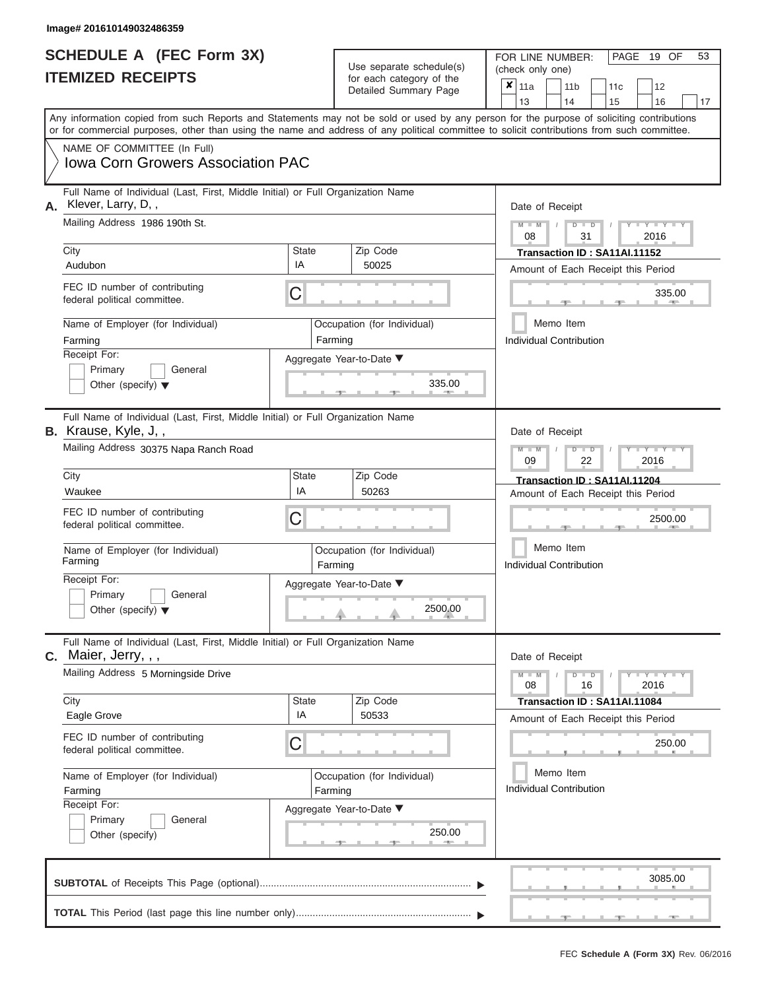|                          | <b>SCHEDULE A (FEC Form 3X)</b> |
|--------------------------|---------------------------------|
| <b>ITEMIZED RECEIPTS</b> |                                 |

FOR LINE NUMBER:<br>(check only one) Use separate schedule(s)<br>for each category of the

|                                                                                                                                   |                                                                                                                                                                                                                                                                                         |                          |         | badii balogory of lik<br>Detailed Summary Page | x | 11a<br>13                                                 |  | 11 <sub>b</sub><br>14                | 11c<br>15                                                          | 12<br>16            | 17 |  |  |  |
|-----------------------------------------------------------------------------------------------------------------------------------|-----------------------------------------------------------------------------------------------------------------------------------------------------------------------------------------------------------------------------------------------------------------------------------------|--------------------------|---------|------------------------------------------------|---|-----------------------------------------------------------|--|--------------------------------------|--------------------------------------------------------------------|---------------------|----|--|--|--|
|                                                                                                                                   | Any information copied from such Reports and Statements may not be sold or used by any person for the purpose of soliciting contributions<br>or for commercial purposes, other than using the name and address of any political committee to solicit contributions from such committee. |                          |         |                                                |   |                                                           |  |                                      |                                                                    |                     |    |  |  |  |
|                                                                                                                                   | NAME OF COMMITTEE (In Full)<br><b>Iowa Corn Growers Association PAC</b>                                                                                                                                                                                                                 |                          |         |                                                |   |                                                           |  |                                      |                                                                    |                     |    |  |  |  |
| А.                                                                                                                                | Full Name of Individual (Last, First, Middle Initial) or Full Organization Name<br>Klever, Larry, D,,<br>Mailing Address 1986 190th St.                                                                                                                                                 |                          |         |                                                |   | Date of Receipt<br>$M - M$<br>$D$ $D$<br>08<br>2016<br>31 |  |                                      |                                                                    |                     |    |  |  |  |
|                                                                                                                                   | City                                                                                                                                                                                                                                                                                    | <b>State</b>             |         | Zip Code                                       |   | Transaction ID: SA11AI.11152                              |  |                                      |                                                                    |                     |    |  |  |  |
|                                                                                                                                   | Audubon                                                                                                                                                                                                                                                                                 | IA                       |         | 50025                                          |   |                                                           |  |                                      | Amount of Each Receipt this Period                                 |                     |    |  |  |  |
|                                                                                                                                   | FEC ID number of contributing<br>federal political committee.                                                                                                                                                                                                                           | C                        |         |                                                |   |                                                           |  |                                      |                                                                    | 335.00              |    |  |  |  |
|                                                                                                                                   | Name of Employer (for Individual)<br>Farming                                                                                                                                                                                                                                            |                          | Farming | Occupation (for Individual)                    |   |                                                           |  | Memo Item<br>Individual Contribution |                                                                    |                     |    |  |  |  |
| Receipt For:<br>Aggregate Year-to-Date ▼<br>Primary<br>General<br>335.00<br>Other (specify) $\blacktriangledown$                  |                                                                                                                                                                                                                                                                                         |                          |         |                                                |   |                                                           |  |                                      |                                                                    |                     |    |  |  |  |
| Full Name of Individual (Last, First, Middle Initial) or Full Organization Name<br><b>B.</b> Krause, Kyle, J,,<br>Date of Receipt |                                                                                                                                                                                                                                                                                         |                          |         |                                                |   |                                                           |  |                                      |                                                                    |                     |    |  |  |  |
|                                                                                                                                   | Mailing Address 30375 Napa Ranch Road                                                                                                                                                                                                                                                   |                          |         |                                                |   | $M - M$<br>₽<br>Y Y<br>$\blacksquare$<br>2016<br>09<br>22 |  |                                      |                                                                    |                     |    |  |  |  |
|                                                                                                                                   | City<br>Waukee                                                                                                                                                                                                                                                                          | <b>State</b><br>IA       |         | Zip Code<br>50263                              |   |                                                           |  |                                      | Transaction ID: SA11AI.11204                                       |                     |    |  |  |  |
| FEC ID number of contributing<br>С<br>federal political committee.                                                                |                                                                                                                                                                                                                                                                                         |                          |         |                                                |   | Amount of Each Receipt this Period<br>2500.00             |  |                                      |                                                                    |                     |    |  |  |  |
|                                                                                                                                   | Name of Employer (for Individual)<br>Farming                                                                                                                                                                                                                                            |                          | Farming | Occupation (for Individual)                    |   | Memo Item<br><b>Individual Contribution</b>               |  |                                      |                                                                    |                     |    |  |  |  |
|                                                                                                                                   | Receipt For:<br>Primary<br>General<br>Other (specify) $\blacktriangledown$                                                                                                                                                                                                              | Aggregate Year-to-Date ▼ |         | 2500.00                                        |   |                                                           |  |                                      |                                                                    |                     |    |  |  |  |
| C.                                                                                                                                | Full Name of Individual (Last, First, Middle Initial) or Full Organization Name<br>Maier, Jerry, , ,                                                                                                                                                                                    |                          |         |                                                |   | Date of Receipt                                           |  |                                      |                                                                    |                     |    |  |  |  |
|                                                                                                                                   | Mailing Address 5 Morningside Drive                                                                                                                                                                                                                                                     |                          |         |                                                |   | 08                                                        |  | D<br>$\blacksquare$<br>16            |                                                                    | $Y - Y - I$<br>2016 |    |  |  |  |
|                                                                                                                                   | City<br>Eagle Grove                                                                                                                                                                                                                                                                     | <b>State</b><br>IA       |         | Zip Code<br>50533                              |   |                                                           |  |                                      | Transaction ID: SA11AI.11084<br>Amount of Each Receipt this Period |                     |    |  |  |  |
|                                                                                                                                   | FEC ID number of contributing<br>federal political committee.                                                                                                                                                                                                                           |                          |         |                                                |   |                                                           |  |                                      | 250.00                                                             |                     |    |  |  |  |
|                                                                                                                                   | Name of Employer (for Individual)<br>Farming                                                                                                                                                                                                                                            |                          | Farming | Occupation (for Individual)                    |   | Memo Item<br>Individual Contribution                      |  |                                      |                                                                    |                     |    |  |  |  |
|                                                                                                                                   | Receipt For:<br>Primary<br>General<br>Other (specify)                                                                                                                                                                                                                                   | Aggregate Year-to-Date ▼ |         | 250.00                                         |   |                                                           |  |                                      |                                                                    |                     |    |  |  |  |
|                                                                                                                                   |                                                                                                                                                                                                                                                                                         |                          |         |                                                |   |                                                           |  |                                      |                                                                    | 3085.00             |    |  |  |  |
|                                                                                                                                   |                                                                                                                                                                                                                                                                                         |                          |         |                                                |   |                                                           |  |                                      |                                                                    |                     |    |  |  |  |

PAGE 19 OF 53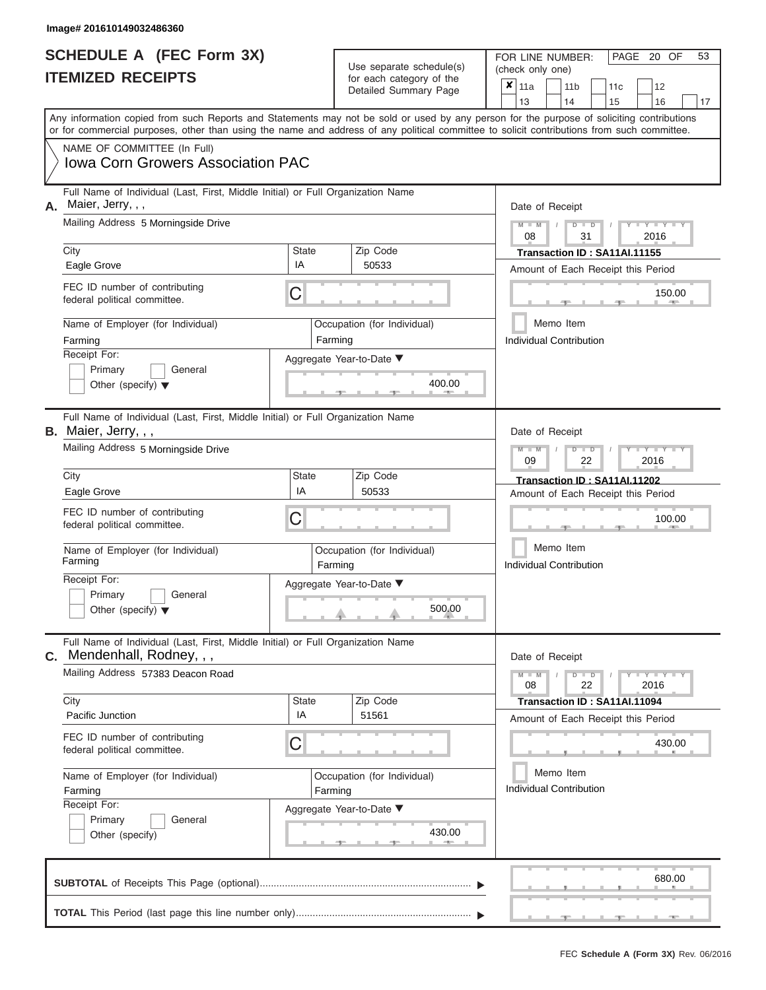|                          | <b>SCHEDULE A (FEC Form 3X)</b> |
|--------------------------|---------------------------------|
| <b>ITEMIZED RECEIPTS</b> |                                 |

FOR LINE NUMBER:<br>(check only one) Use separate schedule(s)<br>for each category of the

|    |                                                                                                                                            |                    |         | badii balogory of lin<br>Detailed Summary Page | x                                           | 11a                                                |  | 11 <sub>b</sub> |                         | 11c                          | 12                                 |    |  |  |  |  |  |  |
|----|--------------------------------------------------------------------------------------------------------------------------------------------|--------------------|---------|------------------------------------------------|---------------------------------------------|----------------------------------------------------|--|-----------------|-------------------------|------------------------------|------------------------------------|----|--|--|--|--|--|--|
|    | Any information copied from such Reports and Statements may not be sold or used by any person for the purpose of soliciting contributions  |                    |         |                                                |                                             | 13                                                 |  | 14              |                         | 15                           | 16                                 | 17 |  |  |  |  |  |  |
|    | or for commercial purposes, other than using the name and address of any political committee to solicit contributions from such committee. |                    |         |                                                |                                             |                                                    |  |                 |                         |                              |                                    |    |  |  |  |  |  |  |
|    | NAME OF COMMITTEE (In Full)                                                                                                                |                    |         |                                                |                                             |                                                    |  |                 |                         |                              |                                    |    |  |  |  |  |  |  |
|    | <b>Iowa Corn Growers Association PAC</b>                                                                                                   |                    |         |                                                |                                             |                                                    |  |                 |                         |                              |                                    |    |  |  |  |  |  |  |
| Α. | Full Name of Individual (Last, First, Middle Initial) or Full Organization Name<br>Maier, Jerry, , ,                                       |                    |         |                                                |                                             | Date of Receipt                                    |  |                 |                         |                              |                                    |    |  |  |  |  |  |  |
|    | Mailing Address 5 Morningside Drive                                                                                                        |                    |         |                                                |                                             | $M$ $M$ $I$<br>$D$ $D$<br>Y TY<br>2016<br>08<br>31 |  |                 |                         |                              |                                    |    |  |  |  |  |  |  |
|    | City                                                                                                                                       | <b>State</b>       |         | Zip Code                                       |                                             | Transaction ID: SA11AI.11155                       |  |                 |                         |                              |                                    |    |  |  |  |  |  |  |
|    | Eagle Grove                                                                                                                                | IA                 |         | 50533                                          |                                             |                                                    |  |                 |                         |                              | Amount of Each Receipt this Period |    |  |  |  |  |  |  |
|    | FEC ID number of contributing<br>federal political committee.                                                                              | C                  |         |                                                | 150.00                                      |                                                    |  |                 |                         |                              |                                    |    |  |  |  |  |  |  |
|    | Name of Employer (for Individual)                                                                                                          |                    |         | Occupation (for Individual)                    |                                             | Memo Item                                          |  |                 |                         |                              |                                    |    |  |  |  |  |  |  |
|    | Farming                                                                                                                                    |                    | Farming |                                                |                                             |                                                    |  |                 | Individual Contribution |                              |                                    |    |  |  |  |  |  |  |
|    | Receipt For:<br>Primary<br>General                                                                                                         |                    |         | Aggregate Year-to-Date ▼                       |                                             |                                                    |  |                 |                         |                              |                                    |    |  |  |  |  |  |  |
|    | Other (specify) $\blacktriangledown$                                                                                                       |                    |         | 400.00                                         |                                             |                                                    |  |                 |                         |                              |                                    |    |  |  |  |  |  |  |
|    | Full Name of Individual (Last, First, Middle Initial) or Full Organization Name<br>B. Maier, Jerry, , ,                                    |                    |         |                                                |                                             | Date of Receipt                                    |  |                 |                         |                              |                                    |    |  |  |  |  |  |  |
|    | Mailing Address 5 Morningside Drive                                                                                                        |                    |         |                                                |                                             | $M - M$<br>09                                      |  |                 | $D$ $D$<br>22           |                              | $Y - Y - I$<br>2016                |    |  |  |  |  |  |  |
|    | City                                                                                                                                       | State              |         | Zip Code                                       |                                             |                                                    |  |                 |                         | Transaction ID: SA11AI.11202 |                                    |    |  |  |  |  |  |  |
|    | Eagle Grove                                                                                                                                | IA                 |         | 50533                                          |                                             |                                                    |  |                 |                         |                              | Amount of Each Receipt this Period |    |  |  |  |  |  |  |
|    | FEC ID number of contributing<br>federal political committee.                                                                              | C                  |         |                                                |                                             |                                                    |  |                 |                         |                              | 100.00                             |    |  |  |  |  |  |  |
|    | Name of Employer (for Individual)<br>Farming                                                                                               |                    | Farming | Occupation (for Individual)                    |                                             | Memo Item<br><b>Individual Contribution</b>        |  |                 |                         |                              |                                    |    |  |  |  |  |  |  |
|    | Receipt For:<br>Primary<br>General<br>Other (specify) $\blacktriangledown$                                                                 |                    |         | Aggregate Year-to-Date ▼<br>500.00             |                                             |                                                    |  |                 |                         |                              |                                    |    |  |  |  |  |  |  |
| C. | Full Name of Individual (Last, First, Middle Initial) or Full Organization Name<br>Mendenhall, Rodney, , ,                                 |                    |         |                                                |                                             | Date of Receipt                                    |  |                 |                         |                              |                                    |    |  |  |  |  |  |  |
|    | Mailing Address 57383 Deacon Road                                                                                                          |                    |         |                                                |                                             | $M - M$<br>08                                      |  |                 | $D$ $D$<br>22           |                              | $T$ $Y$ $T$ $Y$ $T$<br>2016        |    |  |  |  |  |  |  |
|    | City                                                                                                                                       | <b>State</b><br>IA |         | Zip Code                                       |                                             |                                                    |  |                 |                         | Transaction ID: SA11AI.11094 |                                    |    |  |  |  |  |  |  |
|    | Pacific Junction                                                                                                                           |                    |         | 51561                                          |                                             |                                                    |  |                 |                         |                              | Amount of Each Receipt this Period |    |  |  |  |  |  |  |
|    | FEC ID number of contributing<br>federal political committee.                                                                              | C                  |         |                                                |                                             |                                                    |  |                 |                         |                              | 430.00                             |    |  |  |  |  |  |  |
|    | Name of Employer (for Individual)<br>Farming                                                                                               |                    | Farming | Occupation (for Individual)                    | Memo Item<br><b>Individual Contribution</b> |                                                    |  |                 |                         |                              |                                    |    |  |  |  |  |  |  |
|    | Receipt For:<br>Primary<br>General<br>Other (specify)                                                                                      |                    |         | Aggregate Year-to-Date ▼<br>430.00             |                                             |                                                    |  |                 |                         |                              |                                    |    |  |  |  |  |  |  |
|    |                                                                                                                                            |                    |         |                                                |                                             |                                                    |  |                 |                         |                              | 680.00                             |    |  |  |  |  |  |  |
|    |                                                                                                                                            |                    |         |                                                |                                             |                                                    |  |                 |                         |                              |                                    |    |  |  |  |  |  |  |

PAGE 20 OF 53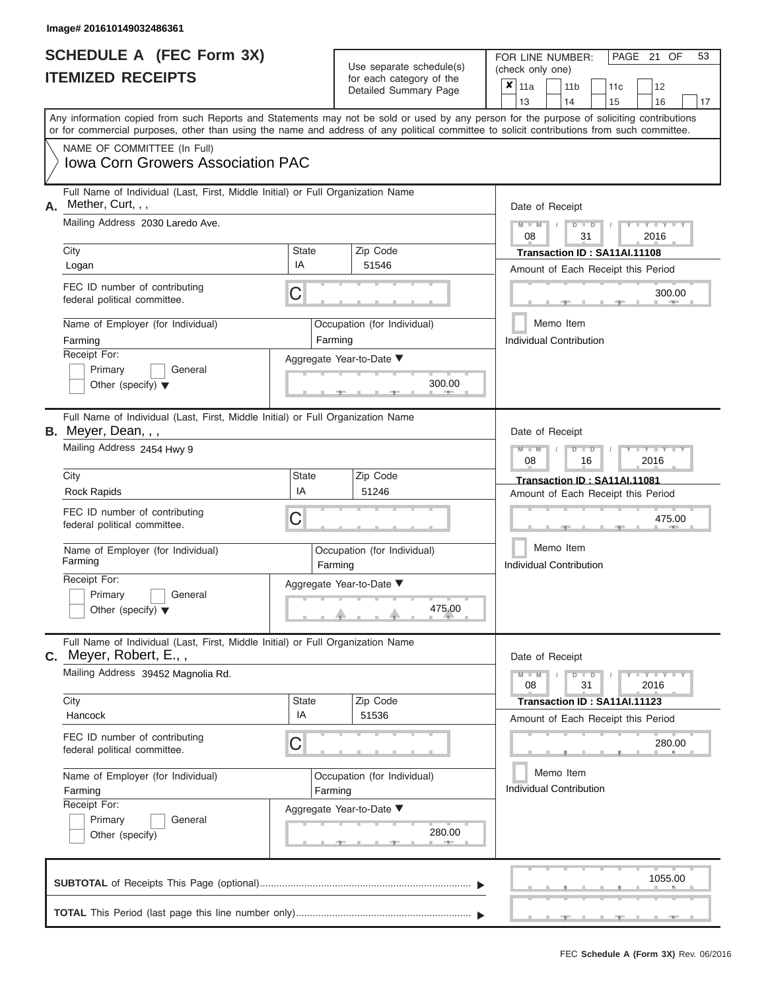| SCHEDULE A (FEC Form 3X) |  |  |
|--------------------------|--|--|
| <b>ITEMIZED RECEIPTS</b> |  |  |

**TOTAL** This Period (last page this line number only)...............................................................

FOR LINE NUMBER: PAGE<br>(check only one) Use separate schedule(s)  $\begin{array}{|l|l|}\n\hline\n\text{for each category of the} & \text{(check only one)} \\
\hline\n\end{array}$ 

 $x \vert_{11a}$ 

 $, \qquad \qquad$  1055.  $\frac{300.0}{2}$ Aggregate Year-to-Date ▼  $\frac{300.0}{2}$ C C  $\sim$  475.0  $, \qquad \qquad$  . 280.  $280.0$ C **M M / D D / Y Y Y Y M M / D D / Y Y Y Y M M / D D / Y Y Y Y**  $\uparrow$  , . . . . 475.0  $\frac{280.6}{1}$ Any information copied from such Reports and Statements may not be sold or used by any person for the purpose of soliciting contributions or for commercial purposes, other than using the name and address of any political committee to solicit contributions from such committee. NAME OF COMMITTEE (In Full) **SUBTOTAL** of Receipts This Page (optional)............................................................................ ▼ ▼ Full Name of Individual (Last, First, Middle Initial) or Full Organization Name Mailing Address 2030 Laredo Ave. City City Code City State City State  $\sim$  2ip Code Receipt For: Primary **General** Other (specify) ▼ Amount of Each Receipt this Period **A.** Date of Receipt Name of Employer (for Individual) Occupation (for Individual) FEC ID number of contributing federal political committee. Full Name of Individual (Last, First, Middle Initial) or Full Organization Name Mailing Address 2454 Hwy 9 City **State** Zip Code Receipt For: Primary **General** Other (specify) ▼ Amount of Each Receipt this Period **B.** Meyer, Dean, , , Aggregate Year-to-Date ▼ Date of Receipt FEC ID number of contributing federal political committee. Full Name of Individual (Last, First, Middle Initial) or Full Organization Name Mailing Address 39452 Magnolia Rd. City City State Zip Code Receipt For: Primary **General** Other (specify) Amount of Each Receipt this Period **C.** Meyer, Robert, E., , Aggregate Year-to-Date ▼ Date of Receipt FEC ID number of contributing federal political committee. Detailed Summary Page  $\begin{array}{|c|c|c|c|c|c|}\n\hline\n11a & 11b & 11c & 12 \ \hline\n13 & 14 & 15 & 16\n\end{array}$ |13 | |14 | |15 | |16 | |17 Memo Item Memo Item Memo Item Name of Employer (for Individual) <br>
Farming Cocupation (for Individual) Farming Name of Employer (for Individual) <br> Qccupation (for Individual) Iowa Corn Growers Association PAC Mether, Curt, , , 08 31 2016 Logan IA <sup>51546</sup> **Transaction ID : SA11AI.11108** Farming **Farming Farming** Individual Contribution 300.00 300.00 08 16 2016 Ulty Code Transaction ID: SA11AL11081<br>Rock Rapids **Transaction ID: SA11AL11081**<br>Rock Rapids **Transaction ID: SA11AL11081** Farming **Farming Farming** 475.00 Individual Contribution 475.00 08 31 2016 Hancock IA <sup>51536</sup> **Transaction ID : SA11AI.11123** Farming **Farming Farming** Individual Contribution 280.00 280.00 1055.00

21 OF 53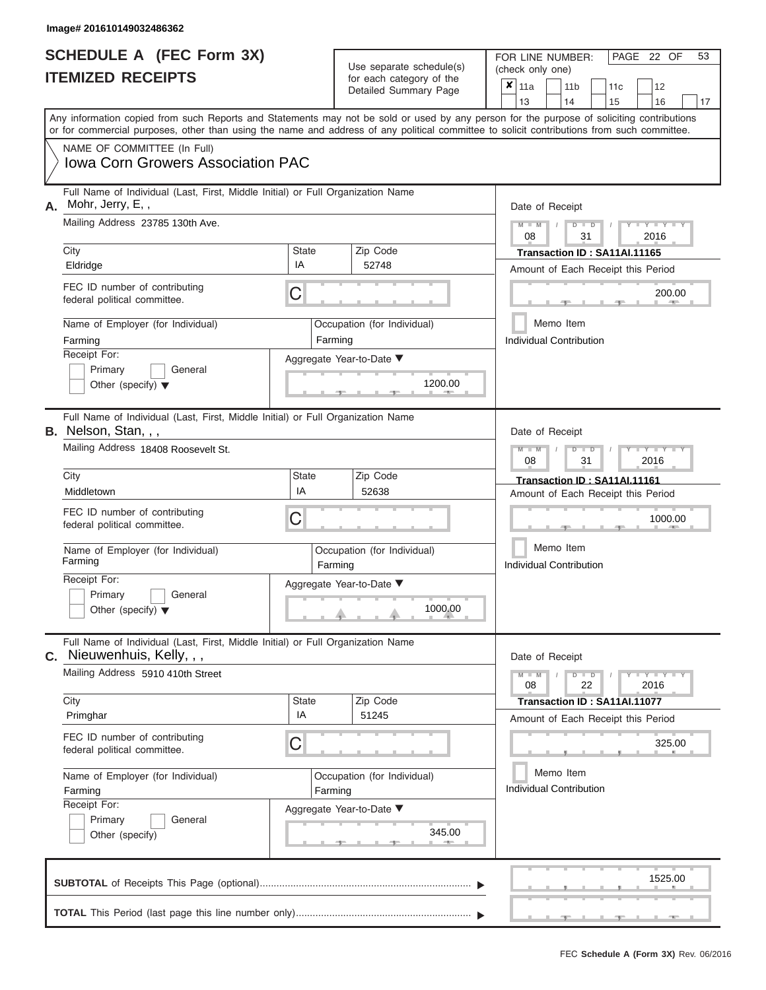|                          | <b>SCHEDULE A (FEC Form 3X)</b> |
|--------------------------|---------------------------------|
| <b>ITEMIZED RECEIPTS</b> |                                 |

FOR LINE NUMBER:<br>(check only one) Use separate schedule(s)<br>for each category of the

|    |                                                                                                                                                                                                                                                                                         |                          | $0.0011$ $0.000901$ $y$ $0.010$<br>Detailed Summary Page | ×       | 11a                                                                           |                                               | 11 <sub>b</sub><br>14 | 12<br>11c     |                                    |                     |    |  |  |  |  |  |  |
|----|-----------------------------------------------------------------------------------------------------------------------------------------------------------------------------------------------------------------------------------------------------------------------------------------|--------------------------|----------------------------------------------------------|---------|-------------------------------------------------------------------------------|-----------------------------------------------|-----------------------|---------------|------------------------------------|---------------------|----|--|--|--|--|--|--|
|    | Any information copied from such Reports and Statements may not be sold or used by any person for the purpose of soliciting contributions<br>or for commercial purposes, other than using the name and address of any political committee to solicit contributions from such committee. |                          |                                                          |         |                                                                               | 13                                            |                       |               | 15                                 | 16                  | 17 |  |  |  |  |  |  |
|    | NAME OF COMMITTEE (In Full)<br><b>Iowa Corn Growers Association PAC</b>                                                                                                                                                                                                                 |                          |                                                          |         |                                                                               |                                               |                       |               |                                    |                     |    |  |  |  |  |  |  |
| А. | Full Name of Individual (Last, First, Middle Initial) or Full Organization Name<br>Mohr, Jerry, E,,<br>Mailing Address 23785 130th Ave.                                                                                                                                                 |                          |                                                          |         |                                                                               | Date of Receipt<br>$M - M$<br>08              |                       | $D$ $D$       |                                    | $Y - Y - I$         |    |  |  |  |  |  |  |
|    | City                                                                                                                                                                                                                                                                                    | <b>State</b>             | Zip Code                                                 |         |                                                                               |                                               |                       | 31            | Transaction ID: SA11AI.11165       | 2016                |    |  |  |  |  |  |  |
|    | Eldridge                                                                                                                                                                                                                                                                                | IA                       | 52748                                                    |         |                                                                               |                                               |                       |               | Amount of Each Receipt this Period |                     |    |  |  |  |  |  |  |
|    | FEC ID number of contributing<br>federal political committee.                                                                                                                                                                                                                           | C                        |                                                          |         |                                                                               |                                               |                       |               |                                    | 200.00              |    |  |  |  |  |  |  |
|    | Name of Employer (for Individual)<br>Farming                                                                                                                                                                                                                                            |                          | Occupation (for Individual)<br>Farming                   |         |                                                                               | <b>Individual Contribution</b>                | Memo Item             |               |                                    |                     |    |  |  |  |  |  |  |
|    | Receipt For:<br>Primary<br>General<br>Other (specify) $\blacktriangledown$                                                                                                                                                                                                              |                          | Aggregate Year-to-Date ▼                                 | 1200.00 |                                                                               |                                               |                       |               |                                    |                     |    |  |  |  |  |  |  |
|    | Full Name of Individual (Last, First, Middle Initial) or Full Organization Name<br>B. Nelson, Stan, , ,                                                                                                                                                                                 | Date of Receipt          |                                                          |         |                                                                               |                                               |                       |               |                                    |                     |    |  |  |  |  |  |  |
|    | Mailing Address 18408 Roosevelt St.                                                                                                                                                                                                                                                     |                          |                                                          |         | $M - M$<br>$\blacksquare$<br>2016<br>08<br>31<br>Transaction ID: SA11AI.11161 |                                               |                       |               |                                    |                     |    |  |  |  |  |  |  |
|    | City<br>Middletown                                                                                                                                                                                                                                                                      | <b>State</b><br>IA       | Zip Code<br>52638                                        |         |                                                                               |                                               |                       |               |                                    |                     |    |  |  |  |  |  |  |
|    | FEC ID number of contributing<br>federal political committee.                                                                                                                                                                                                                           | С                        |                                                          |         |                                                                               | Amount of Each Receipt this Period<br>1000.00 |                       |               |                                    |                     |    |  |  |  |  |  |  |
|    | Name of Employer (for Individual)<br>Farming                                                                                                                                                                                                                                            |                          | Occupation (for Individual)<br>Farming                   |         | Memo Item<br><b>Individual Contribution</b>                                   |                                               |                       |               |                                    |                     |    |  |  |  |  |  |  |
|    | Receipt For:<br>Primary<br>General<br>Other (specify) $\blacktriangledown$                                                                                                                                                                                                              |                          | Aggregate Year-to-Date ▼                                 | 1000.00 |                                                                               |                                               |                       |               |                                    |                     |    |  |  |  |  |  |  |
| C. | Full Name of Individual (Last, First, Middle Initial) or Full Organization Name<br>Nieuwenhuis, Kelly, , ,                                                                                                                                                                              |                          |                                                          |         |                                                                               | Date of Receipt                               |                       |               |                                    |                     |    |  |  |  |  |  |  |
|    | Mailing Address 5910 410th Street                                                                                                                                                                                                                                                       |                          |                                                          |         |                                                                               | $M - M$<br>08                                 |                       | $D$ $D$<br>22 |                                    | $Y = Y = Y$<br>2016 |    |  |  |  |  |  |  |
|    | City<br>Primghar                                                                                                                                                                                                                                                                        | <b>State</b><br>IA       | Zip Code<br>51245                                        |         |                                                                               |                                               |                       |               | Transaction ID: SA11AI.11077       |                     |    |  |  |  |  |  |  |
|    | FEC ID number of contributing<br>federal political committee.                                                                                                                                                                                                                           | C                        |                                                          |         | Amount of Each Receipt this Period<br>325.00                                  |                                               |                       |               |                                    |                     |    |  |  |  |  |  |  |
|    | Name of Employer (for Individual)<br>Farming                                                                                                                                                                                                                                            | Farming                  | Occupation (for Individual)                              |         | Memo Item<br><b>Individual Contribution</b>                                   |                                               |                       |               |                                    |                     |    |  |  |  |  |  |  |
|    | Receipt For:<br>Primary<br>General<br>Other (specify)                                                                                                                                                                                                                                   | Aggregate Year-to-Date ▼ |                                                          |         |                                                                               |                                               |                       |               |                                    |                     |    |  |  |  |  |  |  |
|    |                                                                                                                                                                                                                                                                                         |                          |                                                          |         |                                                                               |                                               |                       |               |                                    | 1525.00             |    |  |  |  |  |  |  |
|    |                                                                                                                                                                                                                                                                                         |                          |                                                          |         |                                                                               |                                               |                       |               |                                    |                     |    |  |  |  |  |  |  |

PAGE 22 OF 53

 ▲ ▲ ▲ , , .

a.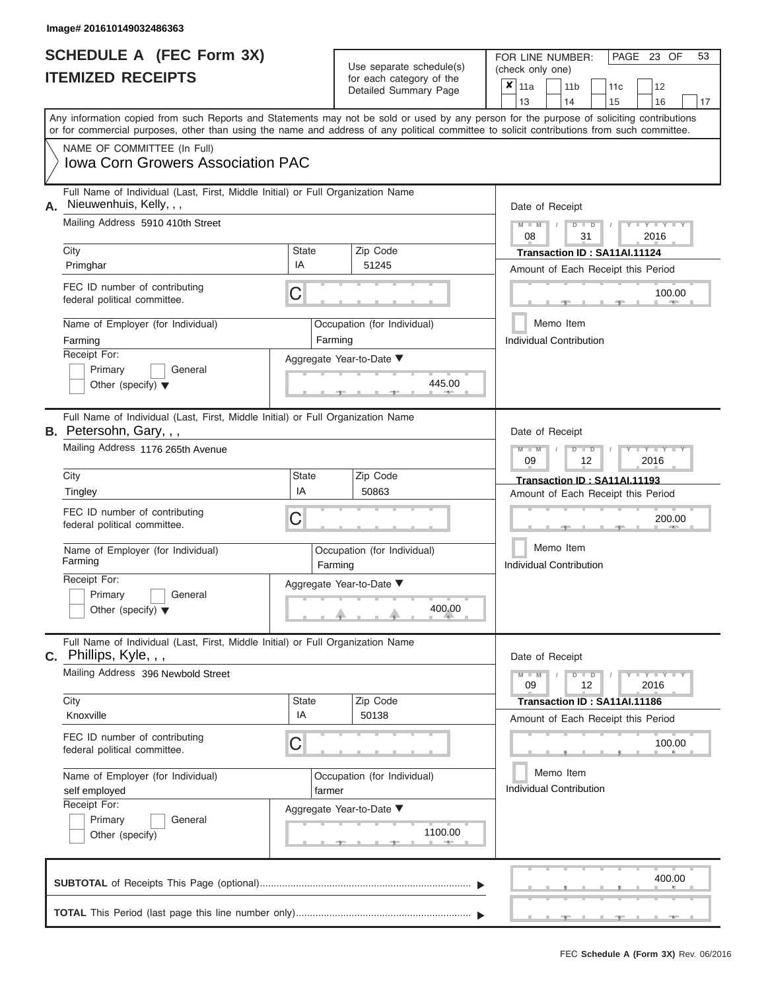|                          | <b>SCHEDULE A (FEC Form 3X)</b> |
|--------------------------|---------------------------------|
| <b>ITEMIZED RECEIPTS</b> |                                 |

FOR LINE NUMBER:<br>(check only one) Use separate schedule(s)<br>for each category of the

| IILMILLU INLVLII IV                                                                                                                                                                                                                                                                     |              | ivi cavii valcyviy vi liic<br>Detailed Summary Page | ×                                              | 11a                                         |                 | 11 <sub>b</sub>                | 11c                                |      | 12             |    |  |  |  |  |  |
|-----------------------------------------------------------------------------------------------------------------------------------------------------------------------------------------------------------------------------------------------------------------------------------------|--------------|-----------------------------------------------------|------------------------------------------------|---------------------------------------------|-----------------|--------------------------------|------------------------------------|------|----------------|----|--|--|--|--|--|
|                                                                                                                                                                                                                                                                                         |              |                                                     | 13                                             |                                             |                 | 14                             | 15                                 |      | 16             | 17 |  |  |  |  |  |
| Any information copied from such Reports and Statements may not be sold or used by any person for the purpose of soliciting contributions<br>or for commercial purposes, other than using the name and address of any political committee to solicit contributions from such committee. |              |                                                     |                                                |                                             |                 |                                |                                    |      |                |    |  |  |  |  |  |
| NAME OF COMMITTEE (In Full)                                                                                                                                                                                                                                                             |              |                                                     |                                                |                                             |                 |                                |                                    |      |                |    |  |  |  |  |  |
| <b>Iowa Corn Growers Association PAC</b>                                                                                                                                                                                                                                                |              |                                                     |                                                |                                             |                 |                                |                                    |      |                |    |  |  |  |  |  |
| Full Name of Individual (Last, First, Middle Initial) or Full Organization Name<br>Nieuwenhuis, Kelly, , ,<br>А.                                                                                                                                                                        |              |                                                     |                                                |                                             | Date of Receipt |                                |                                    |      |                |    |  |  |  |  |  |
| Mailing Address 5910 410th Street                                                                                                                                                                                                                                                       |              |                                                     | $M - M$<br>$-Y$<br>$D$ $D$<br>08<br>31<br>2016 |                                             |                 |                                |                                    |      |                |    |  |  |  |  |  |
| City                                                                                                                                                                                                                                                                                    | <b>State</b> | Zip Code                                            | Transaction ID: SA11AI.11124                   |                                             |                 |                                |                                    |      |                |    |  |  |  |  |  |
| Primghar                                                                                                                                                                                                                                                                                | IA           | 51245                                               | Amount of Each Receipt this Period             |                                             |                 |                                |                                    |      |                |    |  |  |  |  |  |
| FEC ID number of contributing<br>federal political committee.                                                                                                                                                                                                                           | C            |                                                     | 100.00<br><b>AND</b>                           |                                             |                 |                                |                                    |      |                |    |  |  |  |  |  |
| Name of Employer (for Individual)                                                                                                                                                                                                                                                       |              | Occupation (for Individual)                         |                                                |                                             | Memo Item       |                                |                                    |      |                |    |  |  |  |  |  |
| Farming                                                                                                                                                                                                                                                                                 |              | Farming                                             |                                                |                                             |                 | <b>Individual Contribution</b> |                                    |      |                |    |  |  |  |  |  |
| Receipt For:                                                                                                                                                                                                                                                                            |              | Aggregate Year-to-Date ▼                            |                                                |                                             |                 |                                |                                    |      |                |    |  |  |  |  |  |
| Primary<br>General                                                                                                                                                                                                                                                                      |              |                                                     |                                                |                                             |                 |                                |                                    |      |                |    |  |  |  |  |  |
| Other (specify) $\blacktriangledown$                                                                                                                                                                                                                                                    |              | 445.00<br><b>AREA</b>                               |                                                |                                             |                 |                                |                                    |      |                |    |  |  |  |  |  |
| Full Name of Individual (Last, First, Middle Initial) or Full Organization Name<br>B. Petersohn, Gary, , ,                                                                                                                                                                              |              |                                                     |                                                |                                             | Date of Receipt |                                |                                    |      |                |    |  |  |  |  |  |
| Mailing Address 1176 265th Avenue                                                                                                                                                                                                                                                       |              |                                                     |                                                | $M - M$<br>09                               |                 | $D$ $D$<br>12                  |                                    | 2016 |                |    |  |  |  |  |  |
| City                                                                                                                                                                                                                                                                                    | <b>State</b> | Zip Code                                            |                                                |                                             |                 |                                | Transaction ID: SA11AI.11193       |      |                |    |  |  |  |  |  |
| Tingley                                                                                                                                                                                                                                                                                 | IA           | 50863                                               |                                                | Amount of Each Receipt this Period          |                 |                                |                                    |      |                |    |  |  |  |  |  |
| FEC ID number of contributing<br>federal political committee.                                                                                                                                                                                                                           | C            |                                                     |                                                | 200.00                                      |                 |                                |                                    |      |                |    |  |  |  |  |  |
| Name of Employer (for Individual)<br>Farming                                                                                                                                                                                                                                            |              | Occupation (for Individual)<br>Farming              |                                                | Memo Item<br><b>Individual Contribution</b> |                 |                                |                                    |      |                |    |  |  |  |  |  |
| Receipt For:<br>Primary<br>General<br>Other (specify) $\blacktriangledown$                                                                                                                                                                                                              |              | Aggregate Year-to-Date ▼<br>400.00                  |                                                |                                             |                 |                                |                                    |      |                |    |  |  |  |  |  |
| Full Name of Individual (Last, First, Middle Initial) or Full Organization Name<br>$C.$ Phillips, Kyle, , ,                                                                                                                                                                             |              |                                                     |                                                |                                             | Date of Receipt |                                |                                    |      |                |    |  |  |  |  |  |
| Mailing Address 396 Newbold Street                                                                                                                                                                                                                                                      |              |                                                     |                                                | $M - M$<br>09                               |                 | $D$ $D$<br>12                  |                                    |      | Y LY L<br>2016 |    |  |  |  |  |  |
| City                                                                                                                                                                                                                                                                                    | <b>State</b> | Zip Code                                            |                                                |                                             |                 |                                | Transaction ID: SA11AI.11186       |      |                |    |  |  |  |  |  |
| Knoxville                                                                                                                                                                                                                                                                               | IA           | 50138                                               |                                                |                                             |                 |                                | Amount of Each Receipt this Period |      |                |    |  |  |  |  |  |
| FEC ID number of contributing<br>federal political committee.                                                                                                                                                                                                                           | С            |                                                     |                                                |                                             |                 |                                |                                    |      | 100.00         |    |  |  |  |  |  |
| Name of Employer (for Individual)<br>self employed                                                                                                                                                                                                                                      | farmer       | Occupation (for Individual)                         |                                                |                                             | Memo Item       | <b>Individual Contribution</b> |                                    |      |                |    |  |  |  |  |  |
| Receipt For:<br>Primary<br>General<br>Other (specify)                                                                                                                                                                                                                                   |              | Aggregate Year-to-Date ▼<br>1100.00<br>- 1          |                                                |                                             |                 |                                |                                    |      |                |    |  |  |  |  |  |
|                                                                                                                                                                                                                                                                                         |              |                                                     |                                                |                                             |                 |                                |                                    |      | 400.00         |    |  |  |  |  |  |

 ▲ ▲ ▲ , , . **TOTAL** This Period (last page this line number only)............................................................... ▼ ▼

PAGE 23 OF 53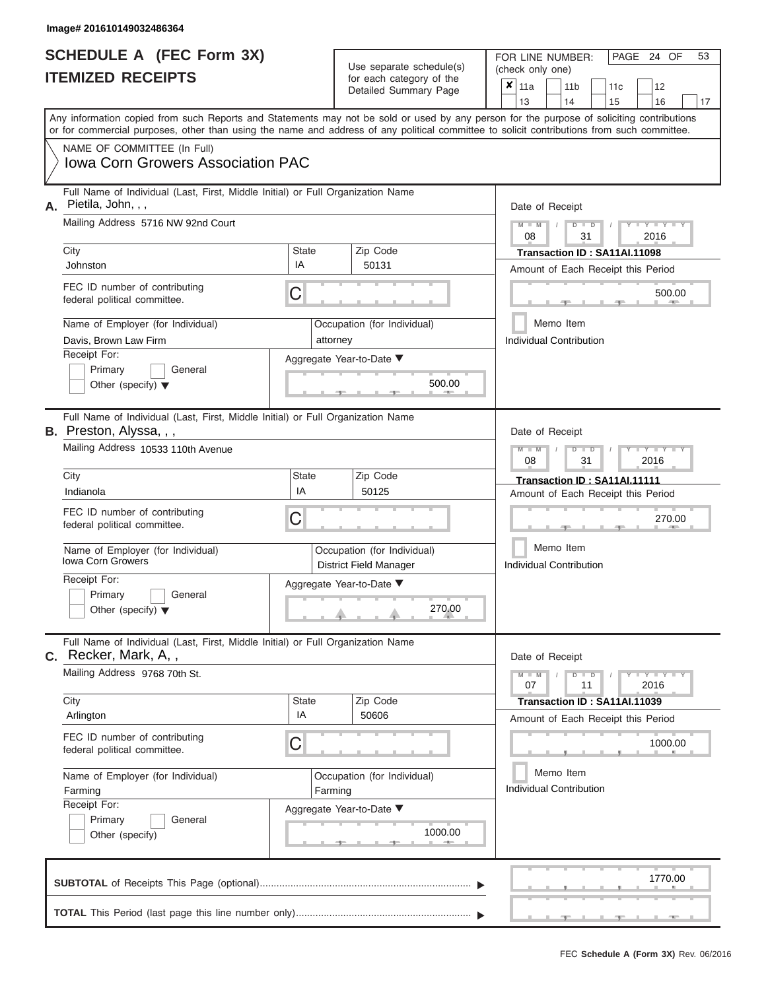|                          | <b>SCHEDULE A (FEC Form 3X)</b> |
|--------------------------|---------------------------------|
| <b>ITEMIZED RECEIPTS</b> |                                 |

FOR LINE NUMBER:<br>(check only one) Use separate schedule $(s)$  for each category of the

|    | <u>II EMILED REVEIF I J</u>                                                                                                                                                                                                                                                             |              | for each category of the<br>Detailed Summary Page            | ×                                  | 11a                                               |  | 11 <sub>b</sub>   | 11c                                | 12                          |        |  |  |  |  |  |  |
|----|-----------------------------------------------------------------------------------------------------------------------------------------------------------------------------------------------------------------------------------------------------------------------------------------|--------------|--------------------------------------------------------------|------------------------------------|---------------------------------------------------|--|-------------------|------------------------------------|-----------------------------|--------|--|--|--|--|--|--|
|    |                                                                                                                                                                                                                                                                                         |              |                                                              |                                    | 13                                                |  | 14                | 15                                 | 16                          | 17     |  |  |  |  |  |  |
|    | Any information copied from such Reports and Statements may not be sold or used by any person for the purpose of soliciting contributions<br>or for commercial purposes, other than using the name and address of any political committee to solicit contributions from such committee. |              |                                                              |                                    |                                                   |  |                   |                                    |                             |        |  |  |  |  |  |  |
|    | NAME OF COMMITTEE (In Full)                                                                                                                                                                                                                                                             |              |                                                              |                                    |                                                   |  |                   |                                    |                             |        |  |  |  |  |  |  |
|    | <b>Iowa Corn Growers Association PAC</b>                                                                                                                                                                                                                                                |              |                                                              |                                    |                                                   |  |                   |                                    |                             |        |  |  |  |  |  |  |
| А. | Full Name of Individual (Last, First, Middle Initial) or Full Organization Name<br>Pietila, John, , ,                                                                                                                                                                                   |              |                                                              |                                    | Date of Receipt                                   |  |                   |                                    |                             |        |  |  |  |  |  |  |
|    | Mailing Address 5716 NW 92nd Court                                                                                                                                                                                                                                                      |              |                                                              |                                    | Y L Y L<br>$M - M$<br>$D$ $D$<br>08<br>31<br>2016 |  |                   |                                    |                             |        |  |  |  |  |  |  |
|    | City                                                                                                                                                                                                                                                                                    | <b>State</b> | Zip Code                                                     |                                    | Transaction ID : SA11AI.11098                     |  |                   |                                    |                             |        |  |  |  |  |  |  |
|    | Johnston                                                                                                                                                                                                                                                                                | IA           | 50131                                                        | Amount of Each Receipt this Period |                                                   |  |                   |                                    |                             |        |  |  |  |  |  |  |
|    | FEC ID number of contributing<br>federal political committee.                                                                                                                                                                                                                           | С            |                                                              | 500.00                             |                                                   |  |                   |                                    |                             |        |  |  |  |  |  |  |
|    | Name of Employer (for Individual)<br>Davis, Brown Law Firm                                                                                                                                                                                                                              |              | Occupation (for Individual)<br>attorney                      |                                    | Individual Contribution                           |  | Memo Item         |                                    |                             |        |  |  |  |  |  |  |
|    | Receipt For:                                                                                                                                                                                                                                                                            |              | Aggregate Year-to-Date ▼                                     |                                    |                                                   |  |                   |                                    |                             |        |  |  |  |  |  |  |
|    | Primary<br>General<br>Other (specify) $\blacktriangledown$                                                                                                                                                                                                                              |              | 500.00                                                       |                                    |                                                   |  |                   |                                    |                             |        |  |  |  |  |  |  |
|    | Full Name of Individual (Last, First, Middle Initial) or Full Organization Name<br><b>B.</b> Preston, Alyssa, , ,                                                                                                                                                                       |              |                                                              |                                    | Date of Receipt                                   |  |                   |                                    |                             |        |  |  |  |  |  |  |
|    | Mailing Address 10533 110th Avenue                                                                                                                                                                                                                                                      |              |                                                              |                                    | $M$ $M$<br>08                                     |  | ъ<br>$\Box$<br>31 |                                    | Y T Y T<br>2016             |        |  |  |  |  |  |  |
|    | City                                                                                                                                                                                                                                                                                    | State        | Zip Code                                                     |                                    |                                                   |  |                   | Transaction ID: SA11AI.11111       |                             |        |  |  |  |  |  |  |
|    | Indianola                                                                                                                                                                                                                                                                               | IA           | 50125                                                        |                                    |                                                   |  |                   | Amount of Each Receipt this Period |                             |        |  |  |  |  |  |  |
|    | FEC ID number of contributing<br>federal political committee.                                                                                                                                                                                                                           | С            |                                                              |                                    |                                                   |  |                   |                                    |                             | 270.00 |  |  |  |  |  |  |
|    | Name of Employer (for Individual)<br>Iowa Corn Growers                                                                                                                                                                                                                                  |              | Occupation (for Individual)<br><b>District Field Manager</b> |                                    | Memo Item<br>Individual Contribution              |  |                   |                                    |                             |        |  |  |  |  |  |  |
|    | Receipt For:<br>Primary<br>General<br>Other (specify) $\blacktriangledown$                                                                                                                                                                                                              |              | Aggregate Year-to-Date ▼<br>270.00                           |                                    |                                                   |  |                   |                                    |                             |        |  |  |  |  |  |  |
|    | Full Name of Individual (Last, First, Middle Initial) or Full Organization Name<br>C. Recker, Mark, A,,                                                                                                                                                                                 |              |                                                              |                                    | Date of Receipt                                   |  |                   |                                    |                             |        |  |  |  |  |  |  |
|    | Mailing Address 9768 70th St.                                                                                                                                                                                                                                                           |              |                                                              |                                    | $M - M$<br>07                                     |  | $D$ $D$<br>11     |                                    | $Y - Y - Y - Y - Y$<br>2016 |        |  |  |  |  |  |  |
|    | City                                                                                                                                                                                                                                                                                    | State        | Zip Code                                                     |                                    |                                                   |  |                   | Transaction ID: SA11AI.11039       |                             |        |  |  |  |  |  |  |
|    | Arlington                                                                                                                                                                                                                                                                               | IA           | 50606                                                        |                                    |                                                   |  |                   | Amount of Each Receipt this Period |                             |        |  |  |  |  |  |  |
|    | FEC ID number of contributing<br>federal political committee.                                                                                                                                                                                                                           | С            |                                                              |                                    |                                                   |  |                   |                                    | 1000.00                     |        |  |  |  |  |  |  |
|    | Name of Employer (for Individual)<br>Farming                                                                                                                                                                                                                                            | Farming      | Occupation (for Individual)                                  |                                    | <b>Individual Contribution</b>                    |  | Memo Item         |                                    |                             |        |  |  |  |  |  |  |
|    | Receipt For:                                                                                                                                                                                                                                                                            |              | Aggregate Year-to-Date ▼                                     |                                    |                                                   |  |                   |                                    |                             |        |  |  |  |  |  |  |
|    | General<br>Primary                                                                                                                                                                                                                                                                      |              |                                                              |                                    |                                                   |  |                   |                                    |                             |        |  |  |  |  |  |  |
|    | Other (specify)                                                                                                                                                                                                                                                                         |              | 1000.00                                                      |                                    |                                                   |  |                   |                                    |                             |        |  |  |  |  |  |  |
|    |                                                                                                                                                                                                                                                                                         |              |                                                              |                                    |                                                   |  |                   |                                    | 1770.00                     |        |  |  |  |  |  |  |
|    |                                                                                                                                                                                                                                                                                         |              |                                                              |                                    |                                                   |  |                   |                                    |                             |        |  |  |  |  |  |  |

PAGE 24 OF 53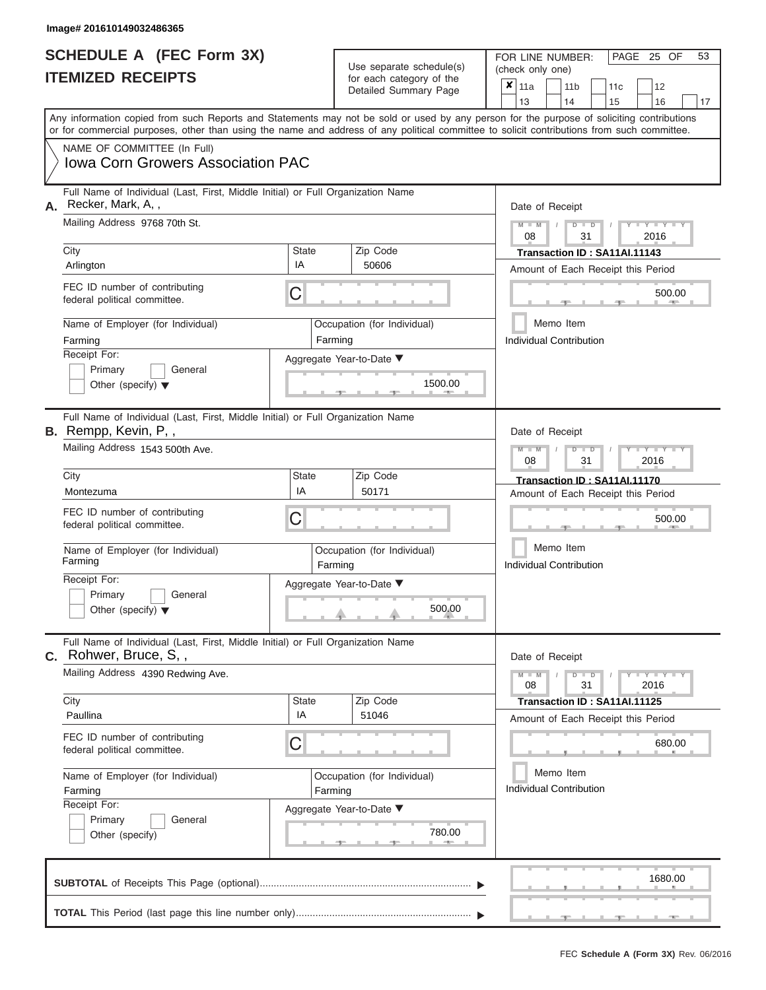|                          | SCHEDULE A (FEC Form 3X) |
|--------------------------|--------------------------|
| <b>ITEMIZED RECEIPTS</b> |                          |

FOR LINE NUMBER:<br>(check only one) Use separate schedule(s)<br>for each category of the

|    |                                                                                                                                                                                                                                                                                         |                                                                        |                             | badii balogory of the<br>Detailed Summary Page | x                                    | 11a<br>13                                                                                   |               |           | 14 | 11 <sub>b</sub> |  | 11 <sub>c</sub><br>15              |  | 12<br>16                 | 17 |  |
|----|-----------------------------------------------------------------------------------------------------------------------------------------------------------------------------------------------------------------------------------------------------------------------------------------|------------------------------------------------------------------------|-----------------------------|------------------------------------------------|--------------------------------------|---------------------------------------------------------------------------------------------|---------------|-----------|----|-----------------|--|------------------------------------|--|--------------------------|----|--|
|    | Any information copied from such Reports and Statements may not be sold or used by any person for the purpose of soliciting contributions<br>or for commercial purposes, other than using the name and address of any political committee to solicit contributions from such committee. |                                                                        |                             |                                                |                                      |                                                                                             |               |           |    |                 |  |                                    |  |                          |    |  |
|    | NAME OF COMMITTEE (In Full)<br><b>Iowa Corn Growers Association PAC</b>                                                                                                                                                                                                                 |                                                                        |                             |                                                |                                      |                                                                                             |               |           |    |                 |  |                                    |  |                          |    |  |
| А. | Full Name of Individual (Last, First, Middle Initial) or Full Organization Name<br>Recker, Mark, A,,<br>Mailing Address 9768 70th St.                                                                                                                                                   |                                                                        |                             |                                                |                                      | Date of Receipt                                                                             | 08            | $M - M$ / |    | $D$ $D$<br>31   |  |                                    |  | 2016                     |    |  |
|    | City                                                                                                                                                                                                                                                                                    | State                                                                  |                             | Zip Code                                       |                                      |                                                                                             |               |           |    |                 |  | Transaction ID: SA11AI.11143       |  |                          |    |  |
|    | Arlington                                                                                                                                                                                                                                                                               | IA                                                                     |                             | 50606                                          |                                      |                                                                                             |               |           |    |                 |  | Amount of Each Receipt this Period |  |                          |    |  |
|    | FEC ID number of contributing<br>federal political committee.                                                                                                                                                                                                                           | С                                                                      |                             |                                                |                                      |                                                                                             |               |           |    |                 |  |                                    |  | 500.00                   |    |  |
|    | Name of Employer (for Individual)<br>Farming                                                                                                                                                                                                                                            | Farming                                                                |                             | Occupation (for Individual)                    | Memo Item<br>Individual Contribution |                                                                                             |               |           |    |                 |  |                                    |  |                          |    |  |
|    | Receipt For:<br>Primary<br>General<br>Other (specify) $\blacktriangledown$                                                                                                                                                                                                              |                                                                        |                             | Aggregate Year-to-Date ▼<br>1500.00            |                                      |                                                                                             |               |           |    |                 |  |                                    |  |                          |    |  |
|    | Full Name of Individual (Last, First, Middle Initial) or Full Organization Name<br><b>B.</b> Rempp, Kevin, P,,                                                                                                                                                                          |                                                                        |                             |                                                | Date of Receipt                      |                                                                                             |               |           |    |                 |  |                                    |  |                          |    |  |
|    | Mailing Address 1543 500th Ave.                                                                                                                                                                                                                                                         | $M - M$<br>$D$ $D$<br>2016<br>08<br>31<br>Transaction ID: SA11AI.11170 |                             |                                                |                                      |                                                                                             |               |           |    |                 |  |                                    |  |                          |    |  |
|    | City<br>Montezuma                                                                                                                                                                                                                                                                       | State<br>IA                                                            |                             | Zip Code<br>50171                              |                                      |                                                                                             |               |           |    |                 |  | Amount of Each Receipt this Period |  |                          |    |  |
|    | FEC ID number of contributing<br>federal political committee.                                                                                                                                                                                                                           | С                                                                      |                             |                                                |                                      | 500.00                                                                                      |               |           |    |                 |  |                                    |  |                          |    |  |
|    | Name of Employer (for Individual)<br>Farming                                                                                                                                                                                                                                            | Farming                                                                | Occupation (for Individual) | Memo Item<br><b>Individual Contribution</b>    |                                      |                                                                                             |               |           |    |                 |  |                                    |  |                          |    |  |
|    | Receipt For:<br>Primary<br>General<br>Other (specify) $\blacktriangledown$                                                                                                                                                                                                              |                                                                        |                             | Aggregate Year-to-Date ▼<br>500.00             |                                      |                                                                                             |               |           |    |                 |  |                                    |  |                          |    |  |
|    | Full Name of Individual (Last, First, Middle Initial) or Full Organization Name<br>$c.$ Rohwer, Bruce, S,,                                                                                                                                                                              |                                                                        |                             |                                                |                                      | Date of Receipt                                                                             |               |           |    |                 |  |                                    |  |                          |    |  |
|    | Mailing Address 4390 Redwing Ave.                                                                                                                                                                                                                                                       |                                                                        |                             |                                                |                                      |                                                                                             | $M - M$<br>08 |           |    | $D$ $D$<br>31   |  |                                    |  | $-Y - Y - Y - Y$<br>2016 |    |  |
|    | City<br>Paullina                                                                                                                                                                                                                                                                        | State<br>IA                                                            |                             | Zip Code<br>51046                              |                                      |                                                                                             |               |           |    |                 |  | Transaction ID: SA11AI.11125       |  |                          |    |  |
|    | FEC ID number of contributing<br>federal political committee.                                                                                                                                                                                                                           | С                                                                      |                             |                                                |                                      | Amount of Each Receipt this Period<br>680.00<br>Memo Item<br><b>Individual Contribution</b> |               |           |    |                 |  |                                    |  |                          |    |  |
|    | Name of Employer (for Individual)<br>Farming                                                                                                                                                                                                                                            | Farming                                                                |                             | Occupation (for Individual)                    |                                      |                                                                                             |               |           |    |                 |  |                                    |  |                          |    |  |
|    | Receipt For:<br>Primary<br>General<br>Other (specify)                                                                                                                                                                                                                                   |                                                                        |                             | Aggregate Year-to-Date ▼<br>780.00             |                                      |                                                                                             |               |           |    |                 |  |                                    |  |                          |    |  |
|    |                                                                                                                                                                                                                                                                                         |                                                                        |                             |                                                |                                      |                                                                                             |               |           |    |                 |  |                                    |  | 1680.00                  |    |  |
|    |                                                                                                                                                                                                                                                                                         |                                                                        |                             |                                                |                                      |                                                                                             |               |           |    |                 |  |                                    |  |                          |    |  |

PAGE 25 OF 53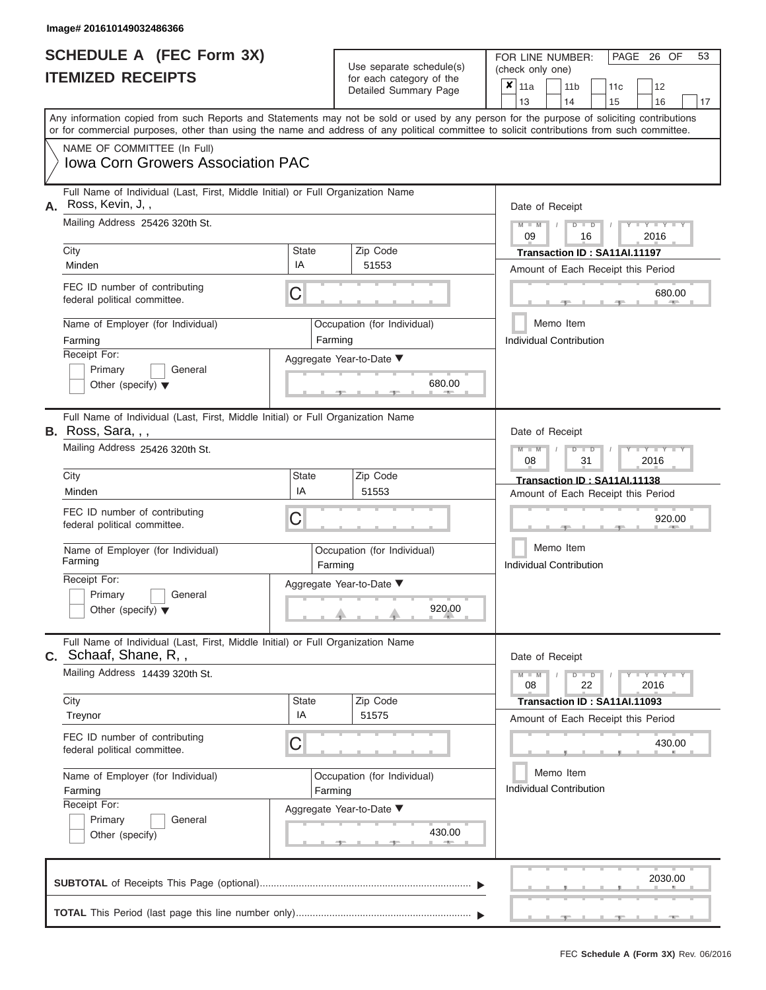|                          | SCHEDULE A (FEC Form 3X) |
|--------------------------|--------------------------|
| <b>ITEMIZED RECEIPTS</b> |                          |

FOR LINE NUMBER:<br>(check only one) Use separate schedule(s)<br>for each category of the

|    |                                                                                                                                                                                                                                                                                         |                                    | $\frac{1}{2}$<br>Detailed Summary Page | ×                           | 11a<br>13                            |                                                                    | 14              | 11 <sub>b</sub> | 11 <sub>c</sub><br>15 | 12<br>16                  | 17                                 |              |  |  |  |  |  |  |
|----|-----------------------------------------------------------------------------------------------------------------------------------------------------------------------------------------------------------------------------------------------------------------------------------------|------------------------------------|----------------------------------------|-----------------------------|--------------------------------------|--------------------------------------------------------------------|-----------------|-----------------|-----------------------|---------------------------|------------------------------------|--------------|--|--|--|--|--|--|
|    | Any information copied from such Reports and Statements may not be sold or used by any person for the purpose of soliciting contributions<br>or for commercial purposes, other than using the name and address of any political committee to solicit contributions from such committee. |                                    |                                        |                             |                                      |                                                                    |                 |                 |                       |                           |                                    |              |  |  |  |  |  |  |
|    | NAME OF COMMITTEE (In Full)<br><b>Iowa Corn Growers Association PAC</b>                                                                                                                                                                                                                 |                                    |                                        |                             |                                      |                                                                    |                 |                 |                       |                           |                                    |              |  |  |  |  |  |  |
| А. | Full Name of Individual (Last, First, Middle Initial) or Full Organization Name<br>Ross, Kevin, J,,<br>Mailing Address 25426 320th St.                                                                                                                                                  |                                    |                                        |                             | Date of Receipt<br>$M - M$<br>09     |                                                                    |                 | $D$ $D$<br>16   |                       | 2016                      |                                    |              |  |  |  |  |  |  |
|    | City                                                                                                                                                                                                                                                                                    | <b>State</b>                       |                                        | Zip Code                    |                                      |                                                                    |                 |                 |                       |                           | Transaction ID: SA11AI.11197       |              |  |  |  |  |  |  |
|    | Minden                                                                                                                                                                                                                                                                                  |                                    | 51553                                  |                             |                                      |                                                                    |                 |                 |                       |                           | Amount of Each Receipt this Period |              |  |  |  |  |  |  |
|    | FEC ID number of contributing<br>federal political committee.                                                                                                                                                                                                                           | С                                  |                                        |                             |                                      |                                                                    |                 |                 |                       |                           |                                    | 680.00       |  |  |  |  |  |  |
|    | Name of Employer (for Individual)<br>Farming                                                                                                                                                                                                                                            |                                    | Farming                                | Occupation (for Individual) |                                      | Individual Contribution                                            | Memo Item       |                 |                       |                           |                                    |              |  |  |  |  |  |  |
|    | Receipt For:<br>Aggregate Year-to-Date ▼<br>Primary<br>General<br>Other (specify) $\blacktriangledown$                                                                                                                                                                                  |                                    |                                        |                             |                                      |                                                                    |                 |                 |                       |                           |                                    |              |  |  |  |  |  |  |
|    | Full Name of Individual (Last, First, Middle Initial) or Full Organization Name<br>B. Ross, Sara, , ,                                                                                                                                                                                   |                                    | Date of Receipt                        |                             |                                      |                                                                    |                 |                 |                       |                           |                                    |              |  |  |  |  |  |  |
|    | Mailing Address 25426 320th St.                                                                                                                                                                                                                                                         | $M - M$<br>08<br>31<br>2016        |                                        |                             |                                      |                                                                    |                 |                 |                       |                           |                                    |              |  |  |  |  |  |  |
|    | City<br>Minden                                                                                                                                                                                                                                                                          | <b>State</b><br>IA                 |                                        | Zip Code<br>51553           |                                      | Transaction ID: SA11AI.11138<br>Amount of Each Receipt this Period |                 |                 |                       |                           |                                    |              |  |  |  |  |  |  |
|    | FEC ID number of contributing<br>federal political committee.                                                                                                                                                                                                                           | С                                  |                                        |                             |                                      | 920.00                                                             |                 |                 |                       |                           |                                    |              |  |  |  |  |  |  |
|    | Name of Employer (for Individual)<br>Farming                                                                                                                                                                                                                                            |                                    | Farming                                | Occupation (for Individual) | Memo Item<br>Individual Contribution |                                                                    |                 |                 |                       |                           |                                    |              |  |  |  |  |  |  |
|    | Receipt For:<br>Primary<br>General<br>Other (specify) $\blacktriangledown$                                                                                                                                                                                                              | Aggregate Year-to-Date ▼           |                                        | 920.00                      |                                      |                                                                    |                 |                 |                       |                           |                                    |              |  |  |  |  |  |  |
|    | Full Name of Individual (Last, First, Middle Initial) or Full Organization Name<br>$c.$ Schaaf, Shane, R,,                                                                                                                                                                              |                                    |                                        |                             |                                      |                                                                    | Date of Receipt |                 |                       |                           |                                    |              |  |  |  |  |  |  |
|    | Mailing Address 14439 320th St.                                                                                                                                                                                                                                                         |                                    |                                        |                             |                                      |                                                                    | 08              |                 |                       | D<br>$\blacksquare$<br>22 |                                    | Y TY<br>2016 |  |  |  |  |  |  |
|    | City<br>Treynor                                                                                                                                                                                                                                                                         | <b>State</b><br>IA                 |                                        | Zip Code<br>51575           |                                      |                                                                    |                 |                 |                       |                           | Transaction ID: SA11AI.11093       |              |  |  |  |  |  |  |
|    | FEC ID number of contributing<br>federal political committee.                                                                                                                                                                                                                           | С                                  |                                        |                             |                                      | Amount of Each Receipt this Period<br>430.00                       |                 |                 |                       |                           |                                    |              |  |  |  |  |  |  |
|    | Name of Employer (for Individual)<br>Farming                                                                                                                                                                                                                                            | Farming                            |                                        | Occupation (for Individual) |                                      | Memo Item<br><b>Individual Contribution</b>                        |                 |                 |                       |                           |                                    |              |  |  |  |  |  |  |
|    | Receipt For:<br>Primary<br>General<br>Other (specify)                                                                                                                                                                                                                                   | Aggregate Year-to-Date ▼<br>430.00 |                                        |                             |                                      |                                                                    |                 |                 |                       |                           |                                    |              |  |  |  |  |  |  |
|    |                                                                                                                                                                                                                                                                                         |                                    |                                        |                             |                                      |                                                                    |                 |                 |                       |                           |                                    | 2030.00      |  |  |  |  |  |  |
|    |                                                                                                                                                                                                                                                                                         |                                    |                                        |                             |                                      |                                                                    |                 |                 |                       |                           |                                    |              |  |  |  |  |  |  |

PAGE 26 OF 53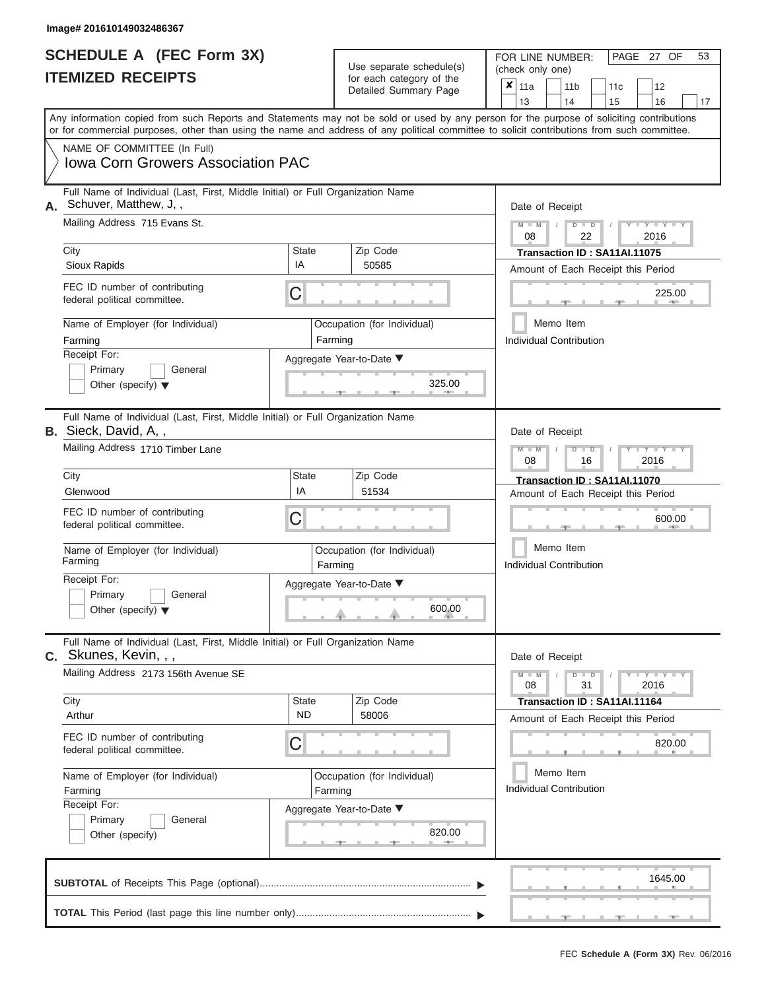| <b>SCHEDULE A (FEC Form 3X)</b> |  |  |
|---------------------------------|--|--|
| <b>ITEMIZED RECEIPTS</b>        |  |  |

FOR LINE NUMBER:<br>(check only one) Use separate schedule(s) (check only one) for each category of the  $\Box$ 

| <b>ITEMIZED RECEIPTS</b>                                                                                                                                                                                                                                                                |                             | for each category of the<br>Detailed Summary Page | ×<br>11 <sub>b</sub><br>11a<br>11c<br>12<br>14<br>16<br>13<br>15<br>17 |  |  |  |
|-----------------------------------------------------------------------------------------------------------------------------------------------------------------------------------------------------------------------------------------------------------------------------------------|-----------------------------|---------------------------------------------------|------------------------------------------------------------------------|--|--|--|
| Any information copied from such Reports and Statements may not be sold or used by any person for the purpose of soliciting contributions<br>or for commercial purposes, other than using the name and address of any political committee to solicit contributions from such committee. |                             |                                                   |                                                                        |  |  |  |
| NAME OF COMMITTEE (In Full)<br><b>Iowa Corn Growers Association PAC</b>                                                                                                                                                                                                                 |                             |                                                   |                                                                        |  |  |  |
| Full Name of Individual (Last, First, Middle Initial) or Full Organization Name<br>A. Schuver, Matthew, J,,                                                                                                                                                                             |                             |                                                   | Date of Receipt                                                        |  |  |  |
| Mailing Address 715 Evans St.                                                                                                                                                                                                                                                           |                             |                                                   | $Y - Y - I$<br>D<br>$\blacksquare$<br>22<br>2016<br>08                 |  |  |  |
| City<br>Sioux Rapids                                                                                                                                                                                                                                                                    | <b>State</b><br>IA          | Zip Code<br>50585                                 | Transaction ID: SA11AI.11075<br>Amount of Each Receipt this Period     |  |  |  |
| FEC ID number of contributing<br>federal political committee.                                                                                                                                                                                                                           | C                           |                                                   | 225.00                                                                 |  |  |  |
| Name of Employer (for Individual)<br>Farming                                                                                                                                                                                                                                            |                             | Occupation (for Individual)<br>Farming            | Memo Item<br>Individual Contribution                                   |  |  |  |
| Receipt For:<br>Primary<br>General<br>Other (specify) $\blacktriangledown$                                                                                                                                                                                                              |                             | Aggregate Year-to-Date ▼<br>325.00                |                                                                        |  |  |  |
| Full Name of Individual (Last, First, Middle Initial) or Full Organization Name<br><b>B.</b> Sieck, David, A,,                                                                                                                                                                          |                             |                                                   | Date of Receipt                                                        |  |  |  |
| Mailing Address 1710 Timber Lane                                                                                                                                                                                                                                                        | Y I Y I<br>2016<br>08<br>16 |                                                   |                                                                        |  |  |  |
| City<br>Glenwood                                                                                                                                                                                                                                                                        | <b>State</b><br>IA          | Zip Code<br>51534                                 | Transaction ID: SA11AI.11070<br>Amount of Each Receipt this Period     |  |  |  |
| FEC ID number of contributing<br>federal political committee.                                                                                                                                                                                                                           | С                           |                                                   | 600.00                                                                 |  |  |  |
| Name of Employer (for Individual)<br>Farming                                                                                                                                                                                                                                            |                             | Occupation (for Individual)<br>Farming            | Memo Item<br><b>Individual Contribution</b>                            |  |  |  |
| Receipt For:<br>Primary<br>General<br>Other (specify) $\blacktriangledown$                                                                                                                                                                                                              |                             | Aggregate Year-to-Date ▼<br>600.00                |                                                                        |  |  |  |
| Full Name of Individual (Last, First, Middle Initial) or Full Organization Name<br>C. Skunes, Kevin, , ,                                                                                                                                                                                |                             |                                                   | Date of Receipt                                                        |  |  |  |
| Mailing Address 2173 156th Avenue SE                                                                                                                                                                                                                                                    |                             |                                                   | $M - M$<br>D<br>$\blacksquare$<br>08<br>31<br>2016                     |  |  |  |
| City<br>Arthur                                                                                                                                                                                                                                                                          | <b>State</b><br><b>ND</b>   | Zip Code<br>58006                                 | Transaction ID: SA11AI.11164<br>Amount of Each Receipt this Period     |  |  |  |
| FEC ID number of contributing<br>federal political committee.                                                                                                                                                                                                                           | C                           |                                                   | 820.00                                                                 |  |  |  |
| Name of Employer (for Individual)<br>Farming                                                                                                                                                                                                                                            | Farming                     | Occupation (for Individual)                       | Memo Item<br><b>Individual Contribution</b>                            |  |  |  |
| Receipt For:<br>Primary<br>General<br>Other (specify)                                                                                                                                                                                                                                   |                             | Aggregate Year-to-Date ▼<br>820.00<br>on.<br>$-1$ |                                                                        |  |  |  |
|                                                                                                                                                                                                                                                                                         |                             |                                                   | 1645.00                                                                |  |  |  |
|                                                                                                                                                                                                                                                                                         |                             |                                                   |                                                                        |  |  |  |

PAGE 27 OF 53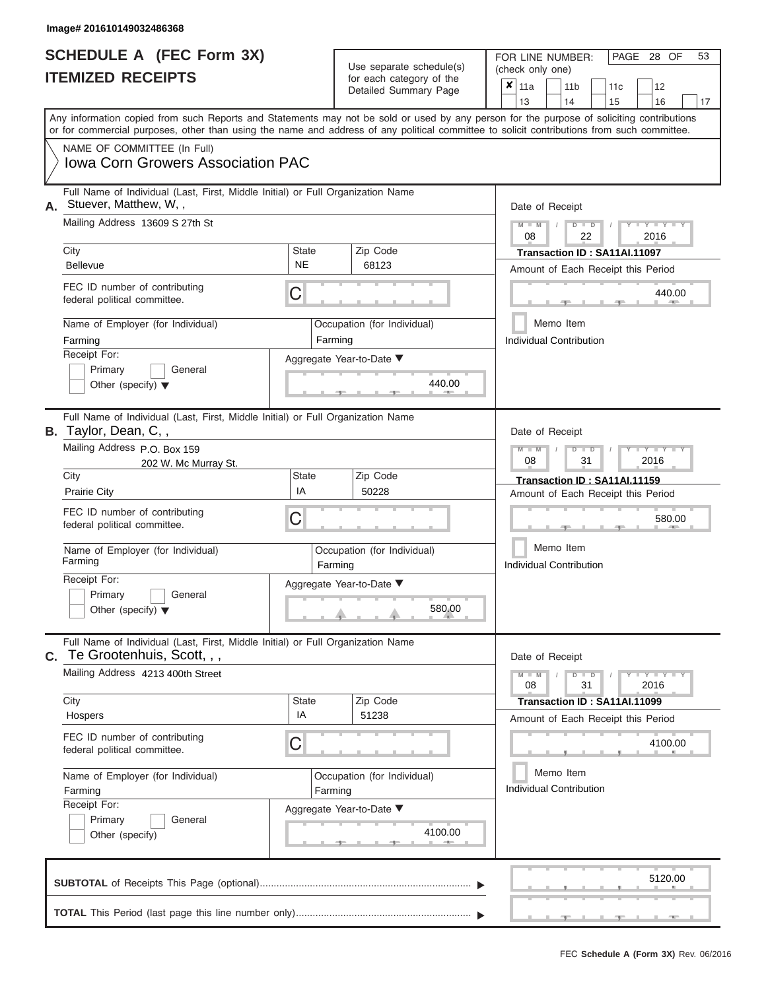|                          | <b>SCHEDULE A (FEC Form 3X)</b> |
|--------------------------|---------------------------------|
| <b>ITEMIZED RECEIPTS</b> |                                 |

**TOTAL** This Period (last page this line number only)...............................................................

FOR LINE NUMBER: PAGE<br>(check only one) Use separate schedule(s)  $\begin{array}{|l|l|}\n\hline\n\text{for each category of the} & \text{(check only one)} \\
\hline\n\end{array}$ 

 $\overline{\mathbf{x}}$  11a

, , . 5120.00 ▲ ▲ ▲ , , . Aggregate Year-to-Date ▼  $\frac{440.0}{7}$ C C ▲ ▲ ▲ , , .  $, \, \, \cdot \, \, \cdot \, \, \cdot \, \, \cdot \, \, \cdot \, \, \cdot \, \, \cdot \, \, \cdot \, \, \cdot \, \, \cdot \, \, \cdot \, \, \cdot \, \, \cdot \, \, \cdot \, \, \cdot \, \, \cdot \, \, \cdot \, \, \cdot \, \, \cdot \, \, \cdot \, \, \cdot \, \, \cdot \, \cdot \, \cdot \, \cdot \, \cdot \, \cdot \, \cdot \, \cdot \, \cdot \, \cdot \, \cdot \, \cdot \, \cdot \, \cdot \, \cdot \, \cdot \, \cdot \, \cdot \, \cdot \, \cdot \, \cdot \, \cdot \, \$  $4100.0$ C **M M / D D / Y Y Y Y M M / D D / Y Y Y Y M M / D D / Y Y Y Y**  $\frac{580.0}{1}$  $\frac{4100.6}{2}$ Any information copied from such Reports and Statements may not be sold or used by any person for the purpose of soliciting contributions or for commercial purposes, other than using the name and address of any political committee to solicit contributions from such committee. NAME OF COMMITTEE (In Full) **SUBTOTAL** of Receipts This Page (optional)............................................................................ ▼ ▼ Full Name of Individual (Last, First, Middle Initial) or Full Organization Name Mailing Address 13609 S 27th St City City Code City State City State  $\sim$  2ip Code Receipt For: Primary **General** Other (specify) ▼ Amount of Each Receipt this Period **A.** Date of Receipt Name of Employer (for Individual) Occupation (for Individual) FEC ID number of contributing federal political committee. Full Name of Individual (Last, First, Middle Initial) or Full Organization Name Mailing Address P.O. Box 159 City **State** Zip Code Receipt For: Primary **General** Other (specify) ▼ Amount of Each Receipt this Period **B.** Taylor, Dean, C, , Aggregate Year-to-Date ▼ Date of Receipt FEC ID number of contributing federal political committee. Full Name of Individual (Last, First, Middle Initial) or Full Organization Name Mailing Address 4213 400th Street City City City State 2 | State Zip Code Receipt For: Primary **General** Other (specify) Amount of Each Receipt this Period **C.** Te Grootenhuis, Scott, , , Aggregate Year-to-Date ▼ Date of Receipt FEC ID number of contributing federal political committee. Detailed Summary Page  $\begin{array}{|c|c|c|c|c|c|}\n\hline\n11a & 11b & 11c & 12 \ \hline\n13 & 14 & 15 & 16\n\end{array}$ |13 | |14 | |15 | |16 | |17 Memo Item Memo Item Memo Item Name of Employer (for Individual) <br>
Farming Cocupation (for Individual) Farming Name of Employer (for Individual) <br> Qccupation (for Individual) Iowa Corn Growers Association PAC Stuever, Matthew, W, , 08 22 2016 City<br>Bellevue **NE** State Transaction ID : SA11AI.11097<br>Bellevue NE 68123 Amount of Each Beceint this Ber Farming **Farming Farming** Individual Contribution 440.00 440.00 202 W. Mc Murray St. 2016 Prairie City IA <sup>50228</sup> **Transaction ID : SA11AI.11159** Farming **Farming Farming** 580.00 Individual Contribution 580.00 08 31 2016 Hospers IA <sup>51238</sup> **Transaction ID : SA11AI.11099** Farming **Farming Farming** Individual Contribution 4100.00<br>al) Memo Item<br>Individual Contribution<br>4100.00

FEC **Schedule A (Form 3X)** Rev. 06/2016

 ▲ ▲ ▲ , , .

28 OF 53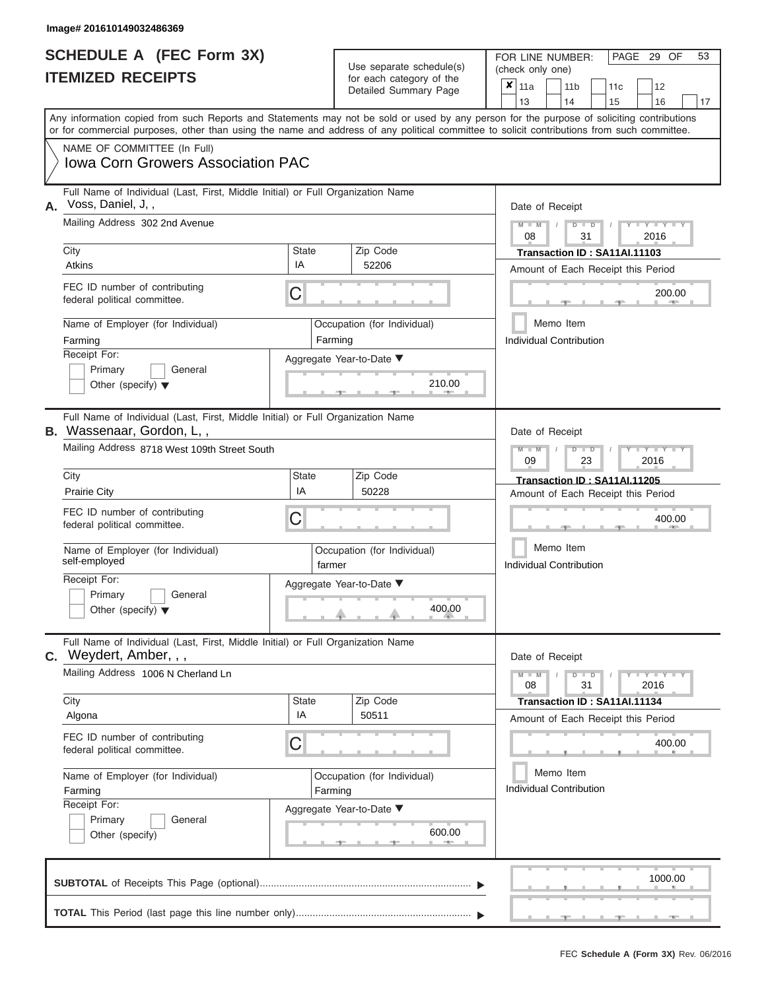| SCHEDULE A (FEC Form 3X) |  |  |
|--------------------------|--|--|
| <b>ITEMIZED RECEIPTS</b> |  |  |

FOR LINE NUMBER: PAGE<br>(check only one) Use separate schedule(s)  $\begin{array}{|l|l|}\n\hline\n\text{for each category of the} & \text{(check only one)} \\
\hline\n\end{array}$ 

, , .  $\longrightarrow$  200.0 Aggregate Year-to-Date ▼  $\longrightarrow$  210.0 C C  $\sim$  400.0  $, \qquad$  400. ▲ ▲ ▲ C **M M / D D / Y Y Y Y M M / D D / Y Y Y Y M M / D D / Y Y Y Y**  $\uparrow$  , . . . . . 400.0  $, -$  600. Any information copied from such Reports and Statements may not be sold or used by any person for the purpose of soliciting contributions or for commercial purposes, other than using the name and address of any political committee to solicit contributions from such committee. NAME OF COMMITTEE (In Full) **SUBTOTAL** of Receipts This Page (optional)............................................................................ ▼ ▼ Full Name of Individual (Last, First, Middle Initial) or Full Organization Name Mailing Address 302 2nd Avenue City City Code City State City State  $\sim$  2ip Code Receipt For: Primary **General** Other (specify) ▼ Amount of Each Receipt this Period **A.** Date of Receipt Name of Employer (for Individual) Occupation (for Individual) FEC ID number of contributing federal political committee. Full Name of Individual (Last, First, Middle Initial) or Full Organization Name Mailing Address 8718 West 109th Street South City **State** Zip Code Receipt For: Primary **General** Other (specify) ▼ Amount of Each Receipt this Period **B.** Wassenaar, Gordon, L, , Aggregate Year-to-Date ▼ Date of Receipt FEC ID number of contributing federal political committee. Full Name of Individual (Last, First, Middle Initial) or Full Organization Name Mailing Address 1006 N Cherland Ln City City Code City State 2 | State Zip Code Receipt For: Primary **General** Other (specify) Amount of Each Receipt this Period **C.** Weydert, Amber, , , Aggregate Year-to-Date ▼ Date of Receipt FEC ID number of contributing federal political committee. Detailed Summary Page  $\begin{array}{|c|c|c|c|c|c|}\n\hline\n11a & 11b & 11c & 12 \ \hline\n13 & 14 & 15 & 16\n\end{array}$ |13 | |14 | |15 | |16 | |17 Memo Item Memo Item Memo Item Name of Employer (for Individual)  $\vert$  Occupation (for Individual) Name of Employer (for Individual) <br> Qccupation (for Individual)  $\overline{\mathbf{x}}$  11a Iowa Corn Growers Association PAC Voss, Daniel, J, , 08 31 2016 City **City**<br>  $\begin{array}{|c|c|c|c|c|c|}\n\hline\n\text{It follows}\n\end{array}\n\begin{array}{|c|c|c|c|c|}\n\hline\n\text{It follows}\n\end{array}\n\begin{array}{|c|c|c|c|c|}\n\hline\n\text{It follows}\n\end{array}\n\begin{array}{|c|c|c|c|c|}\n\hline\n\text{It follows}\n\end{array}\n\begin{array}{|c|c|c|c|c|}\n\hline\n\text{It follows}\n\end{array}$ Farming **Farming Farming** Individual Contribution 210.00 200.00 09 23 2016 Prairie City **IA 50228** Transaction ID : SA11AI.11205<br>Prairie City **IA** 50228 Amount of Fach Receipt this Per self-employed and self-employed farmer 400.00 Individual Contribution 400.00 08 31 2016 Algona IA <sup>50511</sup> **Transaction ID : SA11AI.11134** Farming **Farming Farming** Individual Contribution 600.00 400.00 1000.00

**TOTAL** This Period (last page this line number only)...............................................................

29 OF 53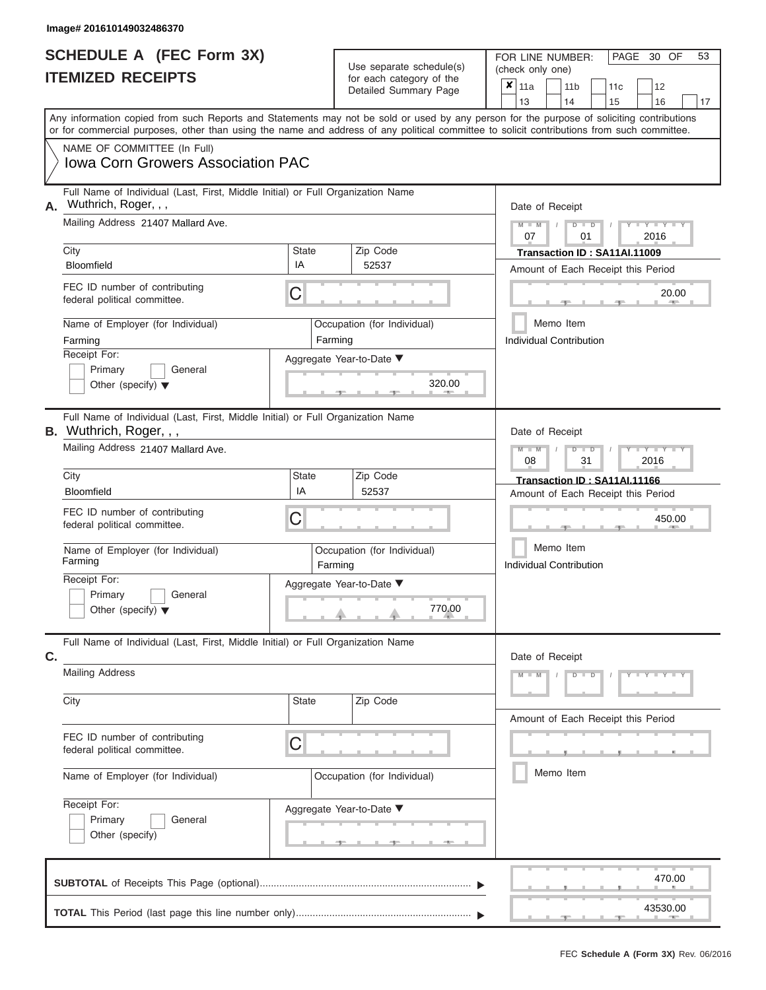| <b>SCHEDULE A (FEC Form 3X)</b> |  |  |
|---------------------------------|--|--|
| <b>ITEMIZED RECEIPTS</b>        |  |  |

FOR LINE NUMBER: Use separate schedule(s) (check only one)<br>for each category of the  $\begin{array}{|c|c|c|c|c|}\n\hline\n\text{Initial Summary goes} & & \text{with } & \text{with } & \text{with } & \text{with } & \text{with } & \text{with } & \text{with } & \text{with } & \text{with } & \text{with } & \text{with } & \text{with } & \text{with } & \text{with } & \text{with } & \text{with } & \text{with } & \text{with } & \text{with } & \text{with } & \text$ 

|    |                                                                                                                                            |                    |                                    | 13<br>14                                                                                                                                                    |
|----|--------------------------------------------------------------------------------------------------------------------------------------------|--------------------|------------------------------------|-------------------------------------------------------------------------------------------------------------------------------------------------------------|
|    | or for commercial purposes, other than using the name and address of any political committee to solicit contributions from such committee. |                    |                                    | 15<br>16<br>17<br>Any information copied from such Reports and Statements may not be sold or used by any person for the purpose of soliciting contributions |
|    | NAME OF COMMITTEE (In Full)<br><b>Iowa Corn Growers Association PAC</b>                                                                    |                    |                                    |                                                                                                                                                             |
| Α. | Full Name of Individual (Last, First, Middle Initial) or Full Organization Name<br>Wuthrich, Roger, , ,                                    | Date of Receipt    |                                    |                                                                                                                                                             |
|    | Mailing Address 21407 Mallard Ave.                                                                                                         |                    |                                    | $Y - Y$<br>$D$ $D$<br>07<br>01<br>2016                                                                                                                      |
|    | City<br><b>Bloomfield</b>                                                                                                                  | <b>State</b><br>IA | Zip Code<br>52537                  | Transaction ID: SA11AI.11009<br>Amount of Each Receipt this Period                                                                                          |
|    | FEC ID number of contributing<br>federal political committee.                                                                              | С                  |                                    | 20.00<br><b>AND</b>                                                                                                                                         |
|    | Name of Employer (for Individual)<br>Farming                                                                                               | Farming            | Occupation (for Individual)        | Memo Item<br><b>Individual Contribution</b>                                                                                                                 |
|    | Receipt For:<br>Primary<br>General<br>Other (specify) $\blacktriangledown$                                                                 |                    | Aggregate Year-to-Date ▼<br>320.00 |                                                                                                                                                             |
|    | Full Name of Individual (Last, First, Middle Initial) or Full Organization Name<br><b>B.</b> Wuthrich, Roger, , ,                          |                    |                                    | Date of Receipt                                                                                                                                             |
|    | Mailing Address 21407 Mallard Ave.                                                                                                         |                    |                                    | Y I Y I<br>$D$ $\Box$ $D$<br>08<br>31<br>2016                                                                                                               |
|    | City                                                                                                                                       | <b>State</b>       | Zip Code                           | Transaction ID: SA11AI.11166                                                                                                                                |
|    | <b>Bloomfield</b><br>FEC ID number of contributing<br>federal political committee.                                                         | IA<br>С            | 52537                              | Amount of Each Receipt this Period<br>450.00                                                                                                                |
|    | Name of Employer (for Individual)<br>Farming                                                                                               | Farming            | Occupation (for Individual)        | Memo Item<br><b>Individual Contribution</b>                                                                                                                 |
|    | Receipt For:<br>Primary<br>General<br>Other (specify) $\blacktriangledown$                                                                 |                    | Aggregate Year-to-Date ▼<br>770.00 |                                                                                                                                                             |
| C. | Full Name of Individual (Last, First, Middle Initial) or Full Organization Name                                                            |                    |                                    | Date of Receipt                                                                                                                                             |
|    | <b>Mailing Address</b>                                                                                                                     |                    |                                    | $Y = Y$                                                                                                                                                     |
|    | City                                                                                                                                       | State              | Zip Code                           | Amount of Each Receipt this Period                                                                                                                          |
|    | FEC ID number of contributing<br>federal political committee.                                                                              | C                  |                                    |                                                                                                                                                             |
|    | Name of Employer (for Individual)                                                                                                          |                    | Occupation (for Individual)        | Memo Item                                                                                                                                                   |
|    | Receipt For:<br>Primary<br>General<br>Other (specify)                                                                                      |                    | Aggregate Year-to-Date ▼           |                                                                                                                                                             |
|    |                                                                                                                                            |                    |                                    | 470.00<br>43530.00                                                                                                                                          |

FEC **Schedule A (Form 3X)** Rev. 06/2016

PAGE 30 OF 53

 $\Box$ 

 $\overline{\phantom{0}}$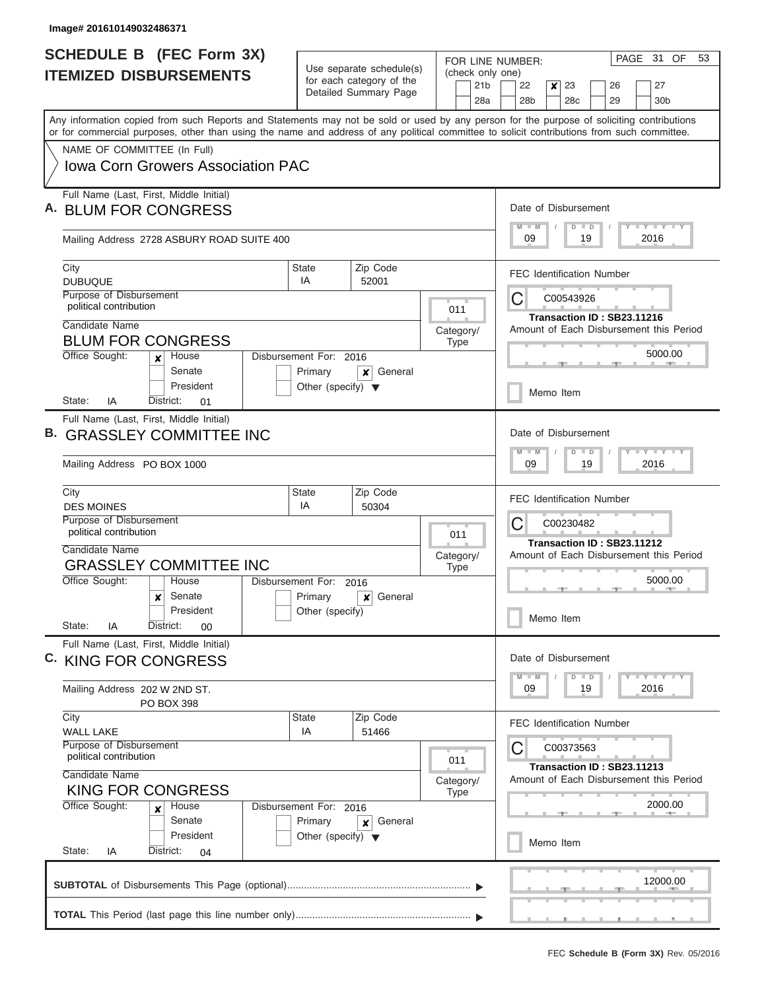| <b>SCHEDULE B (FEC Form 3X)</b><br><b>ITEMIZED DISBURSEMENTS</b>                                                                                                                                                                                                                                                       |                         | Use separate schedule(s)<br>for each category of the                           |                                     | FOR LINE NUMBER:<br>(check only one) |                        | PAGE 31 OF<br>53                                                                     |                  |                       |                                                                       |                       |  |
|------------------------------------------------------------------------------------------------------------------------------------------------------------------------------------------------------------------------------------------------------------------------------------------------------------------------|-------------------------|--------------------------------------------------------------------------------|-------------------------------------|--------------------------------------|------------------------|--------------------------------------------------------------------------------------|------------------|-----------------------|-----------------------------------------------------------------------|-----------------------|--|
|                                                                                                                                                                                                                                                                                                                        |                         |                                                                                | Detailed Summary Page               |                                      | 21 <sub>b</sub><br>28a | 22<br>28 <sub>b</sub>                                                                | $\boldsymbol{x}$ | 23<br>28 <sub>c</sub> | 26<br>29                                                              | 27<br>30 <sub>b</sub> |  |
| Any information copied from such Reports and Statements may not be sold or used by any person for the purpose of soliciting contributions<br>or for commercial purposes, other than using the name and address of any political committee to solicit contributions from such committee.<br>NAME OF COMMITTEE (In Full) |                         |                                                                                |                                     |                                      |                        |                                                                                      |                  |                       |                                                                       |                       |  |
| <b>Iowa Corn Growers Association PAC</b>                                                                                                                                                                                                                                                                               |                         |                                                                                |                                     |                                      |                        |                                                                                      |                  |                       |                                                                       |                       |  |
| Full Name (Last, First, Middle Initial)<br><b>BLUM FOR CONGRESS</b>                                                                                                                                                                                                                                                    |                         |                                                                                |                                     |                                      |                        | Date of Disbursement<br>$M - M$                                                      |                  | $D$ $D$               |                                                                       | Y LY LY LY            |  |
| Mailing Address 2728 ASBURY ROAD SUITE 400                                                                                                                                                                                                                                                                             |                         |                                                                                |                                     |                                      |                        | 09                                                                                   |                  | 19                    |                                                                       | 2016                  |  |
| City<br><b>DUBUQUE</b>                                                                                                                                                                                                                                                                                                 |                         | State<br>IA                                                                    | Zip Code<br>52001                   |                                      |                        |                                                                                      |                  |                       | <b>FEC Identification Number</b>                                      |                       |  |
| Purpose of Disbursement<br>political contribution<br>Candidate Name                                                                                                                                                                                                                                                    |                         |                                                                                |                                     | 011                                  |                        | С                                                                                    |                  | C00543926             | Transaction ID: SB23.11216                                            |                       |  |
| <b>BLUM FOR CONGRESS</b>                                                                                                                                                                                                                                                                                               |                         |                                                                                |                                     | Category/<br><b>Type</b>             |                        |                                                                                      |                  |                       | Amount of Each Disbursement this Period                               | 5000.00               |  |
| Office Sought:<br>House<br>$\mathbf{x}$<br>Senate<br>President                                                                                                                                                                                                                                                         |                         | Disbursement For: 2016<br>Primary<br>Other (specify) $\blacktriangledown$      | General<br>×                        |                                      |                        |                                                                                      |                  | Memo Item             |                                                                       |                       |  |
| IA<br>State:<br>District:<br>01<br>Full Name (Last, First, Middle Initial)                                                                                                                                                                                                                                             |                         |                                                                                |                                     |                                      |                        |                                                                                      |                  |                       |                                                                       |                       |  |
| <b>GRASSLEY COMMITTEE INC</b><br>Mailing Address PO BOX 1000                                                                                                                                                                                                                                                           |                         |                                                                                |                                     |                                      |                        | Date of Disbursement<br><b>TEY TEY TEY</b><br>$M - M$<br>$D$ $D$<br>09<br>19<br>2016 |                  |                       |                                                                       |                       |  |
| City                                                                                                                                                                                                                                                                                                                   |                         | State                                                                          | Zip Code                            |                                      |                        |                                                                                      |                  |                       |                                                                       |                       |  |
| <b>DES MOINES</b><br>Purpose of Disbursement                                                                                                                                                                                                                                                                           |                         | IA                                                                             | 50304                               |                                      |                        | С                                                                                    |                  | C00230482             | <b>FEC Identification Number</b>                                      |                       |  |
| political contribution<br>Candidate Name<br><b>GRASSLEY COMMITTEE INC</b>                                                                                                                                                                                                                                              |                         | 011<br>Category/                                                               |                                     |                                      |                        |                                                                                      |                  |                       | Transaction ID: SB23.11212<br>Amount of Each Disbursement this Period |                       |  |
| Office Sought:<br>House<br>Senate<br>$\boldsymbol{x}$                                                                                                                                                                                                                                                                  |                         | Disbursement For:<br>Primary                                                   | <b>Type</b><br>2016<br>General<br>× |                                      |                        |                                                                                      |                  |                       |                                                                       | 5000.00               |  |
| President<br>State:<br>District:<br>IA<br>00                                                                                                                                                                                                                                                                           |                         | Other (specify)                                                                |                                     |                                      |                        |                                                                                      |                  | Memo Item             |                                                                       |                       |  |
| Full Name (Last, First, Middle Initial)<br>C. KING FOR CONGRESS                                                                                                                                                                                                                                                        |                         |                                                                                |                                     |                                      |                        | Date of Disbursement<br>$M - M$                                                      |                  | $D$ $D$               |                                                                       | Y TY TY TY            |  |
| Mailing Address 202 W 2ND ST.<br>PO BOX 398                                                                                                                                                                                                                                                                            |                         |                                                                                |                                     |                                      |                        | 09                                                                                   |                  | 19                    |                                                                       | 2016                  |  |
| City<br><b>WALL LAKE</b>                                                                                                                                                                                                                                                                                               |                         | <b>State</b><br>IA                                                             | Zip Code<br>51466                   |                                      |                        |                                                                                      |                  |                       | <b>FEC Identification Number</b>                                      |                       |  |
| political contribution<br>Candidate Name                                                                                                                                                                                                                                                                               | Purpose of Disbursement |                                                                                |                                     | 011<br>Category/                     |                        | Ċ                                                                                    |                  | C00373563             | Transaction ID: SB23.11213<br>Amount of Each Disbursement this Period |                       |  |
| <b>KING FOR CONGRESS</b><br>Office Sought:<br>Disbursement For: 2016<br>House<br>×<br>Senate                                                                                                                                                                                                                           |                         |                                                                                | <b>Type</b>                         |                                      |                        |                                                                                      |                  |                       | 2000.00                                                               |                       |  |
| President<br>State:<br>IA<br>District:<br>04                                                                                                                                                                                                                                                                           |                         | Primary<br>General<br>$\boldsymbol{x}$<br>Other (specify) $\blacktriangledown$ |                                     |                                      |                        |                                                                                      |                  | Memo Item             |                                                                       |                       |  |
|                                                                                                                                                                                                                                                                                                                        |                         |                                                                                |                                     |                                      |                        |                                                                                      |                  |                       |                                                                       | 12000.00              |  |
|                                                                                                                                                                                                                                                                                                                        |                         |                                                                                |                                     |                                      |                        |                                                                                      |                  |                       |                                                                       |                       |  |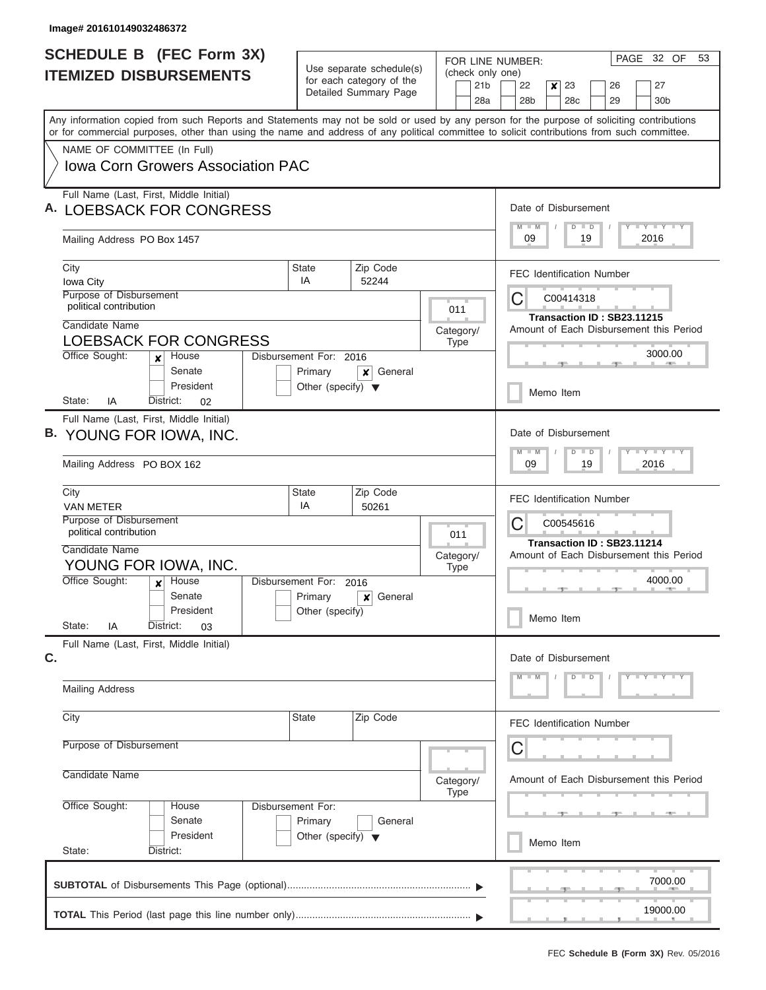| <b>SCHEDULE B (FEC Form 3X)</b>                                                                                                                                                                                                                                                         | Use separate schedule(s)             |                                                             | FOR LINE NUMBER:<br>(check only one) | PAGE 32 OF<br>53                                                                            |  |  |
|-----------------------------------------------------------------------------------------------------------------------------------------------------------------------------------------------------------------------------------------------------------------------------------------|--------------------------------------|-------------------------------------------------------------|--------------------------------------|---------------------------------------------------------------------------------------------|--|--|
| <b>ITEMIZED DISBURSEMENTS</b>                                                                                                                                                                                                                                                           |                                      | for each category of the<br>Detailed Summary Page           |                                      | 22<br>23<br>27<br>$\boldsymbol{x}$<br>26<br>28b<br>28 <sub>c</sub><br>29<br>30 <sub>b</sub> |  |  |
| Any information copied from such Reports and Statements may not be sold or used by any person for the purpose of soliciting contributions<br>or for commercial purposes, other than using the name and address of any political committee to solicit contributions from such committee. |                                      |                                                             |                                      |                                                                                             |  |  |
| NAME OF COMMITTEE (In Full)                                                                                                                                                                                                                                                             |                                      |                                                             |                                      |                                                                                             |  |  |
| <b>Iowa Corn Growers Association PAC</b>                                                                                                                                                                                                                                                |                                      |                                                             |                                      |                                                                                             |  |  |
| Full Name (Last, First, Middle Initial)<br><b>LOEBSACK FOR CONGRESS</b>                                                                                                                                                                                                                 |                                      | Date of Disbursement<br>Y I Y I Y I Y<br>$M$ $M$<br>$D$ $D$ |                                      |                                                                                             |  |  |
| Mailing Address PO Box 1457                                                                                                                                                                                                                                                             |                                      |                                                             |                                      | 2016<br>09<br>19                                                                            |  |  |
| City<br>Iowa City                                                                                                                                                                                                                                                                       | <b>State</b><br>IA                   | Zip Code<br>52244                                           |                                      | <b>FEC Identification Number</b>                                                            |  |  |
| Purpose of Disbursement<br>political contribution                                                                                                                                                                                                                                       |                                      |                                                             | 011                                  | C<br>C00414318<br>Transaction ID: SB23.11215                                                |  |  |
| Candidate Name<br><b>LOEBSACK FOR CONGRESS</b>                                                                                                                                                                                                                                          |                                      |                                                             | Category/<br><b>Type</b>             | Amount of Each Disbursement this Period                                                     |  |  |
| Office Sought:<br>House<br>$\mathbf{x}$<br>Senate                                                                                                                                                                                                                                       | Disbursement For: 2016<br>Primary    | General<br>x                                                |                                      | 3000.00                                                                                     |  |  |
| President<br>State:<br>IA<br>District:<br>02                                                                                                                                                                                                                                            | Other (specify) $\blacktriangledown$ |                                                             |                                      | Memo Item                                                                                   |  |  |
| Full Name (Last, First, Middle Initial)                                                                                                                                                                                                                                                 |                                      |                                                             |                                      |                                                                                             |  |  |
| B. YOUNG FOR IOWA, INC.                                                                                                                                                                                                                                                                 |                                      |                                                             |                                      | Date of Disbursement                                                                        |  |  |
| Mailing Address PO BOX 162                                                                                                                                                                                                                                                              |                                      |                                                             |                                      | $M - M$<br>$D$ $D$<br>09<br>19<br>2016                                                      |  |  |
| City<br><b>VAN METER</b>                                                                                                                                                                                                                                                                | State<br>IA                          | Zip Code<br>50261                                           |                                      | <b>FEC Identification Number</b>                                                            |  |  |
| Purpose of Disbursement<br>political contribution                                                                                                                                                                                                                                       |                                      |                                                             | 011                                  | C<br>C00545616                                                                              |  |  |
| Candidate Name<br>YOUNG FOR IOWA, INC.                                                                                                                                                                                                                                                  |                                      |                                                             | Category/<br><b>Type</b>             | Transaction ID: SB23.11214<br>Amount of Each Disbursement this Period                       |  |  |
| Office Sought:<br>House<br>$\boldsymbol{x}$                                                                                                                                                                                                                                             | Disbursement For:                    | 2016                                                        |                                      | 4000.00                                                                                     |  |  |
| Senate<br>President<br>State:<br>IA<br>District:<br>03                                                                                                                                                                                                                                  | Primary<br>Other (specify)           | General<br>x                                                |                                      | Memo Item                                                                                   |  |  |
| Full Name (Last, First, Middle Initial)                                                                                                                                                                                                                                                 |                                      |                                                             |                                      |                                                                                             |  |  |
| C.                                                                                                                                                                                                                                                                                      |                                      |                                                             |                                      | Date of Disbursement<br>$Y - Y - Y - Y - Y$<br>$D$ $D$                                      |  |  |
| <b>Mailing Address</b>                                                                                                                                                                                                                                                                  |                                      |                                                             |                                      |                                                                                             |  |  |
| City                                                                                                                                                                                                                                                                                    | <b>State</b>                         | Zip Code                                                    |                                      | <b>FEC Identification Number</b>                                                            |  |  |
| Purpose of Disbursement                                                                                                                                                                                                                                                                 |                                      |                                                             |                                      | С                                                                                           |  |  |
| Candidate Name                                                                                                                                                                                                                                                                          |                                      |                                                             | Category/<br><b>Type</b>             | Amount of Each Disbursement this Period                                                     |  |  |
| Office Sought:<br>House<br>Senate                                                                                                                                                                                                                                                       | Disbursement For:<br>Primary         | General                                                     |                                      |                                                                                             |  |  |
| President<br>State:<br>District:                                                                                                                                                                                                                                                        | Other (specify) $\blacktriangledown$ |                                                             |                                      | Memo Item                                                                                   |  |  |
|                                                                                                                                                                                                                                                                                         |                                      |                                                             |                                      | 7000.00                                                                                     |  |  |
|                                                                                                                                                                                                                                                                                         |                                      |                                                             |                                      | 19000.00                                                                                    |  |  |
|                                                                                                                                                                                                                                                                                         |                                      |                                                             |                                      |                                                                                             |  |  |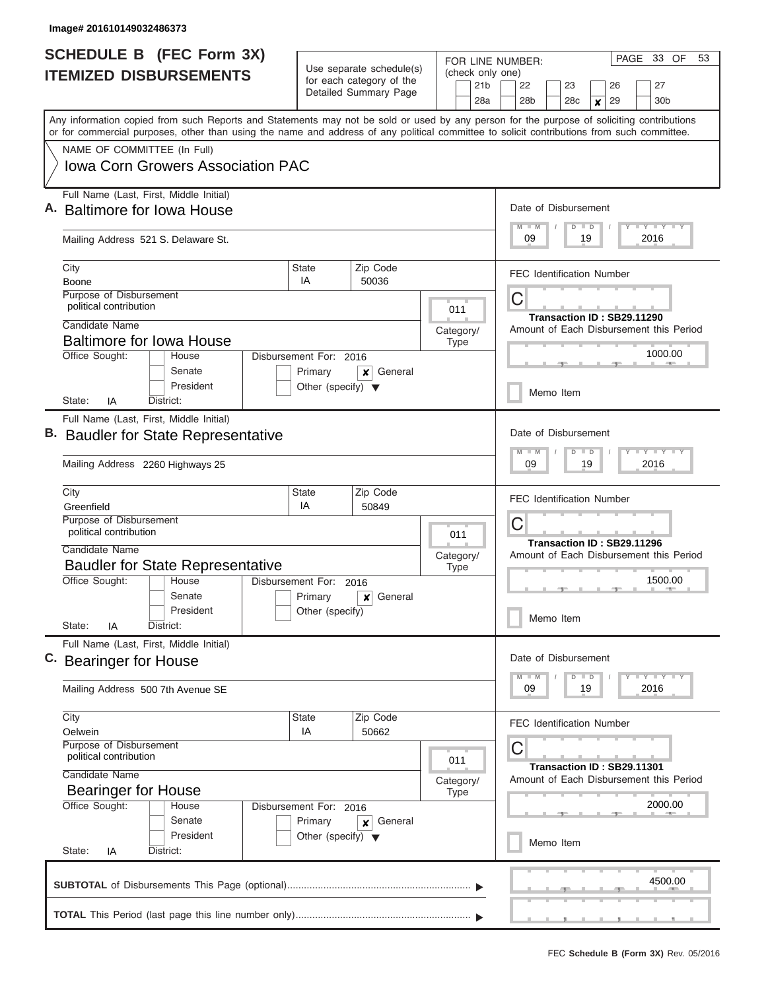|    | <b>SCHEDULE B (FEC Form 3X)</b>                                                                                                                                                                                                                                                         |                                                 |                                                                               | FOR LINE NUMBER:                           | PAGE 33 OF<br>53                                                             |
|----|-----------------------------------------------------------------------------------------------------------------------------------------------------------------------------------------------------------------------------------------------------------------------------------------|-------------------------------------------------|-------------------------------------------------------------------------------|--------------------------------------------|------------------------------------------------------------------------------|
|    | <b>ITEMIZED DISBURSEMENTS</b>                                                                                                                                                                                                                                                           |                                                 | Use separate schedule(s)<br>for each category of the<br>Detailed Summary Page | (check only one)<br>21 <sub>b</sub><br>28a | 22<br>23<br>26<br>27<br>28 <sub>b</sub><br>29<br>30 <sub>b</sub><br>28c<br>X |
|    | Any information copied from such Reports and Statements may not be sold or used by any person for the purpose of soliciting contributions<br>or for commercial purposes, other than using the name and address of any political committee to solicit contributions from such committee. |                                                 |                                                                               |                                            |                                                                              |
|    | NAME OF COMMITTEE (In Full)                                                                                                                                                                                                                                                             |                                                 |                                                                               |                                            |                                                                              |
|    | <b>Iowa Corn Growers Association PAC</b>                                                                                                                                                                                                                                                |                                                 |                                                                               |                                            |                                                                              |
|    | Full Name (Last, First, Middle Initial)<br>Baltimore for Iowa House                                                                                                                                                                                                                     |                                                 |                                                                               |                                            | Date of Disbursement<br>Y LY LY LY<br>$M$ $M$<br>$D$ $D$                     |
|    | Mailing Address 521 S. Delaware St.                                                                                                                                                                                                                                                     |                                                 |                                                                               |                                            | 09<br>19<br>2016                                                             |
|    | City                                                                                                                                                                                                                                                                                    | <b>State</b><br>IA                              | Zip Code                                                                      |                                            | <b>FEC Identification Number</b>                                             |
|    | Boone<br><b>Purpose of Disbursement</b>                                                                                                                                                                                                                                                 |                                                 | 50036                                                                         |                                            |                                                                              |
|    | political contribution                                                                                                                                                                                                                                                                  |                                                 |                                                                               | 011                                        | C<br>Transaction ID: SB29.11290                                              |
|    | Candidate Name                                                                                                                                                                                                                                                                          |                                                 |                                                                               | Category/                                  | Amount of Each Disbursement this Period                                      |
|    | <b>Baltimore for Iowa House</b>                                                                                                                                                                                                                                                         |                                                 |                                                                               | <b>Type</b>                                |                                                                              |
|    | Office Sought:<br>House                                                                                                                                                                                                                                                                 | Disbursement For: 2016                          |                                                                               |                                            | 1000.00                                                                      |
|    | Senate<br>President                                                                                                                                                                                                                                                                     | Primary<br>Other (specify) $\blacktriangledown$ | General<br>x                                                                  |                                            | Memo Item                                                                    |
|    | State:<br>IA<br>District:                                                                                                                                                                                                                                                               |                                                 |                                                                               |                                            |                                                                              |
|    | Full Name (Last, First, Middle Initial)<br><b>Baudler for State Representative</b><br>Mailing Address 2260 Highways 25                                                                                                                                                                  |                                                 |                                                                               |                                            | Date of Disbursement<br>Y FY FY FY<br>$M - M$<br>$D$ $D$<br>09<br>19<br>2016 |
|    | City<br>Greenfield                                                                                                                                                                                                                                                                      | <b>State</b><br>IA                              | Zip Code<br>50849                                                             |                                            | <b>FEC Identification Number</b>                                             |
|    | Purpose of Disbursement<br>political contribution                                                                                                                                                                                                                                       | 011                                             | С<br>Transaction ID: SB29.11296                                               |                                            |                                                                              |
|    | Candidate Name                                                                                                                                                                                                                                                                          |                                                 |                                                                               | Category/                                  | Amount of Each Disbursement this Period                                      |
|    | <b>Baudler for State Representative</b>                                                                                                                                                                                                                                                 |                                                 |                                                                               | Type                                       |                                                                              |
|    | Office Sought:<br>House<br>Senate                                                                                                                                                                                                                                                       | Disbursement For: 2016<br>Primary               | General<br>×                                                                  |                                            | 1500.00                                                                      |
|    | President<br>State:                                                                                                                                                                                                                                                                     | Other (specify)                                 |                                                                               |                                            | Memo Item                                                                    |
|    | District:<br>ΙA<br>Full Name (Last, First, Middle Initial)                                                                                                                                                                                                                              |                                                 |                                                                               |                                            |                                                                              |
| C. | <b>Bearinger for House</b>                                                                                                                                                                                                                                                              |                                                 |                                                                               |                                            | Date of Disbursement                                                         |
|    | Mailing Address 500 7th Avenue SE                                                                                                                                                                                                                                                       |                                                 | Y FY FY FY<br>$M - M$<br>$D$ $D$<br>09<br>2016<br>19                          |                                            |                                                                              |
|    | City<br>Oelwein                                                                                                                                                                                                                                                                         | State<br>IA                                     | Zip Code<br>50662                                                             |                                            | <b>FEC Identification Number</b>                                             |
|    | Purpose of Disbursement<br>political contribution                                                                                                                                                                                                                                       | 011                                             | C                                                                             |                                            |                                                                              |
|    | Candidate Name                                                                                                                                                                                                                                                                          | Category/                                       | Transaction ID: SB29.11301<br>Amount of Each Disbursement this Period         |                                            |                                                                              |
|    | <b>Bearinger for House</b><br>Office Sought:<br>House                                                                                                                                                                                                                                   | Disbursement For: 2016                          |                                                                               | <b>Type</b>                                | 2000.00                                                                      |
|    | Senate                                                                                                                                                                                                                                                                                  | Primary                                         | General<br>x                                                                  |                                            |                                                                              |
|    | President<br>State:<br>District:<br>IA                                                                                                                                                                                                                                                  | Other (specify) $\blacktriangledown$            |                                                                               |                                            | Memo Item                                                                    |
|    |                                                                                                                                                                                                                                                                                         |                                                 |                                                                               |                                            | 4500.00                                                                      |
|    |                                                                                                                                                                                                                                                                                         |                                                 |                                                                               |                                            |                                                                              |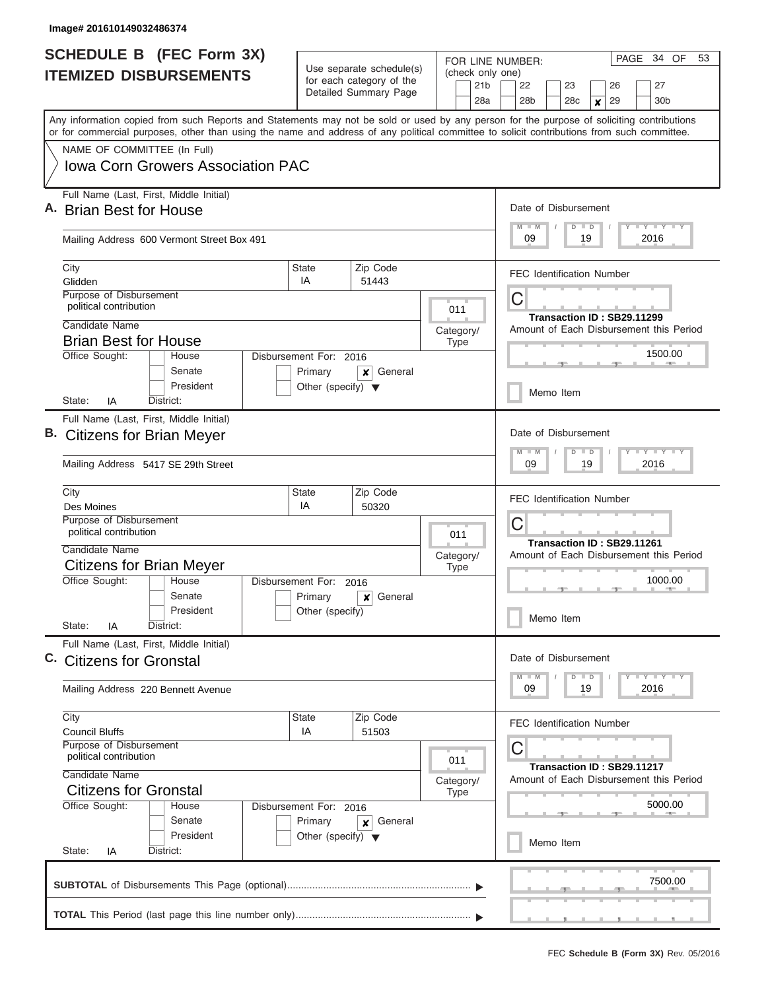|                                    | <b>SCHEDULE B</b> (FEC Form 3X)                                                                                                                                                                                                                                                         |                                                                           | Use separate schedule(s)                          | FOR LINE NUMBER:                           | PAGE 34 OF<br>53                                                             |
|------------------------------------|-----------------------------------------------------------------------------------------------------------------------------------------------------------------------------------------------------------------------------------------------------------------------------------------|---------------------------------------------------------------------------|---------------------------------------------------|--------------------------------------------|------------------------------------------------------------------------------|
|                                    | <b>ITEMIZED DISBURSEMENTS</b>                                                                                                                                                                                                                                                           |                                                                           | for each category of the<br>Detailed Summary Page | (check only one)<br>21 <sub>b</sub><br>28a | 22<br>23<br>26<br>27<br>28 <sub>b</sub><br>29<br>30 <sub>b</sub><br>28c<br>X |
|                                    | Any information copied from such Reports and Statements may not be sold or used by any person for the purpose of soliciting contributions<br>or for commercial purposes, other than using the name and address of any political committee to solicit contributions from such committee. |                                                                           |                                                   |                                            |                                                                              |
|                                    | NAME OF COMMITTEE (In Full)                                                                                                                                                                                                                                                             |                                                                           |                                                   |                                            |                                                                              |
|                                    | Iowa Corn Growers Association PAC                                                                                                                                                                                                                                                       |                                                                           |                                                   |                                            |                                                                              |
|                                    | Full Name (Last, First, Middle Initial)<br><b>Brian Best for House</b>                                                                                                                                                                                                                  |                                                                           |                                                   |                                            | Date of Disbursement                                                         |
|                                    | Mailing Address 600 Vermont Street Box 491                                                                                                                                                                                                                                              |                                                                           |                                                   |                                            | Y LY LY LY<br>$M$ $M$<br>$D$ $D$<br>09<br>19<br>2016                         |
|                                    | City<br>Glidden                                                                                                                                                                                                                                                                         | State<br>IA                                                               | Zip Code<br>51443                                 |                                            | <b>FEC Identification Number</b>                                             |
|                                    | Purpose of Disbursement<br>political contribution                                                                                                                                                                                                                                       |                                                                           |                                                   | 011                                        | C<br>Transaction ID: SB29.11299                                              |
|                                    | Candidate Name                                                                                                                                                                                                                                                                          |                                                                           |                                                   | Category/                                  | Amount of Each Disbursement this Period                                      |
|                                    | <b>Brian Best for House</b>                                                                                                                                                                                                                                                             |                                                                           |                                                   | <b>Type</b>                                |                                                                              |
|                                    | Office Sought:<br>House<br>Senate<br>President                                                                                                                                                                                                                                          | Disbursement For: 2016<br>Primary<br>Other (specify) $\blacktriangledown$ | General<br>×                                      |                                            | 1500.00                                                                      |
|                                    | State:<br>ΙA<br>District:                                                                                                                                                                                                                                                               |                                                                           |                                                   |                                            | Memo Item                                                                    |
|                                    | Full Name (Last, First, Middle Initial)<br><b>Citizens for Brian Meyer</b>                                                                                                                                                                                                              |                                                                           |                                                   |                                            | Date of Disbursement<br>Y FY FY FY<br>$M - M$<br>$D$ $D$                     |
|                                    | Mailing Address 5417 SE 29th Street                                                                                                                                                                                                                                                     | 09<br>19<br>2016                                                          |                                                   |                                            |                                                                              |
|                                    | City<br>Des Moines                                                                                                                                                                                                                                                                      | State<br>IA                                                               | Zip Code<br>50320                                 |                                            | <b>FEC Identification Number</b>                                             |
|                                    | Purpose of Disbursement                                                                                                                                                                                                                                                                 |                                                                           |                                                   |                                            | С                                                                            |
|                                    | political contribution                                                                                                                                                                                                                                                                  | 011                                                                       |                                                   |                                            | Transaction ID: SB29.11261                                                   |
|                                    | Candidate Name                                                                                                                                                                                                                                                                          |                                                                           |                                                   | Category/                                  | Amount of Each Disbursement this Period                                      |
|                                    | Citizens for Brian Meyer                                                                                                                                                                                                                                                                |                                                                           |                                                   | Type                                       |                                                                              |
|                                    | Office Sought:<br>House<br>Senate                                                                                                                                                                                                                                                       | Disbursement For: 2016<br>Primary                                         | General                                           |                                            | 1000.00                                                                      |
|                                    | President                                                                                                                                                                                                                                                                               | Other (specify)                                                           | x                                                 |                                            | Memo Item                                                                    |
|                                    | State:<br>District:<br>ΙA                                                                                                                                                                                                                                                               |                                                                           |                                                   |                                            |                                                                              |
|                                    | Full Name (Last, First, Middle Initial)<br>C. Citizens for Gronstal                                                                                                                                                                                                                     |                                                                           |                                                   |                                            | Date of Disbursement                                                         |
| Mailing Address 220 Bennett Avenue |                                                                                                                                                                                                                                                                                         |                                                                           |                                                   |                                            | $Y$ $Y$ $Y$ $Y$ $Y$<br>$M$ $M$<br>$D$ $D$<br>09<br>2016<br>19                |
|                                    | City<br><b>Council Bluffs</b>                                                                                                                                                                                                                                                           | State<br>IA                                                               | Zip Code<br>51503                                 |                                            | <b>FEC Identification Number</b>                                             |
|                                    | Purpose of Disbursement<br>political contribution                                                                                                                                                                                                                                       |                                                                           |                                                   | 011                                        | С<br>Transaction ID: SB29.11217                                              |
|                                    | Candidate Name<br><b>Citizens for Gronstal</b>                                                                                                                                                                                                                                          | Category/<br><b>Type</b>                                                  | Amount of Each Disbursement this Period           |                                            |                                                                              |
|                                    | Office Sought:<br>Disbursement For: 2016<br>House                                                                                                                                                                                                                                       |                                                                           | 5000.00                                           |                                            |                                                                              |
|                                    | Senate<br>President                                                                                                                                                                                                                                                                     | Primary<br>Other (specify) $\blacktriangledown$                           | General<br>$\boldsymbol{x}$                       |                                            | Memo Item                                                                    |
|                                    | State:<br>District:<br>IA                                                                                                                                                                                                                                                               |                                                                           |                                                   |                                            |                                                                              |
|                                    |                                                                                                                                                                                                                                                                                         |                                                                           |                                                   |                                            | 7500.00                                                                      |
|                                    |                                                                                                                                                                                                                                                                                         |                                                                           |                                                   |                                            |                                                                              |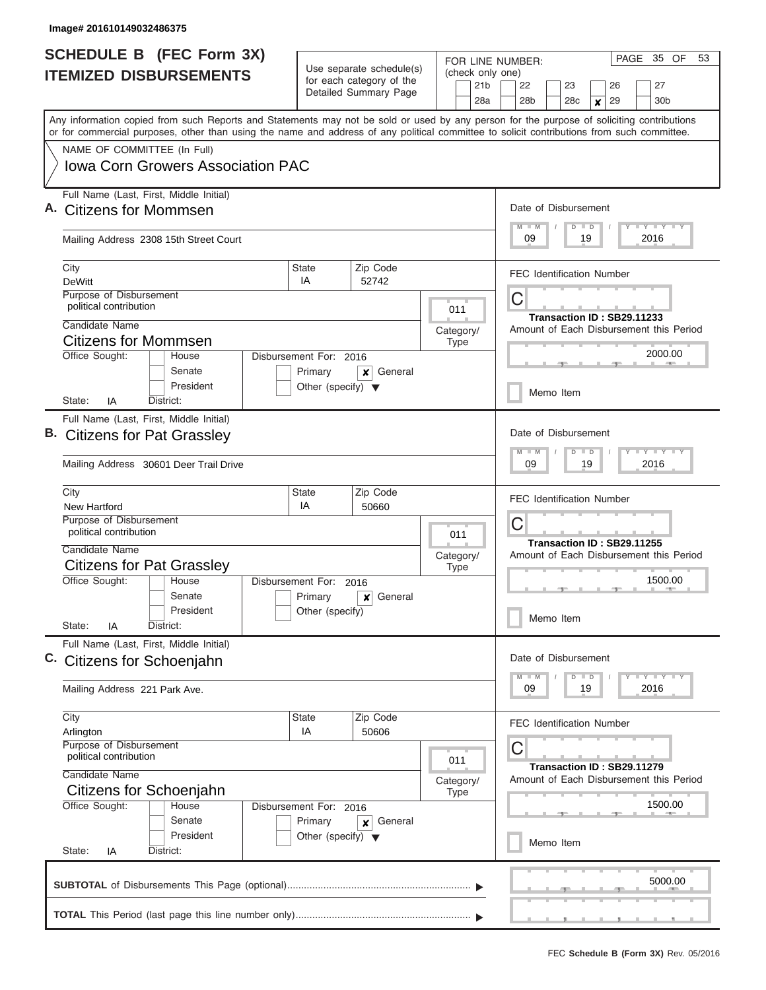| <b>SCHEDULE B</b> (FEC Form 3X) |                                                                                                                                                                                                                                                                                         | Use separate schedule(s)             |                                                   | FOR LINE NUMBER:                           | PAGE 35 OF<br>53                                                             |  |  |
|---------------------------------|-----------------------------------------------------------------------------------------------------------------------------------------------------------------------------------------------------------------------------------------------------------------------------------------|--------------------------------------|---------------------------------------------------|--------------------------------------------|------------------------------------------------------------------------------|--|--|
|                                 | <b>ITEMIZED DISBURSEMENTS</b>                                                                                                                                                                                                                                                           |                                      | for each category of the<br>Detailed Summary Page | (check only one)<br>21 <sub>b</sub><br>28a | 22<br>23<br>27<br>26<br>29<br>28 <sub>b</sub><br>28c<br>30 <sub>b</sub><br>X |  |  |
|                                 | Any information copied from such Reports and Statements may not be sold or used by any person for the purpose of soliciting contributions<br>or for commercial purposes, other than using the name and address of any political committee to solicit contributions from such committee. |                                      |                                                   |                                            |                                                                              |  |  |
|                                 | NAME OF COMMITTEE (In Full)                                                                                                                                                                                                                                                             |                                      |                                                   |                                            |                                                                              |  |  |
|                                 | Iowa Corn Growers Association PAC                                                                                                                                                                                                                                                       |                                      |                                                   |                                            |                                                                              |  |  |
|                                 | Full Name (Last, First, Middle Initial)<br><b>Citizens for Mommsen</b>                                                                                                                                                                                                                  |                                      |                                                   |                                            | Date of Disbursement<br>Y LY LY LY<br>$M$ $M$<br>$D$ $D$                     |  |  |
|                                 | Mailing Address 2308 15th Street Court                                                                                                                                                                                                                                                  |                                      |                                                   |                                            | 09<br>19<br>2016                                                             |  |  |
|                                 | City<br><b>DeWitt</b>                                                                                                                                                                                                                                                                   | <b>State</b><br>IA                   | Zip Code<br>52742                                 |                                            | <b>FEC Identification Number</b>                                             |  |  |
|                                 | Purpose of Disbursement                                                                                                                                                                                                                                                                 |                                      |                                                   |                                            | С                                                                            |  |  |
|                                 | political contribution                                                                                                                                                                                                                                                                  |                                      |                                                   | 011                                        | Transaction ID: SB29.11233                                                   |  |  |
|                                 | Candidate Name<br><b>Citizens for Mommsen</b>                                                                                                                                                                                                                                           |                                      |                                                   | Category/                                  | Amount of Each Disbursement this Period                                      |  |  |
|                                 | Office Sought:<br>House                                                                                                                                                                                                                                                                 | Disbursement For: 2016               |                                                   | <b>Type</b>                                | 2000.00                                                                      |  |  |
|                                 | Senate                                                                                                                                                                                                                                                                                  | Primary                              | General<br>×                                      |                                            |                                                                              |  |  |
|                                 | President<br>District:<br>State:<br>IA                                                                                                                                                                                                                                                  | Other (specify) $\blacktriangledown$ |                                                   |                                            | Memo Item                                                                    |  |  |
|                                 | Full Name (Last, First, Middle Initial)                                                                                                                                                                                                                                                 |                                      |                                                   |                                            |                                                                              |  |  |
| В.                              | <b>Citizens for Pat Grassley</b>                                                                                                                                                                                                                                                        |                                      |                                                   |                                            | Date of Disbursement<br>Y FY FY FY<br>$M - M$<br>$D$ $D$                     |  |  |
|                                 | Mailing Address 30601 Deer Trail Drive                                                                                                                                                                                                                                                  |                                      |                                                   |                                            | 09<br>19<br>2016                                                             |  |  |
|                                 | City<br>New Hartford                                                                                                                                                                                                                                                                    | <b>State</b><br>IA                   | Zip Code<br>50660                                 |                                            | <b>FEC Identification Number</b>                                             |  |  |
|                                 | Purpose of Disbursement                                                                                                                                                                                                                                                                 |                                      |                                                   |                                            | С                                                                            |  |  |
|                                 | political contribution<br>Candidate Name                                                                                                                                                                                                                                                |                                      |                                                   | 011                                        | Transaction ID: SB29.11255                                                   |  |  |
|                                 | <b>Citizens for Pat Grassley</b>                                                                                                                                                                                                                                                        |                                      |                                                   | Category/<br><b>Type</b>                   | Amount of Each Disbursement this Period                                      |  |  |
|                                 | Office Sought:<br>House                                                                                                                                                                                                                                                                 | Disbursement For:                    | 2016                                              |                                            | 1500.00                                                                      |  |  |
|                                 | Senate                                                                                                                                                                                                                                                                                  | Primary                              | General<br>x                                      |                                            |                                                                              |  |  |
|                                 | President<br>State:<br>IA<br>District:                                                                                                                                                                                                                                                  | Other (specify)                      |                                                   |                                            | Memo Item                                                                    |  |  |
|                                 | Full Name (Last, First, Middle Initial)                                                                                                                                                                                                                                                 |                                      |                                                   |                                            | Date of Disbursement                                                         |  |  |
|                                 | C. Citizens for Schoenjahn                                                                                                                                                                                                                                                              |                                      |                                                   |                                            | Y TY TY TY<br>$M$ $M$<br>$D$ $D$                                             |  |  |
|                                 | Mailing Address 221 Park Ave.                                                                                                                                                                                                                                                           |                                      |                                                   |                                            | 09<br>19<br>2016                                                             |  |  |
|                                 | City<br>Arlington                                                                                                                                                                                                                                                                       | State<br>IA                          | Zip Code<br>50606                                 |                                            | <b>FEC Identification Number</b>                                             |  |  |
|                                 | Purpose of Disbursement<br>political contribution                                                                                                                                                                                                                                       |                                      |                                                   | 011                                        | С                                                                            |  |  |
|                                 | Candidate Name<br>Category/<br>Citizens for Schoenjahn                                                                                                                                                                                                                                  |                                      |                                                   |                                            | Transaction ID: SB29.11279<br>Amount of Each Disbursement this Period        |  |  |
|                                 | Office Sought:<br>House                                                                                                                                                                                                                                                                 | Disbursement For: 2016               |                                                   | <b>Type</b>                                | 1500.00                                                                      |  |  |
|                                 | Senate                                                                                                                                                                                                                                                                                  | Primary                              | General<br>$\boldsymbol{x}$                       |                                            |                                                                              |  |  |
|                                 | President<br>State:<br>District:<br>IA                                                                                                                                                                                                                                                  | Other (specify) $\blacktriangledown$ |                                                   |                                            | Memo Item                                                                    |  |  |
|                                 |                                                                                                                                                                                                                                                                                         |                                      |                                                   |                                            | 5000.00                                                                      |  |  |
|                                 |                                                                                                                                                                                                                                                                                         |                                      |                                                   |                                            |                                                                              |  |  |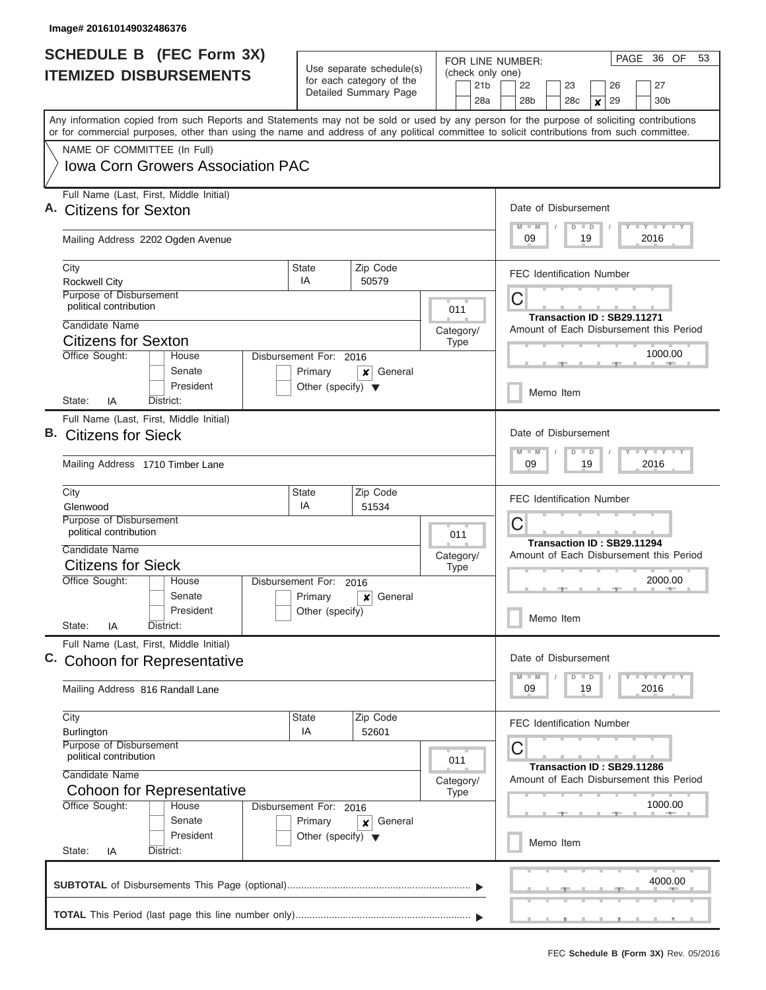| <b>SCHEDULE B</b> (FEC Form 3X)<br><b>ITEMIZED DISBURSEMENTS</b>                                                                                                                                                                                                                                                                                                   |                                                                           | Use separate schedule(s)<br>for each category of the<br>Detailed Summary Page | FOR LINE NUMBER:<br>(check only one)<br>21 <sub>b</sub><br>28a                       | PAGE 36 OF<br>53<br>27<br>22<br>23<br>26<br>28 <sub>b</sub><br>29<br>30 <sub>b</sub><br>28 <sub>c</sub><br>×                                    |
|--------------------------------------------------------------------------------------------------------------------------------------------------------------------------------------------------------------------------------------------------------------------------------------------------------------------------------------------------------------------|---------------------------------------------------------------------------|-------------------------------------------------------------------------------|--------------------------------------------------------------------------------------|-------------------------------------------------------------------------------------------------------------------------------------------------|
| Any information copied from such Reports and Statements may not be sold or used by any person for the purpose of soliciting contributions<br>or for commercial purposes, other than using the name and address of any political committee to solicit contributions from such committee.<br>NAME OF COMMITTEE (In Full)<br><b>Iowa Corn Growers Association PAC</b> |                                                                           |                                                                               |                                                                                      |                                                                                                                                                 |
| Full Name (Last, First, Middle Initial)<br><b>Citizens for Sexton</b><br>Mailing Address 2202 Ogden Avenue                                                                                                                                                                                                                                                         |                                                                           |                                                                               |                                                                                      | Date of Disbursement<br>Y I Y I Y I Y<br>$M$ $M$<br>$D$ $D$<br>09<br>2016<br>19                                                                 |
| City<br><b>Rockwell City</b><br>Purpose of Disbursement<br>political contribution                                                                                                                                                                                                                                                                                  | State<br>IA                                                               | Zip Code<br>50579                                                             | 011                                                                                  | <b>FEC Identification Number</b><br>С                                                                                                           |
| Candidate Name<br><b>Citizens for Sexton</b><br>Office Sought:<br>House<br>Senate<br>President                                                                                                                                                                                                                                                                     | Disbursement For: 2016<br>Primary<br>Other (specify) $\blacktriangledown$ | General<br>x                                                                  | Category/<br><b>Type</b>                                                             | Transaction ID: SB29.11271<br>Amount of Each Disbursement this Period<br>1000.00<br>Memo Item                                                   |
| IA<br>District:<br>State:<br>Full Name (Last, First, Middle Initial)<br>В.<br><b>Citizens for Sieck</b><br>Mailing Address 1710 Timber Lane                                                                                                                                                                                                                        |                                                                           |                                                                               | Date of Disbursement<br><b>TEY TEY TEY</b><br>$M - M$<br>$D$ $D$<br>19<br>09<br>2016 |                                                                                                                                                 |
| City<br>Glenwood<br>Purpose of Disbursement<br>political contribution<br>Candidate Name<br><b>Citizens for Sieck</b>                                                                                                                                                                                                                                               | State<br>IA                                                               | Zip Code<br>51534                                                             | 011<br>Category/<br><b>Type</b>                                                      | <b>FEC Identification Number</b><br>C<br>Transaction ID: SB29.11294<br>Amount of Each Disbursement this Period                                  |
| Office Sought:<br>House<br>Senate<br>President<br>State:<br>District:<br>ΙA                                                                                                                                                                                                                                                                                        | Disbursement For:<br>Primary<br>Other (specify)                           | 2016<br>General<br>×                                                          |                                                                                      | 2000.00<br>Memo Item                                                                                                                            |
| Full Name (Last, First, Middle Initial)<br>C. Cohoon for Representative<br>Mailing Address 816 Randall Lane                                                                                                                                                                                                                                                        |                                                                           |                                                                               |                                                                                      | Date of Disbursement<br>$\mathbf{I}$ $\mathbf{Y}$ $\mathbf{I}$ $\mathbf{Y}$ $\mathbf{I}$ $\mathbf{Y}$<br>$M$ $M$<br>$D$ $D$<br>2016<br>09<br>19 |
| City<br>Zip Code<br>State<br>IA<br>52601<br><b>Burlington</b><br><b>Purpose of Disbursement</b><br>political contribution<br>Candidate Name<br><b>Cohoon for Representative</b>                                                                                                                                                                                    |                                                                           |                                                                               | 011<br>Category/<br><b>Type</b>                                                      | <b>FEC Identification Number</b><br>C<br>Transaction ID: SB29.11286<br>Amount of Each Disbursement this Period                                  |
| Office Sought:<br>House<br>Senate<br>President<br>State:<br>District:<br>IA                                                                                                                                                                                                                                                                                        | Disbursement For: 2016<br>Primary<br>Other (specify) $\blacktriangledown$ | General<br>×                                                                  |                                                                                      | 1000.00<br>Memo Item                                                                                                                            |
|                                                                                                                                                                                                                                                                                                                                                                    |                                                                           |                                                                               |                                                                                      | 4000.00                                                                                                                                         |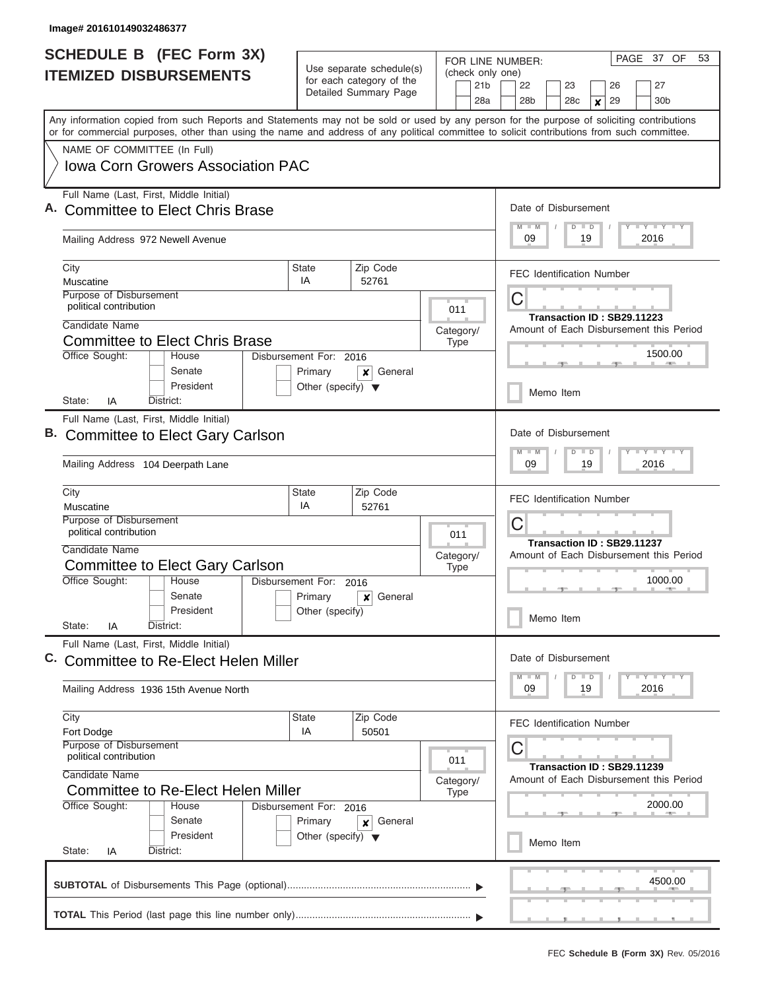|                               | <b>SCHEDULE B</b> (FEC Form 3X)                                                                                                                                                                                                                                                         |                                                      |                       | PAGE 37 OF<br>FOR LINE NUMBER: |                          |                                          |                                                                       |                            |  |                                 |                  | 53                               |  |                                                                                       |  |  |  |  |  |
|-------------------------------|-----------------------------------------------------------------------------------------------------------------------------------------------------------------------------------------------------------------------------------------------------------------------------------------|------------------------------------------------------|-----------------------|--------------------------------|--------------------------|------------------------------------------|-----------------------------------------------------------------------|----------------------------|--|---------------------------------|------------------|----------------------------------|--|---------------------------------------------------------------------------------------|--|--|--|--|--|
| <b>ITEMIZED DISBURSEMENTS</b> |                                                                                                                                                                                                                                                                                         | Use separate schedule(s)<br>for each category of the |                       |                                | 21 <sub>b</sub>          | (check only one)<br>22<br>23<br>26<br>27 |                                                                       |                            |  |                                 |                  |                                  |  |                                                                                       |  |  |  |  |  |
|                               |                                                                                                                                                                                                                                                                                         |                                                      | Detailed Summary Page |                                |                          | 28a                                      |                                                                       | 28 <sub>b</sub>            |  | 28c                             | $\boldsymbol{x}$ | 29                               |  | 30b                                                                                   |  |  |  |  |  |
|                               | Any information copied from such Reports and Statements may not be sold or used by any person for the purpose of soliciting contributions<br>or for commercial purposes, other than using the name and address of any political committee to solicit contributions from such committee. |                                                      |                       |                                |                          |                                          |                                                                       |                            |  |                                 |                  |                                  |  |                                                                                       |  |  |  |  |  |
|                               | NAME OF COMMITTEE (In Full)                                                                                                                                                                                                                                                             |                                                      |                       |                                |                          |                                          |                                                                       |                            |  |                                 |                  |                                  |  |                                                                                       |  |  |  |  |  |
|                               | <b>Iowa Corn Growers Association PAC</b>                                                                                                                                                                                                                                                |                                                      |                       |                                |                          |                                          |                                                                       |                            |  |                                 |                  |                                  |  |                                                                                       |  |  |  |  |  |
|                               | Full Name (Last, First, Middle Initial)<br>A. Committee to Elect Chris Brase                                                                                                                                                                                                            |                                                      |                       |                                |                          |                                          |                                                                       | $M - M$                    |  | Date of Disbursement<br>$D$ $D$ |                  |                                  |  | Y LY LY LY                                                                            |  |  |  |  |  |
|                               | Mailing Address 972 Newell Avenue                                                                                                                                                                                                                                                       |                                                      |                       |                                |                          |                                          | 09<br>19<br>2016                                                      |                            |  |                                 |                  |                                  |  |                                                                                       |  |  |  |  |  |
|                               | City                                                                                                                                                                                                                                                                                    | State                                                | Zip Code              |                                |                          |                                          |                                                                       |                            |  |                                 |                  | <b>FEC Identification Number</b> |  |                                                                                       |  |  |  |  |  |
|                               | Muscatine                                                                                                                                                                                                                                                                               |                                                      | IA<br>52761           |                                |                          |                                          |                                                                       |                            |  |                                 |                  |                                  |  |                                                                                       |  |  |  |  |  |
|                               | Purpose of Disbursement<br>political contribution                                                                                                                                                                                                                                       |                                                      |                       |                                | 011                      |                                          | C                                                                     |                            |  |                                 |                  |                                  |  |                                                                                       |  |  |  |  |  |
|                               | Candidate Name                                                                                                                                                                                                                                                                          |                                                      |                       |                                | Category/                |                                          | Transaction ID: SB29.11223<br>Amount of Each Disbursement this Period |                            |  |                                 |                  |                                  |  |                                                                                       |  |  |  |  |  |
|                               | <b>Committee to Elect Chris Brase</b>                                                                                                                                                                                                                                                   |                                                      |                       |                                | Type                     |                                          |                                                                       |                            |  |                                 |                  |                                  |  |                                                                                       |  |  |  |  |  |
|                               | Office Sought:<br>House                                                                                                                                                                                                                                                                 | Disbursement For: 2016                               |                       |                                |                          |                                          | 1500.00                                                               |                            |  |                                 |                  |                                  |  |                                                                                       |  |  |  |  |  |
|                               | Senate                                                                                                                                                                                                                                                                                  | Primary                                              | General<br>×          |                                |                          |                                          |                                                                       |                            |  |                                 |                  |                                  |  |                                                                                       |  |  |  |  |  |
|                               | President<br>District:<br>State:<br>ΙA                                                                                                                                                                                                                                                  | Other (specify) $\blacktriangledown$                 |                       |                                |                          |                                          |                                                                       | Memo Item                  |  |                                 |                  |                                  |  |                                                                                       |  |  |  |  |  |
|                               | Full Name (Last, First, Middle Initial)                                                                                                                                                                                                                                                 |                                                      |                       |                                |                          |                                          |                                                                       |                            |  |                                 |                  |                                  |  |                                                                                       |  |  |  |  |  |
|                               | B. Committee to Elect Gary Carlson                                                                                                                                                                                                                                                      |                                                      |                       |                                |                          |                                          |                                                                       | $M - M$                    |  | Date of Disbursement            |                  |                                  |  | $\mathbf{I} = \mathbf{Y} - \mathbf{I} - \mathbf{Y} - \mathbf{I} - \mathbf{Y}$         |  |  |  |  |  |
|                               | Mailing Address 104 Deerpath Lane                                                                                                                                                                                                                                                       |                                                      |                       |                                |                          |                                          |                                                                       |                            |  | $D$ $D$                         | 19               |                                  |  | 2016                                                                                  |  |  |  |  |  |
|                               | City<br>Muscatine                                                                                                                                                                                                                                                                       | <b>State</b><br>IA                                   | Zip Code<br>52761     |                                |                          |                                          |                                                                       |                            |  |                                 |                  | <b>FEC Identification Number</b> |  |                                                                                       |  |  |  |  |  |
|                               | Purpose of Disbursement                                                                                                                                                                                                                                                                 |                                                      |                       |                                | C                        |                                          |                                                                       |                            |  |                                 |                  |                                  |  |                                                                                       |  |  |  |  |  |
|                               | political contribution<br>Candidate Name                                                                                                                                                                                                                                                |                                                      | 011                   |                                |                          |                                          |                                                                       | Transaction ID: SB29.11237 |  |                                 |                  |                                  |  |                                                                                       |  |  |  |  |  |
|                               | <b>Committee to Elect Gary Carlson</b>                                                                                                                                                                                                                                                  |                                                      |                       |                                | Category/<br><b>Type</b> |                                          | Amount of Each Disbursement this Period                               |                            |  |                                 |                  |                                  |  |                                                                                       |  |  |  |  |  |
|                               | Office Sought:<br>House                                                                                                                                                                                                                                                                 | Disbursement For: 2016                               |                       |                                |                          |                                          | 1000.00                                                               |                            |  |                                 |                  |                                  |  |                                                                                       |  |  |  |  |  |
|                               | Senate                                                                                                                                                                                                                                                                                  | Primary                                              | General<br>×          |                                |                          |                                          |                                                                       |                            |  |                                 |                  |                                  |  |                                                                                       |  |  |  |  |  |
|                               | President<br>State:<br>District:<br>ΙA                                                                                                                                                                                                                                                  | Other (specify)                                      |                       |                                |                          |                                          |                                                                       |                            |  | Memo Item                       |                  |                                  |  |                                                                                       |  |  |  |  |  |
|                               | Full Name (Last, First, Middle Initial)                                                                                                                                                                                                                                                 |                                                      |                       |                                |                          |                                          |                                                                       |                            |  |                                 |                  |                                  |  |                                                                                       |  |  |  |  |  |
|                               | Committee to Re-Elect Helen Miller                                                                                                                                                                                                                                                      |                                                      |                       |                                |                          |                                          |                                                                       |                            |  | Date of Disbursement            |                  |                                  |  |                                                                                       |  |  |  |  |  |
|                               | Mailing Address 1936 15th Avenue North                                                                                                                                                                                                                                                  |                                                      |                       |                                |                          |                                          |                                                                       | $M$ $M$<br>09              |  | $D$ $D$                         | 19               |                                  |  | $\mathbf{I}$ $\mathbf{Y}$ $\mathbf{I}$ $\mathbf{Y}$ $\mathbf{I}$ $\mathbf{Y}$<br>2016 |  |  |  |  |  |
|                               | City<br>Fort Dodge                                                                                                                                                                                                                                                                      | State<br>IA                                          | Zip Code<br>50501     |                                |                          |                                          |                                                                       |                            |  |                                 |                  | <b>FEC Identification Number</b> |  |                                                                                       |  |  |  |  |  |
|                               | Purpose of Disbursement                                                                                                                                                                                                                                                                 |                                                      |                       |                                |                          |                                          | C                                                                     |                            |  |                                 |                  |                                  |  |                                                                                       |  |  |  |  |  |
|                               | political contribution<br>011<br>Candidate Name                                                                                                                                                                                                                                         |                                                      |                       |                                |                          |                                          |                                                                       |                            |  |                                 |                  | Transaction ID: SB29.11239       |  |                                                                                       |  |  |  |  |  |
|                               | Committee to Re-Elect Helen Miller                                                                                                                                                                                                                                                      |                                                      |                       |                                | Category/<br><b>Type</b> |                                          | Amount of Each Disbursement this Period                               |                            |  |                                 |                  |                                  |  |                                                                                       |  |  |  |  |  |
|                               | Office Sought:<br>House                                                                                                                                                                                                                                                                 | Disbursement For: 2016                               |                       |                                |                          |                                          |                                                                       |                            |  |                                 |                  |                                  |  | 2000.00                                                                               |  |  |  |  |  |
|                               | Senate                                                                                                                                                                                                                                                                                  | Primary                                              | General<br>×          |                                |                          |                                          |                                                                       |                            |  |                                 |                  |                                  |  |                                                                                       |  |  |  |  |  |
|                               | President                                                                                                                                                                                                                                                                               | Other (specify) $\blacktriangledown$                 |                       |                                |                          |                                          |                                                                       |                            |  | Memo Item                       |                  |                                  |  |                                                                                       |  |  |  |  |  |
|                               | State:<br>District:<br>IA                                                                                                                                                                                                                                                               |                                                      |                       |                                |                          |                                          |                                                                       |                            |  |                                 |                  |                                  |  |                                                                                       |  |  |  |  |  |
|                               |                                                                                                                                                                                                                                                                                         |                                                      |                       |                                |                          |                                          |                                                                       |                            |  |                                 |                  |                                  |  | 4500.00                                                                               |  |  |  |  |  |
|                               |                                                                                                                                                                                                                                                                                         |                                                      |                       |                                |                          |                                          |                                                                       |                            |  |                                 |                  |                                  |  |                                                                                       |  |  |  |  |  |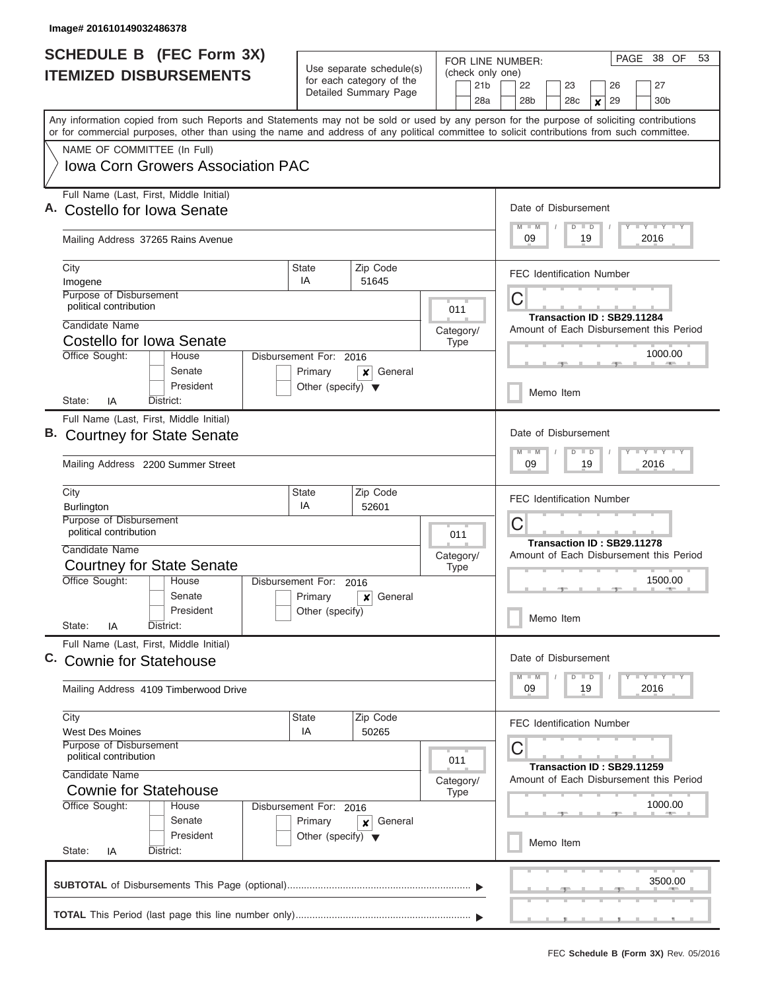|                               | <b>SCHEDULE B (FEC Form 3X)</b>                                                                                                                                                                                                                                                         |                                      |                                                                               | FOR LINE NUMBER:                           | PAGE 38 OF<br>53                                                                         |  |  |  |  |  |  |  |  |
|-------------------------------|-----------------------------------------------------------------------------------------------------------------------------------------------------------------------------------------------------------------------------------------------------------------------------------------|--------------------------------------|-------------------------------------------------------------------------------|--------------------------------------------|------------------------------------------------------------------------------------------|--|--|--|--|--|--|--|--|
| <b>ITEMIZED DISBURSEMENTS</b> |                                                                                                                                                                                                                                                                                         |                                      | Use separate schedule(s)<br>for each category of the<br>Detailed Summary Page | (check only one)<br>21 <sub>b</sub><br>28a | 22<br>23<br>26<br>27<br>28 <sub>b</sub><br>29<br>30 <sub>b</sub><br>28 <sub>c</sub><br>X |  |  |  |  |  |  |  |  |
|                               | Any information copied from such Reports and Statements may not be sold or used by any person for the purpose of soliciting contributions<br>or for commercial purposes, other than using the name and address of any political committee to solicit contributions from such committee. |                                      |                                                                               |                                            |                                                                                          |  |  |  |  |  |  |  |  |
|                               | NAME OF COMMITTEE (In Full)                                                                                                                                                                                                                                                             |                                      |                                                                               |                                            |                                                                                          |  |  |  |  |  |  |  |  |
|                               | <b>Iowa Corn Growers Association PAC</b>                                                                                                                                                                                                                                                |                                      |                                                                               |                                            |                                                                                          |  |  |  |  |  |  |  |  |
|                               | Full Name (Last, First, Middle Initial)<br>Costello for Iowa Senate                                                                                                                                                                                                                     |                                      |                                                                               |                                            | Date of Disbursement                                                                     |  |  |  |  |  |  |  |  |
|                               | Mailing Address 37265 Rains Avenue                                                                                                                                                                                                                                                      |                                      |                                                                               |                                            | Y I Y I Y I Y<br>$M$ $M$<br>$D$ $D$<br>09<br>19<br>2016                                  |  |  |  |  |  |  |  |  |
|                               | City<br>Imogene                                                                                                                                                                                                                                                                         | State<br>IA                          | Zip Code<br>51645                                                             |                                            | <b>FEC Identification Number</b>                                                         |  |  |  |  |  |  |  |  |
|                               | Purpose of Disbursement<br>political contribution                                                                                                                                                                                                                                       |                                      |                                                                               |                                            | C                                                                                        |  |  |  |  |  |  |  |  |
|                               | Candidate Name                                                                                                                                                                                                                                                                          |                                      |                                                                               | 011                                        | Transaction ID: SB29.11284                                                               |  |  |  |  |  |  |  |  |
|                               | Costello for Iowa Senate                                                                                                                                                                                                                                                                |                                      |                                                                               | Category/                                  | Amount of Each Disbursement this Period                                                  |  |  |  |  |  |  |  |  |
|                               | Office Sought:<br>House                                                                                                                                                                                                                                                                 | Disbursement For: 2016               |                                                                               | <b>Type</b>                                | 1000.00                                                                                  |  |  |  |  |  |  |  |  |
|                               | Senate                                                                                                                                                                                                                                                                                  | Primary                              | General<br>×                                                                  |                                            |                                                                                          |  |  |  |  |  |  |  |  |
|                               | President<br>State:<br>IA<br>District:                                                                                                                                                                                                                                                  | Other (specify) $\blacktriangledown$ |                                                                               |                                            | Memo Item                                                                                |  |  |  |  |  |  |  |  |
|                               | Full Name (Last, First, Middle Initial)                                                                                                                                                                                                                                                 |                                      |                                                                               |                                            |                                                                                          |  |  |  |  |  |  |  |  |
|                               | B. Courtney for State Senate                                                                                                                                                                                                                                                            |                                      | Date of Disbursement<br>Y FY FY FY<br>$M - M$<br>$D$ $D$                      |                                            |                                                                                          |  |  |  |  |  |  |  |  |
|                               | Mailing Address 2200 Summer Street                                                                                                                                                                                                                                                      | 09<br>19<br>2016                     |                                                                               |                                            |                                                                                          |  |  |  |  |  |  |  |  |
|                               | City<br>Burlington                                                                                                                                                                                                                                                                      |                                      | <b>FEC Identification Number</b>                                              |                                            |                                                                                          |  |  |  |  |  |  |  |  |
|                               | Purpose of Disbursement<br>political contribution                                                                                                                                                                                                                                       | 011                                  | C                                                                             |                                            |                                                                                          |  |  |  |  |  |  |  |  |
|                               | Candidate Name                                                                                                                                                                                                                                                                          |                                      |                                                                               |                                            | Transaction ID: SB29.11278<br>Amount of Each Disbursement this Period                    |  |  |  |  |  |  |  |  |
|                               | <b>Courtney for State Senate</b>                                                                                                                                                                                                                                                        |                                      |                                                                               | Category/<br><b>Type</b>                   |                                                                                          |  |  |  |  |  |  |  |  |
|                               | Office Sought:<br>House                                                                                                                                                                                                                                                                 | Disbursement For: 2016               |                                                                               |                                            | 1500.00                                                                                  |  |  |  |  |  |  |  |  |
|                               | Senate                                                                                                                                                                                                                                                                                  | Primary                              | General<br>×                                                                  |                                            |                                                                                          |  |  |  |  |  |  |  |  |
|                               | President<br>State:<br>ΙA<br>District:                                                                                                                                                                                                                                                  | Other (specify)                      |                                                                               |                                            | Memo Item                                                                                |  |  |  |  |  |  |  |  |
| C.                            | Full Name (Last, First, Middle Initial)<br><b>Cownie for Statehouse</b>                                                                                                                                                                                                                 |                                      |                                                                               |                                            | Date of Disbursement                                                                     |  |  |  |  |  |  |  |  |
|                               |                                                                                                                                                                                                                                                                                         |                                      |                                                                               |                                            | $D$ $D$<br>$Y$ $Y$ $Y$ $Y$ $Y$<br>$M$ $M$                                                |  |  |  |  |  |  |  |  |
|                               | Mailing Address 4109 Timberwood Drive                                                                                                                                                                                                                                                   |                                      | 09<br>19<br>2016                                                              |                                            |                                                                                          |  |  |  |  |  |  |  |  |
|                               | City<br><b>West Des Moines</b>                                                                                                                                                                                                                                                          | <b>State</b><br>IA                   | Zip Code<br>50265                                                             |                                            | <b>FEC Identification Number</b>                                                         |  |  |  |  |  |  |  |  |
|                               | Purpose of Disbursement<br>political contribution                                                                                                                                                                                                                                       |                                      |                                                                               | 011                                        | С                                                                                        |  |  |  |  |  |  |  |  |
|                               | Candidate Name                                                                                                                                                                                                                                                                          |                                      |                                                                               | Category/                                  | Transaction ID: SB29.11259<br>Amount of Each Disbursement this Period                    |  |  |  |  |  |  |  |  |
|                               | <b>Cownie for Statehouse</b>                                                                                                                                                                                                                                                            |                                      |                                                                               | <b>Type</b>                                |                                                                                          |  |  |  |  |  |  |  |  |
|                               | Office Sought:<br>House<br>Senate                                                                                                                                                                                                                                                       | Disbursement For: 2016<br>Primary    | General<br>$\boldsymbol{x}$                                                   |                                            | 1000.00                                                                                  |  |  |  |  |  |  |  |  |
|                               | President                                                                                                                                                                                                                                                                               | Other (specify) $\blacktriangledown$ |                                                                               |                                            | Memo Item                                                                                |  |  |  |  |  |  |  |  |
|                               | State:<br>IA<br>District:                                                                                                                                                                                                                                                               |                                      |                                                                               |                                            |                                                                                          |  |  |  |  |  |  |  |  |
|                               |                                                                                                                                                                                                                                                                                         |                                      |                                                                               |                                            | 3500.00                                                                                  |  |  |  |  |  |  |  |  |
|                               |                                                                                                                                                                                                                                                                                         |                                      |                                                                               |                                            |                                                                                          |  |  |  |  |  |  |  |  |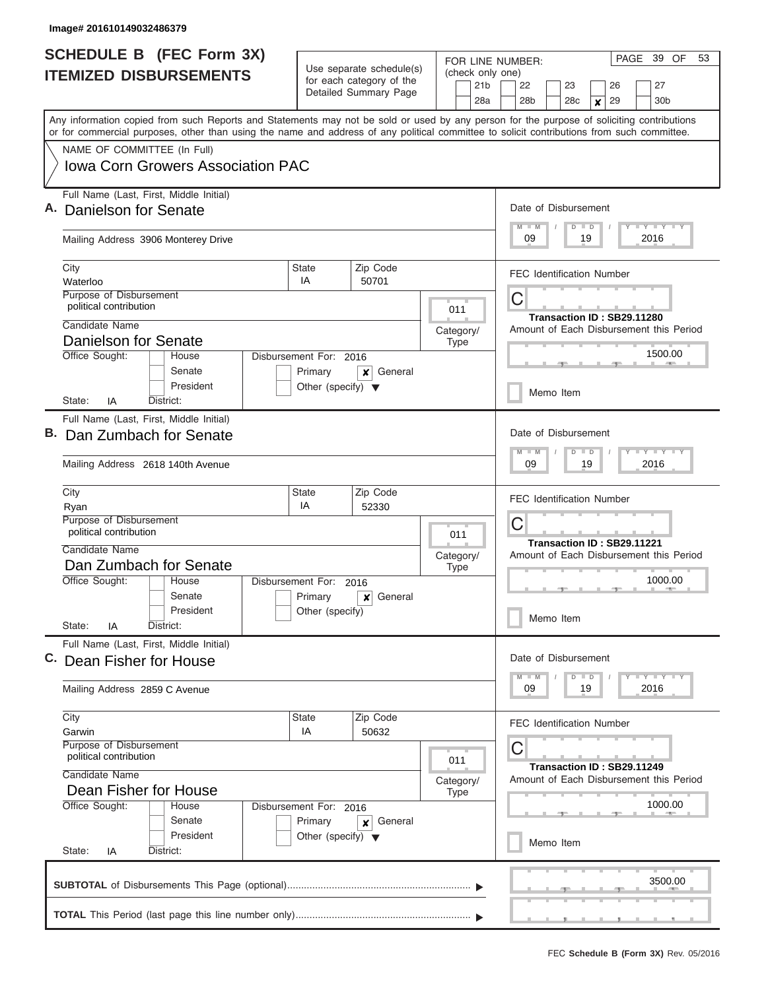|                               | <b>SCHEDULE B</b> (FEC Form 3X)                                                                                                                                                                                                                                                         |                                                 |                                                                               | FOR LINE NUMBER:                           | PAGE 39 OF<br>53                                                                         |  |  |  |  |  |  |  |  |
|-------------------------------|-----------------------------------------------------------------------------------------------------------------------------------------------------------------------------------------------------------------------------------------------------------------------------------------|-------------------------------------------------|-------------------------------------------------------------------------------|--------------------------------------------|------------------------------------------------------------------------------------------|--|--|--|--|--|--|--|--|
| <b>ITEMIZED DISBURSEMENTS</b> |                                                                                                                                                                                                                                                                                         |                                                 | Use separate schedule(s)<br>for each category of the<br>Detailed Summary Page | (check only one)<br>21 <sub>b</sub><br>28a | 27<br>22<br>23<br>26<br>28 <sub>b</sub><br>30 <sub>b</sub><br>28 <sub>c</sub><br>29<br>X |  |  |  |  |  |  |  |  |
|                               | Any information copied from such Reports and Statements may not be sold or used by any person for the purpose of soliciting contributions<br>or for commercial purposes, other than using the name and address of any political committee to solicit contributions from such committee. |                                                 |                                                                               |                                            |                                                                                          |  |  |  |  |  |  |  |  |
|                               | NAME OF COMMITTEE (In Full)                                                                                                                                                                                                                                                             |                                                 |                                                                               |                                            |                                                                                          |  |  |  |  |  |  |  |  |
|                               | <b>Iowa Corn Growers Association PAC</b>                                                                                                                                                                                                                                                |                                                 |                                                                               |                                            |                                                                                          |  |  |  |  |  |  |  |  |
|                               | Full Name (Last, First, Middle Initial)<br>Danielson for Senate                                                                                                                                                                                                                         |                                                 |                                                                               |                                            |                                                                                          |  |  |  |  |  |  |  |  |
|                               | Mailing Address 3906 Monterey Drive                                                                                                                                                                                                                                                     |                                                 | Y LY LY LY<br>$M$ $M$<br>$D$ $D$<br>2016<br>09<br>19                          |                                            |                                                                                          |  |  |  |  |  |  |  |  |
|                               | City                                                                                                                                                                                                                                                                                    | State<br>IA                                     | Zip Code                                                                      |                                            | <b>FEC Identification Number</b>                                                         |  |  |  |  |  |  |  |  |
|                               | Waterloo<br>Purpose of Disbursement                                                                                                                                                                                                                                                     |                                                 | 50701                                                                         |                                            |                                                                                          |  |  |  |  |  |  |  |  |
|                               | political contribution                                                                                                                                                                                                                                                                  |                                                 |                                                                               | 011                                        | С                                                                                        |  |  |  |  |  |  |  |  |
|                               | Candidate Name                                                                                                                                                                                                                                                                          |                                                 |                                                                               | Category/                                  | Transaction ID: SB29.11280<br>Amount of Each Disbursement this Period                    |  |  |  |  |  |  |  |  |
|                               | Danielson for Senate                                                                                                                                                                                                                                                                    |                                                 |                                                                               | <b>Type</b>                                |                                                                                          |  |  |  |  |  |  |  |  |
|                               | Office Sought:<br>House                                                                                                                                                                                                                                                                 | Disbursement For: 2016                          | General<br>×                                                                  |                                            | 1500.00                                                                                  |  |  |  |  |  |  |  |  |
|                               | Senate<br>President<br>State:<br>ΙA<br>District:                                                                                                                                                                                                                                        | Primary<br>Other (specify) $\blacktriangledown$ |                                                                               | Memo Item                                  |                                                                                          |  |  |  |  |  |  |  |  |
|                               | Full Name (Last, First, Middle Initial)                                                                                                                                                                                                                                                 |                                                 |                                                                               |                                            |                                                                                          |  |  |  |  |  |  |  |  |
|                               | B. Dan Zumbach for Senate                                                                                                                                                                                                                                                               |                                                 | Date of Disbursement<br>Y FY FY FY<br>$M - M$<br>$D$ $D$                      |                                            |                                                                                          |  |  |  |  |  |  |  |  |
|                               | Mailing Address 2618 140th Avenue                                                                                                                                                                                                                                                       |                                                 | 09<br>19<br>2016                                                              |                                            |                                                                                          |  |  |  |  |  |  |  |  |
|                               | City                                                                                                                                                                                                                                                                                    | State<br>Zip Code<br>IA<br>52330<br>Ryan        |                                                                               |                                            |                                                                                          |  |  |  |  |  |  |  |  |
|                               | Purpose of Disbursement<br>political contribution                                                                                                                                                                                                                                       | 011                                             | C                                                                             |                                            |                                                                                          |  |  |  |  |  |  |  |  |
|                               | Candidate Name                                                                                                                                                                                                                                                                          |                                                 |                                                                               |                                            | Transaction ID: SB29.11221<br>Amount of Each Disbursement this Period                    |  |  |  |  |  |  |  |  |
|                               | Dan Zumbach for Senate                                                                                                                                                                                                                                                                  |                                                 |                                                                               | Category/<br><b>Type</b>                   |                                                                                          |  |  |  |  |  |  |  |  |
|                               | Office Sought:<br>House                                                                                                                                                                                                                                                                 | Disbursement For: 2016                          |                                                                               |                                            | 1000.00                                                                                  |  |  |  |  |  |  |  |  |
|                               | Senate                                                                                                                                                                                                                                                                                  | Primary                                         | General<br>x                                                                  |                                            |                                                                                          |  |  |  |  |  |  |  |  |
|                               | President<br>State:<br>IA<br>District:                                                                                                                                                                                                                                                  | Other (specify)                                 |                                                                               |                                            | Memo Item                                                                                |  |  |  |  |  |  |  |  |
| C.                            | Full Name (Last, First, Middle Initial)<br>Dean Fisher for House                                                                                                                                                                                                                        |                                                 |                                                                               |                                            | Date of Disbursement                                                                     |  |  |  |  |  |  |  |  |
|                               |                                                                                                                                                                                                                                                                                         |                                                 |                                                                               |                                            | $D$ $D$<br>Y FY FY FY<br>$M$ $M$                                                         |  |  |  |  |  |  |  |  |
|                               | Mailing Address 2859 C Avenue                                                                                                                                                                                                                                                           |                                                 |                                                                               |                                            | 09<br>19<br>2016                                                                         |  |  |  |  |  |  |  |  |
|                               | City<br>Garwin                                                                                                                                                                                                                                                                          | State<br>IA                                     | Zip Code<br>50632                                                             |                                            | <b>FEC Identification Number</b>                                                         |  |  |  |  |  |  |  |  |
|                               | Purpose of Disbursement<br>political contribution                                                                                                                                                                                                                                       |                                                 |                                                                               | 011                                        | С                                                                                        |  |  |  |  |  |  |  |  |
|                               | Candidate Name                                                                                                                                                                                                                                                                          |                                                 |                                                                               | Category/                                  | Transaction ID: SB29.11249<br>Amount of Each Disbursement this Period                    |  |  |  |  |  |  |  |  |
|                               | Dean Fisher for House                                                                                                                                                                                                                                                                   | <b>Type</b>                                     |                                                                               |                                            |                                                                                          |  |  |  |  |  |  |  |  |
|                               | Office Sought:<br>House<br>Senate                                                                                                                                                                                                                                                       | Disbursement For: 2016<br>Primary               | General<br>×                                                                  |                                            | 1000.00                                                                                  |  |  |  |  |  |  |  |  |
|                               | President<br>State:<br>District:                                                                                                                                                                                                                                                        | Other (specify) $\blacktriangledown$            |                                                                               | Memo Item                                  |                                                                                          |  |  |  |  |  |  |  |  |
|                               | IA                                                                                                                                                                                                                                                                                      |                                                 |                                                                               |                                            |                                                                                          |  |  |  |  |  |  |  |  |
|                               |                                                                                                                                                                                                                                                                                         |                                                 |                                                                               |                                            | 3500.00                                                                                  |  |  |  |  |  |  |  |  |
|                               |                                                                                                                                                                                                                                                                                         |                                                 |                                                                               |                                            |                                                                                          |  |  |  |  |  |  |  |  |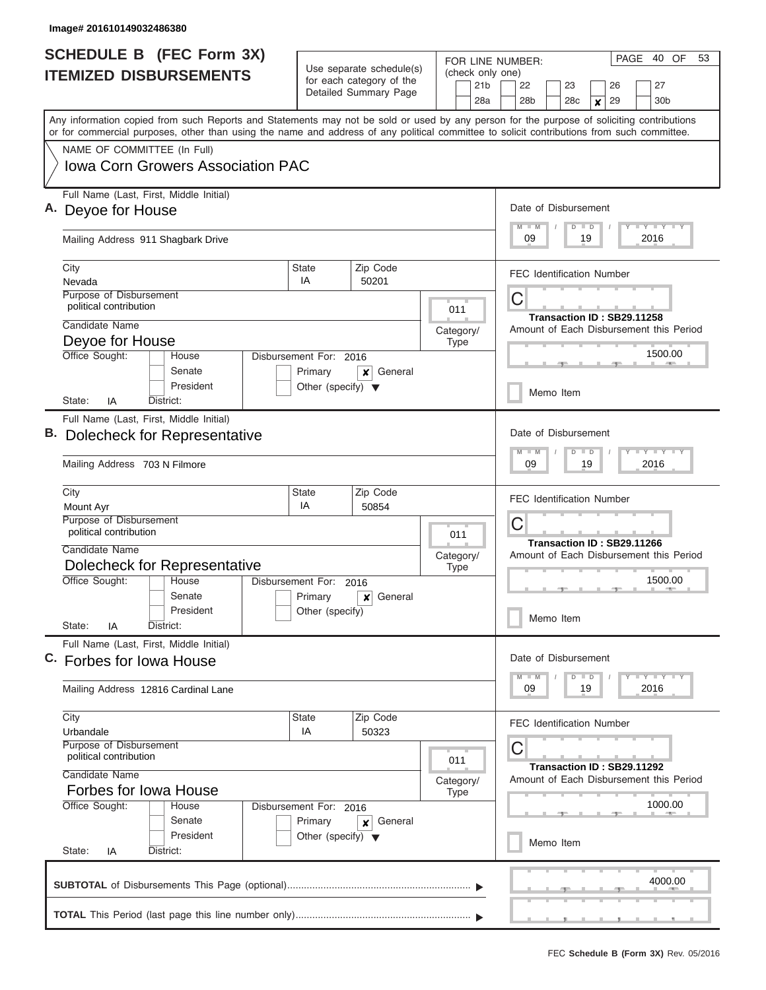| <b>SCHEDULE B</b> (FEC Form 3X) |                                                                                                                                                                                                                                                                                         |                                      | Use separate schedule(s)                          | FOR LINE NUMBER:<br>(check only one) | PAGE 40 OF<br>53                                                                         |  |  |  |  |  |  |  |  |  |
|---------------------------------|-----------------------------------------------------------------------------------------------------------------------------------------------------------------------------------------------------------------------------------------------------------------------------------------|--------------------------------------|---------------------------------------------------|--------------------------------------|------------------------------------------------------------------------------------------|--|--|--|--|--|--|--|--|--|
|                                 | <b>ITEMIZED DISBURSEMENTS</b>                                                                                                                                                                                                                                                           |                                      | for each category of the<br>Detailed Summary Page | 21 <sub>b</sub><br>28a               | 22<br>23<br>27<br>26<br>28 <sub>b</sub><br>28 <sub>c</sub><br>29<br>30 <sub>b</sub><br>× |  |  |  |  |  |  |  |  |  |
|                                 | Any information copied from such Reports and Statements may not be sold or used by any person for the purpose of soliciting contributions<br>or for commercial purposes, other than using the name and address of any political committee to solicit contributions from such committee. |                                      |                                                   |                                      |                                                                                          |  |  |  |  |  |  |  |  |  |
|                                 | NAME OF COMMITTEE (In Full)                                                                                                                                                                                                                                                             |                                      |                                                   |                                      |                                                                                          |  |  |  |  |  |  |  |  |  |
|                                 | <b>Iowa Corn Growers Association PAC</b>                                                                                                                                                                                                                                                |                                      |                                                   |                                      |                                                                                          |  |  |  |  |  |  |  |  |  |
|                                 | Full Name (Last, First, Middle Initial)<br>A. Deyoe for House                                                                                                                                                                                                                           |                                      |                                                   |                                      | Date of Disbursement                                                                     |  |  |  |  |  |  |  |  |  |
|                                 |                                                                                                                                                                                                                                                                                         |                                      |                                                   |                                      | <b>LY LY LY</b><br>$M$ $M$<br>$D$ $D$                                                    |  |  |  |  |  |  |  |  |  |
|                                 | Mailing Address 911 Shagbark Drive                                                                                                                                                                                                                                                      |                                      |                                                   |                                      | 09<br>19<br>2016                                                                         |  |  |  |  |  |  |  |  |  |
|                                 | City<br>Nevada                                                                                                                                                                                                                                                                          | State<br>IA                          | Zip Code<br>50201                                 |                                      | <b>FEC Identification Number</b>                                                         |  |  |  |  |  |  |  |  |  |
|                                 | Purpose of Disbursement                                                                                                                                                                                                                                                                 |                                      |                                                   |                                      | С                                                                                        |  |  |  |  |  |  |  |  |  |
|                                 | political contribution                                                                                                                                                                                                                                                                  |                                      |                                                   | 011                                  | Transaction ID: SB29.11258                                                               |  |  |  |  |  |  |  |  |  |
|                                 | Candidate Name                                                                                                                                                                                                                                                                          |                                      |                                                   | Category/                            | Amount of Each Disbursement this Period                                                  |  |  |  |  |  |  |  |  |  |
|                                 | Deyoe for House<br>Office Sought:<br>House                                                                                                                                                                                                                                              | Disbursement For: 2016               |                                                   | <b>Type</b>                          | 1500.00                                                                                  |  |  |  |  |  |  |  |  |  |
|                                 | Senate                                                                                                                                                                                                                                                                                  | Primary                              | General<br>x                                      |                                      |                                                                                          |  |  |  |  |  |  |  |  |  |
|                                 | President<br>IA<br>District:<br>State:                                                                                                                                                                                                                                                  | Other (specify) $\blacktriangledown$ |                                                   |                                      | Memo Item                                                                                |  |  |  |  |  |  |  |  |  |
|                                 | Full Name (Last, First, Middle Initial)                                                                                                                                                                                                                                                 |                                      |                                                   |                                      |                                                                                          |  |  |  |  |  |  |  |  |  |
|                                 | Dolecheck for Representative                                                                                                                                                                                                                                                            |                                      |                                                   |                                      | Date of Disbursement                                                                     |  |  |  |  |  |  |  |  |  |
|                                 | Mailing Address 703 N Filmore                                                                                                                                                                                                                                                           |                                      |                                                   |                                      | $M - M$<br>$\overline{D}$<br>$\blacksquare$<br>09<br>19<br>2016                          |  |  |  |  |  |  |  |  |  |
|                                 | City<br>Mount Ayr                                                                                                                                                                                                                                                                       | State<br>IA                          | Zip Code<br>50854                                 |                                      | <b>FEC Identification Number</b>                                                         |  |  |  |  |  |  |  |  |  |
|                                 | Purpose of Disbursement<br>political contribution                                                                                                                                                                                                                                       |                                      |                                                   | 011                                  | С                                                                                        |  |  |  |  |  |  |  |  |  |
|                                 | Candidate Name                                                                                                                                                                                                                                                                          |                                      |                                                   | Category/                            | Transaction ID: SB29.11266<br>Amount of Each Disbursement this Period                    |  |  |  |  |  |  |  |  |  |
|                                 | Dolecheck for Representative                                                                                                                                                                                                                                                            |                                      |                                                   | <b>Type</b>                          |                                                                                          |  |  |  |  |  |  |  |  |  |
|                                 | Office Sought:<br>House                                                                                                                                                                                                                                                                 | Disbursement For:                    | 2016                                              |                                      | 1500.00                                                                                  |  |  |  |  |  |  |  |  |  |
|                                 | Senate<br>President                                                                                                                                                                                                                                                                     | Primary<br>Other (specify)           | General<br>×                                      |                                      |                                                                                          |  |  |  |  |  |  |  |  |  |
|                                 | State:<br>IA<br>District:                                                                                                                                                                                                                                                               |                                      |                                                   |                                      | Memo Item                                                                                |  |  |  |  |  |  |  |  |  |
|                                 | Full Name (Last, First, Middle Initial)<br>C. Forbes for Iowa House                                                                                                                                                                                                                     |                                      |                                                   |                                      | Date of Disbursement                                                                     |  |  |  |  |  |  |  |  |  |
|                                 |                                                                                                                                                                                                                                                                                         |                                      |                                                   |                                      | $T - Y$ $T - Y$<br>$D$ $D$<br>$M - M$                                                    |  |  |  |  |  |  |  |  |  |
|                                 | Mailing Address 12816 Cardinal Lane                                                                                                                                                                                                                                                     |                                      |                                                   |                                      | 09<br>19<br>2016                                                                         |  |  |  |  |  |  |  |  |  |
|                                 | City<br>Urbandale                                                                                                                                                                                                                                                                       | <b>State</b><br>IA                   | Zip Code<br>50323                                 |                                      | <b>FEC Identification Number</b>                                                         |  |  |  |  |  |  |  |  |  |
|                                 | <b>Purpose of Disbursement</b><br>political contribution                                                                                                                                                                                                                                |                                      |                                                   |                                      | С                                                                                        |  |  |  |  |  |  |  |  |  |
|                                 | Candidate Name                                                                                                                                                                                                                                                                          |                                      |                                                   | 011                                  | Transaction ID: SB29.11292                                                               |  |  |  |  |  |  |  |  |  |
|                                 | Forbes for Iowa House                                                                                                                                                                                                                                                                   |                                      |                                                   | Category/<br><b>Type</b>             | Amount of Each Disbursement this Period                                                  |  |  |  |  |  |  |  |  |  |
|                                 | Office Sought:<br>House                                                                                                                                                                                                                                                                 | Disbursement For: 2016               |                                                   |                                      | 1000.00                                                                                  |  |  |  |  |  |  |  |  |  |
|                                 | Senate                                                                                                                                                                                                                                                                                  | Primary                              | General<br>×                                      |                                      |                                                                                          |  |  |  |  |  |  |  |  |  |
|                                 | President<br>State:<br>District:<br>IA                                                                                                                                                                                                                                                  | Other (specify) $\blacktriangledown$ |                                                   |                                      | Memo Item                                                                                |  |  |  |  |  |  |  |  |  |
|                                 |                                                                                                                                                                                                                                                                                         |                                      |                                                   |                                      | 4000.00                                                                                  |  |  |  |  |  |  |  |  |  |
|                                 |                                                                                                                                                                                                                                                                                         |                                      |                                                   |                                      |                                                                                          |  |  |  |  |  |  |  |  |  |
|                                 |                                                                                                                                                                                                                                                                                         |                                      |                                                   |                                      |                                                                                          |  |  |  |  |  |  |  |  |  |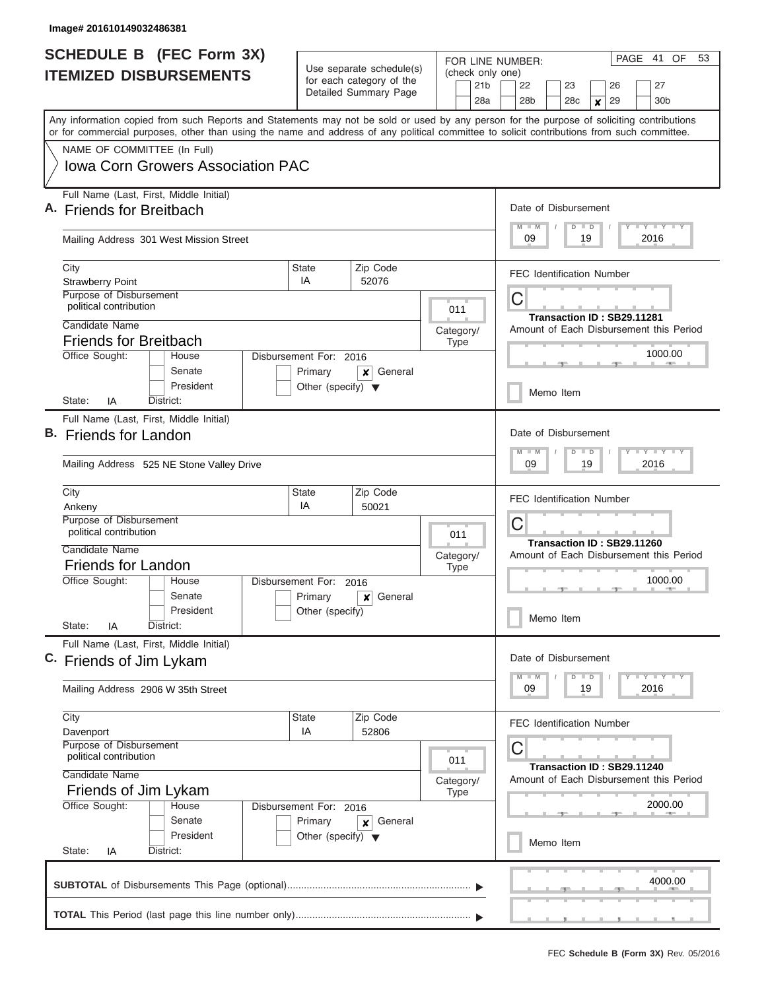|    | <b>SCHEDULE B</b> (FEC Form 3X)                                                                                                                                                                                                                                                         |                                                                                           |                                                      |                                     | PAGE<br>41<br>OF<br>53<br>FOR LINE NUMBER:               |  |  |  |  |  |  |  |
|----|-----------------------------------------------------------------------------------------------------------------------------------------------------------------------------------------------------------------------------------------------------------------------------------------|-------------------------------------------------------------------------------------------|------------------------------------------------------|-------------------------------------|----------------------------------------------------------|--|--|--|--|--|--|--|
|    | <b>ITEMIZED DISBURSEMENTS</b>                                                                                                                                                                                                                                                           |                                                                                           | Use separate schedule(s)<br>for each category of the | (check only one)<br>21 <sub>b</sub> | 22<br>23<br>26<br>27                                     |  |  |  |  |  |  |  |
|    |                                                                                                                                                                                                                                                                                         |                                                                                           | Detailed Summary Page                                | 28a                                 | 29<br>28 <sub>b</sub><br>28c<br>30 <sub>b</sub><br>X     |  |  |  |  |  |  |  |
|    | Any information copied from such Reports and Statements may not be sold or used by any person for the purpose of soliciting contributions<br>or for commercial purposes, other than using the name and address of any political committee to solicit contributions from such committee. |                                                                                           |                                                      |                                     |                                                          |  |  |  |  |  |  |  |
|    | NAME OF COMMITTEE (In Full)                                                                                                                                                                                                                                                             |                                                                                           |                                                      |                                     |                                                          |  |  |  |  |  |  |  |
|    | Iowa Corn Growers Association PAC                                                                                                                                                                                                                                                       |                                                                                           |                                                      |                                     |                                                          |  |  |  |  |  |  |  |
|    | Full Name (Last, First, Middle Initial)<br>A. Friends for Breitbach                                                                                                                                                                                                                     |                                                                                           |                                                      |                                     | Date of Disbursement                                     |  |  |  |  |  |  |  |
|    | Mailing Address 301 West Mission Street                                                                                                                                                                                                                                                 |                                                                                           |                                                      |                                     | Y LY LY LY<br>$M - M$<br>$D$ $D$<br>09<br>19<br>2016     |  |  |  |  |  |  |  |
|    | City<br><b>Strawberry Point</b>                                                                                                                                                                                                                                                         | <b>State</b><br>IA                                                                        | Zip Code<br>52076                                    |                                     | <b>FEC Identification Number</b>                         |  |  |  |  |  |  |  |
|    | Purpose of Disbursement<br>political contribution                                                                                                                                                                                                                                       |                                                                                           |                                                      |                                     | С<br>Transaction ID: SB29.11281                          |  |  |  |  |  |  |  |
|    | Candidate Name                                                                                                                                                                                                                                                                          |                                                                                           |                                                      | Category/                           | Amount of Each Disbursement this Period                  |  |  |  |  |  |  |  |
|    | <b>Friends for Breitbach</b><br>Office Sought:<br>House                                                                                                                                                                                                                                 |                                                                                           |                                                      | <b>Type</b>                         | 1000.00                                                  |  |  |  |  |  |  |  |
|    | Senate<br>President                                                                                                                                                                                                                                                                     | Disbursement For: 2016<br>Primary<br>General<br>x<br>Other (specify) $\blacktriangledown$ |                                                      |                                     |                                                          |  |  |  |  |  |  |  |
|    | District:<br>State:<br>IA                                                                                                                                                                                                                                                               |                                                                                           |                                                      |                                     | Memo Item                                                |  |  |  |  |  |  |  |
|    | Full Name (Last, First, Middle Initial)                                                                                                                                                                                                                                                 |                                                                                           |                                                      |                                     |                                                          |  |  |  |  |  |  |  |
| В. | <b>Friends for Landon</b>                                                                                                                                                                                                                                                               |                                                                                           |                                                      |                                     | Date of Disbursement<br>Y FY FY FY<br>$M - M$<br>$D$ $D$ |  |  |  |  |  |  |  |
|    | Mailing Address 525 NE Stone Valley Drive                                                                                                                                                                                                                                               |                                                                                           | 09<br>19<br>2016                                     |                                     |                                                          |  |  |  |  |  |  |  |
|    | City<br>Ankeny                                                                                                                                                                                                                                                                          | <b>State</b><br>IA                                                                        | Zip Code<br>50021                                    |                                     | <b>FEC Identification Number</b>                         |  |  |  |  |  |  |  |
|    | Purpose of Disbursement<br>political contribution                                                                                                                                                                                                                                       |                                                                                           |                                                      | 011                                 | С<br>Transaction ID: SB29.11260                          |  |  |  |  |  |  |  |
|    | Candidate Name                                                                                                                                                                                                                                                                          |                                                                                           |                                                      | Category/                           | Amount of Each Disbursement this Period                  |  |  |  |  |  |  |  |
|    | <b>Friends for Landon</b><br>Office Sought:<br>House                                                                                                                                                                                                                                    | Disbursement For:                                                                         |                                                      | <b>Type</b>                         | 1000.00                                                  |  |  |  |  |  |  |  |
|    | Senate                                                                                                                                                                                                                                                                                  | Primary                                                                                   | 2016<br>General<br>x                                 |                                     |                                                          |  |  |  |  |  |  |  |
|    | President<br>State:<br>District:<br>ΙA                                                                                                                                                                                                                                                  | Other (specify)                                                                           |                                                      |                                     | Memo Item                                                |  |  |  |  |  |  |  |
|    | Full Name (Last, First, Middle Initial)<br>C. Friends of Jim Lykam                                                                                                                                                                                                                      |                                                                                           |                                                      |                                     | Date of Disbursement                                     |  |  |  |  |  |  |  |
|    |                                                                                                                                                                                                                                                                                         |                                                                                           |                                                      |                                     | Y TY TY TY<br>$M$ $M$<br>$D$ $D$                         |  |  |  |  |  |  |  |
|    | Mailing Address 2906 W 35th Street                                                                                                                                                                                                                                                      |                                                                                           |                                                      |                                     | 09<br>19<br>2016                                         |  |  |  |  |  |  |  |
|    | City<br>Davenport                                                                                                                                                                                                                                                                       | <b>State</b><br>IA                                                                        | Zip Code<br>52806                                    |                                     | <b>FEC Identification Number</b>                         |  |  |  |  |  |  |  |
|    | Purpose of Disbursement<br>political contribution                                                                                                                                                                                                                                       |                                                                                           |                                                      | 011                                 | С<br>Transaction ID: SB29.11240                          |  |  |  |  |  |  |  |
|    | Candidate Name<br>Friends of Jim Lykam                                                                                                                                                                                                                                                  |                                                                                           |                                                      | Category/<br><b>Type</b>            | Amount of Each Disbursement this Period                  |  |  |  |  |  |  |  |
|    | Office Sought:<br>House                                                                                                                                                                                                                                                                 | Disbursement For: 2016                                                                    |                                                      |                                     | 2000.00                                                  |  |  |  |  |  |  |  |
|    | Senate<br>President                                                                                                                                                                                                                                                                     | Primary<br>Other (specify) $\blacktriangledown$                                           | General<br>×                                         |                                     | Memo Item                                                |  |  |  |  |  |  |  |
|    | State:<br>District:<br>IA                                                                                                                                                                                                                                                               |                                                                                           |                                                      |                                     |                                                          |  |  |  |  |  |  |  |
|    |                                                                                                                                                                                                                                                                                         |                                                                                           |                                                      |                                     | 4000.00                                                  |  |  |  |  |  |  |  |
|    |                                                                                                                                                                                                                                                                                         |                                                                                           |                                                      |                                     |                                                          |  |  |  |  |  |  |  |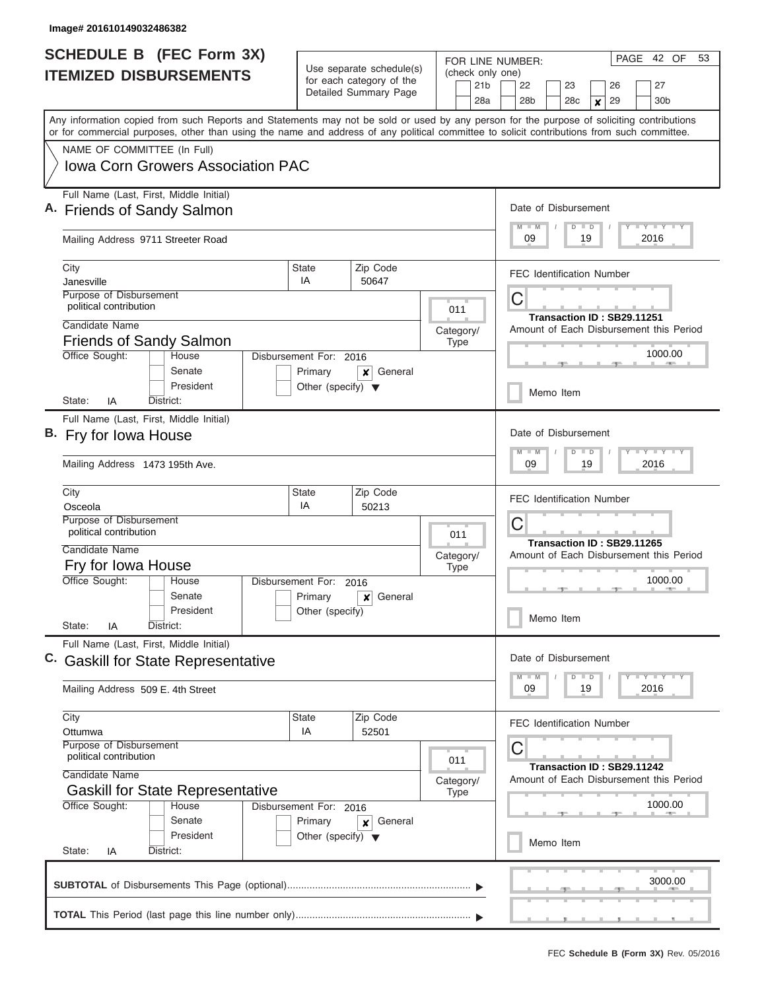| <b>SCHEDULE B (FEC Form 3X)</b> |                                                                                                                                                                                                                                                                                         |                                                                 |                                                         |                          |                        | PAGE 42 OF<br>53<br>FOR LINE NUMBER:                                  |  |  |  |  |  |  |  |  |
|---------------------------------|-----------------------------------------------------------------------------------------------------------------------------------------------------------------------------------------------------------------------------------------------------------------------------------------|-----------------------------------------------------------------|---------------------------------------------------------|--------------------------|------------------------|-----------------------------------------------------------------------|--|--|--|--|--|--|--|--|
|                                 | <b>ITEMIZED DISBURSEMENTS</b>                                                                                                                                                                                                                                                           |                                                                 | Use separate schedule(s)<br>for each category of the    |                          |                        | (check only one)<br>22<br>27<br>23<br>26                              |  |  |  |  |  |  |  |  |
|                                 |                                                                                                                                                                                                                                                                                         |                                                                 | Detailed Summary Page                                   |                          | 21 <sub>b</sub><br>28a | 28b<br>28 <sub>c</sub><br>29<br>30b<br>$\boldsymbol{x}$               |  |  |  |  |  |  |  |  |
|                                 | Any information copied from such Reports and Statements may not be sold or used by any person for the purpose of soliciting contributions<br>or for commercial purposes, other than using the name and address of any political committee to solicit contributions from such committee. |                                                                 |                                                         |                          |                        |                                                                       |  |  |  |  |  |  |  |  |
|                                 | NAME OF COMMITTEE (In Full)                                                                                                                                                                                                                                                             |                                                                 |                                                         |                          |                        |                                                                       |  |  |  |  |  |  |  |  |
|                                 | Iowa Corn Growers Association PAC                                                                                                                                                                                                                                                       |                                                                 |                                                         |                          |                        |                                                                       |  |  |  |  |  |  |  |  |
|                                 | Full Name (Last, First, Middle Initial)<br>A. Friends of Sandy Salmon                                                                                                                                                                                                                   |                                                                 |                                                         |                          |                        | Date of Disbursement                                                  |  |  |  |  |  |  |  |  |
|                                 | Mailing Address 9711 Streeter Road                                                                                                                                                                                                                                                      |                                                                 | Y I Y I Y I Y<br>$M$ $M$<br>$D$ $D$<br>2016<br>09<br>19 |                          |                        |                                                                       |  |  |  |  |  |  |  |  |
|                                 | City<br>Janesville                                                                                                                                                                                                                                                                      | <b>State</b><br>IA                                              | Zip Code<br>50647                                       |                          |                        | <b>FEC Identification Number</b>                                      |  |  |  |  |  |  |  |  |
|                                 | Purpose of Disbursement<br>political contribution                                                                                                                                                                                                                                       |                                                                 |                                                         | 011                      |                        | С<br>Transaction ID: SB29.11251                                       |  |  |  |  |  |  |  |  |
|                                 | Candidate Name<br><b>Friends of Sandy Salmon</b>                                                                                                                                                                                                                                        |                                                                 |                                                         | Category/<br><b>Type</b> |                        | Amount of Each Disbursement this Period                               |  |  |  |  |  |  |  |  |
|                                 | Office Sought:<br>House<br>Senate                                                                                                                                                                                                                                                       | Disbursement For: 2016<br>Primary                               | General<br>x                                            |                          |                        | 1000.00                                                               |  |  |  |  |  |  |  |  |
|                                 | President<br>State:<br>IA<br>District:                                                                                                                                                                                                                                                  | Other (specify) $\blacktriangledown$                            |                                                         |                          |                        | Memo Item                                                             |  |  |  |  |  |  |  |  |
|                                 | Full Name (Last, First, Middle Initial)                                                                                                                                                                                                                                                 |                                                                 |                                                         |                          |                        |                                                                       |  |  |  |  |  |  |  |  |
|                                 | B. Fry for Iowa House                                                                                                                                                                                                                                                                   |                                                                 |                                                         |                          |                        | Date of Disbursement<br>$M - M$<br>$D$ $D$                            |  |  |  |  |  |  |  |  |
|                                 | Mailing Address 1473 195th Ave.                                                                                                                                                                                                                                                         |                                                                 |                                                         |                          |                        | 09<br>19<br>2016                                                      |  |  |  |  |  |  |  |  |
|                                 | City<br>Osceola                                                                                                                                                                                                                                                                         | State<br>IA                                                     | Zip Code<br>50213                                       |                          |                        | <b>FEC Identification Number</b>                                      |  |  |  |  |  |  |  |  |
|                                 | <b>Purpose of Disbursement</b><br>political contribution                                                                                                                                                                                                                                |                                                                 |                                                         | 011                      |                        | С                                                                     |  |  |  |  |  |  |  |  |
|                                 | Candidate Name                                                                                                                                                                                                                                                                          |                                                                 |                                                         | Category/                |                        | Transaction ID: SB29.11265<br>Amount of Each Disbursement this Period |  |  |  |  |  |  |  |  |
|                                 | Fry for Iowa House                                                                                                                                                                                                                                                                      |                                                                 |                                                         | <b>Type</b>              |                        | 1000.00                                                               |  |  |  |  |  |  |  |  |
|                                 | Office Sought:<br>House<br>Senate                                                                                                                                                                                                                                                       | Disbursement For:<br>Primary                                    | 2016<br>General<br>x                                    |                          |                        |                                                                       |  |  |  |  |  |  |  |  |
|                                 | President<br>State:<br>IA<br>District:                                                                                                                                                                                                                                                  | Other (specify)                                                 |                                                         |                          |                        | Memo Item                                                             |  |  |  |  |  |  |  |  |
|                                 | Full Name (Last, First, Middle Initial)<br>C. Gaskill for State Representative                                                                                                                                                                                                          |                                                                 |                                                         |                          |                        | Date of Disbursement                                                  |  |  |  |  |  |  |  |  |
|                                 |                                                                                                                                                                                                                                                                                         |                                                                 |                                                         |                          |                        | $Y - Y - Y - Y - Y$<br>$M - M$<br>$D$ $D$                             |  |  |  |  |  |  |  |  |
|                                 | Mailing Address 509 E. 4th Street                                                                                                                                                                                                                                                       |                                                                 |                                                         |                          |                        | 2016<br>09<br>19                                                      |  |  |  |  |  |  |  |  |
|                                 | City<br>Ottumwa                                                                                                                                                                                                                                                                         | <b>State</b><br>ΙA                                              | Zip Code<br>52501                                       |                          |                        | <b>FEC Identification Number</b>                                      |  |  |  |  |  |  |  |  |
|                                 | Purpose of Disbursement<br>political contribution                                                                                                                                                                                                                                       |                                                                 |                                                         | 011                      |                        | С<br>Transaction ID: SB29.11242                                       |  |  |  |  |  |  |  |  |
|                                 | Candidate Name<br><b>Gaskill for State Representative</b>                                                                                                                                                                                                                               |                                                                 |                                                         | Category/<br><b>Type</b> |                        | Amount of Each Disbursement this Period                               |  |  |  |  |  |  |  |  |
|                                 | Office Sought:<br>House<br>Senate                                                                                                                                                                                                                                                       | Disbursement For: 2016                                          |                                                         |                          |                        | 1000.00                                                               |  |  |  |  |  |  |  |  |
|                                 | President<br>State:<br>District:<br>IA                                                                                                                                                                                                                                                  | Primary<br>General<br>x<br>Other (specify) $\blacktriangledown$ |                                                         |                          |                        | Memo Item                                                             |  |  |  |  |  |  |  |  |
|                                 |                                                                                                                                                                                                                                                                                         |                                                                 |                                                         |                          |                        |                                                                       |  |  |  |  |  |  |  |  |
|                                 |                                                                                                                                                                                                                                                                                         |                                                                 |                                                         |                          |                        | 3000.00                                                               |  |  |  |  |  |  |  |  |
|                                 |                                                                                                                                                                                                                                                                                         |                                                                 |                                                         |                          |                        |                                                                       |  |  |  |  |  |  |  |  |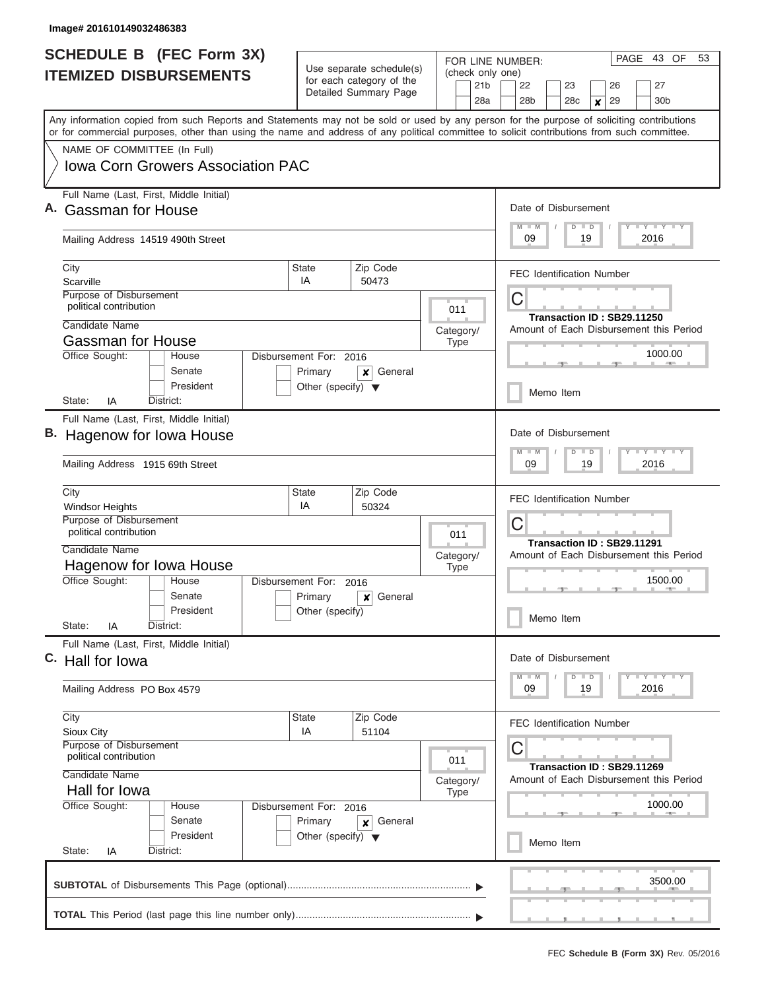| <b>SCHEDULE B</b> (FEC Form 3X)<br><b>ITEMIZED DISBURSEMENTS</b> |                                                                                                                                                                                                                                                                                         |                                                 | Use separate schedule(s)                          | (check only one)         | PAGE 43 OF<br>53<br>FOR LINE NUMBER:                                                                    |  |  |  |  |  |  |  |
|------------------------------------------------------------------|-----------------------------------------------------------------------------------------------------------------------------------------------------------------------------------------------------------------------------------------------------------------------------------------|-------------------------------------------------|---------------------------------------------------|--------------------------|---------------------------------------------------------------------------------------------------------|--|--|--|--|--|--|--|
|                                                                  |                                                                                                                                                                                                                                                                                         |                                                 | for each category of the<br>Detailed Summary Page | 21 <sub>b</sub><br>28a   | 22<br>23<br>27<br>26<br>28 <sub>b</sub><br>29<br>28 <sub>c</sub><br>30 <sub>b</sub><br>$\boldsymbol{x}$ |  |  |  |  |  |  |  |
|                                                                  | Any information copied from such Reports and Statements may not be sold or used by any person for the purpose of soliciting contributions<br>or for commercial purposes, other than using the name and address of any political committee to solicit contributions from such committee. |                                                 |                                                   |                          |                                                                                                         |  |  |  |  |  |  |  |
|                                                                  | NAME OF COMMITTEE (In Full)                                                                                                                                                                                                                                                             |                                                 |                                                   |                          |                                                                                                         |  |  |  |  |  |  |  |
|                                                                  | Iowa Corn Growers Association PAC                                                                                                                                                                                                                                                       |                                                 |                                                   |                          |                                                                                                         |  |  |  |  |  |  |  |
|                                                                  | Full Name (Last, First, Middle Initial)<br><b>Gassman for House</b>                                                                                                                                                                                                                     |                                                 |                                                   |                          | Date of Disbursement                                                                                    |  |  |  |  |  |  |  |
|                                                                  |                                                                                                                                                                                                                                                                                         |                                                 |                                                   |                          | $M$ $M$<br><b>LY LY LY</b><br>$D$ $D$                                                                   |  |  |  |  |  |  |  |
|                                                                  | Mailing Address 14519 490th Street                                                                                                                                                                                                                                                      |                                                 | 09<br>19<br>2016                                  |                          |                                                                                                         |  |  |  |  |  |  |  |
|                                                                  | City<br>Scarville                                                                                                                                                                                                                                                                       | <b>State</b><br>IA                              | Zip Code<br>50473                                 |                          | <b>FEC Identification Number</b>                                                                        |  |  |  |  |  |  |  |
|                                                                  | Purpose of Disbursement                                                                                                                                                                                                                                                                 |                                                 |                                                   |                          | С                                                                                                       |  |  |  |  |  |  |  |
|                                                                  | political contribution<br>Candidate Name                                                                                                                                                                                                                                                |                                                 |                                                   | 011                      | Transaction ID: SB29.11250                                                                              |  |  |  |  |  |  |  |
|                                                                  | <b>Gassman for House</b>                                                                                                                                                                                                                                                                |                                                 |                                                   | Category/<br><b>Type</b> | Amount of Each Disbursement this Period                                                                 |  |  |  |  |  |  |  |
|                                                                  | Office Sought:<br>House                                                                                                                                                                                                                                                                 | Disbursement For: 2016                          |                                                   |                          | 1000.00                                                                                                 |  |  |  |  |  |  |  |
|                                                                  | Senate<br>President                                                                                                                                                                                                                                                                     | Primary<br>Other (specify) $\blacktriangledown$ | General<br>x                                      |                          |                                                                                                         |  |  |  |  |  |  |  |
|                                                                  | IA<br>District:<br>State:                                                                                                                                                                                                                                                               |                                                 |                                                   |                          | Memo Item                                                                                               |  |  |  |  |  |  |  |
|                                                                  | Full Name (Last, First, Middle Initial)                                                                                                                                                                                                                                                 |                                                 |                                                   |                          |                                                                                                         |  |  |  |  |  |  |  |
|                                                                  | Hagenow for Iowa House                                                                                                                                                                                                                                                                  |                                                 |                                                   |                          | Date of Disbursement                                                                                    |  |  |  |  |  |  |  |
|                                                                  | Mailing Address 1915 69th Street                                                                                                                                                                                                                                                        |                                                 |                                                   |                          | <b>LYLY</b><br>$M - M$<br>$\overline{D}$<br>$\blacksquare$<br>09<br>19<br>2016                          |  |  |  |  |  |  |  |
|                                                                  | City                                                                                                                                                                                                                                                                                    | <b>State</b><br>IA                              | Zip Code                                          |                          | <b>FEC Identification Number</b>                                                                        |  |  |  |  |  |  |  |
|                                                                  | Windsor Heights<br>Purpose of Disbursement                                                                                                                                                                                                                                              |                                                 | 50324                                             |                          | С                                                                                                       |  |  |  |  |  |  |  |
|                                                                  | political contribution                                                                                                                                                                                                                                                                  |                                                 |                                                   | 011                      | Transaction ID: SB29.11291                                                                              |  |  |  |  |  |  |  |
|                                                                  | Candidate Name                                                                                                                                                                                                                                                                          |                                                 |                                                   | Category/                | Amount of Each Disbursement this Period                                                                 |  |  |  |  |  |  |  |
|                                                                  | Hagenow for Iowa House<br>Office Sought:<br>House                                                                                                                                                                                                                                       | Disbursement For:                               | 2016                                              | <b>Type</b>              | 1500.00                                                                                                 |  |  |  |  |  |  |  |
|                                                                  | Senate                                                                                                                                                                                                                                                                                  | Primary                                         | General<br>×                                      |                          |                                                                                                         |  |  |  |  |  |  |  |
|                                                                  | President<br>State:<br>IA<br>District:                                                                                                                                                                                                                                                  | Other (specify)                                 |                                                   |                          | Memo Item                                                                                               |  |  |  |  |  |  |  |
|                                                                  | Full Name (Last, First, Middle Initial)                                                                                                                                                                                                                                                 |                                                 |                                                   |                          |                                                                                                         |  |  |  |  |  |  |  |
|                                                                  | C. Hall for lowa                                                                                                                                                                                                                                                                        |                                                 |                                                   |                          | Date of Disbursement                                                                                    |  |  |  |  |  |  |  |
|                                                                  | Mailing Address PO Box 4579                                                                                                                                                                                                                                                             |                                                 |                                                   |                          | $T - Y$ $T - Y$ $T - Y$<br>$M - M$<br>$D$ $D$<br>09<br>19<br>2016                                       |  |  |  |  |  |  |  |
|                                                                  | City                                                                                                                                                                                                                                                                                    | <b>State</b>                                    | Zip Code                                          |                          | <b>FEC Identification Number</b>                                                                        |  |  |  |  |  |  |  |
|                                                                  | Sioux City<br><b>Purpose of Disbursement</b>                                                                                                                                                                                                                                            | IA                                              | 51104                                             |                          | С                                                                                                       |  |  |  |  |  |  |  |
|                                                                  | political contribution                                                                                                                                                                                                                                                                  |                                                 |                                                   | 011                      | Transaction ID: SB29.11269                                                                              |  |  |  |  |  |  |  |
|                                                                  | Candidate Name<br>Hall for lowa                                                                                                                                                                                                                                                         |                                                 |                                                   | Category/                | Amount of Each Disbursement this Period                                                                 |  |  |  |  |  |  |  |
|                                                                  | Office Sought:<br>House                                                                                                                                                                                                                                                                 | Disbursement For: 2016                          |                                                   | <b>Type</b>              | 1000.00                                                                                                 |  |  |  |  |  |  |  |
|                                                                  | Senate                                                                                                                                                                                                                                                                                  | Primary                                         | General<br>×                                      |                          |                                                                                                         |  |  |  |  |  |  |  |
|                                                                  | President<br>State:<br>IA<br>District:                                                                                                                                                                                                                                                  | Other (specify) $\blacktriangledown$            |                                                   |                          | Memo Item                                                                                               |  |  |  |  |  |  |  |
|                                                                  |                                                                                                                                                                                                                                                                                         |                                                 |                                                   |                          | 3500.00                                                                                                 |  |  |  |  |  |  |  |
|                                                                  |                                                                                                                                                                                                                                                                                         |                                                 |                                                   |                          |                                                                                                         |  |  |  |  |  |  |  |
|                                                                  |                                                                                                                                                                                                                                                                                         |                                                 |                                                   |                          |                                                                                                         |  |  |  |  |  |  |  |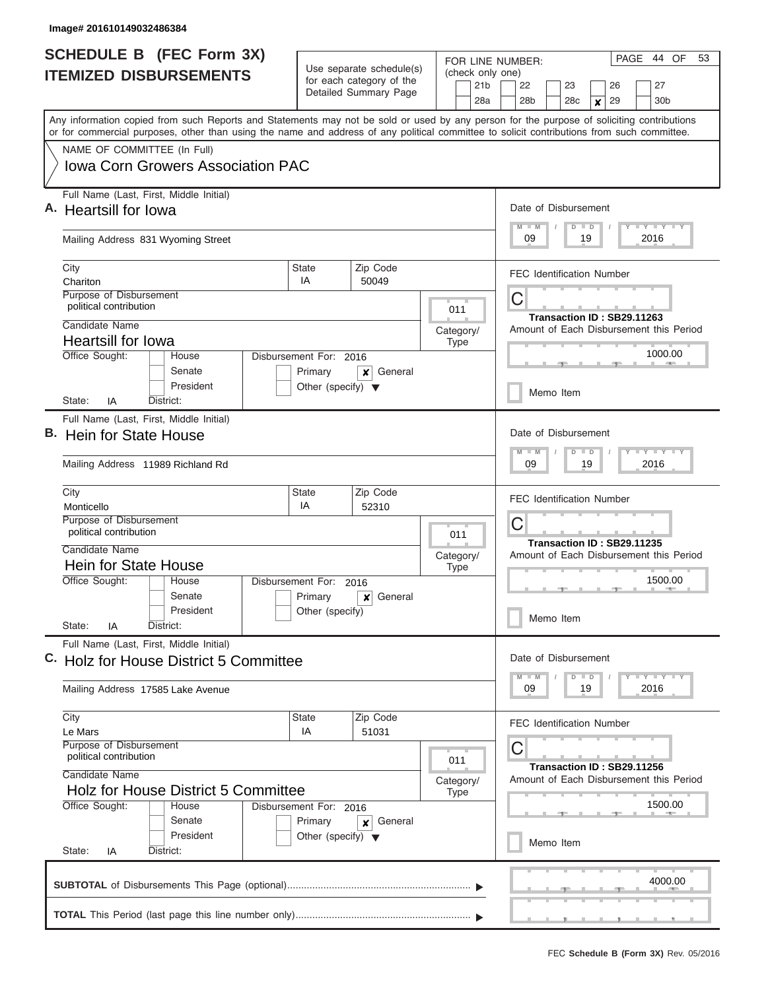| <b>SCHEDULE B</b> (FEC Form 3X)<br><b>ITEMIZED DISBURSEMENTS</b>                                                                                                                                                                                                                                                                                                   | Use separate schedule(s)<br>for each category of the<br>Detailed Summary Page                                                        | FOR LINE NUMBER:<br>(check only one)<br>21 <sub>b</sub><br>28a                       | PAGE<br>44 OF<br>53<br>27<br>22<br>23<br>26<br>28 <sub>b</sub><br>28 <sub>c</sub><br>29<br>30 <sub>b</sub><br>X                        |  |  |  |  |  |  |  |
|--------------------------------------------------------------------------------------------------------------------------------------------------------------------------------------------------------------------------------------------------------------------------------------------------------------------------------------------------------------------|--------------------------------------------------------------------------------------------------------------------------------------|--------------------------------------------------------------------------------------|----------------------------------------------------------------------------------------------------------------------------------------|--|--|--|--|--|--|--|
| Any information copied from such Reports and Statements may not be sold or used by any person for the purpose of soliciting contributions<br>or for commercial purposes, other than using the name and address of any political committee to solicit contributions from such committee.<br>NAME OF COMMITTEE (In Full)<br><b>Iowa Corn Growers Association PAC</b> |                                                                                                                                      |                                                                                      |                                                                                                                                        |  |  |  |  |  |  |  |
| Full Name (Last, First, Middle Initial)<br>A. Heartsill for lowa<br>Mailing Address 831 Wyoming Street                                                                                                                                                                                                                                                             |                                                                                                                                      |                                                                                      | Date of Disbursement<br>$M$ $M$<br>$Y - Y - Y - I - Y$<br>$D$ $D$<br>09<br>19<br>2016                                                  |  |  |  |  |  |  |  |
| City<br>Chariton<br>Purpose of Disbursement<br>political contribution<br>Candidate Name                                                                                                                                                                                                                                                                            | Zip Code<br><b>State</b><br>IA<br>50049                                                                                              | 011<br>Category/                                                                     | <b>FEC Identification Number</b><br>С<br>Transaction ID: SB29.11263<br>Amount of Each Disbursement this Period                         |  |  |  |  |  |  |  |
| <b>Heartsill for lowa</b><br>Office Sought:<br>House<br>Senate<br>President<br>District:<br>State:<br>IA                                                                                                                                                                                                                                                           | Disbursement For: 2016<br>Primary<br>General<br>x<br>Other (specify) $\blacktriangledown$                                            | <b>Type</b>                                                                          | 1000.00<br>Memo Item                                                                                                                   |  |  |  |  |  |  |  |
| Full Name (Last, First, Middle Initial)<br>В.<br><b>Hein for State House</b><br>Mailing Address 11989 Richland Rd                                                                                                                                                                                                                                                  |                                                                                                                                      | Date of Disbursement<br><b>TEY TEY TEY</b><br>$M - M$<br>$D$ $D$<br>09<br>19<br>2016 |                                                                                                                                        |  |  |  |  |  |  |  |
| City<br>Monticello<br>Purpose of Disbursement<br>political contribution<br>Candidate Name<br>Hein for State House<br>Office Sought:<br>House<br>Senate                                                                                                                                                                                                             | Zip Code<br><b>State</b><br>IA<br>52310<br>Disbursement For:<br>2016<br>Primary<br>General<br>×                                      | 011<br>Category/<br><b>Type</b>                                                      | <b>FEC Identification Number</b><br>С<br>Transaction ID: SB29.11235<br>Amount of Each Disbursement this Period<br>1500.00<br>$-1$      |  |  |  |  |  |  |  |
| President<br>State:<br>IA<br>District:<br>Full Name (Last, First, Middle Initial)<br>C. Holz for House District 5 Committee<br>Mailing Address 17585 Lake Avenue                                                                                                                                                                                                   | Other (specify)                                                                                                                      |                                                                                      | Memo Item<br>Date of Disbursement<br>$I - Y - I - Y - I - Y$<br>$M - M$<br>$D$ $D$<br>09<br>19<br>2016                                 |  |  |  |  |  |  |  |
| City<br>Le Mars<br>Purpose of Disbursement<br>political contribution<br>Candidate Name<br><b>Holz for House District 5 Committee</b><br>Office Sought:<br>House<br>Senate<br>President<br>State:<br>District:<br>IA                                                                                                                                                | Zip Code<br><b>State</b><br>IA<br>51031<br>Disbursement For: 2016<br>Primary<br>General<br>×<br>Other (specify) $\blacktriangledown$ | 011<br>Category/<br><b>Type</b>                                                      | <b>FEC Identification Number</b><br>С<br>Transaction ID: SB29.11256<br>Amount of Each Disbursement this Period<br>1500.00<br>Memo Item |  |  |  |  |  |  |  |
|                                                                                                                                                                                                                                                                                                                                                                    |                                                                                                                                      |                                                                                      | 4000.00                                                                                                                                |  |  |  |  |  |  |  |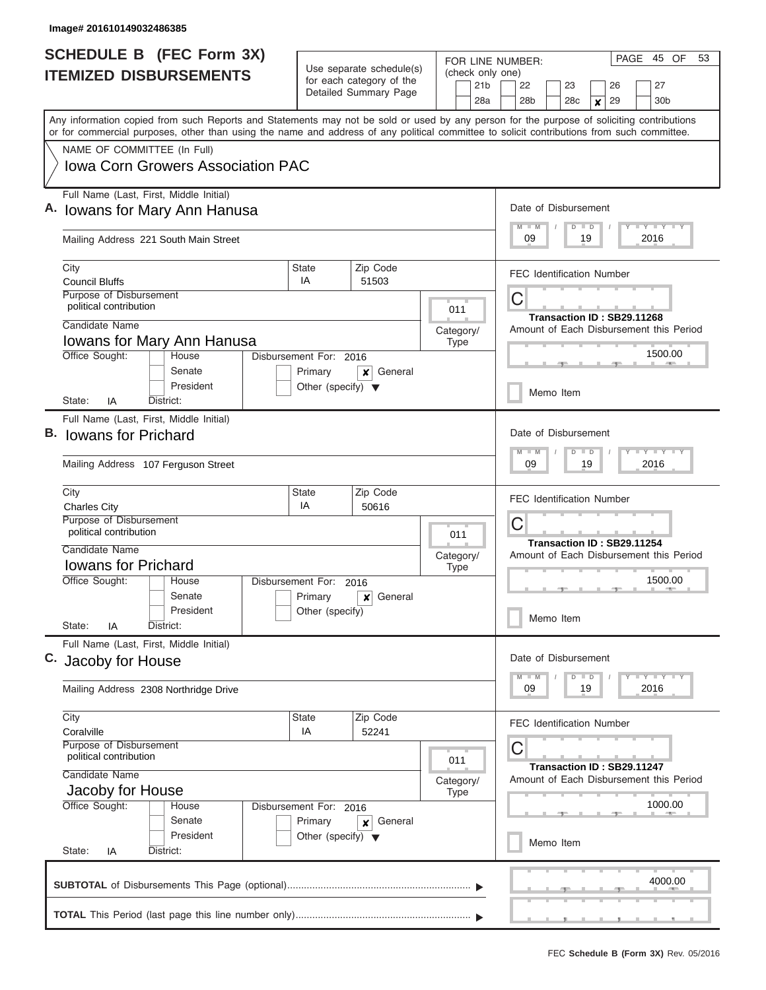| <b>SCHEDULE B</b> (FEC Form 3X)                                                                                                                                                                                                                                                         |                                                                 |                                                      | FOR LINE NUMBER:                    | PAGE<br>45 OF<br>53                                                             |  |  |  |  |  |  |  |  |  |  |
|-----------------------------------------------------------------------------------------------------------------------------------------------------------------------------------------------------------------------------------------------------------------------------------------|-----------------------------------------------------------------|------------------------------------------------------|-------------------------------------|---------------------------------------------------------------------------------|--|--|--|--|--|--|--|--|--|--|
| <b>ITEMIZED DISBURSEMENTS</b>                                                                                                                                                                                                                                                           |                                                                 | Use separate schedule(s)<br>for each category of the | (check only one)<br>21 <sub>b</sub> | 22<br>23<br>27<br>26                                                            |  |  |  |  |  |  |  |  |  |  |
|                                                                                                                                                                                                                                                                                         |                                                                 | Detailed Summary Page                                | 28a                                 | 28 <sub>b</sub><br>28c<br>29<br>30 <sub>b</sub><br>$\pmb{\times}$               |  |  |  |  |  |  |  |  |  |  |
| Any information copied from such Reports and Statements may not be sold or used by any person for the purpose of soliciting contributions<br>or for commercial purposes, other than using the name and address of any political committee to solicit contributions from such committee. |                                                                 |                                                      |                                     |                                                                                 |  |  |  |  |  |  |  |  |  |  |
| NAME OF COMMITTEE (In Full)                                                                                                                                                                                                                                                             |                                                                 |                                                      |                                     |                                                                                 |  |  |  |  |  |  |  |  |  |  |
| Iowa Corn Growers Association PAC                                                                                                                                                                                                                                                       |                                                                 |                                                      |                                     |                                                                                 |  |  |  |  |  |  |  |  |  |  |
| Full Name (Last, First, Middle Initial)<br><b>Iowans for Mary Ann Hanusa</b>                                                                                                                                                                                                            |                                                                 |                                                      |                                     | Date of Disbursement<br>Y I Y I Y I Y<br>$M$ $M$<br>$D$ $D$<br>2016<br>09<br>19 |  |  |  |  |  |  |  |  |  |  |
| Mailing Address 221 South Main Street                                                                                                                                                                                                                                                   |                                                                 |                                                      |                                     |                                                                                 |  |  |  |  |  |  |  |  |  |  |
| City<br><b>Council Bluffs</b>                                                                                                                                                                                                                                                           | <b>State</b><br>IA                                              | Zip Code<br>51503                                    |                                     | <b>FEC Identification Number</b>                                                |  |  |  |  |  |  |  |  |  |  |
| Purpose of Disbursement<br>political contribution                                                                                                                                                                                                                                       |                                                                 |                                                      | 011                                 | С<br>Transaction ID: SB29.11268                                                 |  |  |  |  |  |  |  |  |  |  |
| Candidate Name<br>Iowans for Mary Ann Hanusa                                                                                                                                                                                                                                            |                                                                 |                                                      | Category/                           | Amount of Each Disbursement this Period                                         |  |  |  |  |  |  |  |  |  |  |
| Office Sought:<br>House                                                                                                                                                                                                                                                                 | Disbursement For: 2016                                          |                                                      | <b>Type</b><br>1500.00              |                                                                                 |  |  |  |  |  |  |  |  |  |  |
| Senate<br>President                                                                                                                                                                                                                                                                     | Primary<br>General<br>×<br>Other (specify) $\blacktriangledown$ |                                                      |                                     |                                                                                 |  |  |  |  |  |  |  |  |  |  |
| State:<br>IA<br>District:                                                                                                                                                                                                                                                               |                                                                 |                                                      |                                     | Memo Item                                                                       |  |  |  |  |  |  |  |  |  |  |
| Full Name (Last, First, Middle Initial)<br>В.<br><b>Iowans for Prichard</b>                                                                                                                                                                                                             |                                                                 |                                                      |                                     | Date of Disbursement<br>$-1 - Y - 1 - Y - 1 - Y$<br>$M - M$<br>$D$ $D$          |  |  |  |  |  |  |  |  |  |  |
| Mailing Address 107 Ferguson Street                                                                                                                                                                                                                                                     |                                                                 |                                                      |                                     | 09<br>19<br>2016                                                                |  |  |  |  |  |  |  |  |  |  |
| City                                                                                                                                                                                                                                                                                    | Zip Code<br><b>State</b><br>IA<br>50616<br><b>Charles City</b>  |                                                      |                                     |                                                                                 |  |  |  |  |  |  |  |  |  |  |
| Purpose of Disbursement<br>political contribution                                                                                                                                                                                                                                       |                                                                 |                                                      | 011                                 | С<br>Transaction ID: SB29.11254                                                 |  |  |  |  |  |  |  |  |  |  |
| Candidate Name                                                                                                                                                                                                                                                                          |                                                                 |                                                      | Category/                           | Amount of Each Disbursement this Period                                         |  |  |  |  |  |  |  |  |  |  |
| <b>Iowans for Prichard</b><br>Office Sought:<br>House                                                                                                                                                                                                                                   | Disbursement For:                                               |                                                      | <b>Type</b>                         | 1500.00                                                                         |  |  |  |  |  |  |  |  |  |  |
| Senate                                                                                                                                                                                                                                                                                  | Primary                                                         | 2016<br>General<br>$\boldsymbol{x}$                  |                                     |                                                                                 |  |  |  |  |  |  |  |  |  |  |
| President<br>State:<br>IA<br>District:                                                                                                                                                                                                                                                  | Other (specify)                                                 |                                                      |                                     | Memo Item                                                                       |  |  |  |  |  |  |  |  |  |  |
| Full Name (Last, First, Middle Initial)<br>C.<br>Jacoby for House                                                                                                                                                                                                                       |                                                                 |                                                      |                                     | Date of Disbursement                                                            |  |  |  |  |  |  |  |  |  |  |
| Mailing Address 2308 Northridge Drive                                                                                                                                                                                                                                                   |                                                                 |                                                      |                                     | $Y - Y - Y - Y - Y$<br>$D$ $D$<br>2016<br>19<br>09                              |  |  |  |  |  |  |  |  |  |  |
| City<br>Coralville                                                                                                                                                                                                                                                                      | <b>State</b><br>IA                                              | Zip Code<br>52241                                    |                                     | <b>FEC Identification Number</b>                                                |  |  |  |  |  |  |  |  |  |  |
| Purpose of Disbursement<br>political contribution                                                                                                                                                                                                                                       |                                                                 |                                                      | 011                                 | С<br>Transaction ID: SB29.11247                                                 |  |  |  |  |  |  |  |  |  |  |
| Candidate Name<br>Jacoby for House                                                                                                                                                                                                                                                      |                                                                 |                                                      | Category/<br><b>Type</b>            | Amount of Each Disbursement this Period                                         |  |  |  |  |  |  |  |  |  |  |
| Office Sought:<br>House                                                                                                                                                                                                                                                                 | Disbursement For: 2016                                          |                                                      |                                     | 1000.00                                                                         |  |  |  |  |  |  |  |  |  |  |
| Senate<br>President<br>State:<br>District:<br>IA                                                                                                                                                                                                                                        | Primary<br>Other (specify) $\blacktriangledown$                 | General<br>×                                         |                                     | Memo Item                                                                       |  |  |  |  |  |  |  |  |  |  |
|                                                                                                                                                                                                                                                                                         |                                                                 |                                                      |                                     |                                                                                 |  |  |  |  |  |  |  |  |  |  |
|                                                                                                                                                                                                                                                                                         |                                                                 |                                                      |                                     | 4000.00                                                                         |  |  |  |  |  |  |  |  |  |  |
|                                                                                                                                                                                                                                                                                         |                                                                 |                                                      |                                     |                                                                                 |  |  |  |  |  |  |  |  |  |  |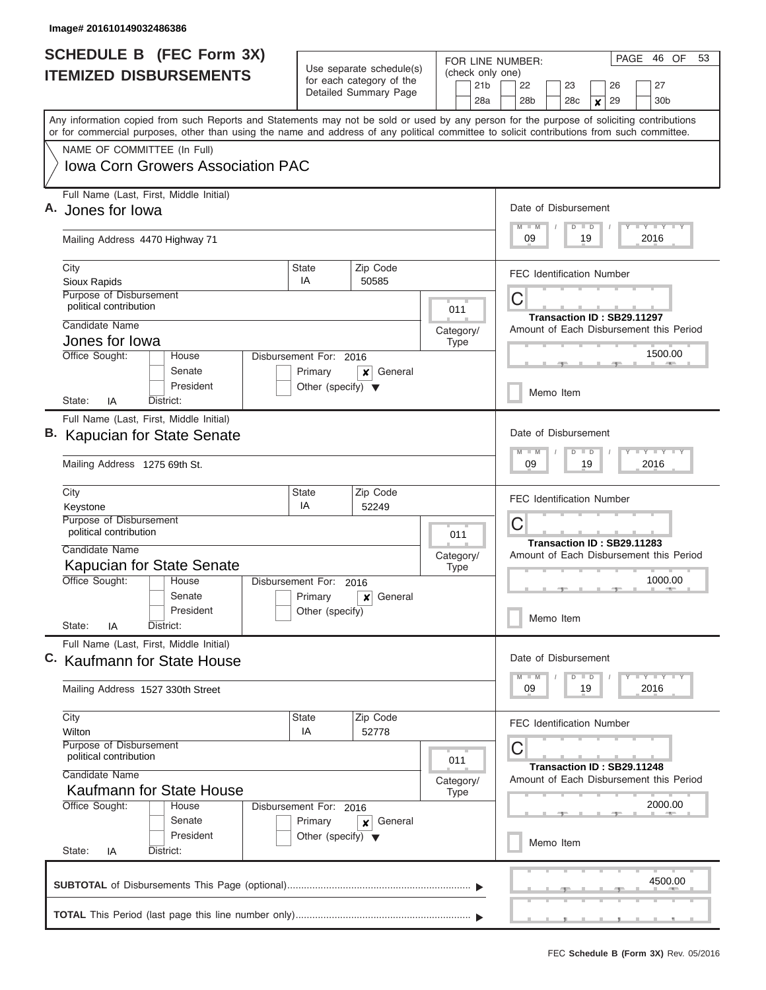| <b>SCHEDULE B</b> (FEC Form 3X)<br><b>ITEMIZED DISBURSEMENTS</b>                                                                                                                                                                                                                                                                                                   | Use separate schedule(s)<br>for each category of the<br>Detailed Summary Page                                                                | FOR LINE NUMBER:<br>(check only one)<br>21 <sub>b</sub><br>28a | PAGE<br>46 OF<br>53<br>27<br>22<br>23<br>26<br>28b<br>28 <sub>c</sub><br>29<br>30 <sub>b</sub><br>× |                                                                                                                                                            |  |  |  |  |  |  |  |  |
|--------------------------------------------------------------------------------------------------------------------------------------------------------------------------------------------------------------------------------------------------------------------------------------------------------------------------------------------------------------------|----------------------------------------------------------------------------------------------------------------------------------------------|----------------------------------------------------------------|-----------------------------------------------------------------------------------------------------|------------------------------------------------------------------------------------------------------------------------------------------------------------|--|--|--|--|--|--|--|--|
| Any information copied from such Reports and Statements may not be sold or used by any person for the purpose of soliciting contributions<br>or for commercial purposes, other than using the name and address of any political committee to solicit contributions from such committee.<br>NAME OF COMMITTEE (In Full)<br><b>Iowa Corn Growers Association PAC</b> |                                                                                                                                              |                                                                |                                                                                                     |                                                                                                                                                            |  |  |  |  |  |  |  |  |
| Full Name (Last, First, Middle Initial)<br>Jones for lowa<br>Mailing Address 4470 Highway 71                                                                                                                                                                                                                                                                       |                                                                                                                                              |                                                                |                                                                                                     | Date of Disbursement<br>Y LY LY LY<br>$M$ $M$<br>$D$ $D$<br>09<br>19<br>2016                                                                               |  |  |  |  |  |  |  |  |
| City<br>Sioux Rapids<br>Purpose of Disbursement<br>political contribution<br>Candidate Name<br>Jones for lowa                                                                                                                                                                                                                                                      | Zip Code<br><b>State</b><br>IA<br>50585                                                                                                      |                                                                |                                                                                                     | <b>FEC Identification Number</b><br>С<br>Transaction ID: SB29.11297<br>Amount of Each Disbursement this Period                                             |  |  |  |  |  |  |  |  |
| Office Sought:<br>House<br>Senate<br>President<br>District:<br>State:<br>IA                                                                                                                                                                                                                                                                                        | Disbursement For: 2016<br>Primary<br>Other (specify) $\blacktriangledown$                                                                    | General<br>x                                                   | <b>Type</b>                                                                                         | 1500.00<br>Memo Item                                                                                                                                       |  |  |  |  |  |  |  |  |
| Full Name (Last, First, Middle Initial)<br><b>Kapucian for State Senate</b><br>Mailing Address 1275 69th St.                                                                                                                                                                                                                                                       |                                                                                                                                              |                                                                |                                                                                                     | Date of Disbursement<br>$T$ $T$ $T$ $T$ $T$ $T$ $T$ $T$ $T$<br>$M - M$<br>$D$ $D$<br>09<br>19<br>2016                                                      |  |  |  |  |  |  |  |  |
| City<br>Keystone<br><b>Purpose of Disbursement</b><br>political contribution<br>Candidate Name<br><b>Kapucian for State Senate</b><br>Office Sought:<br>House<br>Senate                                                                                                                                                                                            | Zip Code<br><b>State</b><br>IA<br>52249<br>Disbursement For:<br>2016<br>Primary<br>General<br>×<br>President<br>Other (specify)<br>District: |                                                                |                                                                                                     | <b>FEC Identification Number</b><br>С<br>Transaction ID: SB29.11283<br>Amount of Each Disbursement this Period<br>1000.00                                  |  |  |  |  |  |  |  |  |
| State:<br>IA<br>Full Name (Last, First, Middle Initial)<br>C. Kaufmann for State House<br>Mailing Address 1527 330th Street                                                                                                                                                                                                                                        |                                                                                                                                              |                                                                |                                                                                                     | Memo Item<br>Date of Disbursement<br>$I - Y - I - Y - I - Y$<br>$M$ $M$<br>$D$ $D$                                                                         |  |  |  |  |  |  |  |  |
| City<br>Wilton<br><b>Purpose of Disbursement</b><br>political contribution<br>Candidate Name<br><b>Kaufmann for State House</b><br>Office Sought:<br>House<br>Senate<br>President<br>State:<br>IA<br>District:                                                                                                                                                     | <b>State</b><br>IA<br>Disbursement For: 2016<br>Primary<br>Other (specify) $\blacktriangledown$                                              | Zip Code<br>52778<br>General<br>×                              | 011<br>Category/<br>Type                                                                            | 09<br>19<br>2016<br><b>FEC Identification Number</b><br>С<br>Transaction ID: SB29.11248<br>Amount of Each Disbursement this Period<br>2000.00<br>Memo Item |  |  |  |  |  |  |  |  |
|                                                                                                                                                                                                                                                                                                                                                                    |                                                                                                                                              |                                                                |                                                                                                     | 4500.00<br><u>.</u>                                                                                                                                        |  |  |  |  |  |  |  |  |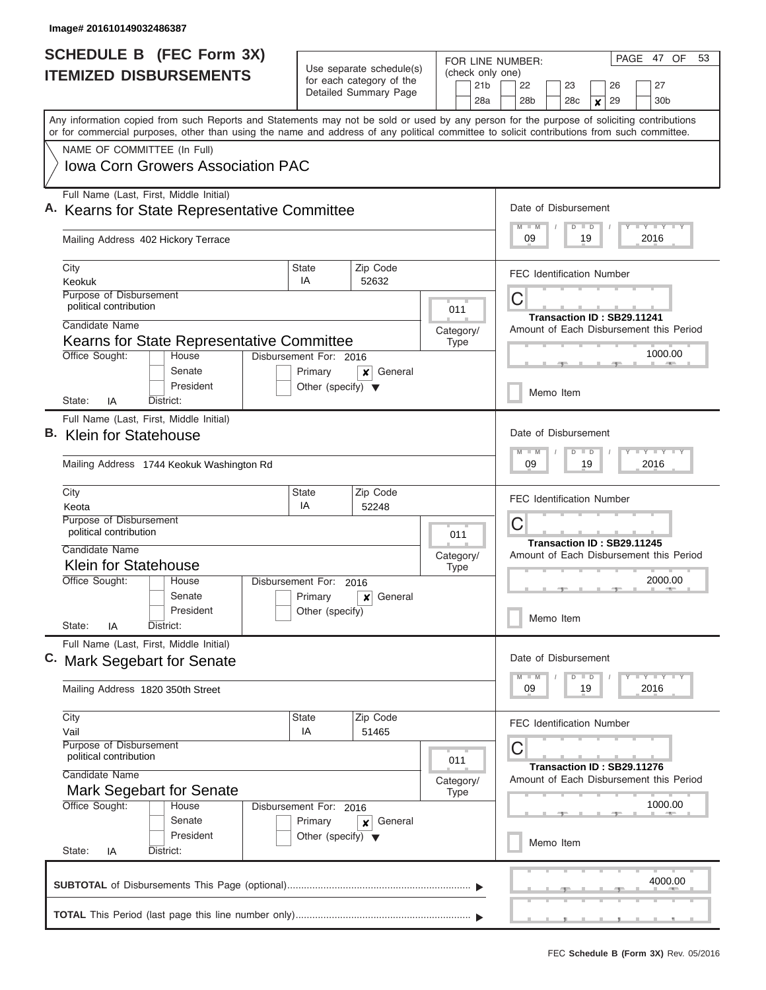| <b>SCHEDULE B</b> (FEC Form 3X) |                                                                                                                                                                                                                                                                                         |                                                                 |                                                                               | PAGE 47 OF<br>FOR LINE NUMBER: |                                  |                                            |                             |                                         |  |           |    | 53                         |  |                                         |  |  |  |  |
|---------------------------------|-----------------------------------------------------------------------------------------------------------------------------------------------------------------------------------------------------------------------------------------------------------------------------------------|-----------------------------------------------------------------|-------------------------------------------------------------------------------|--------------------------------|----------------------------------|--------------------------------------------|-----------------------------|-----------------------------------------|--|-----------|----|----------------------------|--|-----------------------------------------|--|--|--|--|
|                                 | <b>ITEMIZED DISBURSEMENTS</b>                                                                                                                                                                                                                                                           |                                                                 | Use separate schedule(s)<br>for each category of the<br>Detailed Summary Page |                                |                                  | (check only one)<br>21 <sub>b</sub><br>28a |                             | 22<br>28b                               |  | 23<br>28c |    | 26<br>29<br>$\pmb{\times}$ |  | 27<br>30b                               |  |  |  |  |
|                                 | Any information copied from such Reports and Statements may not be sold or used by any person for the purpose of soliciting contributions<br>or for commercial purposes, other than using the name and address of any political committee to solicit contributions from such committee. |                                                                 |                                                                               |                                |                                  |                                            |                             |                                         |  |           |    |                            |  |                                         |  |  |  |  |
|                                 | NAME OF COMMITTEE (In Full)                                                                                                                                                                                                                                                             |                                                                 |                                                                               |                                |                                  |                                            |                             |                                         |  |           |    |                            |  |                                         |  |  |  |  |
|                                 | <b>Iowa Corn Growers Association PAC</b>                                                                                                                                                                                                                                                |                                                                 |                                                                               |                                |                                  |                                            |                             |                                         |  |           |    |                            |  |                                         |  |  |  |  |
|                                 | Full Name (Last, First, Middle Initial)<br>A. Kearns for State Representative Committee                                                                                                                                                                                                 |                                                                 |                                                                               |                                |                                  |                                            |                             | Date of Disbursement<br>$M - M$         |  |           |    |                            |  | <b>LY LY LY</b>                         |  |  |  |  |
|                                 | Mailing Address 402 Hickory Terrace                                                                                                                                                                                                                                                     |                                                                 |                                                                               |                                |                                  |                                            | $D$ $D$<br>09<br>19<br>2016 |                                         |  |           |    |                            |  |                                         |  |  |  |  |
|                                 | City                                                                                                                                                                                                                                                                                    | State                                                           | Zip Code                                                                      |                                |                                  |                                            |                             | <b>FEC</b> Identification Number        |  |           |    |                            |  |                                         |  |  |  |  |
|                                 | Keokuk<br><b>Purpose of Disbursement</b>                                                                                                                                                                                                                                                | IA                                                              | 52632                                                                         |                                |                                  |                                            |                             |                                         |  |           |    |                            |  |                                         |  |  |  |  |
|                                 | political contribution                                                                                                                                                                                                                                                                  |                                                                 |                                                                               |                                | 011                              |                                            |                             | C<br>Transaction ID: SB29.11241         |  |           |    |                            |  |                                         |  |  |  |  |
|                                 | Candidate Name                                                                                                                                                                                                                                                                          |                                                                 |                                                                               | Category/                      |                                  |                                            |                             |                                         |  |           |    |                            |  |                                         |  |  |  |  |
|                                 | Kearns for State Representative Committee                                                                                                                                                                                                                                               | <b>Type</b>                                                     |                                                                               |                                |                                  |                                            |                             | Amount of Each Disbursement this Period |  |           |    |                            |  |                                         |  |  |  |  |
|                                 | Office Sought:<br>House                                                                                                                                                                                                                                                                 | Disbursement For: 2016                                          |                                                                               |                                |                                  |                                            |                             |                                         |  |           |    |                            |  | 1000.00                                 |  |  |  |  |
|                                 | Senate<br>President                                                                                                                                                                                                                                                                     | Primary<br>General<br>X<br>Other (specify) $\blacktriangledown$ |                                                                               |                                |                                  | Memo Item                                  |                             |                                         |  |           |    |                            |  |                                         |  |  |  |  |
|                                 | District:<br>State:<br>IA                                                                                                                                                                                                                                                               |                                                                 |                                                                               |                                |                                  |                                            |                             |                                         |  |           |    |                            |  |                                         |  |  |  |  |
|                                 | Full Name (Last, First, Middle Initial)<br>B. Klein for Statehouse                                                                                                                                                                                                                      |                                                                 |                                                                               |                                |                                  |                                            |                             | Date of Disbursement<br>$M - M$         |  |           |    |                            |  |                                         |  |  |  |  |
|                                 | Mailing Address 1744 Keokuk Washington Rd                                                                                                                                                                                                                                               |                                                                 |                                                                               |                                |                                  |                                            |                             |                                         |  | $D$ $D$   | 19 |                            |  | $T - Y$ $T - Y$ $T - Y$<br>2016         |  |  |  |  |
|                                 | State<br>City<br>Keota                                                                                                                                                                                                                                                                  |                                                                 |                                                                               |                                | <b>FEC Identification Number</b> |                                            |                             |                                         |  |           |    |                            |  |                                         |  |  |  |  |
|                                 | Purpose of Disbursement<br>political contribution<br>Candidate Name                                                                                                                                                                                                                     |                                                                 |                                                                               |                                |                                  |                                            |                             | C                                       |  |           |    | Transaction ID: SB29.11245 |  |                                         |  |  |  |  |
|                                 | <b>Klein for Statehouse</b>                                                                                                                                                                                                                                                             | Category/<br><b>Type</b>                                        |                                                                               |                                |                                  |                                            |                             | Amount of Each Disbursement this Period |  |           |    |                            |  |                                         |  |  |  |  |
|                                 | Office Sought:<br>House                                                                                                                                                                                                                                                                 | Disbursement For:<br>2016                                       |                                                                               |                                |                                  |                                            | 2000.00                     |                                         |  |           |    |                            |  |                                         |  |  |  |  |
|                                 | Senate                                                                                                                                                                                                                                                                                  | Primary                                                         |                                                                               |                                |                                  |                                            |                             |                                         |  |           |    |                            |  |                                         |  |  |  |  |
|                                 | President<br>State:<br>IA<br>District:                                                                                                                                                                                                                                                  | Other (specify)                                                 |                                                                               |                                |                                  |                                            |                             |                                         |  | Memo Item |    |                            |  |                                         |  |  |  |  |
|                                 | Full Name (Last, First, Middle Initial)<br>C. Mark Segebart for Senate                                                                                                                                                                                                                  |                                                                 |                                                                               |                                |                                  |                                            |                             | Date of Disbursement                    |  |           |    |                            |  |                                         |  |  |  |  |
|                                 | Mailing Address 1820 350th Street                                                                                                                                                                                                                                                       |                                                                 |                                                                               |                                |                                  |                                            |                             | $-M$<br>09                              |  | $D$ $D$   | 19 |                            |  | $T - Y$ $T - Y$ $T - Y$<br>2016         |  |  |  |  |
|                                 | City                                                                                                                                                                                                                                                                                    | <b>State</b><br>IA                                              | Zip Code<br>51465                                                             |                                |                                  |                                            |                             | <b>FEC Identification Number</b>        |  |           |    |                            |  |                                         |  |  |  |  |
|                                 | Vail<br>Purpose of Disbursement<br>political contribution<br>011                                                                                                                                                                                                                        |                                                                 |                                                                               |                                |                                  |                                            |                             |                                         |  |           |    |                            |  |                                         |  |  |  |  |
|                                 | Candidate Name                                                                                                                                                                                                                                                                          |                                                                 |                                                                               | Category/                      |                                  |                                            |                             |                                         |  |           |    | Transaction ID: SB29.11276 |  | Amount of Each Disbursement this Period |  |  |  |  |
|                                 | Mark Segebart for Senate<br><b>Type</b>                                                                                                                                                                                                                                                 |                                                                 |                                                                               |                                |                                  |                                            |                             |                                         |  |           |    |                            |  |                                         |  |  |  |  |
|                                 | Office Sought:<br>House<br>Senate                                                                                                                                                                                                                                                       | Disbursement For: 2016<br>Primary                               |                                                                               |                                |                                  |                                            |                             |                                         |  |           |    |                            |  | 1000.00                                 |  |  |  |  |
|                                 | President<br>State:<br>District:<br>IA                                                                                                                                                                                                                                                  | Other (specify) $\blacktriangledown$                            | General<br>×                                                                  |                                |                                  |                                            |                             |                                         |  | Memo Item |    |                            |  |                                         |  |  |  |  |
|                                 |                                                                                                                                                                                                                                                                                         |                                                                 |                                                                               |                                |                                  |                                            |                             |                                         |  |           |    |                            |  |                                         |  |  |  |  |
|                                 |                                                                                                                                                                                                                                                                                         |                                                                 |                                                                               |                                |                                  |                                            |                             |                                         |  |           |    |                            |  | 4000.00                                 |  |  |  |  |
|                                 |                                                                                                                                                                                                                                                                                         |                                                                 |                                                                               |                                |                                  |                                            |                             |                                         |  |           |    |                            |  |                                         |  |  |  |  |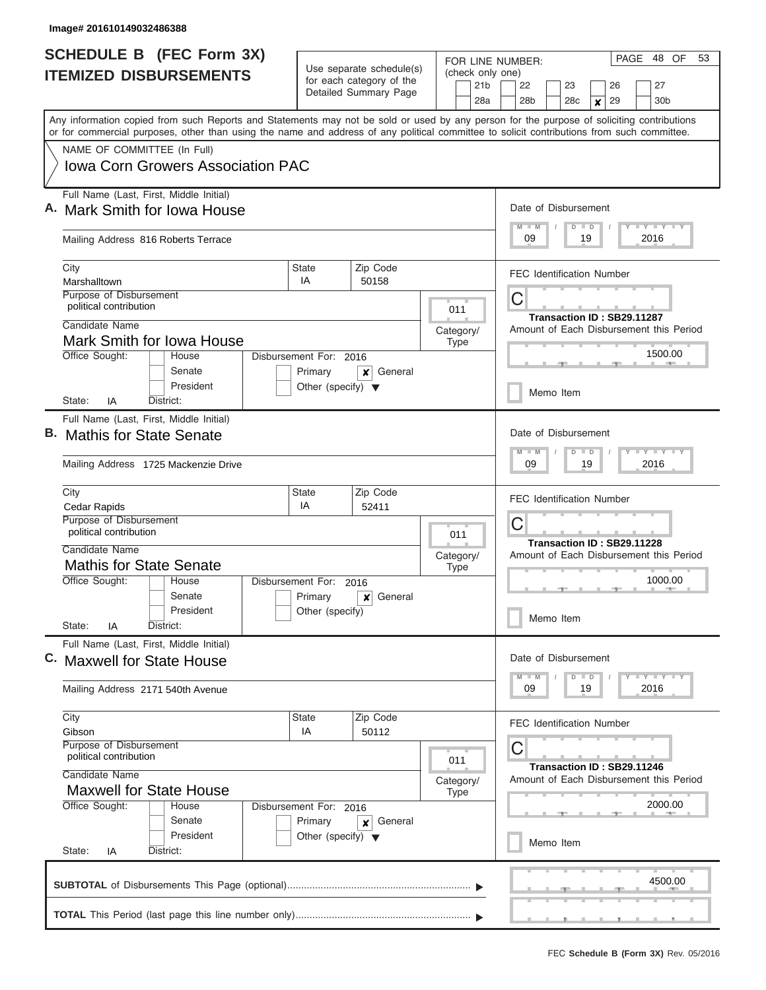|                               | <b>SCHEDULE B (FEC Form 3X)</b>                                                                                                                                                                                                                                                         |                                                 |                                                                       | FOR LINE NUMBER:                    | PAGE 48 OF<br>53                                                                |  |  |  |  |  |  |  |  |  |
|-------------------------------|-----------------------------------------------------------------------------------------------------------------------------------------------------------------------------------------------------------------------------------------------------------------------------------------|-------------------------------------------------|-----------------------------------------------------------------------|-------------------------------------|---------------------------------------------------------------------------------|--|--|--|--|--|--|--|--|--|
| <b>ITEMIZED DISBURSEMENTS</b> |                                                                                                                                                                                                                                                                                         |                                                 | Use separate schedule(s)<br>for each category of the                  | (check only one)<br>21 <sub>b</sub> | 22<br>23<br>27<br>26                                                            |  |  |  |  |  |  |  |  |  |
|                               |                                                                                                                                                                                                                                                                                         |                                                 | Detailed Summary Page                                                 | 28a                                 | 28 <sub>b</sub><br>28 <sub>c</sub><br>29<br>30 <sub>b</sub><br>$\boldsymbol{x}$ |  |  |  |  |  |  |  |  |  |
|                               | Any information copied from such Reports and Statements may not be sold or used by any person for the purpose of soliciting contributions<br>or for commercial purposes, other than using the name and address of any political committee to solicit contributions from such committee. |                                                 |                                                                       |                                     |                                                                                 |  |  |  |  |  |  |  |  |  |
|                               | NAME OF COMMITTEE (In Full)                                                                                                                                                                                                                                                             |                                                 |                                                                       |                                     |                                                                                 |  |  |  |  |  |  |  |  |  |
|                               | Iowa Corn Growers Association PAC                                                                                                                                                                                                                                                       |                                                 |                                                                       |                                     |                                                                                 |  |  |  |  |  |  |  |  |  |
|                               | Full Name (Last, First, Middle Initial)<br>A. Mark Smith for Iowa House                                                                                                                                                                                                                 |                                                 |                                                                       |                                     | Date of Disbursement                                                            |  |  |  |  |  |  |  |  |  |
|                               | Mailing Address 816 Roberts Terrace                                                                                                                                                                                                                                                     |                                                 |                                                                       |                                     | Y LY LY LY<br>$M$ $M$<br>$D$ $D$<br>09<br>19<br>2016                            |  |  |  |  |  |  |  |  |  |
|                               | City<br>Marshalltown                                                                                                                                                                                                                                                                    | <b>State</b><br>IA                              | Zip Code<br>50158                                                     |                                     | <b>FEC Identification Number</b>                                                |  |  |  |  |  |  |  |  |  |
|                               | Purpose of Disbursement<br>political contribution                                                                                                                                                                                                                                       |                                                 |                                                                       | 011                                 | C                                                                               |  |  |  |  |  |  |  |  |  |
|                               | Candidate Name                                                                                                                                                                                                                                                                          |                                                 |                                                                       | Category/                           | Transaction ID: SB29.11287<br>Amount of Each Disbursement this Period           |  |  |  |  |  |  |  |  |  |
|                               | Mark Smith for Iowa House<br>Office Sought:<br>House                                                                                                                                                                                                                                    | Disbursement For: 2016                          |                                                                       | <b>Type</b>                         | 1500.00                                                                         |  |  |  |  |  |  |  |  |  |
|                               | Senate<br>President                                                                                                                                                                                                                                                                     | Primary<br>Other (specify) $\blacktriangledown$ | General<br>×                                                          |                                     |                                                                                 |  |  |  |  |  |  |  |  |  |
|                               | District:<br>State:<br>IA                                                                                                                                                                                                                                                               |                                                 |                                                                       |                                     | Memo Item                                                                       |  |  |  |  |  |  |  |  |  |
|                               | Full Name (Last, First, Middle Initial)                                                                                                                                                                                                                                                 |                                                 |                                                                       |                                     |                                                                                 |  |  |  |  |  |  |  |  |  |
|                               | <b>Mathis for State Senate</b>                                                                                                                                                                                                                                                          |                                                 |                                                                       |                                     | Date of Disbursement                                                            |  |  |  |  |  |  |  |  |  |
|                               | Mailing Address 1725 Mackenzie Drive                                                                                                                                                                                                                                                    |                                                 |                                                                       |                                     | Y FY FY FY<br>$M - M$<br>$D$ $D$<br>09<br>19<br>2016                            |  |  |  |  |  |  |  |  |  |
|                               | City                                                                                                                                                                                                                                                                                    |                                                 | <b>FEC Identification Number</b>                                      |                                     |                                                                                 |  |  |  |  |  |  |  |  |  |
|                               | Cedar Rapids<br>Purpose of Disbursement                                                                                                                                                                                                                                                 | IA                                              | 52411                                                                 |                                     | С                                                                               |  |  |  |  |  |  |  |  |  |
|                               | political contribution                                                                                                                                                                                                                                                                  |                                                 |                                                                       | 011                                 | Transaction ID: SB29.11228                                                      |  |  |  |  |  |  |  |  |  |
|                               | Candidate Name<br><b>Mathis for State Senate</b>                                                                                                                                                                                                                                        |                                                 |                                                                       | Category/<br><b>Type</b>            | Amount of Each Disbursement this Period                                         |  |  |  |  |  |  |  |  |  |
|                               | Office Sought:<br>House                                                                                                                                                                                                                                                                 | Disbursement For:                               | 2016                                                                  |                                     | 1000.00                                                                         |  |  |  |  |  |  |  |  |  |
|                               | Senate                                                                                                                                                                                                                                                                                  | Primary                                         | General<br>$\boldsymbol{x}$                                           |                                     |                                                                                 |  |  |  |  |  |  |  |  |  |
|                               | President<br>State:<br>IA<br>District:                                                                                                                                                                                                                                                  | Other (specify)                                 |                                                                       |                                     | Memo Item                                                                       |  |  |  |  |  |  |  |  |  |
|                               | Full Name (Last, First, Middle Initial)<br>C. Maxwell for State House                                                                                                                                                                                                                   |                                                 |                                                                       |                                     | Date of Disbursement                                                            |  |  |  |  |  |  |  |  |  |
|                               | Mailing Address 2171 540th Avenue                                                                                                                                                                                                                                                       |                                                 |                                                                       |                                     | $Y$ $Y$ $Y$ $Y$ $Y$<br>$D$ $D$<br>09<br>19<br>2016                              |  |  |  |  |  |  |  |  |  |
|                               | City<br>Gibson                                                                                                                                                                                                                                                                          | <b>State</b><br>IA                              | Zip Code<br>50112                                                     |                                     | <b>FEC Identification Number</b>                                                |  |  |  |  |  |  |  |  |  |
|                               | Purpose of Disbursement<br>political contribution                                                                                                                                                                                                                                       |                                                 |                                                                       | 011                                 | С                                                                               |  |  |  |  |  |  |  |  |  |
|                               | Candidate Name<br><b>Maxwell for State House</b>                                                                                                                                                                                                                                        | Category/<br><b>Type</b>                        | Transaction ID: SB29.11246<br>Amount of Each Disbursement this Period |                                     |                                                                                 |  |  |  |  |  |  |  |  |  |
|                               | Office Sought:<br>House                                                                                                                                                                                                                                                                 | Disbursement For: 2016                          |                                                                       |                                     | 2000.00                                                                         |  |  |  |  |  |  |  |  |  |
|                               | Senate                                                                                                                                                                                                                                                                                  | Primary<br>General<br>×                         |                                                                       |                                     |                                                                                 |  |  |  |  |  |  |  |  |  |
|                               | President<br>State:<br>District:<br>IA                                                                                                                                                                                                                                                  | Other (specify) $\blacktriangledown$            |                                                                       |                                     | Memo Item                                                                       |  |  |  |  |  |  |  |  |  |
|                               |                                                                                                                                                                                                                                                                                         |                                                 |                                                                       |                                     | 4500.00                                                                         |  |  |  |  |  |  |  |  |  |
|                               |                                                                                                                                                                                                                                                                                         |                                                 |                                                                       |                                     |                                                                                 |  |  |  |  |  |  |  |  |  |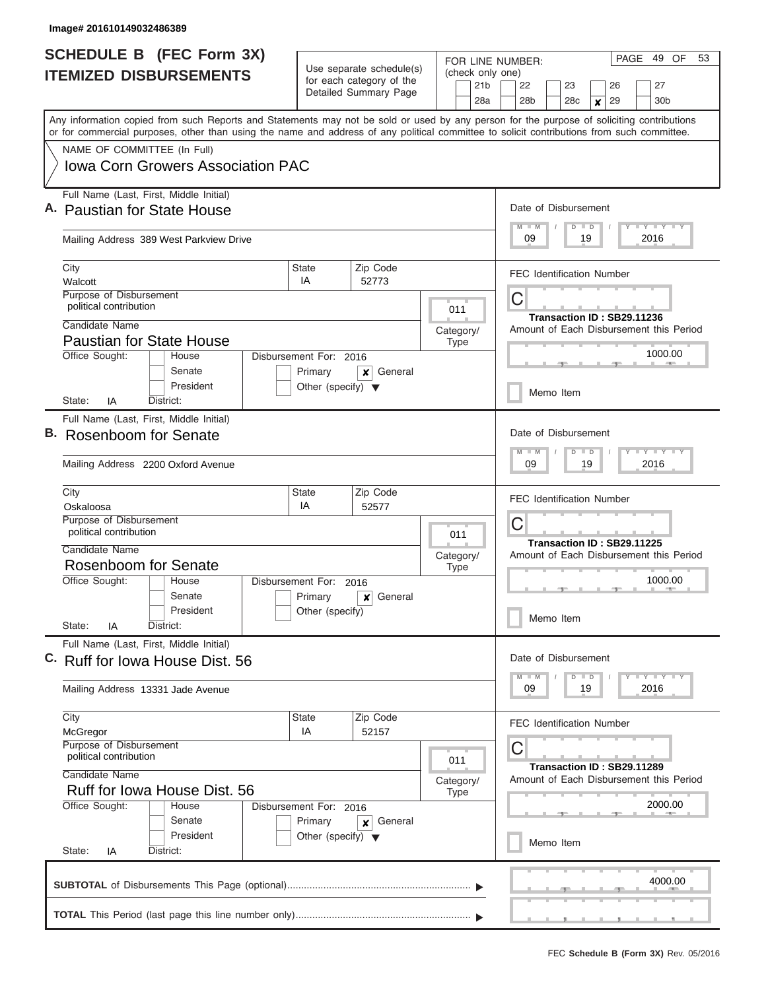|                               | <b>SCHEDULE B (FEC Form 3X)</b>                                                                                                                                                                                                                                                         |                                                                              |                                                      | FOR LINE NUMBER:         | PAGE 49 OF<br>53                                                                |  |  |  |  |  |
|-------------------------------|-----------------------------------------------------------------------------------------------------------------------------------------------------------------------------------------------------------------------------------------------------------------------------------------|------------------------------------------------------------------------------|------------------------------------------------------|--------------------------|---------------------------------------------------------------------------------|--|--|--|--|--|
| <b>ITEMIZED DISBURSEMENTS</b> |                                                                                                                                                                                                                                                                                         |                                                                              | Use separate schedule(s)<br>for each category of the |                          | (check only one)<br>22<br>23<br>27<br>26                                        |  |  |  |  |  |
|                               |                                                                                                                                                                                                                                                                                         |                                                                              | Detailed Summary Page                                | 21 <sub>b</sub><br>28a   | 28 <sub>b</sub><br>28 <sub>c</sub><br>29<br>30 <sub>b</sub><br>$\boldsymbol{x}$ |  |  |  |  |  |
|                               | Any information copied from such Reports and Statements may not be sold or used by any person for the purpose of soliciting contributions<br>or for commercial purposes, other than using the name and address of any political committee to solicit contributions from such committee. |                                                                              |                                                      |                          |                                                                                 |  |  |  |  |  |
|                               | NAME OF COMMITTEE (In Full)                                                                                                                                                                                                                                                             |                                                                              |                                                      |                          |                                                                                 |  |  |  |  |  |
|                               | Iowa Corn Growers Association PAC                                                                                                                                                                                                                                                       |                                                                              |                                                      |                          |                                                                                 |  |  |  |  |  |
|                               | Full Name (Last, First, Middle Initial)<br>A. Paustian for State House                                                                                                                                                                                                                  |                                                                              |                                                      |                          | Date of Disbursement                                                            |  |  |  |  |  |
|                               | Mailing Address 389 West Parkview Drive                                                                                                                                                                                                                                                 | Y LY LY LY<br>$M$ $M$<br>$D$ $D$<br>09<br>19<br>2016                         |                                                      |                          |                                                                                 |  |  |  |  |  |
|                               | City<br>Walcott                                                                                                                                                                                                                                                                         | <b>State</b><br>IA                                                           | Zip Code<br>52773                                    |                          | <b>FEC Identification Number</b>                                                |  |  |  |  |  |
|                               | Purpose of Disbursement<br>political contribution                                                                                                                                                                                                                                       |                                                                              |                                                      | 011                      | C                                                                               |  |  |  |  |  |
|                               | Candidate Name<br><b>Paustian for State House</b>                                                                                                                                                                                                                                       |                                                                              |                                                      | Category/<br><b>Type</b> | Transaction ID: SB29.11236<br>Amount of Each Disbursement this Period           |  |  |  |  |  |
|                               | Office Sought:<br>House<br>Senate                                                                                                                                                                                                                                                       | Disbursement For: 2016<br>Primary                                            | General<br>x                                         |                          | 1000.00                                                                         |  |  |  |  |  |
|                               | President<br>District:<br>State:<br>IA                                                                                                                                                                                                                                                  | Other (specify) $\blacktriangledown$                                         |                                                      |                          | Memo Item                                                                       |  |  |  |  |  |
|                               | Full Name (Last, First, Middle Initial)                                                                                                                                                                                                                                                 |                                                                              |                                                      |                          |                                                                                 |  |  |  |  |  |
|                               | B. Rosenboom for Senate                                                                                                                                                                                                                                                                 | Date of Disbursement<br>Y FY FY FY<br>$M - M$<br>$D$ $D$<br>09<br>19<br>2016 |                                                      |                          |                                                                                 |  |  |  |  |  |
|                               | Mailing Address 2200 Oxford Avenue                                                                                                                                                                                                                                                      |                                                                              |                                                      |                          |                                                                                 |  |  |  |  |  |
|                               | City<br>Oskaloosa                                                                                                                                                                                                                                                                       | <b>State</b><br>IA                                                           | Zip Code<br>52577                                    |                          | <b>FEC Identification Number</b>                                                |  |  |  |  |  |
|                               | Purpose of Disbursement<br>political contribution                                                                                                                                                                                                                                       | 011                                                                          | С<br>Transaction ID: SB29.11225                      |                          |                                                                                 |  |  |  |  |  |
|                               | Candidate Name<br><b>Rosenboom for Senate</b>                                                                                                                                                                                                                                           |                                                                              |                                                      | Category/                | Amount of Each Disbursement this Period<br>1000.00                              |  |  |  |  |  |
|                               | Office Sought:<br>House                                                                                                                                                                                                                                                                 | Disbursement For:                                                            | 2016                                                 | <b>Type</b>              |                                                                                 |  |  |  |  |  |
|                               | Senate                                                                                                                                                                                                                                                                                  | General<br>$\boldsymbol{x}$                                                  |                                                      |                          |                                                                                 |  |  |  |  |  |
|                               | President<br>State:<br>District:<br>ΙA                                                                                                                                                                                                                                                  | Other (specify)                                                              |                                                      |                          | Memo Item                                                                       |  |  |  |  |  |
|                               | Full Name (Last, First, Middle Initial)<br>C. Ruff for Iowa House Dist. 56                                                                                                                                                                                                              | Date of Disbursement<br>$Y$ $Y$ $Y$ $Y$ $Y$<br>$D$ $D$<br>09<br>19<br>2016   |                                                      |                          |                                                                                 |  |  |  |  |  |
|                               | Mailing Address 13331 Jade Avenue                                                                                                                                                                                                                                                       |                                                                              |                                                      |                          |                                                                                 |  |  |  |  |  |
|                               | City<br>McGregor                                                                                                                                                                                                                                                                        | <b>State</b><br>IA                                                           | Zip Code<br>52157                                    |                          | <b>FEC Identification Number</b>                                                |  |  |  |  |  |
|                               | Purpose of Disbursement<br>political contribution                                                                                                                                                                                                                                       | 011                                                                          | С<br>Transaction ID: SB29.11289                      |                          |                                                                                 |  |  |  |  |  |
|                               | Candidate Name<br>Ruff for Iowa House Dist, 56                                                                                                                                                                                                                                          | Category/<br><b>Type</b>                                                     | Amount of Each Disbursement this Period              |                          |                                                                                 |  |  |  |  |  |
|                               | Office Sought:<br>House<br>Senate                                                                                                                                                                                                                                                       | Disbursement For: 2016                                                       |                                                      | 2000.00                  |                                                                                 |  |  |  |  |  |
|                               | President<br>State:<br>District:<br>IA                                                                                                                                                                                                                                                  | Primary<br>Other (specify) $\blacktriangledown$                              | General<br>×                                         |                          | Memo Item                                                                       |  |  |  |  |  |
|                               |                                                                                                                                                                                                                                                                                         |                                                                              |                                                      |                          |                                                                                 |  |  |  |  |  |
|                               |                                                                                                                                                                                                                                                                                         |                                                                              |                                                      |                          | 4000.00                                                                         |  |  |  |  |  |
|                               |                                                                                                                                                                                                                                                                                         |                                                                              |                                                      |                          |                                                                                 |  |  |  |  |  |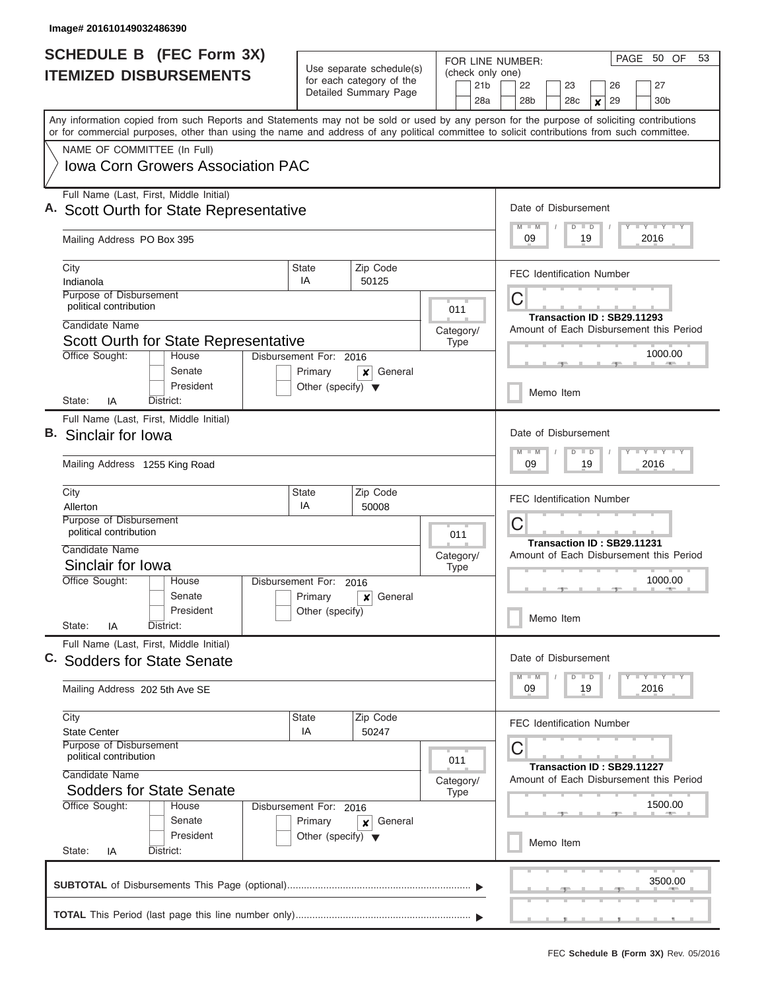| <b>SCHEDULE B</b> (FEC Form 3X)                                                                                                                                                                                                                                                         |                                                                              |                                                                               | FOR LINE NUMBER:                           | PAGE 50 OF<br>53                                                                            |  |  |  |  |  |
|-----------------------------------------------------------------------------------------------------------------------------------------------------------------------------------------------------------------------------------------------------------------------------------------|------------------------------------------------------------------------------|-------------------------------------------------------------------------------|--------------------------------------------|---------------------------------------------------------------------------------------------|--|--|--|--|--|
| <b>ITEMIZED DISBURSEMENTS</b>                                                                                                                                                                                                                                                           |                                                                              | Use separate schedule(s)<br>for each category of the<br>Detailed Summary Page | (check only one)<br>21 <sub>b</sub><br>28a | 22<br>23<br>27<br>26<br>28 <sub>b</sub><br>28c<br>30 <sub>b</sub><br>29<br>$\boldsymbol{x}$ |  |  |  |  |  |
| Any information copied from such Reports and Statements may not be sold or used by any person for the purpose of soliciting contributions<br>or for commercial purposes, other than using the name and address of any political committee to solicit contributions from such committee. |                                                                              |                                                                               |                                            |                                                                                             |  |  |  |  |  |
| NAME OF COMMITTEE (In Full)                                                                                                                                                                                                                                                             |                                                                              |                                                                               |                                            |                                                                                             |  |  |  |  |  |
| <b>Iowa Corn Growers Association PAC</b>                                                                                                                                                                                                                                                |                                                                              |                                                                               |                                            |                                                                                             |  |  |  |  |  |
| Full Name (Last, First, Middle Initial)<br>A. Scott Ourth for State Representative                                                                                                                                                                                                      | Date of Disbursement<br>Y LY LY LY<br>$M$ $M$<br>$D$ $D$<br>09<br>19<br>2016 |                                                                               |                                            |                                                                                             |  |  |  |  |  |
| Mailing Address PO Box 395                                                                                                                                                                                                                                                              |                                                                              |                                                                               |                                            |                                                                                             |  |  |  |  |  |
| City<br>Indianola                                                                                                                                                                                                                                                                       | <b>State</b><br>IA                                                           | Zip Code<br>50125                                                             |                                            | <b>FEC Identification Number</b>                                                            |  |  |  |  |  |
| Purpose of Disbursement<br>political contribution                                                                                                                                                                                                                                       |                                                                              |                                                                               | 011                                        | С                                                                                           |  |  |  |  |  |
| Candidate Name                                                                                                                                                                                                                                                                          |                                                                              |                                                                               | Category/                                  | Transaction ID: SB29.11293<br>Amount of Each Disbursement this Period                       |  |  |  |  |  |
| Scott Ourth for State Representative                                                                                                                                                                                                                                                    |                                                                              |                                                                               | Type                                       |                                                                                             |  |  |  |  |  |
| Office Sought:<br>House<br>Senate                                                                                                                                                                                                                                                       | Disbursement For: 2016<br>Primary                                            | General<br>×                                                                  |                                            | 1000.00                                                                                     |  |  |  |  |  |
| President<br>State:<br>IA<br>District:                                                                                                                                                                                                                                                  | Other (specify) $\blacktriangledown$                                         |                                                                               |                                            | Memo Item                                                                                   |  |  |  |  |  |
| Full Name (Last, First, Middle Initial)<br>B. Sinclair for lowa                                                                                                                                                                                                                         |                                                                              |                                                                               |                                            | Date of Disbursement                                                                        |  |  |  |  |  |
|                                                                                                                                                                                                                                                                                         | $-1 - Y - 1 - Y - 1 - Y$<br>$M - M$<br>$D$ $D$<br>09<br>19<br>2016           |                                                                               |                                            |                                                                                             |  |  |  |  |  |
| Mailing Address 1255 King Road                                                                                                                                                                                                                                                          |                                                                              |                                                                               |                                            |                                                                                             |  |  |  |  |  |
| City<br>Allerton                                                                                                                                                                                                                                                                        | <b>State</b><br>IA                                                           | Zip Code<br>50008                                                             |                                            | <b>FEC Identification Number</b>                                                            |  |  |  |  |  |
| Purpose of Disbursement<br>political contribution                                                                                                                                                                                                                                       |                                                                              |                                                                               | 011                                        | C<br>Transaction ID: SB29.11231                                                             |  |  |  |  |  |
| Candidate Name                                                                                                                                                                                                                                                                          |                                                                              |                                                                               | Category/                                  | Amount of Each Disbursement this Period                                                     |  |  |  |  |  |
| Sinclair for Iowa                                                                                                                                                                                                                                                                       |                                                                              | <b>Type</b>                                                                   |                                            |                                                                                             |  |  |  |  |  |
| Office Sought:<br>House                                                                                                                                                                                                                                                                 | Disbursement For:                                                            | 2016                                                                          |                                            | 1000.00                                                                                     |  |  |  |  |  |
| Senate<br>President                                                                                                                                                                                                                                                                     | Primary<br>Other (specify)                                                   | General<br>×                                                                  |                                            |                                                                                             |  |  |  |  |  |
| State:<br>ΙA<br>District:                                                                                                                                                                                                                                                               |                                                                              |                                                                               |                                            | Memo Item                                                                                   |  |  |  |  |  |
| Full Name (Last, First, Middle Initial)<br>C. Sodders for State Senate                                                                                                                                                                                                                  | Date of Disbursement                                                         |                                                                               |                                            |                                                                                             |  |  |  |  |  |
| Mailing Address 202 5th Ave SE                                                                                                                                                                                                                                                          | $Y - Y - Y - Y - I - Y$<br>$D$ $D$<br>$M - M$<br>09<br>19<br>2016            |                                                                               |                                            |                                                                                             |  |  |  |  |  |
| City<br><b>State Center</b>                                                                                                                                                                                                                                                             | State<br>IA                                                                  | Zip Code<br>50247                                                             |                                            | <b>FEC Identification Number</b>                                                            |  |  |  |  |  |
| Purpose of Disbursement<br>political contribution                                                                                                                                                                                                                                       | С                                                                            |                                                                               |                                            |                                                                                             |  |  |  |  |  |
| Candidate Name<br><b>Sodders for State Senate</b>                                                                                                                                                                                                                                       | Transaction ID: SB29.11227<br>Amount of Each Disbursement this Period        |                                                                               |                                            |                                                                                             |  |  |  |  |  |
| Office Sought:<br>Disbursement For: 2016<br>House                                                                                                                                                                                                                                       | <b>Type</b>                                                                  | 1500.00                                                                       |                                            |                                                                                             |  |  |  |  |  |
| Senate                                                                                                                                                                                                                                                                                  |                                                                              |                                                                               |                                            |                                                                                             |  |  |  |  |  |
| President<br>State:<br>IA<br>District:                                                                                                                                                                                                                                                  |                                                                              | Memo Item                                                                     |                                            |                                                                                             |  |  |  |  |  |
|                                                                                                                                                                                                                                                                                         |                                                                              |                                                                               |                                            | 3500.00                                                                                     |  |  |  |  |  |
|                                                                                                                                                                                                                                                                                         |                                                                              |                                                                               |                                            |                                                                                             |  |  |  |  |  |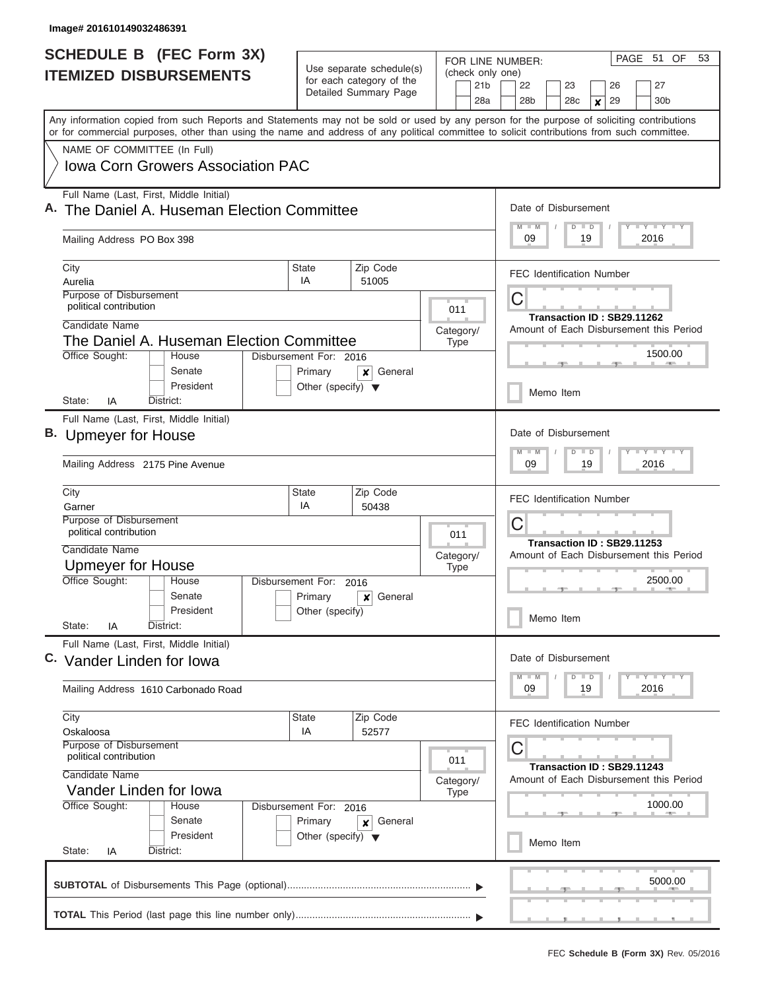| <b>SCHEDULE B</b> (FEC Form 3X)<br><b>ITEMIZED DISBURSEMENTS</b> |                                                                                                                                                                                                                                                                                         | Use separate schedule(s)                          |                        |                  | PAGE 51 OF<br>FOR LINE NUMBER:<br>(check only one) |                          |                                         |                                                                            |                                                                   |                            | 53                         |  |           |         |                                         |  |
|------------------------------------------------------------------|-----------------------------------------------------------------------------------------------------------------------------------------------------------------------------------------------------------------------------------------------------------------------------------------|---------------------------------------------------|------------------------|------------------|----------------------------------------------------|--------------------------|-----------------------------------------|----------------------------------------------------------------------------|-------------------------------------------------------------------|----------------------------|----------------------------|--|-----------|---------|-----------------------------------------|--|
|                                                                  |                                                                                                                                                                                                                                                                                         | for each category of the<br>Detailed Summary Page |                        |                  | 21 <sub>b</sub><br>28a                             |                          | 22<br>28b                               |                                                                            | 23<br>28 <sub>c</sub>                                             |                            | 26<br>29<br>$\pmb{\times}$ |  | 27<br>30b |         |                                         |  |
|                                                                  | Any information copied from such Reports and Statements may not be sold or used by any person for the purpose of soliciting contributions<br>or for commercial purposes, other than using the name and address of any political committee to solicit contributions from such committee. |                                                   |                        |                  |                                                    |                          |                                         |                                                                            |                                                                   |                            |                            |  |           |         |                                         |  |
|                                                                  | NAME OF COMMITTEE (In Full)                                                                                                                                                                                                                                                             |                                                   |                        |                  |                                                    |                          |                                         |                                                                            |                                                                   |                            |                            |  |           |         |                                         |  |
|                                                                  | <b>Iowa Corn Growers Association PAC</b>                                                                                                                                                                                                                                                |                                                   |                        |                  |                                                    |                          |                                         |                                                                            |                                                                   |                            |                            |  |           |         |                                         |  |
|                                                                  | Full Name (Last, First, Middle Initial)<br>A. The Daniel A. Huseman Election Committee                                                                                                                                                                                                  |                                                   |                        |                  |                                                    |                          |                                         |                                                                            | Date of Disbursement                                              |                            |                            |  |           |         |                                         |  |
|                                                                  | Mailing Address PO Box 398                                                                                                                                                                                                                                                              |                                                   |                        |                  |                                                    |                          |                                         |                                                                            | <b>LY LY LY</b><br>$M$ $M$<br>$D$ $D$<br>2016<br>09<br>19         |                            |                            |  |           |         |                                         |  |
|                                                                  | City                                                                                                                                                                                                                                                                                    | State                                             | Zip Code<br>51005      |                  |                                                    |                          |                                         | <b>FEC Identification Number</b>                                           |                                                                   |                            |                            |  |           |         |                                         |  |
|                                                                  | Aurelia<br>Purpose of Disbursement                                                                                                                                                                                                                                                      | IA                                                |                        |                  |                                                    |                          | C                                       |                                                                            |                                                                   |                            |                            |  |           |         |                                         |  |
|                                                                  | political contribution                                                                                                                                                                                                                                                                  |                                                   |                        | 011<br>Category/ |                                                    |                          |                                         |                                                                            |                                                                   | Transaction ID: SB29.11262 |                            |  |           |         |                                         |  |
|                                                                  | Candidate Name                                                                                                                                                                                                                                                                          |                                                   |                        |                  |                                                    |                          |                                         |                                                                            |                                                                   |                            |                            |  |           |         | Amount of Each Disbursement this Period |  |
|                                                                  | The Daniel A. Huseman Election Committee<br>Office Sought:<br>House                                                                                                                                                                                                                     | Disbursement For: 2016                            |                        |                  | Type                                               |                          |                                         |                                                                            |                                                                   |                            |                            |  |           | 1500.00 |                                         |  |
|                                                                  | Senate                                                                                                                                                                                                                                                                                  | Primary                                           | General<br>×           |                  |                                                    |                          |                                         |                                                                            |                                                                   |                            |                            |  |           |         |                                         |  |
|                                                                  | President<br>District:<br>State:<br>IA                                                                                                                                                                                                                                                  | Other (specify) $\blacktriangledown$              |                        |                  |                                                    |                          |                                         |                                                                            |                                                                   | Memo Item                  |                            |  |           |         |                                         |  |
|                                                                  | Full Name (Last, First, Middle Initial)                                                                                                                                                                                                                                                 |                                                   |                        |                  |                                                    |                          |                                         |                                                                            |                                                                   |                            |                            |  |           |         |                                         |  |
|                                                                  | B. Upmeyer for House                                                                                                                                                                                                                                                                    |                                                   |                        |                  |                                                    |                          |                                         | Date of Disbursement                                                       |                                                                   |                            |                            |  |           |         |                                         |  |
|                                                                  | Mailing Address 2175 Pine Avenue                                                                                                                                                                                                                                                        |                                                   |                        |                  |                                                    |                          |                                         |                                                                            | $T - Y$ $T - Y$ $T - Y$<br>$M - M$<br>$D$ $D$<br>09<br>19<br>2016 |                            |                            |  |           |         |                                         |  |
|                                                                  | City                                                                                                                                                                                                                                                                                    | State                                             | Zip Code               |                  | <b>FEC Identification Number</b>                   |                          |                                         |                                                                            |                                                                   |                            |                            |  |           |         |                                         |  |
|                                                                  | IA<br>Garner<br>50438<br>Purpose of Disbursement<br>political contribution                                                                                                                                                                                                              |                                                   |                        |                  |                                                    |                          |                                         | C                                                                          |                                                                   |                            |                            |  |           |         |                                         |  |
|                                                                  | Candidate Name                                                                                                                                                                                                                                                                          |                                                   |                        |                  | 011                                                |                          | Transaction ID: SB29.11253              |                                                                            |                                                                   |                            |                            |  |           |         |                                         |  |
|                                                                  | Upmeyer for House                                                                                                                                                                                                                                                                       |                                                   |                        |                  |                                                    | Category/<br><b>Type</b> | Amount of Each Disbursement this Period |                                                                            |                                                                   |                            |                            |  |           |         |                                         |  |
|                                                                  | Office Sought:<br>House                                                                                                                                                                                                                                                                 |                                                   | Disbursement For: 2016 |                  |                                                    |                          | 2500.00                                 |                                                                            |                                                                   |                            |                            |  |           |         |                                         |  |
|                                                                  | Senate<br>President                                                                                                                                                                                                                                                                     | Primary<br>Other (specify)                        | General<br>x           |                  |                                                    |                          |                                         |                                                                            |                                                                   |                            |                            |  |           |         |                                         |  |
|                                                                  | State:<br>District:<br>ΙA                                                                                                                                                                                                                                                               |                                                   |                        |                  |                                                    |                          |                                         |                                                                            |                                                                   | Memo Item                  |                            |  |           |         |                                         |  |
|                                                                  | Full Name (Last, First, Middle Initial)                                                                                                                                                                                                                                                 |                                                   |                        |                  |                                                    |                          |                                         |                                                                            |                                                                   |                            |                            |  |           |         |                                         |  |
|                                                                  | C. Vander Linden for Iowa                                                                                                                                                                                                                                                               |                                                   |                        |                  |                                                    |                          |                                         | Date of Disbursement<br>$T - Y$ $T - Y$<br>$D$ $D$<br>$M - M$              |                                                                   |                            |                            |  |           |         |                                         |  |
|                                                                  | Mailing Address 1610 Carbonado Road                                                                                                                                                                                                                                                     |                                                   |                        |                  |                                                    |                          |                                         | 2016<br>09<br>19                                                           |                                                                   |                            |                            |  |           |         |                                         |  |
|                                                                  | City<br>Oskaloosa                                                                                                                                                                                                                                                                       | State<br>Zip Code<br>IA<br>52577                  |                        |                  |                                                    |                          | <b>FEC Identification Number</b>        |                                                                            |                                                                   |                            |                            |  |           |         |                                         |  |
|                                                                  | <b>Purpose of Disbursement</b><br>political contribution                                                                                                                                                                                                                                |                                                   |                        |                  |                                                    |                          |                                         | С<br>Transaction ID: SB29.11243<br>Amount of Each Disbursement this Period |                                                                   |                            |                            |  |           |         |                                         |  |
|                                                                  | 011<br>Candidate Name                                                                                                                                                                                                                                                                   |                                                   |                        |                  |                                                    |                          |                                         |                                                                            |                                                                   |                            |                            |  |           |         |                                         |  |
|                                                                  | Category/<br>Vander Linden for Iowa<br><b>Type</b>                                                                                                                                                                                                                                      |                                                   |                        |                  |                                                    |                          |                                         |                                                                            |                                                                   |                            |                            |  |           |         |                                         |  |
|                                                                  | Office Sought:<br>House<br>Disbursement For: 2016<br>Primary<br>General<br>×                                                                                                                                                                                                            |                                                   |                        |                  |                                                    |                          | 1000.00                                 |                                                                            |                                                                   |                            |                            |  |           |         |                                         |  |
|                                                                  | Senate<br>President                                                                                                                                                                                                                                                                     |                                                   |                        |                  |                                                    |                          |                                         |                                                                            |                                                                   |                            |                            |  |           |         |                                         |  |
|                                                                  | Other (specify) $\blacktriangledown$<br>State:<br>District:<br>IA                                                                                                                                                                                                                       |                                                   |                        |                  |                                                    |                          | Memo Item                               |                                                                            |                                                                   |                            |                            |  |           |         |                                         |  |
|                                                                  |                                                                                                                                                                                                                                                                                         |                                                   |                        |                  |                                                    |                          |                                         |                                                                            |                                                                   |                            |                            |  |           | 5000.00 |                                         |  |
|                                                                  |                                                                                                                                                                                                                                                                                         |                                                   |                        |                  |                                                    |                          |                                         |                                                                            |                                                                   |                            |                            |  |           |         |                                         |  |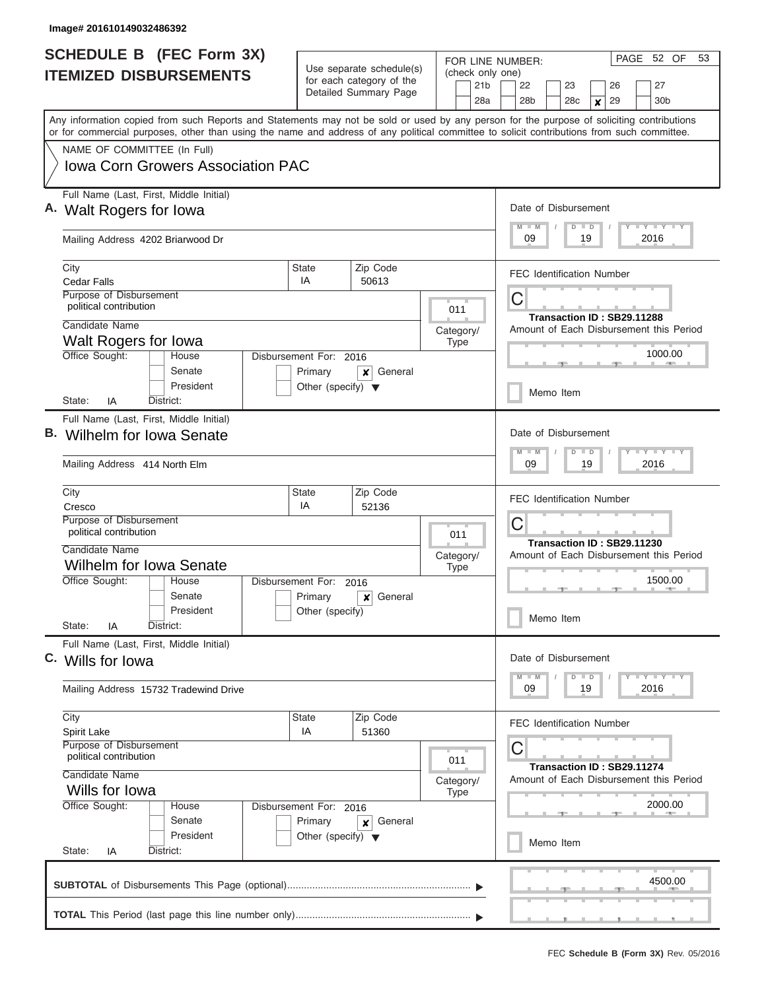| <b>SCHEDULE B (FEC Form 3X)</b><br><b>ITEMIZED DISBURSEMENTS</b>                                                                                                                                                                                                                                                                                                   |                                                                           | Use separate schedule(s)<br>for each category of the<br>Detailed Summary Page                                             | FOR LINE NUMBER:<br>(check only one)<br>21 <sub>b</sub><br>28a                                                 | PAGE 52 OF<br>53<br>22<br>23<br>27<br>26<br>28 <sub>b</sub><br>28 <sub>c</sub><br>29<br>30 <sub>b</sub><br>×              |  |  |  |  |  |
|--------------------------------------------------------------------------------------------------------------------------------------------------------------------------------------------------------------------------------------------------------------------------------------------------------------------------------------------------------------------|---------------------------------------------------------------------------|---------------------------------------------------------------------------------------------------------------------------|----------------------------------------------------------------------------------------------------------------|---------------------------------------------------------------------------------------------------------------------------|--|--|--|--|--|
| Any information copied from such Reports and Statements may not be sold or used by any person for the purpose of soliciting contributions<br>or for commercial purposes, other than using the name and address of any political committee to solicit contributions from such committee.<br>NAME OF COMMITTEE (In Full)<br><b>Iowa Corn Growers Association PAC</b> |                                                                           |                                                                                                                           |                                                                                                                |                                                                                                                           |  |  |  |  |  |
| Full Name (Last, First, Middle Initial)<br>A. Walt Rogers for Iowa<br>Mailing Address 4202 Briarwood Dr                                                                                                                                                                                                                                                            |                                                                           |                                                                                                                           |                                                                                                                | Date of Disbursement<br><b>TEY LY LY</b><br>$M$ $M$<br>$D$ $D$<br>09<br>2016<br>19                                        |  |  |  |  |  |
| City<br><b>Cedar Falls</b><br>Purpose of Disbursement<br>political contribution<br>Candidate Name<br>Walt Rogers for Iowa<br>Office Sought:<br>House                                                                                                                                                                                                               | State<br>IA<br>Disbursement For: 2016                                     | Zip Code<br>50613                                                                                                         | 011<br>Category/<br><b>Type</b>                                                                                | <b>FEC Identification Number</b><br>С<br>Transaction ID: SB29.11288<br>Amount of Each Disbursement this Period<br>1000.00 |  |  |  |  |  |
| Senate<br>President<br>IA<br>District:<br>State:<br>Full Name (Last, First, Middle Initial)                                                                                                                                                                                                                                                                        | Primary<br>Other (specify) $\blacktriangledown$                           | General<br>×                                                                                                              |                                                                                                                | Memo Item                                                                                                                 |  |  |  |  |  |
| в.<br>Wilhelm for Iowa Senate<br>Mailing Address 414 North Elm<br>City<br>Cresco                                                                                                                                                                                                                                                                                   |                                                                           | Date of Disbursement<br>$T$ $Y$ $T$ $Y$ $T$<br>$M - M$<br>$D$ $D$<br>09<br>19<br>2016<br><b>FEC Identification Number</b> |                                                                                                                |                                                                                                                           |  |  |  |  |  |
| Purpose of Disbursement<br>political contribution<br>Candidate Name<br><b>Wilhelm for Iowa Senate</b><br>Office Sought:<br>Disbursement For:<br>House                                                                                                                                                                                                              | 2016                                                                      | 011<br>Category/<br><b>Type</b>                                                                                           | C<br>Transaction ID: SB29.11230<br>Amount of Each Disbursement this Period<br>1500.00                          |                                                                                                                           |  |  |  |  |  |
| Senate<br>President<br>State:<br>District:<br>ΙA                                                                                                                                                                                                                                                                                                                   | Primary<br>Other (specify)                                                | General<br>×                                                                                                              |                                                                                                                | Memo Item                                                                                                                 |  |  |  |  |  |
| Full Name (Last, First, Middle Initial)<br>C. Wills for lowa<br>Mailing Address 15732 Tradewind Drive                                                                                                                                                                                                                                                              |                                                                           |                                                                                                                           |                                                                                                                | Date of Disbursement<br>$T$ $Y$ $T$ $Y$ $T$ $Y$<br>$D$ $D$<br>$M - M$<br>09<br>19<br>2016                                 |  |  |  |  |  |
| City<br><b>Spirit Lake</b><br>Purpose of Disbursement<br>political contribution<br>Candidate Name<br>Wills for Iowa                                                                                                                                                                                                                                                | Zip Code<br>51360                                                         | 011<br>Category/<br><b>Type</b>                                                                                           | <b>FEC Identification Number</b><br>С<br>Transaction ID: SB29.11274<br>Amount of Each Disbursement this Period |                                                                                                                           |  |  |  |  |  |
| Office Sought:<br>House<br>Senate<br>President<br>State:<br>District:<br>IA                                                                                                                                                                                                                                                                                        | Disbursement For: 2016<br>Primary<br>Other (specify) $\blacktriangledown$ |                                                                                                                           | 2000.00<br>Memo Item                                                                                           |                                                                                                                           |  |  |  |  |  |
|                                                                                                                                                                                                                                                                                                                                                                    |                                                                           |                                                                                                                           |                                                                                                                | 4500.00                                                                                                                   |  |  |  |  |  |